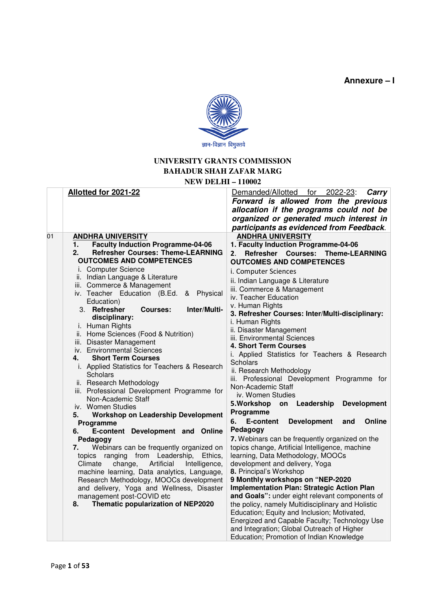**Annexure – I** 



## **UNIVERSITY GRANTS COMMISSION BAHADUR SHAH ZAFAR MARG NEW DELHI – 110002**

|    | Allotted for 2021-22                                                                                                                                                                                                                                                                                                                                                                                                                                                                                                                                                                                                                                                                                                                                                                                                                                                                                                                                                                                                                                                                                                                                                                                                            | Demanded/Allotted for 2022-23:<br>Carry<br>Forward is allowed from the previous<br>allocation if the programs could not be<br>organized or generated much interest in<br>participants as evidenced from Feedback.                                                                                                                                                                                                                                                                                                                                                                                                                                                                                                                                                                                                                                                                                                                                                                                                                                                                                                                                                                                                                                                                                           |
|----|---------------------------------------------------------------------------------------------------------------------------------------------------------------------------------------------------------------------------------------------------------------------------------------------------------------------------------------------------------------------------------------------------------------------------------------------------------------------------------------------------------------------------------------------------------------------------------------------------------------------------------------------------------------------------------------------------------------------------------------------------------------------------------------------------------------------------------------------------------------------------------------------------------------------------------------------------------------------------------------------------------------------------------------------------------------------------------------------------------------------------------------------------------------------------------------------------------------------------------|-------------------------------------------------------------------------------------------------------------------------------------------------------------------------------------------------------------------------------------------------------------------------------------------------------------------------------------------------------------------------------------------------------------------------------------------------------------------------------------------------------------------------------------------------------------------------------------------------------------------------------------------------------------------------------------------------------------------------------------------------------------------------------------------------------------------------------------------------------------------------------------------------------------------------------------------------------------------------------------------------------------------------------------------------------------------------------------------------------------------------------------------------------------------------------------------------------------------------------------------------------------------------------------------------------------|
| 01 | <b>ANDHRA UNIVERSITY</b><br><b>Faculty Induction Programme-04-06</b><br>1.<br><b>Refresher Courses: Theme-LEARNING</b><br>2.<br><b>OUTCOMES AND COMPETENCES</b><br>i. Computer Science<br>ii. Indian Language & Literature<br>iii. Commerce & Management<br>iv. Teacher Education (B.Ed.<br>Physical<br>&<br>Education)<br>Inter/Multi-<br>3. Refresher<br>Courses:<br>disciplinary:<br>i. Human Rights<br>ii. Home Sciences (Food & Nutrition)<br>iii. Disaster Management<br>iv. Environmental Sciences<br><b>Short Term Courses</b><br>4.<br>i. Applied Statistics for Teachers & Research<br>Scholars<br>ii. Research Methodology<br>iii. Professional Development Programme for<br>Non-Academic Staff<br>iv. Women Studies<br><b>Workshop on Leadership Development</b><br>5.<br>Programme<br>E-content Development and Online<br>6.<br>Pedagogy<br>Webinars can be frequently organized on<br>7.<br>ranging<br>from Leadership,<br>Ethics,<br>topics<br>Artificial<br>Climate<br>change,<br>Intelligence,<br>machine learning, Data analytics, Language,<br>Research Methodology, MOOCs development<br>and delivery, Yoga and Wellness, Disaster<br>management post-COVID etc<br>Thematic popularization of NEP2020<br>8. | <b>ANDHRA UNIVERSITY</b><br>1. Faculty Induction Programme-04-06<br>Refresher<br><b>Courses:</b><br><b>Theme-LEARNING</b><br>2.<br><b>OUTCOMES AND COMPETENCES</b><br>i. Computer Sciences<br>ii. Indian Language & Literature<br>iii. Commerce & Management<br>iv. Teacher Education<br>v. Human Rights<br>3. Refresher Courses: Inter/Multi-disciplinary:<br>i. Human Rights<br>ii. Disaster Management<br>iii. Environmental Sciences<br>4. Short Term Courses<br>i. Applied Statistics for Teachers & Research<br><b>Scholars</b><br>ii. Research Methodology<br>iii. Professional Development Programme for<br>Non-Academic Staff<br>iv. Women Studies<br>5. Workshop<br>on Leadership<br><b>Development</b><br>Programme<br>E-content<br><b>Development</b><br>Online<br>6.<br>and<br>Pedagogy<br>7. Webinars can be frequently organized on the<br>topics change, Artificial Intelligence, machine<br>learning, Data Methodology, MOOCs<br>development and delivery, Yoga<br>8. Principal's Workshop<br>9 Monthly workshops on "NEP-2020<br><b>Implementation Plan: Strategic Action Plan</b><br>and Goals": under eight relevant components of<br>the policy, namely Multidisciplinary and Holistic<br>Education; Equity and Inclusion; Motivated,<br>Energized and Capable Faculty; Technology Use |
|    |                                                                                                                                                                                                                                                                                                                                                                                                                                                                                                                                                                                                                                                                                                                                                                                                                                                                                                                                                                                                                                                                                                                                                                                                                                 | and Integration; Global Outreach of Higher<br>Education; Promotion of Indian Knowledge                                                                                                                                                                                                                                                                                                                                                                                                                                                                                                                                                                                                                                                                                                                                                                                                                                                                                                                                                                                                                                                                                                                                                                                                                      |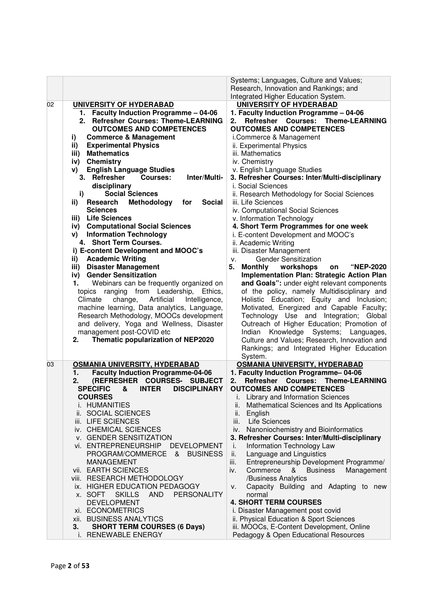|    |                                                                                                                                                                                                                                                                                                                                                                                                                                                                                                                                                                                                                                                                                                                                                                                                                                                                                                                                                                                                                                                                                                                                                        | Systems; Languages, Culture and Values;<br>Research, Innovation and Rankings; and<br>Integrated Higher Education System.                                                                                                                                                                                                                                                                                                                                                                                                                                                                                                                                                                                                                                                                                                                                                                                                                                                                                                                                                                                                                                                  |
|----|--------------------------------------------------------------------------------------------------------------------------------------------------------------------------------------------------------------------------------------------------------------------------------------------------------------------------------------------------------------------------------------------------------------------------------------------------------------------------------------------------------------------------------------------------------------------------------------------------------------------------------------------------------------------------------------------------------------------------------------------------------------------------------------------------------------------------------------------------------------------------------------------------------------------------------------------------------------------------------------------------------------------------------------------------------------------------------------------------------------------------------------------------------|---------------------------------------------------------------------------------------------------------------------------------------------------------------------------------------------------------------------------------------------------------------------------------------------------------------------------------------------------------------------------------------------------------------------------------------------------------------------------------------------------------------------------------------------------------------------------------------------------------------------------------------------------------------------------------------------------------------------------------------------------------------------------------------------------------------------------------------------------------------------------------------------------------------------------------------------------------------------------------------------------------------------------------------------------------------------------------------------------------------------------------------------------------------------------|
| 02 | <b>UNIVERSITY OF HYDERABAD</b><br>1. Faculty Induction Programme - 04-06<br>2. Refresher Courses: Theme-LEARNING<br><b>OUTCOMES AND COMPETENCES</b><br><b>Commerce &amp; Management</b><br>i)<br><b>Experimental Physics</b><br>ii)<br><b>Mathematics</b><br>iii)<br><b>Chemistry</b><br>iv)<br><b>English Language Studies</b><br>V)<br>3. Refresher<br><b>Courses:</b><br>Inter/Multi-<br>disciplinary<br><b>Social Sciences</b><br>i)<br>ii)<br>Research<br>Methodology<br>for<br><b>Social</b><br><b>Sciences</b><br>iii) Life Sciences<br>iv) Computational Social Sciences<br>v) Information Technology<br>4. Short Term Courses.<br>i) E-content Development and MOOC's<br><b>Academic Writing</b><br>ii)<br>iii) Disaster Management<br><b>Gender Sensitization</b><br>iv)<br>Webinars can be frequently organized on<br>1.<br>topics ranging from Leadership,<br>Ethics,<br>Artificial<br>Climate<br>change,<br>Intelligence,<br>machine learning, Data analytics, Language,<br>Research Methodology, MOOCs development<br>and delivery, Yoga and Wellness, Disaster<br>management post-COVID etc<br>Thematic popularization of NEP2020<br>2. | <b>UNIVERSITY OF HYDERABAD</b><br>1. Faculty Induction Programme - 04-06<br><b>Refresher Courses:</b><br><b>Theme-LEARNING</b><br>2.<br><b>OUTCOMES AND COMPETENCES</b><br>i.Commerce & Management<br>ii. Experimental Physics<br>iii. Mathematics<br>iv. Chemistry<br>v. English Language Studies<br>3. Refresher Courses: Inter/Multi-disciplinary<br>i. Social Sciences<br>ii. Research Methodology for Social Sciences<br>iii. Life Sciences<br>iv. Computational Social Sciences<br>v. Information Technology<br>4. Short Term Programmes for one week<br>i. E-content Development and MOOC's<br>ii. Academic Writing<br>iii. Disaster Management<br><b>Gender Sensitization</b><br>v.<br>workshops<br>"NEP-2020<br>5.<br><b>Monthly</b><br>on<br>Implementation Plan: Strategic Action Plan<br>and Goals": under eight relevant components<br>of the policy, namely Multidisciplinary and<br>Holistic Education; Equity and Inclusion;<br>Motivated, Energized and Capable Faculty;<br>Technology Use and Integration; Global<br>Outreach of Higher Education; Promotion of<br>Indian Knowledge Systems; Languages,<br>Culture and Values; Research, Innovation and |
|    |                                                                                                                                                                                                                                                                                                                                                                                                                                                                                                                                                                                                                                                                                                                                                                                                                                                                                                                                                                                                                                                                                                                                                        | Rankings; and Integrated Higher Education<br>System.                                                                                                                                                                                                                                                                                                                                                                                                                                                                                                                                                                                                                                                                                                                                                                                                                                                                                                                                                                                                                                                                                                                      |
| 03 | OSMANIA UNIVERSITY, HYDERABAD<br><b>Faculty Induction Programme-04-06</b><br>1.<br>(REFRESHER COURSES-<br><b>SUBJECT</b><br>2.<br><b>SPECIFIC</b><br><b>INTER</b><br>&<br><b>DISCIPLINARY</b>                                                                                                                                                                                                                                                                                                                                                                                                                                                                                                                                                                                                                                                                                                                                                                                                                                                                                                                                                          | OSMANIA UNIVERSITY, HYDERABAD<br>1. Faculty Induction Programme-04-06<br>Refresher<br><b>Courses:</b><br><b>Theme-LEARNING</b><br>2.<br><b>OUTCOMES AND COMPETENCES</b>                                                                                                                                                                                                                                                                                                                                                                                                                                                                                                                                                                                                                                                                                                                                                                                                                                                                                                                                                                                                   |
|    | <b>COURSES</b><br>i. HUMANITIES<br>ii. SOCIAL SCIENCES<br>iii. LIFE SCIENCES<br>iv. CHEMICAL SCIENCES<br>v. GENDER SENSITIZATION<br>vi. ENTREPRENEURSHIP<br><b>DEVELOPMENT</b><br>PROGRAM/COMMERCE<br><b>BUSINESS</b><br>&<br><b>MANAGEMENT</b><br>vii. EARTH SCIENCES<br>viii. RESEARCH METHODOLOGY<br>ix. HIGHER EDUCATION PEDAGOGY<br>x. SOFT<br><b>SKILLS</b><br>AND<br><b>PERSONALITY</b><br><b>DEVELOPMENT</b><br>xi. ECONOMETRICS<br>xii. BUSINESS ANALYTICS<br>3.<br><b>SHORT TERM COURSES (6 Days)</b><br>RENEWABLE ENERGY<br>i.                                                                                                                                                                                                                                                                                                                                                                                                                                                                                                                                                                                                              | <b>Library and Information Sciences</b><br>ii.<br>Mathematical Sciences and Its Applications<br>ii.<br>English<br>iii.<br>Life Sciences<br>Nanoniochemistry and Bioinformatics<br>iv.<br>3. Refresher Courses: Inter/Multi-disciplinary<br>Information Technology Law<br>i.<br>Language and Linguistics<br>ii.<br>iii.<br>Entrepreneurship Development Programme/<br>Commerce<br>&<br><b>Business</b><br>Management<br>iv.<br>/Business Analytics<br>Capacity Building and Adapting to new<br>v.<br>normal<br><b>4. SHORT TERM COURSES</b><br>i. Disaster Management post covid<br>ii. Physical Education & Sport Sciences<br>iii. MOOCs, E-Content Development, Online<br>Pedagogy & Open Educational Resources                                                                                                                                                                                                                                                                                                                                                                                                                                                          |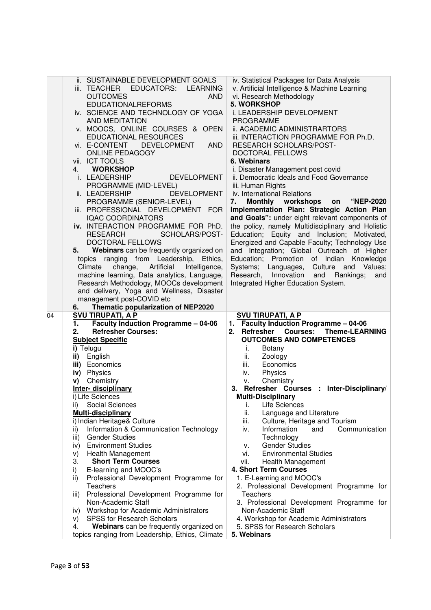|    | ii. SUSTAINABLE DEVELOPMENT GOALS<br>iii. TEACHER EDUCATORS: LEARNING<br><b>OUTCOMES</b><br><b>AND</b><br><b>EDUCATIONALREFORMS</b><br>iv. SCIENCE AND TECHNOLOGY OF YOGA<br>AND MEDITATION<br>v. MOOCS, ONLINE COURSES & OPEN<br><b>EDUCATIONAL RESOURCES</b><br>vi. E-CONTENT<br><b>DEVELOPMENT</b><br><b>AND</b><br><b>ONLINE PEDAGOGY</b><br>vii. ICT TOOLS<br>4. WORKSHOP<br>i. LEADERSHIP<br><b>DEVELOPMENT</b><br>PROGRAMME (MID-LEVEL)<br>ii. LEADERSHIP<br><b>DEVELOPMENT</b><br>PROGRAMME (SENIOR-LEVEL)<br>iii. PROFESSIONAL DEVELOPMENT FOR<br><b>IQAC COORDINATORS</b><br>iv. INTERACTION PROGRAMME FOR PhD.<br><b>RESEARCH</b><br>SCHOLARS/POST-<br>DOCTORAL FELLOWS<br>Webinars can be frequently organized on<br>5.<br>topics ranging from Leadership,<br>Ethics.<br>Climate<br>change,<br>Artificial<br>Intelligence,<br>machine learning, Data analytics, Language,<br>Research Methodology, MOOCs development<br>and delivery, Yoga and Wellness, Disaster<br>management post-COVID etc<br>Thematic popularization of NEP2020<br>6. | iv. Statistical Packages for Data Analysis<br>v. Artificial Intelligence & Machine Learning<br>vi. Research Methodology<br>5. WORKSHOP<br>i. LEADERSHIP DEVELOPMENT<br><b>PROGRAMME</b><br>ii. ACADEMIC ADMINISTRARTORS<br>iii. INTERACTION PROGRAMME FOR Ph.D.<br>RESEARCH SCHOLARS/POST-<br>DOCTORAL FELLOWS<br>6. Webinars<br>i. Disaster Management post covid<br>ii. Democratic Ideals and Food Governance<br>iii. Human Rights<br>iv. International Relations<br>Monthly workshops<br>7.<br><b>"NEP-2020</b><br>on<br>Implementation Plan: Strategic Action Plan<br>and Goals": under eight relevant components of<br>the policy, namely Multidisciplinary and Holistic<br>Education; Equity and Inclusion; Motivated,<br>Energized and Capable Faculty; Technology Use<br>and Integration; Global Outreach of Higher<br>Education; Promotion of Indian<br>Knowledge<br>Systems; Languages, Culture and Values;<br>Innovation<br>and Rankings;<br>Research,<br>and<br>Integrated Higher Education System. |
|----|--------------------------------------------------------------------------------------------------------------------------------------------------------------------------------------------------------------------------------------------------------------------------------------------------------------------------------------------------------------------------------------------------------------------------------------------------------------------------------------------------------------------------------------------------------------------------------------------------------------------------------------------------------------------------------------------------------------------------------------------------------------------------------------------------------------------------------------------------------------------------------------------------------------------------------------------------------------------------------------------------------------------------------------------------------|-----------------------------------------------------------------------------------------------------------------------------------------------------------------------------------------------------------------------------------------------------------------------------------------------------------------------------------------------------------------------------------------------------------------------------------------------------------------------------------------------------------------------------------------------------------------------------------------------------------------------------------------------------------------------------------------------------------------------------------------------------------------------------------------------------------------------------------------------------------------------------------------------------------------------------------------------------------------------------------------------------------------|
| 04 | <b>SVU TIRUPATI, A P</b>                                                                                                                                                                                                                                                                                                                                                                                                                                                                                                                                                                                                                                                                                                                                                                                                                                                                                                                                                                                                                               |                                                                                                                                                                                                                                                                                                                                                                                                                                                                                                                                                                                                                                                                                                                                                                                                                                                                                                                                                                                                                 |
|    | <b>Faculty Induction Programme - 04-06</b><br>1.                                                                                                                                                                                                                                                                                                                                                                                                                                                                                                                                                                                                                                                                                                                                                                                                                                                                                                                                                                                                       | <b>SVU TIRUPATI, A P</b><br>1. Faculty Induction Programme - 04-06                                                                                                                                                                                                                                                                                                                                                                                                                                                                                                                                                                                                                                                                                                                                                                                                                                                                                                                                              |
|    | <b>Refresher Courses:</b><br>2.                                                                                                                                                                                                                                                                                                                                                                                                                                                                                                                                                                                                                                                                                                                                                                                                                                                                                                                                                                                                                        | Refresher<br><b>Courses:</b><br><b>Theme-LEARNING</b><br>2.                                                                                                                                                                                                                                                                                                                                                                                                                                                                                                                                                                                                                                                                                                                                                                                                                                                                                                                                                     |
|    | <b>Subject Specific</b>                                                                                                                                                                                                                                                                                                                                                                                                                                                                                                                                                                                                                                                                                                                                                                                                                                                                                                                                                                                                                                | <b>OUTCOMES AND COMPETENCES</b>                                                                                                                                                                                                                                                                                                                                                                                                                                                                                                                                                                                                                                                                                                                                                                                                                                                                                                                                                                                 |
|    | i) Telugu                                                                                                                                                                                                                                                                                                                                                                                                                                                                                                                                                                                                                                                                                                                                                                                                                                                                                                                                                                                                                                              | Botany<br>İ.                                                                                                                                                                                                                                                                                                                                                                                                                                                                                                                                                                                                                                                                                                                                                                                                                                                                                                                                                                                                    |
|    | ii) English                                                                                                                                                                                                                                                                                                                                                                                                                                                                                                                                                                                                                                                                                                                                                                                                                                                                                                                                                                                                                                            | ii.<br>Zoology                                                                                                                                                                                                                                                                                                                                                                                                                                                                                                                                                                                                                                                                                                                                                                                                                                                                                                                                                                                                  |
|    | iii) Economics                                                                                                                                                                                                                                                                                                                                                                                                                                                                                                                                                                                                                                                                                                                                                                                                                                                                                                                                                                                                                                         | iii.<br>Economics                                                                                                                                                                                                                                                                                                                                                                                                                                                                                                                                                                                                                                                                                                                                                                                                                                                                                                                                                                                               |
|    | iv) Physics                                                                                                                                                                                                                                                                                                                                                                                                                                                                                                                                                                                                                                                                                                                                                                                                                                                                                                                                                                                                                                            | Physics<br>iv.                                                                                                                                                                                                                                                                                                                                                                                                                                                                                                                                                                                                                                                                                                                                                                                                                                                                                                                                                                                                  |
|    | v) Chemistry                                                                                                                                                                                                                                                                                                                                                                                                                                                                                                                                                                                                                                                                                                                                                                                                                                                                                                                                                                                                                                           | Chemistry<br>V.                                                                                                                                                                                                                                                                                                                                                                                                                                                                                                                                                                                                                                                                                                                                                                                                                                                                                                                                                                                                 |
|    | Inter-disciplinary                                                                                                                                                                                                                                                                                                                                                                                                                                                                                                                                                                                                                                                                                                                                                                                                                                                                                                                                                                                                                                     | 3. Refresher Courses : Inter-Disciplinary/                                                                                                                                                                                                                                                                                                                                                                                                                                                                                                                                                                                                                                                                                                                                                                                                                                                                                                                                                                      |
|    | i) Life Sciences                                                                                                                                                                                                                                                                                                                                                                                                                                                                                                                                                                                                                                                                                                                                                                                                                                                                                                                                                                                                                                       | <b>Multi-Disciplinary</b>                                                                                                                                                                                                                                                                                                                                                                                                                                                                                                                                                                                                                                                                                                                                                                                                                                                                                                                                                                                       |
|    | Social Sciences<br>ii)                                                                                                                                                                                                                                                                                                                                                                                                                                                                                                                                                                                                                                                                                                                                                                                                                                                                                                                                                                                                                                 | i.<br>Life Sciences<br>ii.                                                                                                                                                                                                                                                                                                                                                                                                                                                                                                                                                                                                                                                                                                                                                                                                                                                                                                                                                                                      |
|    | <b>Multi-disciplinary</b>                                                                                                                                                                                                                                                                                                                                                                                                                                                                                                                                                                                                                                                                                                                                                                                                                                                                                                                                                                                                                              | Language and Literature<br>iii.                                                                                                                                                                                                                                                                                                                                                                                                                                                                                                                                                                                                                                                                                                                                                                                                                                                                                                                                                                                 |
|    | i) Indian Heritage& Culture<br>Information & Communication Technology<br>ii)                                                                                                                                                                                                                                                                                                                                                                                                                                                                                                                                                                                                                                                                                                                                                                                                                                                                                                                                                                           | Culture, Heritage and Tourism<br>iv.<br>Information<br>Communication<br>and                                                                                                                                                                                                                                                                                                                                                                                                                                                                                                                                                                                                                                                                                                                                                                                                                                                                                                                                     |
|    | <b>Gender Studies</b><br>iii)                                                                                                                                                                                                                                                                                                                                                                                                                                                                                                                                                                                                                                                                                                                                                                                                                                                                                                                                                                                                                          | Technology                                                                                                                                                                                                                                                                                                                                                                                                                                                                                                                                                                                                                                                                                                                                                                                                                                                                                                                                                                                                      |
|    | <b>Environment Studies</b><br>iv)                                                                                                                                                                                                                                                                                                                                                                                                                                                                                                                                                                                                                                                                                                                                                                                                                                                                                                                                                                                                                      | <b>Gender Studies</b><br>ν.                                                                                                                                                                                                                                                                                                                                                                                                                                                                                                                                                                                                                                                                                                                                                                                                                                                                                                                                                                                     |
|    | Health Management<br>V)                                                                                                                                                                                                                                                                                                                                                                                                                                                                                                                                                                                                                                                                                                                                                                                                                                                                                                                                                                                                                                | <b>Environmental Studies</b><br>vi.                                                                                                                                                                                                                                                                                                                                                                                                                                                                                                                                                                                                                                                                                                                                                                                                                                                                                                                                                                             |
|    | <b>Short Term Courses</b><br>З.                                                                                                                                                                                                                                                                                                                                                                                                                                                                                                                                                                                                                                                                                                                                                                                                                                                                                                                                                                                                                        | vii.<br>Health Management                                                                                                                                                                                                                                                                                                                                                                                                                                                                                                                                                                                                                                                                                                                                                                                                                                                                                                                                                                                       |
|    | i)<br>E-learning and MOOC's                                                                                                                                                                                                                                                                                                                                                                                                                                                                                                                                                                                                                                                                                                                                                                                                                                                                                                                                                                                                                            | 4. Short Term Courses                                                                                                                                                                                                                                                                                                                                                                                                                                                                                                                                                                                                                                                                                                                                                                                                                                                                                                                                                                                           |
|    | Professional Development Programme for<br>ii)                                                                                                                                                                                                                                                                                                                                                                                                                                                                                                                                                                                                                                                                                                                                                                                                                                                                                                                                                                                                          | 1. E-Learning and MOOC's                                                                                                                                                                                                                                                                                                                                                                                                                                                                                                                                                                                                                                                                                                                                                                                                                                                                                                                                                                                        |
|    | Teachers                                                                                                                                                                                                                                                                                                                                                                                                                                                                                                                                                                                                                                                                                                                                                                                                                                                                                                                                                                                                                                               | 2. Professional Development Programme for                                                                                                                                                                                                                                                                                                                                                                                                                                                                                                                                                                                                                                                                                                                                                                                                                                                                                                                                                                       |
|    | Professional Development Programme for<br>iii)                                                                                                                                                                                                                                                                                                                                                                                                                                                                                                                                                                                                                                                                                                                                                                                                                                                                                                                                                                                                         | Teachers                                                                                                                                                                                                                                                                                                                                                                                                                                                                                                                                                                                                                                                                                                                                                                                                                                                                                                                                                                                                        |
|    | Non-Academic Staff                                                                                                                                                                                                                                                                                                                                                                                                                                                                                                                                                                                                                                                                                                                                                                                                                                                                                                                                                                                                                                     | 3. Professional Development Programme for                                                                                                                                                                                                                                                                                                                                                                                                                                                                                                                                                                                                                                                                                                                                                                                                                                                                                                                                                                       |
|    | Workshop for Academic Administrators<br>iv)                                                                                                                                                                                                                                                                                                                                                                                                                                                                                                                                                                                                                                                                                                                                                                                                                                                                                                                                                                                                            | Non-Academic Staff                                                                                                                                                                                                                                                                                                                                                                                                                                                                                                                                                                                                                                                                                                                                                                                                                                                                                                                                                                                              |
|    | SPSS for Research Scholars<br>V)                                                                                                                                                                                                                                                                                                                                                                                                                                                                                                                                                                                                                                                                                                                                                                                                                                                                                                                                                                                                                       | 4. Workshop for Academic Administrators                                                                                                                                                                                                                                                                                                                                                                                                                                                                                                                                                                                                                                                                                                                                                                                                                                                                                                                                                                         |
|    | Webinars can be frequently organized on<br>4.<br>topics ranging from Leadership, Ethics, Climate                                                                                                                                                                                                                                                                                                                                                                                                                                                                                                                                                                                                                                                                                                                                                                                                                                                                                                                                                       | 5. SPSS for Research Scholars<br>5. Webinars                                                                                                                                                                                                                                                                                                                                                                                                                                                                                                                                                                                                                                                                                                                                                                                                                                                                                                                                                                    |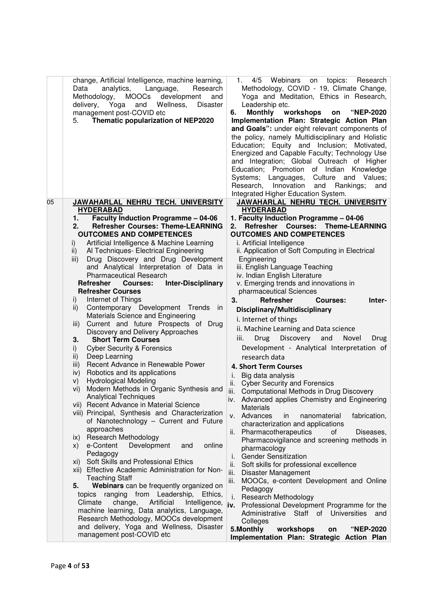|    | change, Artificial Intelligence, machine learning,<br>Language,<br>Data<br>analytics,<br>Research<br>Methodology,<br><b>MOOCs</b><br>development<br>and<br>Wellness,<br>delivery,<br>Yoga<br>and<br>Disaster<br>management post-COVID etc | 4/5<br>Webinars on<br>topics:<br>Research<br>1.<br>Methodology, COVID - 19, Climate Change,<br>Yoga and Meditation, Ethics in Research,<br>Leadership etc.<br><b>Monthly</b><br>workshops<br><b>"NEP-2020</b><br>6.<br>on |
|----|-------------------------------------------------------------------------------------------------------------------------------------------------------------------------------------------------------------------------------------------|---------------------------------------------------------------------------------------------------------------------------------------------------------------------------------------------------------------------------|
|    | Thematic popularization of NEP2020<br>5.                                                                                                                                                                                                  | Implementation Plan: Strategic Action Plan                                                                                                                                                                                |
|    |                                                                                                                                                                                                                                           | and Goals": under eight relevant components of                                                                                                                                                                            |
|    |                                                                                                                                                                                                                                           | the policy, namely Multidisciplinary and Holistic                                                                                                                                                                         |
|    |                                                                                                                                                                                                                                           | Education; Equity and Inclusion; Motivated,<br>Energized and Capable Faculty; Technology Use                                                                                                                              |
|    |                                                                                                                                                                                                                                           | and Integration; Global Outreach of Higher                                                                                                                                                                                |
|    |                                                                                                                                                                                                                                           | Education; Promotion of Indian<br>Knowledge                                                                                                                                                                               |
|    |                                                                                                                                                                                                                                           | Systems; Languages,<br>Culture and Values;                                                                                                                                                                                |
|    |                                                                                                                                                                                                                                           | Research, Innovation<br>and<br>Rankings;<br>and                                                                                                                                                                           |
|    |                                                                                                                                                                                                                                           | Integrated Higher Education System.                                                                                                                                                                                       |
| 05 | JAWAHARLAL NEHRU TECH. UNIVERSITY                                                                                                                                                                                                         | JAWAHARLAL NEHRU TECH. UNIVERSITY                                                                                                                                                                                         |
|    | <b>HYDERABAD</b>                                                                                                                                                                                                                          | <b>HYDERABAD</b><br>1. Faculty Induction Programme - 04-06                                                                                                                                                                |
|    | <b>Faculty Induction Programme - 04-06</b><br>1.<br><b>Refresher Courses: Theme-LEARNING</b><br>2.                                                                                                                                        | Refresher Courses: Theme-LEARNING<br>2.                                                                                                                                                                                   |
|    | <b>OUTCOMES AND COMPETENCES</b>                                                                                                                                                                                                           | <b>OUTCOMES AND COMPETENCES</b>                                                                                                                                                                                           |
|    | Artificial Intelligence & Machine Learning<br>i)                                                                                                                                                                                          | i. Artificial Intelligence                                                                                                                                                                                                |
|    | Al Techniques- Electrical Engineering<br>ii)                                                                                                                                                                                              | ii. Application of Soft Computing in Electrical                                                                                                                                                                           |
|    | Drug Discovery and Drug Development<br>iii)                                                                                                                                                                                               | Engineering                                                                                                                                                                                                               |
|    | and Analytical Interpretation of Data in                                                                                                                                                                                                  | iii. English Language Teaching                                                                                                                                                                                            |
|    | <b>Pharmaceutical Research</b>                                                                                                                                                                                                            | iv. Indian English Literature                                                                                                                                                                                             |
|    | Refresher<br><b>Inter-Disciplinary</b><br><b>Courses:</b><br><b>Refresher Courses</b>                                                                                                                                                     | v. Emerging trends and innovations in<br>pharmaceutical Sciences                                                                                                                                                          |
|    | Internet of Things<br>i)                                                                                                                                                                                                                  | 3.<br>Refresher<br><b>Courses:</b><br>Inter-                                                                                                                                                                              |
|    | Contemporary Development Trends in<br>ii)                                                                                                                                                                                                 | Disciplinary/Multidisciplinary                                                                                                                                                                                            |
|    | Materials Science and Engineering                                                                                                                                                                                                         | i. Internet of things                                                                                                                                                                                                     |
|    | Current and future Prospects of Drug<br>iii)                                                                                                                                                                                              | ii. Machine Learning and Data science                                                                                                                                                                                     |
|    | Discovery and Delivery Approaches<br>3.<br><b>Short Term Courses</b>                                                                                                                                                                      | Drug<br>Discovery<br>and<br>Novel<br>iii.<br>Drug                                                                                                                                                                         |
|    | <b>Cyber Security &amp; Forensics</b><br>i)                                                                                                                                                                                               | Development - Analytical Interpretation of                                                                                                                                                                                |
|    | Deep Learning<br>ii)                                                                                                                                                                                                                      | research data                                                                                                                                                                                                             |
|    | Recent Advance in Renewable Power<br>iii)                                                                                                                                                                                                 | 4. Short Term Courses                                                                                                                                                                                                     |
|    | Robotics and its applications<br>iv)                                                                                                                                                                                                      | Big data analysis<br>i.                                                                                                                                                                                                   |
|    | <b>Hydrological Modeling</b><br>V)                                                                                                                                                                                                        | ii.<br><b>Cyber Security and Forensics</b>                                                                                                                                                                                |
|    | Modern Methods in Organic Synthesis and<br>vi)                                                                                                                                                                                            | iii. Computational Methods in Drug Discovery                                                                                                                                                                              |
|    | <b>Analytical Techniques</b><br>vii) Recent Advance in Material Science                                                                                                                                                                   | iv. Advanced applies Chemistry and Engineering                                                                                                                                                                            |
|    | viii) Principal, Synthesis and Characterization                                                                                                                                                                                           | <b>Materials</b><br>v. Advances<br>nanomaterial<br>in<br>fabrication,                                                                                                                                                     |
|    | of Nanotechnology - Current and Future                                                                                                                                                                                                    | characterization and applications                                                                                                                                                                                         |
|    | approaches                                                                                                                                                                                                                                | ii. Pharmacotherapeutics<br>οf<br>Diseases,                                                                                                                                                                               |
|    | ix) Research Methodology                                                                                                                                                                                                                  | Pharmacovigilance and screening methods in                                                                                                                                                                                |
|    | online<br>e-Content<br>Development<br>and<br>X)<br>Pedagogy                                                                                                                                                                               | pharmacology                                                                                                                                                                                                              |
|    | Soft Skills and Professional Ethics<br>xi)                                                                                                                                                                                                | <b>Gender Sensitization</b><br>İ.                                                                                                                                                                                         |
|    | xii) Effective Academic Administration for Non-                                                                                                                                                                                           | ii.<br>Soft skills for professional excellence                                                                                                                                                                            |
|    | <b>Teaching Staff</b>                                                                                                                                                                                                                     | iii. Disaster Management<br>iii. MOOCs, e-content Development and Online                                                                                                                                                  |
|    | Webinars can be frequently organized on<br>5.                                                                                                                                                                                             | Pedagogy                                                                                                                                                                                                                  |
|    | topics ranging from Leadership,<br>Ethics,                                                                                                                                                                                                | <b>Research Methodology</b><br>i.                                                                                                                                                                                         |
|    | Artificial<br>Climate<br>change,<br>Intelligence,                                                                                                                                                                                         | iv.<br>Professional Development Programme for the                                                                                                                                                                         |
|    | machine learning, Data analytics, Language,<br>Research Methodology, MOOCs development                                                                                                                                                    | Administrative Staff of Universities<br>and                                                                                                                                                                               |
|    | and delivery, Yoga and Wellness, Disaster                                                                                                                                                                                                 | Colleges<br>workshops<br><b>"NEP-2020</b><br>on                                                                                                                                                                           |
|    | management post-COVID etc                                                                                                                                                                                                                 | 5.Monthly<br>Implementation Plan: Strategic Action Plan                                                                                                                                                                   |
|    |                                                                                                                                                                                                                                           |                                                                                                                                                                                                                           |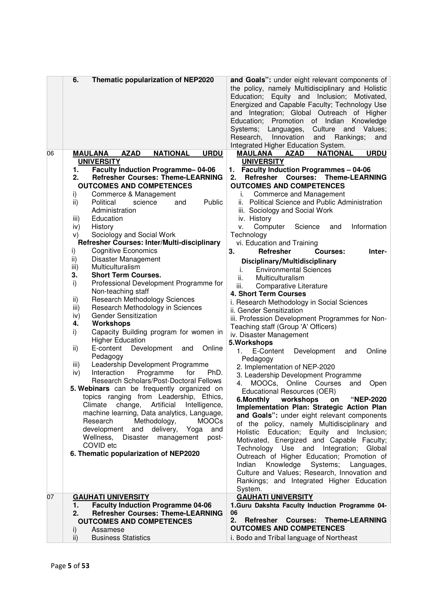|    | 6.<br>Thematic popularization of NEP2020                                                | and Goals": under eight relevant components of<br>the policy, namely Multidisciplinary and Holistic<br>Education; Equity and Inclusion; Motivated,<br>Energized and Capable Faculty; Technology Use<br>and Integration; Global Outreach of Higher<br>Education; Promotion<br>of Indian<br>Knowledge<br>Systems; Languages,<br>Culture and<br>Values;<br>Innovation<br>Research,<br>Rankings;<br>and<br>and<br>Integrated Higher Education System. |
|----|-----------------------------------------------------------------------------------------|---------------------------------------------------------------------------------------------------------------------------------------------------------------------------------------------------------------------------------------------------------------------------------------------------------------------------------------------------------------------------------------------------------------------------------------------------|
| 06 | <b>MAULANA</b><br><b>AZAD</b><br><b>NATIONAL</b><br><b>URDU</b><br><b>UNIVERSITY</b>    | <b>NATIONAL</b><br><b>URDU</b><br>MAULANA<br><b>AZAD</b><br><b>UNIVERSITY</b>                                                                                                                                                                                                                                                                                                                                                                     |
|    | <b>Faculty Induction Programme-04-06</b><br>1.                                          | <b>Faculty Induction Programmes - 04-06</b><br>1.                                                                                                                                                                                                                                                                                                                                                                                                 |
|    | <b>Refresher Courses: Theme-LEARNING</b><br>2.                                          | <b>Refresher Courses:</b><br><b>Theme-LEARNING</b><br>2.                                                                                                                                                                                                                                                                                                                                                                                          |
|    | <b>OUTCOMES AND COMPETENCES</b>                                                         | <b>OUTCOMES AND COMPETENCES</b>                                                                                                                                                                                                                                                                                                                                                                                                                   |
|    | i)<br>Commerce & Management                                                             | Commerce and Management<br>i.                                                                                                                                                                                                                                                                                                                                                                                                                     |
|    | Political<br>science<br>Public<br>ii)<br>and                                            | <b>Political Science and Public Administration</b><br>ii.                                                                                                                                                                                                                                                                                                                                                                                         |
|    | Administration                                                                          | iii. Sociology and Social Work                                                                                                                                                                                                                                                                                                                                                                                                                    |
|    | Education<br>iii)                                                                       | iv. History                                                                                                                                                                                                                                                                                                                                                                                                                                       |
|    | History<br>iv)<br>Sociology and Social Work<br>V)                                       | Computer<br>Information<br>Science<br>۷.<br>and<br>Technology                                                                                                                                                                                                                                                                                                                                                                                     |
|    | Refresher Courses: Inter/Multi-disciplinary                                             | vi. Education and Training                                                                                                                                                                                                                                                                                                                                                                                                                        |
|    | <b>Cognitive Economics</b><br>i)                                                        | 3.<br>Refresher<br>Courses:<br>Inter-                                                                                                                                                                                                                                                                                                                                                                                                             |
|    | ii)<br>Disaster Management                                                              | Disciplinary/Multidisciplinary                                                                                                                                                                                                                                                                                                                                                                                                                    |
|    | Multiculturalism<br>iii)                                                                | <b>Environmental Sciences</b><br>i.                                                                                                                                                                                                                                                                                                                                                                                                               |
|    | 3.<br><b>Short Term Courses.</b>                                                        | Multiculturalism<br>ii.                                                                                                                                                                                                                                                                                                                                                                                                                           |
|    | i)<br>Professional Development Programme for<br>Non-teaching staff                      | iii.<br>Comparative Literature                                                                                                                                                                                                                                                                                                                                                                                                                    |
|    | <b>Research Methodology Sciences</b><br>ii)                                             | 4. Short Term Courses                                                                                                                                                                                                                                                                                                                                                                                                                             |
|    | iii)<br>Research Methodology in Sciences                                                | i. Research Methodology in Social Sciences<br>ii. Gender Sensitization                                                                                                                                                                                                                                                                                                                                                                            |
|    | <b>Gender Sensitization</b><br>iv)                                                      | iii. Profession Development Programmes for Non-                                                                                                                                                                                                                                                                                                                                                                                                   |
|    | <b>Workshops</b><br>4.                                                                  | Teaching staff (Group 'A' Officers)                                                                                                                                                                                                                                                                                                                                                                                                               |
|    | Capacity Building program for women in<br>i)                                            | iv. Disaster Management                                                                                                                                                                                                                                                                                                                                                                                                                           |
|    | <b>Higher Education</b>                                                                 | 5. Workshops                                                                                                                                                                                                                                                                                                                                                                                                                                      |
|    | Development<br>ii)<br>E-content<br>Online<br>and                                        | Online<br>1.<br>E-Content<br>Development<br>and                                                                                                                                                                                                                                                                                                                                                                                                   |
|    | Pedagogy<br>iii)<br>Leadership Development Programme                                    | Pedagogy                                                                                                                                                                                                                                                                                                                                                                                                                                          |
|    | PhD.<br>Interaction<br>Programme<br>for<br>iv)                                          | 2. Implementation of NEP-2020                                                                                                                                                                                                                                                                                                                                                                                                                     |
|    | Research Scholars/Post-Doctoral Fellows                                                 | 3. Leadership Development Programme<br>MOOCs, Online Courses<br>4.<br>Open<br>and                                                                                                                                                                                                                                                                                                                                                                 |
|    | 5. Webinars can be frequently organized on                                              | <b>Educational Resources (OER)</b>                                                                                                                                                                                                                                                                                                                                                                                                                |
|    | topics ranging from Leadership, Ethics,                                                 | 6.Monthly workshops on "NEP-2020                                                                                                                                                                                                                                                                                                                                                                                                                  |
|    | Climate change, Artificial Intelligence,                                                | Implementation Plan: Strategic Action Plan                                                                                                                                                                                                                                                                                                                                                                                                        |
|    | machine learning, Data analytics, Language,<br>Methodology,<br>Research<br><b>MOOCs</b> | and Goals": under eight relevant components                                                                                                                                                                                                                                                                                                                                                                                                       |
|    | development<br>and<br>delivery, Yoga<br>and                                             | of the policy, namely Multidisciplinary and                                                                                                                                                                                                                                                                                                                                                                                                       |
|    | Wellness,<br>Disaster management<br>post-                                               | Holistic Education; Equity and Inclusion;<br>Motivated, Energized and Capable Faculty;                                                                                                                                                                                                                                                                                                                                                            |
|    | COVID etc                                                                               | Technology Use and Integration; Global                                                                                                                                                                                                                                                                                                                                                                                                            |
|    | 6. Thematic popularization of NEP2020                                                   | Outreach of Higher Education; Promotion of                                                                                                                                                                                                                                                                                                                                                                                                        |
|    |                                                                                         | Knowledge Systems; Languages,<br>Indian                                                                                                                                                                                                                                                                                                                                                                                                           |
|    |                                                                                         | Culture and Values; Research, Innovation and                                                                                                                                                                                                                                                                                                                                                                                                      |
|    |                                                                                         | Rankings; and Integrated Higher Education                                                                                                                                                                                                                                                                                                                                                                                                         |
| 07 | <b>GAUHATI UNIVERSITY</b>                                                               | System.<br><b>GAUHATI UNIVERSITY</b>                                                                                                                                                                                                                                                                                                                                                                                                              |
|    | <b>Faculty Induction Programme 04-06</b><br>1.                                          | 1. Guru Dakshta Faculty Induction Programme 04-                                                                                                                                                                                                                                                                                                                                                                                                   |
|    | <b>Refresher Courses: Theme-LEARNING</b><br>2.                                          | 06                                                                                                                                                                                                                                                                                                                                                                                                                                                |
|    | <b>OUTCOMES AND COMPETENCES</b>                                                         | 2.<br><b>Theme-LEARNING</b><br><b>Refresher Courses:</b>                                                                                                                                                                                                                                                                                                                                                                                          |
|    | Assamese<br>i)                                                                          | <b>OUTCOMES AND COMPETENCES</b>                                                                                                                                                                                                                                                                                                                                                                                                                   |
|    | <b>Business Statistics</b><br>ii)                                                       | i. Bodo and Tribal language of Northeast                                                                                                                                                                                                                                                                                                                                                                                                          |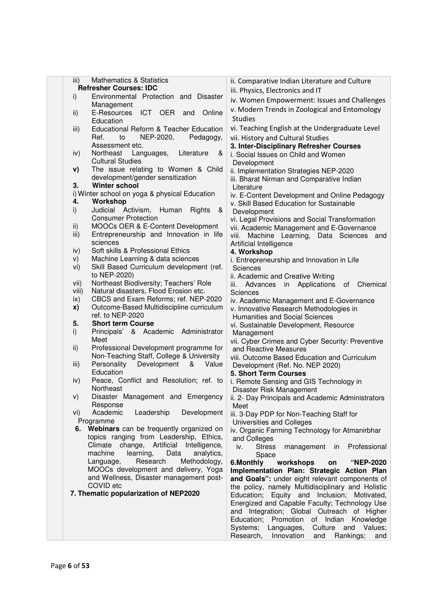| iii)          | <b>Mathematics &amp; Statistics</b><br><b>Refresher Courses: IDC</b>                  | ii. Comparative Indian Literature and Culture                                                    |
|---------------|---------------------------------------------------------------------------------------|--------------------------------------------------------------------------------------------------|
| i)            | Environmental Protection and Disaster                                                 | iii. Physics, Electronics and IT                                                                 |
|               | Management                                                                            | iv. Women Empowerment: Issues and Challenges                                                     |
| ii)           | <b>ICT</b><br>E-Resources<br><b>OER</b><br>Online<br>and<br>Education                 | v. Modern Trends in Zoological and Entomology<br><b>Studies</b>                                  |
| iii)          | Educational Reform & Teacher Education                                                | vi. Teaching English at the Undergraduate Level                                                  |
|               | Ref.<br>to<br>NEP-2020,<br>Pedagogy,                                                  | vii. History and Cultural Studies                                                                |
|               | Assessment etc.                                                                       | 3. Inter-Disciplinary Refresher Courses                                                          |
| iv)           | Northeast<br>Literature<br>Languages,<br>&                                            | i. Social Issues on Child and Women                                                              |
|               | <b>Cultural Studies</b>                                                               | Development                                                                                      |
| V)            | The issue relating to Women & Child<br>development/gender sensitization               | ii. Implementation Strategies NEP-2020                                                           |
| 3.            | <b>Winter school</b>                                                                  | iii. Bharat Nirman and Comparative Indian                                                        |
|               | i) Winter school on yoga & physical Education                                         | Literature                                                                                       |
| 4.            | Workshop                                                                              | iv. E-Content Development and Online Pedagogy<br>v. Skill Based Education for Sustainable        |
| i)            | Judicial Activism,<br>Human<br>Rights<br>&                                            | Development                                                                                      |
|               | <b>Consumer Protection</b>                                                            | vi. Legal Provisions and Social Transformation                                                   |
| ii)           | MOOCs OER & E-Content Development                                                     | vii. Academic Management and E-Governance                                                        |
| iii)          | Entrepreneurship and Innovation in life                                               | viii. Machine Learning, Data Sciences and                                                        |
|               | sciences                                                                              | Artificial Intelligence                                                                          |
| iv)           | Soft skills & Professional Ethics                                                     | 4. Workshop                                                                                      |
| V)            | Machine Learning & data sciences                                                      | i. Entrepreneurship and Innovation in Life                                                       |
| vi)           | Skill Based Curriculum development (ref.                                              | Sciences                                                                                         |
|               | to NEP-2020)<br>Northeast Biodiversity; Teachers' Role                                | ii. Academic and Creative Writing                                                                |
| vii)<br>viii) | Natural disasters, Flood Erosion etc.                                                 | in Applications<br>of Chemical<br>iii.<br>Advances                                               |
| $\mathsf{ix}$ | CBCS and Exam Reforms; ref. NEP-2020                                                  | Sciences                                                                                         |
| X)            | Outcome-Based Multidiscipline curriculum                                              | iv. Academic Management and E-Governance<br>v. Innovative Research Methodologies in              |
|               | ref. to NEP-2020                                                                      | <b>Humanities and Social Sciences</b>                                                            |
| 5.            | <b>Short term Course</b>                                                              | vi. Sustainable Development, Resource                                                            |
| i)            | Principals' & Academic Administrator                                                  | Management                                                                                       |
|               | Meet                                                                                  | vii. Cyber Crimes and Cyber Security: Preventive                                                 |
| ii)           | Professional Development programme for                                                | and Reactive Measures                                                                            |
|               | Non-Teaching Staff, College & University                                              | viii. Outcome Based Education and Curriculum                                                     |
| iii)          | Personality<br>Development<br>Value<br>&<br>Education                                 | Development (Ref. No. NEP 2020)                                                                  |
| iv)           | Peace, Conflict and Resolution; ref. to                                               | 5. Short Term Courses<br>i. Remote Sensing and GIS Technology in                                 |
|               | Northeast                                                                             | Disaster Risk Management                                                                         |
| V)            | Disaster Management and Emergency                                                     | ii. 2- Day Principals and Academic Administrators                                                |
|               | Response                                                                              | Meet                                                                                             |
| vi)           | Academic<br>Leadership<br>Development                                                 | iii. 3-Day PDP for Non-Teaching Staff for                                                        |
|               | Programme                                                                             | Universities and Colleges                                                                        |
|               | 6. Webinars can be frequently organized on<br>topics ranging from Leadership, Ethics, | iv. Organic Farming Technology for Atmanirbhar                                                   |
|               | change, Artificial Intelligence,<br>Climate                                           | and Colleges                                                                                     |
|               | machine<br>learning,<br>Data<br>analytics,                                            | <b>Stress</b><br>Professional<br>iv.<br>management in                                            |
|               | Research<br>Methodology,<br>Language,                                                 | Space<br>workshops<br>6.Monthly<br>on<br>"NEP-2020                                               |
|               | MOOCs development and delivery, Yoga                                                  | Implementation Plan: Strategic Action Plan                                                       |
|               | and Wellness, Disaster management post-                                               | and Goals": under eight relevant components of                                                   |
|               | COVID etc                                                                             | the policy, namely Multidisciplinary and Holistic                                                |
|               | 7. Thematic popularization of NEP2020                                                 | Education; Equity and Inclusion; Motivated,                                                      |
|               |                                                                                       | Energized and Capable Faculty; Technology Use                                                    |
|               |                                                                                       | and Integration; Global Outreach of Higher                                                       |
|               |                                                                                       | Promotion of Indian<br>Education;<br>Knowledge                                                   |
|               |                                                                                       | Systems; Languages,<br>Culture and Values;<br>Research,<br>Innovation<br>and<br>Rankings;<br>and |
|               |                                                                                       |                                                                                                  |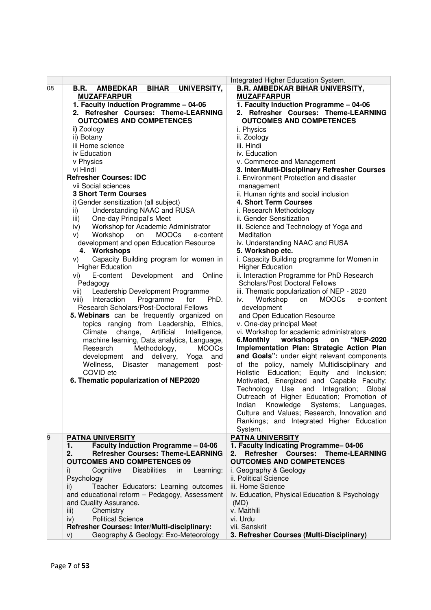|    |                                                               | Integrated Higher Education System.                         |
|----|---------------------------------------------------------------|-------------------------------------------------------------|
| 08 | <b>AMBEDKAR</b><br><b>BIHAR</b><br>UNIVERSITY,<br><b>B.R.</b> | <b>B.R. AMBEDKAR BIHAR UNIVERSITY,</b>                      |
|    | <b>MUZAFFARPUR</b>                                            | <b>MUZAFFARPUR</b>                                          |
|    | 1. Faculty Induction Programme - 04-06                        | 1. Faculty Induction Programme - 04-06                      |
|    | 2. Refresher Courses: Theme-LEARNING                          | 2. Refresher Courses: Theme-LEARNING                        |
|    |                                                               | <b>OUTCOMES AND COMPETENCES</b>                             |
|    | <b>OUTCOMES AND COMPETENCES</b>                               |                                                             |
|    | i) Zoology                                                    | i. Physics                                                  |
|    | ii) Botany                                                    | ii. Zoology                                                 |
|    | iii Home science                                              | iii. Hindi                                                  |
|    | iv Education                                                  | iv. Education                                               |
|    | v Physics                                                     | v. Commerce and Management                                  |
|    | vi Hindi                                                      | 3. Inter/Multi-Disciplinary Refresher Courses               |
|    | <b>Refresher Courses: IDC</b>                                 | i. Environment Protection and disaster                      |
|    | vii Social sciences                                           | management                                                  |
|    | <b>3 Short Term Courses</b>                                   | ii. Human rights and social inclusion                       |
|    | i) Gender sensitization (all subject)                         | 4. Short Term Courses                                       |
|    | Understanding NAAC and RUSA<br>ii)                            | i. Research Methodology                                     |
|    | One-day Principal's Meet                                      | ii. Gender Sensitization                                    |
|    | iii)                                                          |                                                             |
|    | Workshop for Academic Administrator<br>iv)                    | iii. Science and Technology of Yoga and                     |
|    | Workshop<br><b>MOOCs</b><br>on<br>e-content<br>V)             | Meditation                                                  |
|    | development and open Education Resource                       | iv. Understanding NAAC and RUSA                             |
|    | 4. Workshops                                                  | 5. Workshop etc.                                            |
|    | Capacity Building program for women in<br>V)                  | i. Capacity Building programme for Women in                 |
|    | <b>Higher Education</b>                                       | <b>Higher Education</b>                                     |
|    | E-content<br>Development<br>Online<br>vi)<br>and              | ii. Interaction Programme for PhD Research                  |
|    | Pedagogy                                                      | <b>Scholars/Post Doctoral Fellows</b>                       |
|    | Leadership Development Programme<br>vii)                      | iii. Thematic popularization of NEP - 2020                  |
|    | Programme<br>PhD.<br>Interaction<br>for<br>viii)              | Workshop<br><b>MOOCs</b><br>on<br>e-content<br>iv.          |
|    | Research Scholars/Post-Doctoral Fellows                       | development                                                 |
|    | 5. Webinars can be frequently organized on                    | and Open Education Resource                                 |
|    |                                                               |                                                             |
|    | topics ranging from Leadership, Ethics,                       | v. One-day principal Meet                                   |
|    | change,<br>Artificial<br>Climate<br>Intelligence,             | vi. Workshop for academic administrators                    |
|    | machine learning, Data analytics, Language,                   | 6.Monthly workshops<br>"NEP-2020<br>on                      |
|    | <b>MOOCs</b><br>Research<br>Methodology,                      | Implementation Plan: Strategic Action Plan                  |
|    | development<br>and<br>delivery,<br>Yoga<br>and                | and Goals": under eight relevant components                 |
|    | Wellness,<br>Disaster<br>management<br>post-                  | of the policy, namely Multidisciplinary and                 |
|    | COVID etc                                                     | Holistic Education; Equity and Inclusion;                   |
|    | 6. Thematic popularization of NEP2020                         | Motivated, Energized and Capable Faculty;                   |
|    |                                                               | Technology<br>Use and Integration;<br>Global                |
|    |                                                               | Outreach of Higher Education; Promotion of                  |
|    |                                                               | Knowledge<br>Systems; Languages,                            |
|    |                                                               | Indian                                                      |
|    |                                                               | Culture and Values; Research, Innovation and                |
|    |                                                               | Rankings; and Integrated Higher Education                   |
|    |                                                               | System.                                                     |
| 9  | <b>PATNA UNIVERSITY</b>                                       | <b>PATNA UNIVERSITY</b>                                     |
|    | <b>Faculty Induction Programme - 04-06</b><br>1.              | 1. Faculty Indicating Programme-04-06                       |
|    | <b>Refresher Courses: Theme-LEARNING</b><br>2.                | Refresher<br><b>Courses:</b><br><b>Theme-LEARNING</b><br>2. |
|    | <b>OUTCOMES AND COMPETENCES 09</b>                            | <b>OUTCOMES AND COMPETENCES</b>                             |
|    | Cognitive<br><b>Disabilities</b><br>in<br>Learning:<br>i)     | i. Geography & Geology                                      |
|    | Psychology                                                    | ii. Political Science                                       |
|    | Teacher Educators: Learning outcomes<br>ii)                   | iii. Home Science                                           |
|    | and educational reform - Pedagogy, Assessment                 | iv. Education, Physical Education & Psychology              |
|    | and Quality Assurance.                                        | (MD)                                                        |
|    |                                                               | v. Maithili                                                 |
|    | Chemistry<br>iii)                                             |                                                             |
|    | <b>Political Science</b><br>iv)                               | vi. Urdu                                                    |
|    | Refresher Courses: Inter/Multi-disciplinary:                  | vii. Sanskrit                                               |
|    | Geography & Geology: Exo-Meteorology<br>V)                    | 3. Refresher Courses (Multi-Disciplinary)                   |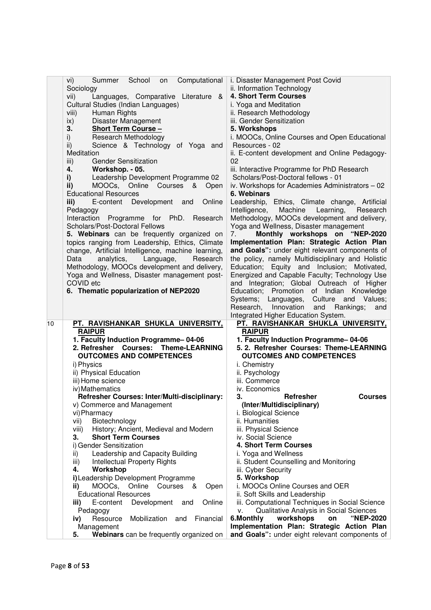| Sociology<br>ii. Information Technology<br>4. Short Term Courses<br>Languages, Comparative Literature<br>vii)<br>&<br>Cultural Studies (Indian Languages)<br>i. Yoga and Meditation<br>ii. Research Methodology<br>viii)<br>Human Rights<br>Disaster Management<br>iii. Gender Sensitization<br>ix)<br>3.<br>Short Term Course -<br>5. Workshops<br>Research Methodology<br>i. MOOCs, Online Courses and Open Educational<br>i)<br>$\mathsf{ii}$ )<br>Science & Technology of Yoga and<br>Resources - 02<br>ii. E-content development and Online Pedagogy-<br>Meditation<br>02<br><b>Gender Sensitization</b><br>iii)<br>4.<br>Workshop. - 05.<br>iii. Interactive Programme for PhD Research<br>i)<br>Leadership Development Programme 02<br>Scholars/Post-Doctoral fellows - 01<br>ii)<br>MOOCs, Online Courses &<br>iv. Workshops for Academies Administrators - 02<br>Open<br><b>Educational Resources</b><br>6. Webinars<br>Online<br>Leadership, Ethics, Climate change, Artificial<br>iii)<br>E-content Development<br>and<br>Pedagogy<br>Intelligence,<br>Machine<br>Learning,<br>Research<br>Programme for PhD.<br>Methodology, MOOCs development and delivery,<br>Interaction<br>Research<br>Scholars/Post-Doctoral Fellows<br>Yoga and Wellness, Disaster management<br>5. Webinars can be frequently organized on<br>Monthly workshops on "NEP-2020<br>7.<br>Implementation Plan: Strategic Action Plan<br>topics ranging from Leadership, Ethics, Climate<br>change, Artificial Intelligence, machine learning,<br>and Goals": under eight relevant components of<br>the policy, namely Multidisciplinary and Holistic<br>Data<br>analytics,<br>Language,<br>Research<br>Methodology, MOOCs development and delivery,<br>Education; Equity and Inclusion; Motivated,<br>Yoga and Wellness, Disaster management post-<br>Energized and Capable Faculty; Technology Use<br>COVID etc<br>and Integration; Global Outreach of Higher<br>6. Thematic popularization of NEP2020<br>Education; Promotion of Indian Knowledge<br>Systems; Languages,<br>Culture and Values;<br>Research,<br>Innovation<br>and<br>Rankings;<br>and<br>Integrated Higher Education System.<br> 10<br>PT. RAVISHANKAR SHUKLA UNIVERSITY,<br><u>PT. RAVISHANKAR SHUKLA UNIVERSITY,</u><br><b>RAIPUR</b><br><b>RAIPUR</b><br>1. Faculty Induction Programme-04-06<br>1. Faculty Induction Programme-04-06<br>2. Refresher Courses: Theme-LEARNING<br>5. 2. Refresher Courses: Theme-LEARNING<br><b>OUTCOMES AND COMPETENCES</b><br><b>OUTCOMES AND COMPETENCES</b><br>i) Physics<br>i. Chemistry<br>ii) Physical Education<br>ii. Psychology<br>iii) Home science<br>iii. Commerce<br>iv) Mathematics<br>iv. Economics<br>Refresher Courses: Inter/Multi-disciplinary:<br>3.<br><b>Refresher</b><br><b>Courses</b><br>(Inter/Multidisciplinary)<br>v) Commerce and Management<br>vi) Pharmacy<br>i. Biological Science<br>Biotechnology<br>ii. Humanities<br>vii) |
|---------------------------------------------------------------------------------------------------------------------------------------------------------------------------------------------------------------------------------------------------------------------------------------------------------------------------------------------------------------------------------------------------------------------------------------------------------------------------------------------------------------------------------------------------------------------------------------------------------------------------------------------------------------------------------------------------------------------------------------------------------------------------------------------------------------------------------------------------------------------------------------------------------------------------------------------------------------------------------------------------------------------------------------------------------------------------------------------------------------------------------------------------------------------------------------------------------------------------------------------------------------------------------------------------------------------------------------------------------------------------------------------------------------------------------------------------------------------------------------------------------------------------------------------------------------------------------------------------------------------------------------------------------------------------------------------------------------------------------------------------------------------------------------------------------------------------------------------------------------------------------------------------------------------------------------------------------------------------------------------------------------------------------------------------------------------------------------------------------------------------------------------------------------------------------------------------------------------------------------------------------------------------------------------------------------------------------------------------------------------------------------------------------------------------------------------------------------------------------------------------------------------------------------------------------------------------------------------------------------------------------------------------------------------------------------------------------------------------------------------------------------------------------------------------------------------------------------------------------------------------------------------------------------------------------------------------|
|                                                                                                                                                                                                                                                                                                                                                                                                                                                                                                                                                                                                                                                                                                                                                                                                                                                                                                                                                                                                                                                                                                                                                                                                                                                                                                                                                                                                                                                                                                                                                                                                                                                                                                                                                                                                                                                                                                                                                                                                                                                                                                                                                                                                                                                                                                                                                                                                                                                                                                                                                                                                                                                                                                                                                                                                                                                                                                                                                   |
|                                                                                                                                                                                                                                                                                                                                                                                                                                                                                                                                                                                                                                                                                                                                                                                                                                                                                                                                                                                                                                                                                                                                                                                                                                                                                                                                                                                                                                                                                                                                                                                                                                                                                                                                                                                                                                                                                                                                                                                                                                                                                                                                                                                                                                                                                                                                                                                                                                                                                                                                                                                                                                                                                                                                                                                                                                                                                                                                                   |
|                                                                                                                                                                                                                                                                                                                                                                                                                                                                                                                                                                                                                                                                                                                                                                                                                                                                                                                                                                                                                                                                                                                                                                                                                                                                                                                                                                                                                                                                                                                                                                                                                                                                                                                                                                                                                                                                                                                                                                                                                                                                                                                                                                                                                                                                                                                                                                                                                                                                                                                                                                                                                                                                                                                                                                                                                                                                                                                                                   |
|                                                                                                                                                                                                                                                                                                                                                                                                                                                                                                                                                                                                                                                                                                                                                                                                                                                                                                                                                                                                                                                                                                                                                                                                                                                                                                                                                                                                                                                                                                                                                                                                                                                                                                                                                                                                                                                                                                                                                                                                                                                                                                                                                                                                                                                                                                                                                                                                                                                                                                                                                                                                                                                                                                                                                                                                                                                                                                                                                   |
|                                                                                                                                                                                                                                                                                                                                                                                                                                                                                                                                                                                                                                                                                                                                                                                                                                                                                                                                                                                                                                                                                                                                                                                                                                                                                                                                                                                                                                                                                                                                                                                                                                                                                                                                                                                                                                                                                                                                                                                                                                                                                                                                                                                                                                                                                                                                                                                                                                                                                                                                                                                                                                                                                                                                                                                                                                                                                                                                                   |
|                                                                                                                                                                                                                                                                                                                                                                                                                                                                                                                                                                                                                                                                                                                                                                                                                                                                                                                                                                                                                                                                                                                                                                                                                                                                                                                                                                                                                                                                                                                                                                                                                                                                                                                                                                                                                                                                                                                                                                                                                                                                                                                                                                                                                                                                                                                                                                                                                                                                                                                                                                                                                                                                                                                                                                                                                                                                                                                                                   |
|                                                                                                                                                                                                                                                                                                                                                                                                                                                                                                                                                                                                                                                                                                                                                                                                                                                                                                                                                                                                                                                                                                                                                                                                                                                                                                                                                                                                                                                                                                                                                                                                                                                                                                                                                                                                                                                                                                                                                                                                                                                                                                                                                                                                                                                                                                                                                                                                                                                                                                                                                                                                                                                                                                                                                                                                                                                                                                                                                   |
|                                                                                                                                                                                                                                                                                                                                                                                                                                                                                                                                                                                                                                                                                                                                                                                                                                                                                                                                                                                                                                                                                                                                                                                                                                                                                                                                                                                                                                                                                                                                                                                                                                                                                                                                                                                                                                                                                                                                                                                                                                                                                                                                                                                                                                                                                                                                                                                                                                                                                                                                                                                                                                                                                                                                                                                                                                                                                                                                                   |
|                                                                                                                                                                                                                                                                                                                                                                                                                                                                                                                                                                                                                                                                                                                                                                                                                                                                                                                                                                                                                                                                                                                                                                                                                                                                                                                                                                                                                                                                                                                                                                                                                                                                                                                                                                                                                                                                                                                                                                                                                                                                                                                                                                                                                                                                                                                                                                                                                                                                                                                                                                                                                                                                                                                                                                                                                                                                                                                                                   |
|                                                                                                                                                                                                                                                                                                                                                                                                                                                                                                                                                                                                                                                                                                                                                                                                                                                                                                                                                                                                                                                                                                                                                                                                                                                                                                                                                                                                                                                                                                                                                                                                                                                                                                                                                                                                                                                                                                                                                                                                                                                                                                                                                                                                                                                                                                                                                                                                                                                                                                                                                                                                                                                                                                                                                                                                                                                                                                                                                   |
|                                                                                                                                                                                                                                                                                                                                                                                                                                                                                                                                                                                                                                                                                                                                                                                                                                                                                                                                                                                                                                                                                                                                                                                                                                                                                                                                                                                                                                                                                                                                                                                                                                                                                                                                                                                                                                                                                                                                                                                                                                                                                                                                                                                                                                                                                                                                                                                                                                                                                                                                                                                                                                                                                                                                                                                                                                                                                                                                                   |
|                                                                                                                                                                                                                                                                                                                                                                                                                                                                                                                                                                                                                                                                                                                                                                                                                                                                                                                                                                                                                                                                                                                                                                                                                                                                                                                                                                                                                                                                                                                                                                                                                                                                                                                                                                                                                                                                                                                                                                                                                                                                                                                                                                                                                                                                                                                                                                                                                                                                                                                                                                                                                                                                                                                                                                                                                                                                                                                                                   |
|                                                                                                                                                                                                                                                                                                                                                                                                                                                                                                                                                                                                                                                                                                                                                                                                                                                                                                                                                                                                                                                                                                                                                                                                                                                                                                                                                                                                                                                                                                                                                                                                                                                                                                                                                                                                                                                                                                                                                                                                                                                                                                                                                                                                                                                                                                                                                                                                                                                                                                                                                                                                                                                                                                                                                                                                                                                                                                                                                   |
|                                                                                                                                                                                                                                                                                                                                                                                                                                                                                                                                                                                                                                                                                                                                                                                                                                                                                                                                                                                                                                                                                                                                                                                                                                                                                                                                                                                                                                                                                                                                                                                                                                                                                                                                                                                                                                                                                                                                                                                                                                                                                                                                                                                                                                                                                                                                                                                                                                                                                                                                                                                                                                                                                                                                                                                                                                                                                                                                                   |
|                                                                                                                                                                                                                                                                                                                                                                                                                                                                                                                                                                                                                                                                                                                                                                                                                                                                                                                                                                                                                                                                                                                                                                                                                                                                                                                                                                                                                                                                                                                                                                                                                                                                                                                                                                                                                                                                                                                                                                                                                                                                                                                                                                                                                                                                                                                                                                                                                                                                                                                                                                                                                                                                                                                                                                                                                                                                                                                                                   |
|                                                                                                                                                                                                                                                                                                                                                                                                                                                                                                                                                                                                                                                                                                                                                                                                                                                                                                                                                                                                                                                                                                                                                                                                                                                                                                                                                                                                                                                                                                                                                                                                                                                                                                                                                                                                                                                                                                                                                                                                                                                                                                                                                                                                                                                                                                                                                                                                                                                                                                                                                                                                                                                                                                                                                                                                                                                                                                                                                   |
|                                                                                                                                                                                                                                                                                                                                                                                                                                                                                                                                                                                                                                                                                                                                                                                                                                                                                                                                                                                                                                                                                                                                                                                                                                                                                                                                                                                                                                                                                                                                                                                                                                                                                                                                                                                                                                                                                                                                                                                                                                                                                                                                                                                                                                                                                                                                                                                                                                                                                                                                                                                                                                                                                                                                                                                                                                                                                                                                                   |
|                                                                                                                                                                                                                                                                                                                                                                                                                                                                                                                                                                                                                                                                                                                                                                                                                                                                                                                                                                                                                                                                                                                                                                                                                                                                                                                                                                                                                                                                                                                                                                                                                                                                                                                                                                                                                                                                                                                                                                                                                                                                                                                                                                                                                                                                                                                                                                                                                                                                                                                                                                                                                                                                                                                                                                                                                                                                                                                                                   |
|                                                                                                                                                                                                                                                                                                                                                                                                                                                                                                                                                                                                                                                                                                                                                                                                                                                                                                                                                                                                                                                                                                                                                                                                                                                                                                                                                                                                                                                                                                                                                                                                                                                                                                                                                                                                                                                                                                                                                                                                                                                                                                                                                                                                                                                                                                                                                                                                                                                                                                                                                                                                                                                                                                                                                                                                                                                                                                                                                   |
|                                                                                                                                                                                                                                                                                                                                                                                                                                                                                                                                                                                                                                                                                                                                                                                                                                                                                                                                                                                                                                                                                                                                                                                                                                                                                                                                                                                                                                                                                                                                                                                                                                                                                                                                                                                                                                                                                                                                                                                                                                                                                                                                                                                                                                                                                                                                                                                                                                                                                                                                                                                                                                                                                                                                                                                                                                                                                                                                                   |
|                                                                                                                                                                                                                                                                                                                                                                                                                                                                                                                                                                                                                                                                                                                                                                                                                                                                                                                                                                                                                                                                                                                                                                                                                                                                                                                                                                                                                                                                                                                                                                                                                                                                                                                                                                                                                                                                                                                                                                                                                                                                                                                                                                                                                                                                                                                                                                                                                                                                                                                                                                                                                                                                                                                                                                                                                                                                                                                                                   |
|                                                                                                                                                                                                                                                                                                                                                                                                                                                                                                                                                                                                                                                                                                                                                                                                                                                                                                                                                                                                                                                                                                                                                                                                                                                                                                                                                                                                                                                                                                                                                                                                                                                                                                                                                                                                                                                                                                                                                                                                                                                                                                                                                                                                                                                                                                                                                                                                                                                                                                                                                                                                                                                                                                                                                                                                                                                                                                                                                   |
|                                                                                                                                                                                                                                                                                                                                                                                                                                                                                                                                                                                                                                                                                                                                                                                                                                                                                                                                                                                                                                                                                                                                                                                                                                                                                                                                                                                                                                                                                                                                                                                                                                                                                                                                                                                                                                                                                                                                                                                                                                                                                                                                                                                                                                                                                                                                                                                                                                                                                                                                                                                                                                                                                                                                                                                                                                                                                                                                                   |
|                                                                                                                                                                                                                                                                                                                                                                                                                                                                                                                                                                                                                                                                                                                                                                                                                                                                                                                                                                                                                                                                                                                                                                                                                                                                                                                                                                                                                                                                                                                                                                                                                                                                                                                                                                                                                                                                                                                                                                                                                                                                                                                                                                                                                                                                                                                                                                                                                                                                                                                                                                                                                                                                                                                                                                                                                                                                                                                                                   |
|                                                                                                                                                                                                                                                                                                                                                                                                                                                                                                                                                                                                                                                                                                                                                                                                                                                                                                                                                                                                                                                                                                                                                                                                                                                                                                                                                                                                                                                                                                                                                                                                                                                                                                                                                                                                                                                                                                                                                                                                                                                                                                                                                                                                                                                                                                                                                                                                                                                                                                                                                                                                                                                                                                                                                                                                                                                                                                                                                   |
|                                                                                                                                                                                                                                                                                                                                                                                                                                                                                                                                                                                                                                                                                                                                                                                                                                                                                                                                                                                                                                                                                                                                                                                                                                                                                                                                                                                                                                                                                                                                                                                                                                                                                                                                                                                                                                                                                                                                                                                                                                                                                                                                                                                                                                                                                                                                                                                                                                                                                                                                                                                                                                                                                                                                                                                                                                                                                                                                                   |
|                                                                                                                                                                                                                                                                                                                                                                                                                                                                                                                                                                                                                                                                                                                                                                                                                                                                                                                                                                                                                                                                                                                                                                                                                                                                                                                                                                                                                                                                                                                                                                                                                                                                                                                                                                                                                                                                                                                                                                                                                                                                                                                                                                                                                                                                                                                                                                                                                                                                                                                                                                                                                                                                                                                                                                                                                                                                                                                                                   |
|                                                                                                                                                                                                                                                                                                                                                                                                                                                                                                                                                                                                                                                                                                                                                                                                                                                                                                                                                                                                                                                                                                                                                                                                                                                                                                                                                                                                                                                                                                                                                                                                                                                                                                                                                                                                                                                                                                                                                                                                                                                                                                                                                                                                                                                                                                                                                                                                                                                                                                                                                                                                                                                                                                                                                                                                                                                                                                                                                   |
|                                                                                                                                                                                                                                                                                                                                                                                                                                                                                                                                                                                                                                                                                                                                                                                                                                                                                                                                                                                                                                                                                                                                                                                                                                                                                                                                                                                                                                                                                                                                                                                                                                                                                                                                                                                                                                                                                                                                                                                                                                                                                                                                                                                                                                                                                                                                                                                                                                                                                                                                                                                                                                                                                                                                                                                                                                                                                                                                                   |
|                                                                                                                                                                                                                                                                                                                                                                                                                                                                                                                                                                                                                                                                                                                                                                                                                                                                                                                                                                                                                                                                                                                                                                                                                                                                                                                                                                                                                                                                                                                                                                                                                                                                                                                                                                                                                                                                                                                                                                                                                                                                                                                                                                                                                                                                                                                                                                                                                                                                                                                                                                                                                                                                                                                                                                                                                                                                                                                                                   |
|                                                                                                                                                                                                                                                                                                                                                                                                                                                                                                                                                                                                                                                                                                                                                                                                                                                                                                                                                                                                                                                                                                                                                                                                                                                                                                                                                                                                                                                                                                                                                                                                                                                                                                                                                                                                                                                                                                                                                                                                                                                                                                                                                                                                                                                                                                                                                                                                                                                                                                                                                                                                                                                                                                                                                                                                                                                                                                                                                   |
|                                                                                                                                                                                                                                                                                                                                                                                                                                                                                                                                                                                                                                                                                                                                                                                                                                                                                                                                                                                                                                                                                                                                                                                                                                                                                                                                                                                                                                                                                                                                                                                                                                                                                                                                                                                                                                                                                                                                                                                                                                                                                                                                                                                                                                                                                                                                                                                                                                                                                                                                                                                                                                                                                                                                                                                                                                                                                                                                                   |
|                                                                                                                                                                                                                                                                                                                                                                                                                                                                                                                                                                                                                                                                                                                                                                                                                                                                                                                                                                                                                                                                                                                                                                                                                                                                                                                                                                                                                                                                                                                                                                                                                                                                                                                                                                                                                                                                                                                                                                                                                                                                                                                                                                                                                                                                                                                                                                                                                                                                                                                                                                                                                                                                                                                                                                                                                                                                                                                                                   |
|                                                                                                                                                                                                                                                                                                                                                                                                                                                                                                                                                                                                                                                                                                                                                                                                                                                                                                                                                                                                                                                                                                                                                                                                                                                                                                                                                                                                                                                                                                                                                                                                                                                                                                                                                                                                                                                                                                                                                                                                                                                                                                                                                                                                                                                                                                                                                                                                                                                                                                                                                                                                                                                                                                                                                                                                                                                                                                                                                   |
|                                                                                                                                                                                                                                                                                                                                                                                                                                                                                                                                                                                                                                                                                                                                                                                                                                                                                                                                                                                                                                                                                                                                                                                                                                                                                                                                                                                                                                                                                                                                                                                                                                                                                                                                                                                                                                                                                                                                                                                                                                                                                                                                                                                                                                                                                                                                                                                                                                                                                                                                                                                                                                                                                                                                                                                                                                                                                                                                                   |
|                                                                                                                                                                                                                                                                                                                                                                                                                                                                                                                                                                                                                                                                                                                                                                                                                                                                                                                                                                                                                                                                                                                                                                                                                                                                                                                                                                                                                                                                                                                                                                                                                                                                                                                                                                                                                                                                                                                                                                                                                                                                                                                                                                                                                                                                                                                                                                                                                                                                                                                                                                                                                                                                                                                                                                                                                                                                                                                                                   |
|                                                                                                                                                                                                                                                                                                                                                                                                                                                                                                                                                                                                                                                                                                                                                                                                                                                                                                                                                                                                                                                                                                                                                                                                                                                                                                                                                                                                                                                                                                                                                                                                                                                                                                                                                                                                                                                                                                                                                                                                                                                                                                                                                                                                                                                                                                                                                                                                                                                                                                                                                                                                                                                                                                                                                                                                                                                                                                                                                   |
|                                                                                                                                                                                                                                                                                                                                                                                                                                                                                                                                                                                                                                                                                                                                                                                                                                                                                                                                                                                                                                                                                                                                                                                                                                                                                                                                                                                                                                                                                                                                                                                                                                                                                                                                                                                                                                                                                                                                                                                                                                                                                                                                                                                                                                                                                                                                                                                                                                                                                                                                                                                                                                                                                                                                                                                                                                                                                                                                                   |
|                                                                                                                                                                                                                                                                                                                                                                                                                                                                                                                                                                                                                                                                                                                                                                                                                                                                                                                                                                                                                                                                                                                                                                                                                                                                                                                                                                                                                                                                                                                                                                                                                                                                                                                                                                                                                                                                                                                                                                                                                                                                                                                                                                                                                                                                                                                                                                                                                                                                                                                                                                                                                                                                                                                                                                                                                                                                                                                                                   |
|                                                                                                                                                                                                                                                                                                                                                                                                                                                                                                                                                                                                                                                                                                                                                                                                                                                                                                                                                                                                                                                                                                                                                                                                                                                                                                                                                                                                                                                                                                                                                                                                                                                                                                                                                                                                                                                                                                                                                                                                                                                                                                                                                                                                                                                                                                                                                                                                                                                                                                                                                                                                                                                                                                                                                                                                                                                                                                                                                   |
|                                                                                                                                                                                                                                                                                                                                                                                                                                                                                                                                                                                                                                                                                                                                                                                                                                                                                                                                                                                                                                                                                                                                                                                                                                                                                                                                                                                                                                                                                                                                                                                                                                                                                                                                                                                                                                                                                                                                                                                                                                                                                                                                                                                                                                                                                                                                                                                                                                                                                                                                                                                                                                                                                                                                                                                                                                                                                                                                                   |
| iii. Physical Science                                                                                                                                                                                                                                                                                                                                                                                                                                                                                                                                                                                                                                                                                                                                                                                                                                                                                                                                                                                                                                                                                                                                                                                                                                                                                                                                                                                                                                                                                                                                                                                                                                                                                                                                                                                                                                                                                                                                                                                                                                                                                                                                                                                                                                                                                                                                                                                                                                                                                                                                                                                                                                                                                                                                                                                                                                                                                                                             |
| History; Ancient, Medieval and Modern<br>viii)<br><b>Short Term Courses</b><br>iv. Social Science<br>3.                                                                                                                                                                                                                                                                                                                                                                                                                                                                                                                                                                                                                                                                                                                                                                                                                                                                                                                                                                                                                                                                                                                                                                                                                                                                                                                                                                                                                                                                                                                                                                                                                                                                                                                                                                                                                                                                                                                                                                                                                                                                                                                                                                                                                                                                                                                                                                                                                                                                                                                                                                                                                                                                                                                                                                                                                                           |
| i) Gender Sensitization<br>4. Short Term Courses                                                                                                                                                                                                                                                                                                                                                                                                                                                                                                                                                                                                                                                                                                                                                                                                                                                                                                                                                                                                                                                                                                                                                                                                                                                                                                                                                                                                                                                                                                                                                                                                                                                                                                                                                                                                                                                                                                                                                                                                                                                                                                                                                                                                                                                                                                                                                                                                                                                                                                                                                                                                                                                                                                                                                                                                                                                                                                  |
| Leadership and Capacity Building<br>i. Yoga and Wellness<br>ii)                                                                                                                                                                                                                                                                                                                                                                                                                                                                                                                                                                                                                                                                                                                                                                                                                                                                                                                                                                                                                                                                                                                                                                                                                                                                                                                                                                                                                                                                                                                                                                                                                                                                                                                                                                                                                                                                                                                                                                                                                                                                                                                                                                                                                                                                                                                                                                                                                                                                                                                                                                                                                                                                                                                                                                                                                                                                                   |
| <b>Intellectual Property Rights</b><br>ii. Student Counselling and Monitoring<br>iii)                                                                                                                                                                                                                                                                                                                                                                                                                                                                                                                                                                                                                                                                                                                                                                                                                                                                                                                                                                                                                                                                                                                                                                                                                                                                                                                                                                                                                                                                                                                                                                                                                                                                                                                                                                                                                                                                                                                                                                                                                                                                                                                                                                                                                                                                                                                                                                                                                                                                                                                                                                                                                                                                                                                                                                                                                                                             |
| Workshop<br>iii. Cyber Security<br>4.                                                                                                                                                                                                                                                                                                                                                                                                                                                                                                                                                                                                                                                                                                                                                                                                                                                                                                                                                                                                                                                                                                                                                                                                                                                                                                                                                                                                                                                                                                                                                                                                                                                                                                                                                                                                                                                                                                                                                                                                                                                                                                                                                                                                                                                                                                                                                                                                                                                                                                                                                                                                                                                                                                                                                                                                                                                                                                             |
| 5. Workshop<br>i) Leadership Development Programme                                                                                                                                                                                                                                                                                                                                                                                                                                                                                                                                                                                                                                                                                                                                                                                                                                                                                                                                                                                                                                                                                                                                                                                                                                                                                                                                                                                                                                                                                                                                                                                                                                                                                                                                                                                                                                                                                                                                                                                                                                                                                                                                                                                                                                                                                                                                                                                                                                                                                                                                                                                                                                                                                                                                                                                                                                                                                                |
| i. MOOCs Online Courses and OER<br>MOOCs, Online<br>Courses<br>&<br>Open<br>ii)                                                                                                                                                                                                                                                                                                                                                                                                                                                                                                                                                                                                                                                                                                                                                                                                                                                                                                                                                                                                                                                                                                                                                                                                                                                                                                                                                                                                                                                                                                                                                                                                                                                                                                                                                                                                                                                                                                                                                                                                                                                                                                                                                                                                                                                                                                                                                                                                                                                                                                                                                                                                                                                                                                                                                                                                                                                                   |
| <b>Educational Resources</b><br>ii. Soft Skills and Leadership                                                                                                                                                                                                                                                                                                                                                                                                                                                                                                                                                                                                                                                                                                                                                                                                                                                                                                                                                                                                                                                                                                                                                                                                                                                                                                                                                                                                                                                                                                                                                                                                                                                                                                                                                                                                                                                                                                                                                                                                                                                                                                                                                                                                                                                                                                                                                                                                                                                                                                                                                                                                                                                                                                                                                                                                                                                                                    |
| Development<br>Online<br>iii. Computational Techniques in Social Science<br>E-content<br>iii)<br>and                                                                                                                                                                                                                                                                                                                                                                                                                                                                                                                                                                                                                                                                                                                                                                                                                                                                                                                                                                                                                                                                                                                                                                                                                                                                                                                                                                                                                                                                                                                                                                                                                                                                                                                                                                                                                                                                                                                                                                                                                                                                                                                                                                                                                                                                                                                                                                                                                                                                                                                                                                                                                                                                                                                                                                                                                                              |
|                                                                                                                                                                                                                                                                                                                                                                                                                                                                                                                                                                                                                                                                                                                                                                                                                                                                                                                                                                                                                                                                                                                                                                                                                                                                                                                                                                                                                                                                                                                                                                                                                                                                                                                                                                                                                                                                                                                                                                                                                                                                                                                                                                                                                                                                                                                                                                                                                                                                                                                                                                                                                                                                                                                                                                                                                                                                                                                                                   |
|                                                                                                                                                                                                                                                                                                                                                                                                                                                                                                                                                                                                                                                                                                                                                                                                                                                                                                                                                                                                                                                                                                                                                                                                                                                                                                                                                                                                                                                                                                                                                                                                                                                                                                                                                                                                                                                                                                                                                                                                                                                                                                                                                                                                                                                                                                                                                                                                                                                                                                                                                                                                                                                                                                                                                                                                                                                                                                                                                   |
| Qualitative Analysis in Social Sciences<br>Pedagogy<br>ν.                                                                                                                                                                                                                                                                                                                                                                                                                                                                                                                                                                                                                                                                                                                                                                                                                                                                                                                                                                                                                                                                                                                                                                                                                                                                                                                                                                                                                                                                                                                                                                                                                                                                                                                                                                                                                                                                                                                                                                                                                                                                                                                                                                                                                                                                                                                                                                                                                                                                                                                                                                                                                                                                                                                                                                                                                                                                                         |
| 6.Monthly<br>workshops<br><b>"NEP-2020</b><br>Resource<br>Mobilization<br>Financial<br>and<br>iv)<br>on<br>Implementation Plan: Strategic Action Plan<br>Management                                                                                                                                                                                                                                                                                                                                                                                                                                                                                                                                                                                                                                                                                                                                                                                                                                                                                                                                                                                                                                                                                                                                                                                                                                                                                                                                                                                                                                                                                                                                                                                                                                                                                                                                                                                                                                                                                                                                                                                                                                                                                                                                                                                                                                                                                                                                                                                                                                                                                                                                                                                                                                                                                                                                                                               |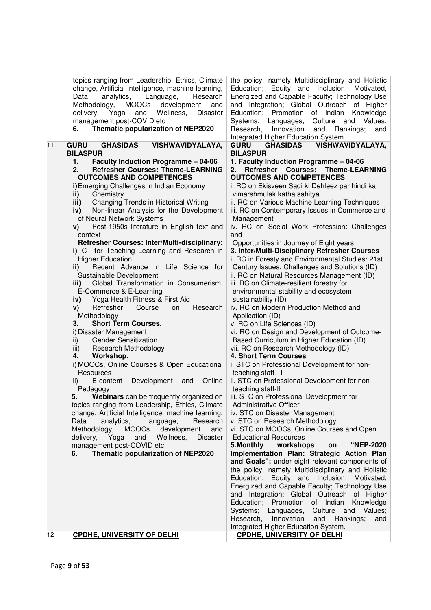|    | topics ranging from Leadership, Ethics, Climate<br>change, Artificial Intelligence, machine learning,<br>analytics,<br>Language,<br>Research<br>Data<br>Methodology,<br><b>MOOCs</b><br>development<br>and<br>delivery,<br>Yoga<br>Wellness,<br><b>Disaster</b><br>and<br>management post-COVID etc<br>Thematic popularization of NEP2020<br>6. | the policy, namely Multidisciplinary and Holistic<br>Education; Equity and Inclusion; Motivated,<br>Energized and Capable Faculty; Technology Use<br>and Integration; Global Outreach of Higher<br>Education; Promotion of Indian Knowledge<br>Systems; Languages,<br>Culture and<br>Values;<br>Research, Innovation<br>Rankings;<br>and<br>and<br>Integrated Higher Education System. |
|----|-------------------------------------------------------------------------------------------------------------------------------------------------------------------------------------------------------------------------------------------------------------------------------------------------------------------------------------------------|----------------------------------------------------------------------------------------------------------------------------------------------------------------------------------------------------------------------------------------------------------------------------------------------------------------------------------------------------------------------------------------|
| 11 | <b>GURU</b><br><b>GHASIDAS</b><br><b>VISHWAVIDYALAYA,</b>                                                                                                                                                                                                                                                                                       | <b>VISHWAVIDYALAYA,</b><br><b>GURU</b><br><b>GHASIDAS</b>                                                                                                                                                                                                                                                                                                                              |
|    | <b>BILASPUR</b>                                                                                                                                                                                                                                                                                                                                 | <b>BILASPUR</b>                                                                                                                                                                                                                                                                                                                                                                        |
|    | <b>Faculty Induction Programme - 04-06</b><br>1.                                                                                                                                                                                                                                                                                                | 1. Faculty Induction Programme - 04-06                                                                                                                                                                                                                                                                                                                                                 |
|    | <b>Refresher Courses: Theme-LEARNING</b><br>2.                                                                                                                                                                                                                                                                                                  | <b>Refresher Courses:</b><br><b>Theme-LEARNING</b><br>2.                                                                                                                                                                                                                                                                                                                               |
|    | <b>OUTCOMES AND COMPETENCES</b>                                                                                                                                                                                                                                                                                                                 | <b>OUTCOMES AND COMPETENCES</b>                                                                                                                                                                                                                                                                                                                                                        |
|    | i) Emerging Challenges in Indian Economy                                                                                                                                                                                                                                                                                                        | i. RC on Ekisveen Sadi ki Dehleez par hindi ka                                                                                                                                                                                                                                                                                                                                         |
|    | Chemistry<br>ii)                                                                                                                                                                                                                                                                                                                                | vimarshmulak katha sahitya                                                                                                                                                                                                                                                                                                                                                             |
|    | Changing Trends in Historical Writing<br>iii)                                                                                                                                                                                                                                                                                                   | ii. RC on Various Machine Learning Techniques                                                                                                                                                                                                                                                                                                                                          |
|    | Non-linear Analysis for the Development<br>iv)                                                                                                                                                                                                                                                                                                  | iii. RC on Contemporary Issues in Commerce and                                                                                                                                                                                                                                                                                                                                         |
|    | of Neural Network Systems                                                                                                                                                                                                                                                                                                                       | Management                                                                                                                                                                                                                                                                                                                                                                             |
|    | Post-1950s literature in English text and<br>V)                                                                                                                                                                                                                                                                                                 | iv. RC on Social Work Profession: Challenges                                                                                                                                                                                                                                                                                                                                           |
|    | context                                                                                                                                                                                                                                                                                                                                         | and                                                                                                                                                                                                                                                                                                                                                                                    |
|    | Refresher Courses: Inter/Multi-disciplinary:                                                                                                                                                                                                                                                                                                    | Opportunities in Journey of Eight years                                                                                                                                                                                                                                                                                                                                                |
|    | i) ICT for Teaching Learning and Research in                                                                                                                                                                                                                                                                                                    | 3. Inter/Multi-Disciplinary Refresher Courses                                                                                                                                                                                                                                                                                                                                          |
|    | <b>Higher Education</b>                                                                                                                                                                                                                                                                                                                         | i. RC in Foresty and Environmental Studies: 21st                                                                                                                                                                                                                                                                                                                                       |
|    | Recent Advance in Life Science for<br>ii)                                                                                                                                                                                                                                                                                                       | Century Issues, Challenges and Solutions (ID)                                                                                                                                                                                                                                                                                                                                          |
|    | Sustainable Development                                                                                                                                                                                                                                                                                                                         | ii. RC on Natural Resources Management (ID)                                                                                                                                                                                                                                                                                                                                            |
|    | Global Transformation in Consumerism:<br>iii)                                                                                                                                                                                                                                                                                                   | iii. RC on Climate-resilient forestry for                                                                                                                                                                                                                                                                                                                                              |
|    | E-Commerce & E-Learning                                                                                                                                                                                                                                                                                                                         | environmental stability and ecosystem                                                                                                                                                                                                                                                                                                                                                  |
|    | Yoga Health Fitness & First Aid<br>iv)                                                                                                                                                                                                                                                                                                          | sustainability (ID)                                                                                                                                                                                                                                                                                                                                                                    |
|    | Refresher<br>Course<br>Research<br>on<br>V)                                                                                                                                                                                                                                                                                                     | iv. RC on Modern Production Method and                                                                                                                                                                                                                                                                                                                                                 |
|    | Methodology                                                                                                                                                                                                                                                                                                                                     | Application (ID)                                                                                                                                                                                                                                                                                                                                                                       |
|    | <b>Short Term Courses.</b><br>3.                                                                                                                                                                                                                                                                                                                | v. RC on Life Sciences (ID)                                                                                                                                                                                                                                                                                                                                                            |
|    | i) Disaster Management                                                                                                                                                                                                                                                                                                                          | vi. RC on Design and Development of Outcome-                                                                                                                                                                                                                                                                                                                                           |
|    | <b>Gender Sensitization</b><br>ii)                                                                                                                                                                                                                                                                                                              | Based Curriculum in Higher Education (ID)                                                                                                                                                                                                                                                                                                                                              |
|    | Research Methodology<br>iii)                                                                                                                                                                                                                                                                                                                    | vii. RC on Research Methodology (ID)                                                                                                                                                                                                                                                                                                                                                   |
|    | Workshop.<br>4.                                                                                                                                                                                                                                                                                                                                 | <b>4. Short Term Courses</b>                                                                                                                                                                                                                                                                                                                                                           |
|    | i) MOOCs, Online Courses & Open Educational                                                                                                                                                                                                                                                                                                     | i. STC on Professional Development for non-                                                                                                                                                                                                                                                                                                                                            |
|    | Resources                                                                                                                                                                                                                                                                                                                                       | teaching staff - I                                                                                                                                                                                                                                                                                                                                                                     |
|    | Online<br>E-content<br>Development<br>ii)<br>and                                                                                                                                                                                                                                                                                                | ii. STC on Professional Development for non-                                                                                                                                                                                                                                                                                                                                           |
|    | Pedagogy                                                                                                                                                                                                                                                                                                                                        | teaching staff-II                                                                                                                                                                                                                                                                                                                                                                      |
|    | Webinars can be frequently organized on   iii. STC on Professional Development for<br>5.                                                                                                                                                                                                                                                        |                                                                                                                                                                                                                                                                                                                                                                                        |
|    | topics ranging from Leadership, Ethics, Climate                                                                                                                                                                                                                                                                                                 | Administrative Officer                                                                                                                                                                                                                                                                                                                                                                 |
|    | change, Artificial Intelligence, machine learning,                                                                                                                                                                                                                                                                                              | iv. STC on Disaster Management                                                                                                                                                                                                                                                                                                                                                         |
|    | Data<br>analytics,<br>Language,<br>Research                                                                                                                                                                                                                                                                                                     | v. STC on Research Methodology                                                                                                                                                                                                                                                                                                                                                         |
|    | <b>MOOCs</b><br>development<br>Methodology,<br>and                                                                                                                                                                                                                                                                                              | vi. STC on MOOCs, Online Courses and Open                                                                                                                                                                                                                                                                                                                                              |
|    | Yoga<br>Wellness,<br>delivery,<br>and<br><b>Disaster</b>                                                                                                                                                                                                                                                                                        | <b>Educational Resources</b>                                                                                                                                                                                                                                                                                                                                                           |
|    | management post-COVID etc                                                                                                                                                                                                                                                                                                                       | "NEP-2020<br>5.Monthly<br>workshops<br>on                                                                                                                                                                                                                                                                                                                                              |
|    | Thematic popularization of NEP2020<br>6.                                                                                                                                                                                                                                                                                                        | Implementation Plan: Strategic Action Plan                                                                                                                                                                                                                                                                                                                                             |
|    |                                                                                                                                                                                                                                                                                                                                                 | and Goals": under eight relevant components of                                                                                                                                                                                                                                                                                                                                         |
|    |                                                                                                                                                                                                                                                                                                                                                 | the policy, namely Multidisciplinary and Holistic                                                                                                                                                                                                                                                                                                                                      |
|    |                                                                                                                                                                                                                                                                                                                                                 | Education; Equity and Inclusion; Motivated,                                                                                                                                                                                                                                                                                                                                            |
|    |                                                                                                                                                                                                                                                                                                                                                 | Energized and Capable Faculty; Technology Use                                                                                                                                                                                                                                                                                                                                          |
|    |                                                                                                                                                                                                                                                                                                                                                 | and Integration; Global Outreach of Higher                                                                                                                                                                                                                                                                                                                                             |
|    |                                                                                                                                                                                                                                                                                                                                                 | Education; Promotion of Indian Knowledge                                                                                                                                                                                                                                                                                                                                               |
|    |                                                                                                                                                                                                                                                                                                                                                 | Systems; Languages,<br>Culture and Values;                                                                                                                                                                                                                                                                                                                                             |
|    |                                                                                                                                                                                                                                                                                                                                                 | Research, Innovation<br>and<br>Rankings;<br>and                                                                                                                                                                                                                                                                                                                                        |
|    |                                                                                                                                                                                                                                                                                                                                                 | Integrated Higher Education System.                                                                                                                                                                                                                                                                                                                                                    |
| 12 | <b>CPDHE, UNIVERSITY OF DELHI</b>                                                                                                                                                                                                                                                                                                               | <b>CPDHE, UNIVERSITY OF DELHI</b>                                                                                                                                                                                                                                                                                                                                                      |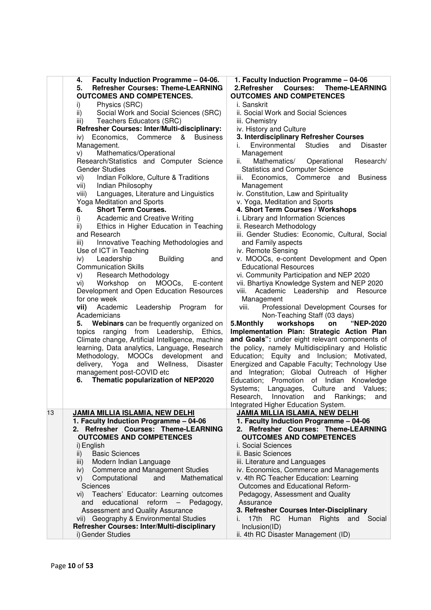|    | Faculty Induction Programme - 04-06.<br>4.            | 1. Faculty Induction Programme - 04-06                                                  |
|----|-------------------------------------------------------|-----------------------------------------------------------------------------------------|
|    | <b>Refresher Courses: Theme-LEARNING</b><br>5.        | 2.Refresher<br><b>Courses:</b><br><b>Theme-LEARNING</b>                                 |
|    | <b>OUTCOMES AND COMPETENCES.</b>                      | <b>OUTCOMES AND COMPETENCES</b>                                                         |
|    | Physics (SRC)<br>i)                                   | i. Sanskrit                                                                             |
|    | Social Work and Social Sciences (SRC)<br>ii)          | ii. Social Work and Social Sciences                                                     |
|    | Teachers Educators (SRC)<br>iii)                      | iii. Chemistry                                                                          |
|    | Refresher Courses: Inter/Multi-disciplinary:          | iv. History and Culture                                                                 |
|    | Economics,<br>Commerce<br>&<br><b>Business</b><br>iv) | 3. Interdisciplinary Refresher Courses                                                  |
|    | Management.                                           | Environmental<br><b>Studies</b><br>and<br><b>Disaster</b><br>İ.                         |
|    | Mathematics/Operational<br>V)                         | Management                                                                              |
|    | Research/Statistics and Computer Science              | Mathematics/<br>Operational<br>Research/<br>ii.                                         |
|    | <b>Gender Studies</b>                                 | <b>Statistics and Computer Science</b>                                                  |
|    | Indian Folklore, Culture & Traditions<br>vi)          | Economics, Commerce<br>and<br><b>Business</b><br>iii.                                   |
|    | Indian Philosophy<br>vii)                             | Management                                                                              |
|    | Languages, Literature and Linguistics<br>viii)        | iv. Constitution, Law and Spirituality                                                  |
|    | Yoga Meditation and Sports                            | v. Yoga, Meditation and Sports                                                          |
|    | 6.<br><b>Short Term Courses.</b>                      | 4. Short Term Courses / Workshops                                                       |
|    | Academic and Creative Writing<br>i)                   | i. Library and Information Sciences                                                     |
|    | Ethics in Higher Education in Teaching<br>ii)         | ii. Research Methodology                                                                |
|    | and Research                                          | iii. Gender Studies: Economic, Cultural, Social                                         |
|    | Innovative Teaching Methodologies and<br>iii)         | and Family aspects                                                                      |
|    | Use of ICT in Teaching                                | iv. Remote Sensing                                                                      |
|    | Leadership<br><b>Building</b>                         |                                                                                         |
|    | iv)<br>and<br><b>Communication Skills</b>             | v. MOOCs, e-content Development and Open<br><b>Educational Resources</b>                |
|    |                                                       |                                                                                         |
|    | Research Methodology<br>V)                            | vi. Community Participation and NEP 2020<br>vii. Bhartiya Knowledge System and NEP 2020 |
|    | MOOCs,<br>vi)<br>Workshop<br>on<br>E-content          |                                                                                         |
|    | Development and Open Education Resources              | viii.<br>Academic Leadership and<br>Resource                                            |
|    | for one week                                          | Management                                                                              |
|    | vii)<br>Academic<br>Leadership<br>Program<br>for      | Professional Development Courses for<br>viii.                                           |
|    | Academicians                                          | Non-Teaching Staff (03 days)                                                            |
|    | Webinars can be frequently organized on<br>5.         | workshops<br>5. Monthly<br>on<br>"NEP-2020                                              |
|    | topics ranging from Leadership,<br>Ethics,            | Implementation Plan: Strategic Action Plan                                              |
|    | Climate change, Artificial Intelligence, machine      | and Goals": under eight relevant components of                                          |
|    | learning, Data analytics, Language, Research          | the policy, namely Multidisciplinary and Holistic                                       |
|    | MOOCs development<br>Methodology,<br>and              | Education; Equity and Inclusion; Motivated,                                             |
|    | delivery, Yoga and Wellness,<br><b>Disaster</b>       | Energized and Capable Faculty; Technology Use                                           |
|    | management post-COVID etc                             | and Integration; Global Outreach of Higher                                              |
|    | Thematic popularization of NEP2020<br>6.              | Promotion of Indian<br>Education;<br>Knowledge                                          |
|    |                                                       | Systems; Languages,<br>Culture<br>and<br>Values;                                        |
|    |                                                       | Research,<br>Innovation<br>and<br>Rankings;<br>and                                      |
|    |                                                       | Integrated Higher Education System.                                                     |
| 13 | <b>JAMIA MILLIA ISLAMIA, NEW DELHI</b>                | <b>JAMIA MILLIA ISLAMIA, NEW DELHI</b>                                                  |
|    | 1. Faculty Induction Programme - 04-06                | 1. Faculty Induction Programme - 04-06                                                  |
|    | 2. Refresher Courses: Theme-LEARNING                  | 2. Refresher Courses: Theme-LEARNING                                                    |
|    | <b>OUTCOMES AND COMPETENCES</b>                       | <b>OUTCOMES AND COMPETENCES</b>                                                         |
|    | i) English                                            | i. Social Sciences                                                                      |
|    | <b>Basic Sciences</b><br>ii)                          | ii. Basic Sciences                                                                      |
|    | Modern Indian Language<br>iii)                        | iii. Literature and Languages                                                           |
|    | <b>Commerce and Management Studies</b><br>iv)         | iv. Economics, Commerce and Managements                                                 |
|    | Mathematical<br>Computational<br>V)<br>and            | v. 4th RC Teacher Education: Learning                                                   |
|    | Sciences                                              | Outcomes and Educational Reform-                                                        |
|    | Teachers' Educator: Learning outcomes<br>Vİ) —        | Pedagogy, Assessment and Quality                                                        |
|    | educational<br>reform<br>$ \,$<br>Pedagogy,<br>and    | Assurance                                                                               |
|    | <b>Assessment and Quality Assurance</b>               | 3. Refresher Courses Inter-Disciplinary                                                 |
|    | vii) Geography & Environmental Studies                | Rights and Social<br>17th<br>Human<br>i.<br>- RC                                        |
|    | Refresher Courses: Inter/Multi-disciplinary           | Inclusion(ID)                                                                           |
|    | i) Gender Studies                                     | ii. 4th RC Disaster Management (ID)                                                     |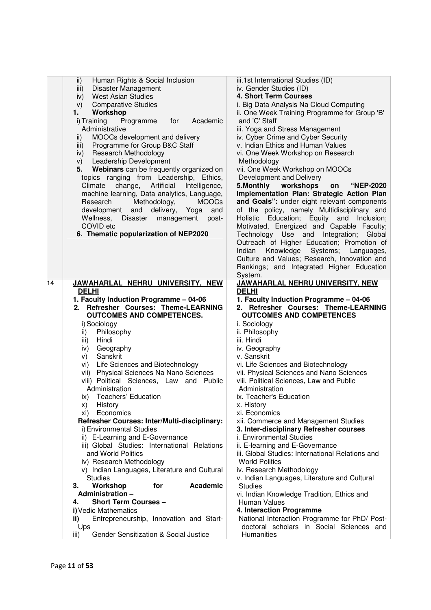| $\mathsf{ii}$ )<br>Human Rights & Social Inclusion<br>Disaster Management<br>iii)<br><b>West Asian Studies</b><br>iv)<br><b>Comparative Studies</b><br>V)<br>Workshop<br>1.<br>Academic<br>i) Training<br>for<br>Programme<br>Administrative<br>MOOCs development and delivery<br>ii)<br>Programme for Group B&C Staff<br>iii)<br>Research Methodology<br>iv)<br>Leadership Development<br>V)<br>Webinars can be frequently organized on<br>5.<br>topics ranging from Leadership, Ethics,<br>change, Artificial<br>Intelligence,<br>Climate<br>machine learning, Data analytics, Language,<br>Methodology,<br>Research<br><b>MOOCs</b><br>development<br>and<br>delivery,<br>Yoga<br>and<br>Wellness,<br>Disaster<br>management<br>post-<br>COVID etc<br>6. Thematic popularization of NEP2020                                                                                                                                                      | iii.1st International Studies (ID)<br>iv. Gender Studies (ID)<br>4. Short Term Courses<br>i. Big Data Analysis Na Cloud Computing<br>ii. One Week Training Programme for Group 'B'<br>and 'C' Staff<br>iii. Yoga and Stress Management<br>iv. Cyber Crime and Cyber Security<br>v. Indian Ethics and Human Values<br>vi. One Week Workshop on Research<br>Methodology<br>vii. One Week Workshop on MOOCs<br>Development and Delivery<br>5. Monthly workshops<br>"NEP-2020<br>on<br>Implementation Plan: Strategic Action Plan<br>and Goals": under eight relevant components<br>of the policy, namely Multidisciplinary and<br>Holistic Education; Equity and Inclusion;<br>Motivated, Energized and Capable Faculty;<br>Technology Use and Integration;<br>Global<br>Outreach of Higher Education; Promotion of<br>Knowledge<br>Indian<br>Systems;<br>Languages,<br>Culture and Values; Research, Innovation and<br>Rankings; and Integrated Higher Education |
|-----------------------------------------------------------------------------------------------------------------------------------------------------------------------------------------------------------------------------------------------------------------------------------------------------------------------------------------------------------------------------------------------------------------------------------------------------------------------------------------------------------------------------------------------------------------------------------------------------------------------------------------------------------------------------------------------------------------------------------------------------------------------------------------------------------------------------------------------------------------------------------------------------------------------------------------------------|----------------------------------------------------------------------------------------------------------------------------------------------------------------------------------------------------------------------------------------------------------------------------------------------------------------------------------------------------------------------------------------------------------------------------------------------------------------------------------------------------------------------------------------------------------------------------------------------------------------------------------------------------------------------------------------------------------------------------------------------------------------------------------------------------------------------------------------------------------------------------------------------------------------------------------------------------------------|
| 14<br>JAWAHARLAL NEHRU UNIVERSITY, NEW<br><b>DELHI</b>                                                                                                                                                                                                                                                                                                                                                                                                                                                                                                                                                                                                                                                                                                                                                                                                                                                                                              | System.<br>JAWAHARLAL NEHRU UNIVERSITY, NEW<br><b>DELHI</b>                                                                                                                                                                                                                                                                                                                                                                                                                                                                                                                                                                                                                                                                                                                                                                                                                                                                                                    |
| 1. Faculty Induction Programme - 04-06<br>2. Refresher Courses: Theme-LEARNING<br><b>OUTCOMES AND COMPETENCES.</b><br>i) Sociology<br>Philosophy<br>ii)<br>iii)<br>Hindi<br>Geography<br>iv)<br>Sanskrit<br>V)<br>vi) Life Sciences and Biotechnology<br>vii) Physical Sciences Na Nano Sciences<br>viii) Political Sciences, Law and Public<br>Administration<br>Teachers' Education<br>ix)<br>History<br>X)<br>Economics<br>xi)<br>Refresher Courses: Inter/Multi-disciplinary:<br>i) Environmental Studies<br>ii) E-Learning and E-Governance<br>iii) Global Studies: International Relations<br>and World Politics<br>iv) Research Methodology<br>v) Indian Languages, Literature and Cultural<br><b>Studies</b><br>Workshop<br>for<br>Academic<br>З.<br>Administration-<br><b>Short Term Courses -</b><br>4.<br>i) Vedic Mathematics<br>Entrepreneurship, Innovation and Start-<br>ii)<br>Ups<br>Gender Sensitization & Social Justice<br>iii) | 1. Faculty Induction Programme - 04-06<br>2. Refresher Courses: Theme-LEARNING<br><b>OUTCOMES AND COMPETENCES</b><br>i. Sociology<br>ii. Philosophy<br>iii. Hindi<br>iv. Geography<br>v. Sanskrit<br>vi. Life Sciences and Biotechnology<br>vii. Physical Sciences and Nano Sciences<br>viii. Political Sciences, Law and Public<br>Administration<br>ix. Teacher's Education<br>x. History<br>xi. Economics<br>xii. Commerce and Management Studies<br>3. Inter-disciplinary Refresher courses<br>i. Environmental Studies<br>ii. E-learning and E-Governance<br>iii. Global Studies: International Relations and<br><b>World Politics</b><br>iv. Research Methodology<br>v. Indian Languages, Literature and Cultural<br><b>Studies</b><br>vi. Indian Knowledge Tradition, Ethics and<br>Human Values<br>4. Interaction Programme<br>National Interaction Programme for PhD/ Post-<br>doctoral scholars in Social Sciences and<br>Humanities                 |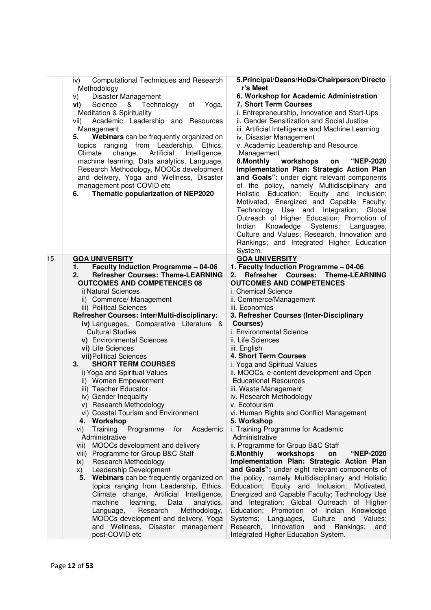|    | Computational Techniques and Research<br>iv)<br>Methodology<br>Disaster Management<br>V)<br>Yoga,<br>Science<br>& Technology<br>of<br>vi)<br><b>Meditation &amp; Spirituality</b><br>Academic Leadership and Resources<br>vii)<br>Management<br>Webinars can be frequently organized on<br>5.<br>topics ranging<br>from Leadership,<br>Ethics,<br>Artificial<br>Climate<br>change,<br>Intelligence,<br>machine learning, Data analytics, Language,<br>Research Methodology, MOOCs development<br>and delivery, Yoga and Wellness, Disaster<br>management post-COVID etc | 5. Principal/Deans/HoDs/Chairperson/Directo<br>r's Meet<br>6. Workshop for Academic Administration<br>7. Short Term Courses<br>i. Entrepreneurship, Innovation and Start-Ups<br>ii. Gender Sensitization and Social Justice<br>iii. Artificial Intelligence and Machine Learning<br>iv. Disaster Management<br>v. Academic Leadership and Resource<br>Management<br>8. Monthly<br>workshops<br>"NEP-2020<br>on<br>Implementation Plan: Strategic Action Plan<br>and Goals": under eight relevant components<br>of the policy, namely Multidisciplinary and |
|----|-------------------------------------------------------------------------------------------------------------------------------------------------------------------------------------------------------------------------------------------------------------------------------------------------------------------------------------------------------------------------------------------------------------------------------------------------------------------------------------------------------------------------------------------------------------------------|------------------------------------------------------------------------------------------------------------------------------------------------------------------------------------------------------------------------------------------------------------------------------------------------------------------------------------------------------------------------------------------------------------------------------------------------------------------------------------------------------------------------------------------------------------|
|    | Thematic popularization of NEP2020<br>6.                                                                                                                                                                                                                                                                                                                                                                                                                                                                                                                                | Holistic Education; Equity and Inclusion;<br>Motivated, Energized and Capable Faculty;<br>Technology Use and Integration; Global<br>Outreach of Higher Education; Promotion of<br>Knowledge Systems;<br>Indian<br>Languages,<br>Culture and Values; Research, Innovation and<br>Rankings; and Integrated Higher Education<br>System.                                                                                                                                                                                                                       |
| 15 | <b>GOA UNIVERSITY</b>                                                                                                                                                                                                                                                                                                                                                                                                                                                                                                                                                   | <b>GOA UNIVERSITY</b>                                                                                                                                                                                                                                                                                                                                                                                                                                                                                                                                      |
|    | <b>Faculty Induction Programme - 04-06</b><br>1.<br><b>Refresher Courses: Theme-LEARNING</b><br>2.                                                                                                                                                                                                                                                                                                                                                                                                                                                                      | 1. Faculty Induction Programme - 04-06<br>Refresher Courses:<br><b>Theme-LEARNING</b>                                                                                                                                                                                                                                                                                                                                                                                                                                                                      |
|    | <b>OUTCOMES AND COMPETENCES 08</b>                                                                                                                                                                                                                                                                                                                                                                                                                                                                                                                                      | 2.<br><b>OUTCOMES AND COMPETENCES</b>                                                                                                                                                                                                                                                                                                                                                                                                                                                                                                                      |
|    | i) Natural Sciences                                                                                                                                                                                                                                                                                                                                                                                                                                                                                                                                                     | i. Chemical Science                                                                                                                                                                                                                                                                                                                                                                                                                                                                                                                                        |
|    | ii) Commerce/ Management                                                                                                                                                                                                                                                                                                                                                                                                                                                                                                                                                | ii. Commerce/Management                                                                                                                                                                                                                                                                                                                                                                                                                                                                                                                                    |
|    | iii) Political Sciences                                                                                                                                                                                                                                                                                                                                                                                                                                                                                                                                                 | iii. Economics                                                                                                                                                                                                                                                                                                                                                                                                                                                                                                                                             |
|    | Refresher Courses: Inter/Multi-disciplinary:                                                                                                                                                                                                                                                                                                                                                                                                                                                                                                                            | 3. Refresher Courses (Inter-Disciplinary                                                                                                                                                                                                                                                                                                                                                                                                                                                                                                                   |
|    | iv) Languages, Comparative Literature &                                                                                                                                                                                                                                                                                                                                                                                                                                                                                                                                 | Courses)                                                                                                                                                                                                                                                                                                                                                                                                                                                                                                                                                   |
|    | <b>Cultural Studies</b>                                                                                                                                                                                                                                                                                                                                                                                                                                                                                                                                                 | i. Environmental Science                                                                                                                                                                                                                                                                                                                                                                                                                                                                                                                                   |
|    | v) Environmental Sciences                                                                                                                                                                                                                                                                                                                                                                                                                                                                                                                                               | ii. Life Sciences                                                                                                                                                                                                                                                                                                                                                                                                                                                                                                                                          |
|    | vi) Life Sciences                                                                                                                                                                                                                                                                                                                                                                                                                                                                                                                                                       | iii. English                                                                                                                                                                                                                                                                                                                                                                                                                                                                                                                                               |
|    | vii) Political Sciences                                                                                                                                                                                                                                                                                                                                                                                                                                                                                                                                                 | 4. Short Term Courses                                                                                                                                                                                                                                                                                                                                                                                                                                                                                                                                      |
|    | <b>SHORT TERM COURSES</b><br>3.                                                                                                                                                                                                                                                                                                                                                                                                                                                                                                                                         | i. Yoga and Spiritual Values                                                                                                                                                                                                                                                                                                                                                                                                                                                                                                                               |
|    | i) Yoga and Spiritual Values                                                                                                                                                                                                                                                                                                                                                                                                                                                                                                                                            | ii. MOOCs, e-content development and Open                                                                                                                                                                                                                                                                                                                                                                                                                                                                                                                  |
|    | ii) Women Empowerment                                                                                                                                                                                                                                                                                                                                                                                                                                                                                                                                                   | <b>Educational Resources</b>                                                                                                                                                                                                                                                                                                                                                                                                                                                                                                                               |
|    | iii) Teacher Educator<br>iv) Gender Inequality                                                                                                                                                                                                                                                                                                                                                                                                                                                                                                                          | iii. Waste Management                                                                                                                                                                                                                                                                                                                                                                                                                                                                                                                                      |
|    | v) Research Methodology                                                                                                                                                                                                                                                                                                                                                                                                                                                                                                                                                 | iv. Research Methodology<br>v. Ecotourism                                                                                                                                                                                                                                                                                                                                                                                                                                                                                                                  |
|    | vi) Coastal Tourism and Environment                                                                                                                                                                                                                                                                                                                                                                                                                                                                                                                                     | vi. Human Rights and Conflict Management                                                                                                                                                                                                                                                                                                                                                                                                                                                                                                                   |
|    | Workshop<br>4.                                                                                                                                                                                                                                                                                                                                                                                                                                                                                                                                                          | 5. Workshop                                                                                                                                                                                                                                                                                                                                                                                                                                                                                                                                                |
|    | Training<br>Programme<br>for<br>Academic<br>vi)                                                                                                                                                                                                                                                                                                                                                                                                                                                                                                                         | i. Training Programme for Academic                                                                                                                                                                                                                                                                                                                                                                                                                                                                                                                         |
|    | Administrative                                                                                                                                                                                                                                                                                                                                                                                                                                                                                                                                                          | Administrative                                                                                                                                                                                                                                                                                                                                                                                                                                                                                                                                             |
|    | MOOCs development and delivery<br>vii)                                                                                                                                                                                                                                                                                                                                                                                                                                                                                                                                  | ii. Programme for Group B&C Staff                                                                                                                                                                                                                                                                                                                                                                                                                                                                                                                          |
|    | Programme for Group B&C Staff<br>VIII)                                                                                                                                                                                                                                                                                                                                                                                                                                                                                                                                  | 6.Monthly<br>workshops<br><b>"NEP-2020</b><br>on                                                                                                                                                                                                                                                                                                                                                                                                                                                                                                           |
|    | Research Methodology<br>ix)                                                                                                                                                                                                                                                                                                                                                                                                                                                                                                                                             | Implementation Plan: Strategic Action Plan                                                                                                                                                                                                                                                                                                                                                                                                                                                                                                                 |
|    | Leadership Development<br>X)                                                                                                                                                                                                                                                                                                                                                                                                                                                                                                                                            | and Goals": under eight relevant components of                                                                                                                                                                                                                                                                                                                                                                                                                                                                                                             |
|    | Webinars can be frequently organized on<br>5.                                                                                                                                                                                                                                                                                                                                                                                                                                                                                                                           | the policy, namely Multidisciplinary and Holistic                                                                                                                                                                                                                                                                                                                                                                                                                                                                                                          |
|    | topics ranging from Leadership, Ethics,<br>Climate change, Artificial Intelligence,                                                                                                                                                                                                                                                                                                                                                                                                                                                                                     | Education; Equity and Inclusion; Motivated,<br>Energized and Capable Faculty; Technology Use                                                                                                                                                                                                                                                                                                                                                                                                                                                               |
|    | machine<br>learning,<br>Data<br>analytics,                                                                                                                                                                                                                                                                                                                                                                                                                                                                                                                              | and Integration; Global Outreach of Higher                                                                                                                                                                                                                                                                                                                                                                                                                                                                                                                 |
|    | Research<br>Methodology,<br>Language,                                                                                                                                                                                                                                                                                                                                                                                                                                                                                                                                   | Education; Promotion of Indian<br>Knowledge                                                                                                                                                                                                                                                                                                                                                                                                                                                                                                                |
|    | MOOCs development and delivery, Yoga                                                                                                                                                                                                                                                                                                                                                                                                                                                                                                                                    | Systems;<br>Culture and<br>Languages,<br>Values;                                                                                                                                                                                                                                                                                                                                                                                                                                                                                                           |
|    | and Wellness, Disaster management                                                                                                                                                                                                                                                                                                                                                                                                                                                                                                                                       | Research,<br>Innovation<br>and<br>Rankings;<br>and                                                                                                                                                                                                                                                                                                                                                                                                                                                                                                         |
|    | post-COVID etc                                                                                                                                                                                                                                                                                                                                                                                                                                                                                                                                                          | Integrated Higher Education System.                                                                                                                                                                                                                                                                                                                                                                                                                                                                                                                        |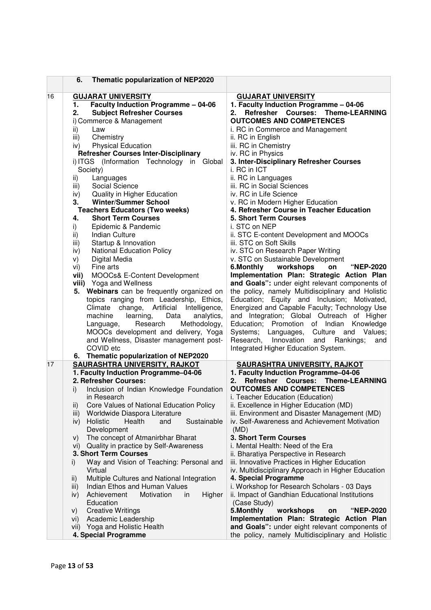|    | Thematic popularization of NEP2020<br>6.                    |                                                                     |
|----|-------------------------------------------------------------|---------------------------------------------------------------------|
| 16 | <b>GUJARAT UNIVERSITY</b>                                   | <b>GUJARAT UNIVERSITY</b>                                           |
|    | <b>Faculty Induction Programme - 04-06</b><br>1.            | 1. Faculty Induction Programme - 04-06                              |
|    | <b>Subject Refresher Courses</b><br>2.                      | Refresher Courses: Theme-LEARNING<br>2.                             |
|    | i) Commerce & Management                                    | <b>OUTCOMES AND COMPETENCES</b>                                     |
|    | ii)<br>Law                                                  | i. RC in Commerce and Management                                    |
|    | Chemistry<br>iii)                                           | ii. RC in English                                                   |
|    | <b>Physical Education</b><br>iv)                            | iii. RC in Chemistry                                                |
|    | <b>Refresher Courses Inter-Disciplinary</b>                 | iv. RC in Physics                                                   |
|    | i) ITGS (Information Technology in Global                   | 3. Inter-Disciplinary Refresher Courses                             |
|    | Society)                                                    | i. RC in ICT                                                        |
|    | Languages<br>ii)                                            | ii. RC in Languages                                                 |
|    | Social Science<br>iii)                                      | iii. RC in Social Sciences                                          |
|    | Quality in Higher Education<br>iv)                          | iv. RC in Life Science                                              |
|    | <b>Winter/Summer School</b><br>3.                           | v. RC in Modern Higher Education                                    |
|    | <b>Teachers Educators (Two weeks)</b>                       | 4. Refresher Course in Teacher Education                            |
|    | <b>Short Term Courses</b><br>4.                             | <b>5. Short Term Courses</b>                                        |
|    | Epidemic & Pandemic<br>i)                                   | i. STC on NEP                                                       |
|    | <b>Indian Culture</b><br>ii)                                | ii. STC E-content Development and MOOCs                             |
|    | Startup & Innovation<br>iii)                                | iii. STC on Soft Skills                                             |
|    | <b>National Education Policy</b><br>iv)                     | iv. STC on Research Paper Writing                                   |
|    | Digital Media<br>V)                                         | v. STC on Sustainable Development                                   |
|    | Fine arts<br>vi)                                            | workshops<br>6.Monthly<br>"NEP-2020<br>on                           |
|    | MOOCs& E-Content Development<br>vii)                        | Implementation Plan: Strategic Action Plan                          |
|    | viii) Yoga and Wellness                                     | and Goals": under eight relevant components of                      |
|    | 5. Webinars can be frequently organized on                  | the policy, namely Multidisciplinary and Holistic                   |
|    | topics ranging from Leadership, Ethics,                     | Education; Equity and Inclusion; Motivated,                         |
|    | change, Artificial<br>Climate<br>Intelligence,              | Energized and Capable Faculty; Technology Use                       |
|    | machine<br>learning,<br>analytics,<br>Data                  | and Integration; Global Outreach of Higher                          |
|    | Research<br>Methodology,<br>Language,                       | Education; Promotion of Indian Knowledge                            |
|    | MOOCs development and delivery, Yoga                        | Culture and<br>Values;<br>Systems;<br>Languages,                    |
|    | and Wellness, Disaster management post-                     | Research, Innovation<br>and<br>Rankings;<br>and                     |
|    | COVID etc                                                   | Integrated Higher Education System.                                 |
|    | 6. Thematic popularization of NEP2020                       |                                                                     |
| 17 | <b>SAURASHTRA UNIVERSITY, RAJKOT</b>                        | <b>SAURASHTRA UNIVERSITY, RAJKOT</b>                                |
|    | 1. Faculty Induction Programme-04-06                        | 1. Faculty Induction Programme-04-06                                |
|    | 2. Refresher Courses:                                       | Refresher<br><b>Courses:</b><br><b>Theme-LEARNING</b><br>2.         |
|    | Inclusion of Indian Knowledge Foundation<br>i)              | <b>OUTCOMES AND COMPETENCES</b>                                     |
|    | in Research                                                 | i. Teacher Education (Education)                                    |
|    | Core Values of National Education Policy<br>ii)             | ii. Excellence in Higher Education (MD)                             |
|    | Worldwide Diaspora Literature<br>iii)                       | iii. Environment and Disaster Management (MD)                       |
|    | Sustainable<br>Holistic<br>Health<br>and<br>iv)             | iv. Self-Awareness and Achievement Motivation                       |
|    | Development                                                 | (MD)                                                                |
|    | The concept of Atmanirbhar Bharat<br>V)                     | 3. Short Term Courses                                               |
|    | Quality in practice by Self-Awareness<br>vi)                | i. Mental Health: Need of the Era                                   |
|    | <b>3. Short Term Courses</b>                                | ii. Bharatiya Perspective in Research                               |
|    | Way and Vision of Teaching: Personal and<br>i)              | iii. Innovative Practices in Higher Education                       |
|    | Virtual                                                     | iv. Multidisciplinary Approach in Higher Education                  |
|    | Multiple Cultures and National Integration<br>ii)           | 4. Special Programme<br>i. Workshop for Research Scholars - 03 Days |
|    | Indian Ethos and Human Values<br>iii)                       |                                                                     |
|    | Achievement<br>Motivation<br>iv)<br>in<br>Higher            | ii. Impact of Gandhian Educational Institutions                     |
|    | Education                                                   | (Case Study)<br>5. Monthly<br><b>"NEP-2020</b>                      |
|    | <b>Creative Writings</b><br>V)                              | workshops<br>on<br>Implementation Plan: Strategic Action Plan       |
|    | Academic Leadership<br>vi)<br>vii) Yoga and Holistic Health | and Goals": under eight relevant components of                      |
|    |                                                             |                                                                     |
|    | 4. Special Programme                                        | the policy, namely Multidisciplinary and Holistic                   |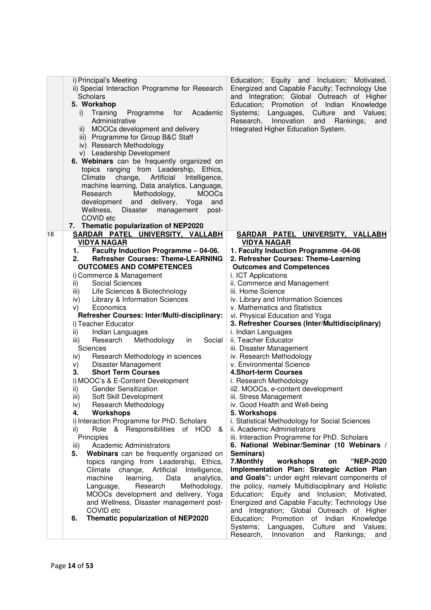|    | i) Principal's Meeting<br>ii) Special Interaction Programme for Research<br>Scholars<br>5. Workshop<br>Academic<br>Training<br>for<br>i)<br>Programme<br>Administrative<br>MOOCs development and delivery<br>$\mathsf{ii}$ )<br>iii) Programme for Group B&C Staff<br>iv) Research Methodology<br>v) Leadership Development<br>6. Webinars can be frequently organized on<br>topics ranging from Leadership, Ethics,<br>change, Artificial<br>Climate<br>Intelligence,<br>machine learning, Data analytics, Language,<br>Research<br>Methodology,<br><b>MOOCs</b><br>development<br>and<br>delivery,<br>Yoga<br>and<br>Wellness, Disaster<br>management<br>post-<br>COVID etc<br>7. Thematic popularization of NEP2020 | Education; Equity and Inclusion; Motivated,<br>Energized and Capable Faculty; Technology Use<br>and Integration; Global Outreach of Higher<br>Education; Promotion of Indian<br>Knowledge<br>Culture and<br>Systems; Languages,<br>Values;<br>Research,<br>Innovation<br>Rankings;<br>and<br>and<br>Integrated Higher Education System. |
|----|------------------------------------------------------------------------------------------------------------------------------------------------------------------------------------------------------------------------------------------------------------------------------------------------------------------------------------------------------------------------------------------------------------------------------------------------------------------------------------------------------------------------------------------------------------------------------------------------------------------------------------------------------------------------------------------------------------------------|-----------------------------------------------------------------------------------------------------------------------------------------------------------------------------------------------------------------------------------------------------------------------------------------------------------------------------------------|
| 18 | SARDAR PATEL UNIVERSITY, VALLABH                                                                                                                                                                                                                                                                                                                                                                                                                                                                                                                                                                                                                                                                                       | SARDAR PATEL UNIVERSITY, VALLABH                                                                                                                                                                                                                                                                                                        |
|    | <b>VIDYA NAGAR</b><br>Faculty Induction Programme - 04-06.<br>1.                                                                                                                                                                                                                                                                                                                                                                                                                                                                                                                                                                                                                                                       | <b>VIDYA NAGAR</b><br>1. Faculty Induction Programme -04-06                                                                                                                                                                                                                                                                             |
|    | <b>Refresher Courses: Theme-LEARNING</b><br>2.                                                                                                                                                                                                                                                                                                                                                                                                                                                                                                                                                                                                                                                                         | 2. Refresher Courses: Theme-Learning                                                                                                                                                                                                                                                                                                    |
|    | <b>OUTCOMES AND COMPETENCES</b>                                                                                                                                                                                                                                                                                                                                                                                                                                                                                                                                                                                                                                                                                        | <b>Outcomes and Competences</b>                                                                                                                                                                                                                                                                                                         |
|    | i) Commerce & Management                                                                                                                                                                                                                                                                                                                                                                                                                                                                                                                                                                                                                                                                                               | i. ICT Applications                                                                                                                                                                                                                                                                                                                     |
|    | Social Sciences<br>ii)                                                                                                                                                                                                                                                                                                                                                                                                                                                                                                                                                                                                                                                                                                 | ii. Commerce and Management                                                                                                                                                                                                                                                                                                             |
|    | Life Sciences & Biotechnology<br>iii)                                                                                                                                                                                                                                                                                                                                                                                                                                                                                                                                                                                                                                                                                  | iii. Home Science                                                                                                                                                                                                                                                                                                                       |
|    | Library & Information Sciences<br>iv)<br>Economics<br>V)                                                                                                                                                                                                                                                                                                                                                                                                                                                                                                                                                                                                                                                               | iv. Library and Information Sciences<br>v. Mathematics and Statistics                                                                                                                                                                                                                                                                   |
|    | Refresher Courses: Inter/Multi-disciplinary:                                                                                                                                                                                                                                                                                                                                                                                                                                                                                                                                                                                                                                                                           | vi. Physical Education and Yoga                                                                                                                                                                                                                                                                                                         |
|    | i) Teacher Educator                                                                                                                                                                                                                                                                                                                                                                                                                                                                                                                                                                                                                                                                                                    | 3. Refresher Courses (Inter/Multidisciplinary)                                                                                                                                                                                                                                                                                          |
|    | Indian Languages<br>ii)                                                                                                                                                                                                                                                                                                                                                                                                                                                                                                                                                                                                                                                                                                | i. Indian Languages                                                                                                                                                                                                                                                                                                                     |
|    | Methodology<br>Social<br>Research<br>in<br>iii)                                                                                                                                                                                                                                                                                                                                                                                                                                                                                                                                                                                                                                                                        | ii. Teacher Educator                                                                                                                                                                                                                                                                                                                    |
|    | Sciences                                                                                                                                                                                                                                                                                                                                                                                                                                                                                                                                                                                                                                                                                                               | iii. Disaster Management                                                                                                                                                                                                                                                                                                                |
|    | Research Methodology in sciences<br>iv)                                                                                                                                                                                                                                                                                                                                                                                                                                                                                                                                                                                                                                                                                | iv. Research Methodology                                                                                                                                                                                                                                                                                                                |
|    | <b>Disaster Management</b><br>V)                                                                                                                                                                                                                                                                                                                                                                                                                                                                                                                                                                                                                                                                                       | v. Environmental Science                                                                                                                                                                                                                                                                                                                |
|    | <b>Short Term Courses</b><br>3.                                                                                                                                                                                                                                                                                                                                                                                                                                                                                                                                                                                                                                                                                        | <b>4.Short-term Courses</b>                                                                                                                                                                                                                                                                                                             |
|    | i) MOOC's & E-Content Development                                                                                                                                                                                                                                                                                                                                                                                                                                                                                                                                                                                                                                                                                      | i. Research Methodology                                                                                                                                                                                                                                                                                                                 |
|    | <b>Gender Sensitization</b><br>ii)<br>iii)                                                                                                                                                                                                                                                                                                                                                                                                                                                                                                                                                                                                                                                                             | ii2. MOOCs, e-content development                                                                                                                                                                                                                                                                                                       |
|    | Soft Skill Development<br>Research Methodology<br>iv)                                                                                                                                                                                                                                                                                                                                                                                                                                                                                                                                                                                                                                                                  | iii. Stress Management<br>iv. Good Health and Well-being                                                                                                                                                                                                                                                                                |
|    | 4.<br>Workshops                                                                                                                                                                                                                                                                                                                                                                                                                                                                                                                                                                                                                                                                                                        | 5. Workshops                                                                                                                                                                                                                                                                                                                            |
|    | i) Interaction Programme for PhD. Scholars                                                                                                                                                                                                                                                                                                                                                                                                                                                                                                                                                                                                                                                                             | i. Statistical Methodology for Social Sciences                                                                                                                                                                                                                                                                                          |
|    | Role & Responsibilities of HOD<br>ii)<br>&                                                                                                                                                                                                                                                                                                                                                                                                                                                                                                                                                                                                                                                                             | ii. Academic Administrators                                                                                                                                                                                                                                                                                                             |
|    | Principles                                                                                                                                                                                                                                                                                                                                                                                                                                                                                                                                                                                                                                                                                                             | iii. Interaction Programme for PhD. Scholars                                                                                                                                                                                                                                                                                            |
|    | Academic Administrators<br>iii)                                                                                                                                                                                                                                                                                                                                                                                                                                                                                                                                                                                                                                                                                        | 6. National Webinar/Seminar (10 Webinars /                                                                                                                                                                                                                                                                                              |
|    | Webinars can be frequently organized on<br>5.                                                                                                                                                                                                                                                                                                                                                                                                                                                                                                                                                                                                                                                                          | Seminars)                                                                                                                                                                                                                                                                                                                               |
|    | topics ranging from Leadership, Ethics,                                                                                                                                                                                                                                                                                                                                                                                                                                                                                                                                                                                                                                                                                | 7. Monthly<br>workshops<br><b>"NEP-2020</b><br>on                                                                                                                                                                                                                                                                                       |
|    | change, Artificial<br>Climate<br>Intelligence,                                                                                                                                                                                                                                                                                                                                                                                                                                                                                                                                                                                                                                                                         | Implementation Plan: Strategic Action Plan                                                                                                                                                                                                                                                                                              |
|    | machine<br>Data<br>learning,<br>analytics,<br>Research<br>Methodology,                                                                                                                                                                                                                                                                                                                                                                                                                                                                                                                                                                                                                                                 | and Goals": under eight relevant components of<br>the policy, namely Multidisciplinary and Holistic                                                                                                                                                                                                                                     |
|    | Language,<br>MOOCs development and delivery, Yoga                                                                                                                                                                                                                                                                                                                                                                                                                                                                                                                                                                                                                                                                      | Education; Equity and Inclusion; Motivated,                                                                                                                                                                                                                                                                                             |
|    | and Wellness, Disaster management post-                                                                                                                                                                                                                                                                                                                                                                                                                                                                                                                                                                                                                                                                                | Energized and Capable Faculty; Technology Use                                                                                                                                                                                                                                                                                           |
|    | COVID etc                                                                                                                                                                                                                                                                                                                                                                                                                                                                                                                                                                                                                                                                                                              | and Integration; Global Outreach of Higher                                                                                                                                                                                                                                                                                              |
|    | Thematic popularization of NEP2020<br>6.                                                                                                                                                                                                                                                                                                                                                                                                                                                                                                                                                                                                                                                                               | Education; Promotion<br>of Indian Knowledge                                                                                                                                                                                                                                                                                             |
|    |                                                                                                                                                                                                                                                                                                                                                                                                                                                                                                                                                                                                                                                                                                                        | Values;<br>Systems;<br>Languages,<br>Culture and                                                                                                                                                                                                                                                                                        |
|    |                                                                                                                                                                                                                                                                                                                                                                                                                                                                                                                                                                                                                                                                                                                        | Research,<br>Innovation<br>Rankings;<br>and<br>and                                                                                                                                                                                                                                                                                      |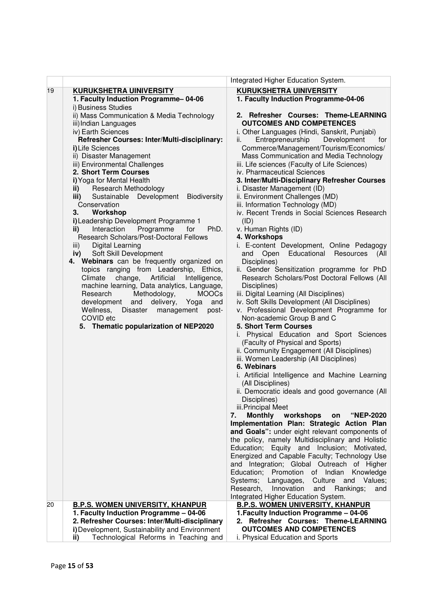|    |                                                        | Integrated Higher Education System.                                          |
|----|--------------------------------------------------------|------------------------------------------------------------------------------|
| 19 | <b>KURUKSHETRA UINIVERSITY</b>                         | <b>KURUKSHETRA UINIVERSITY</b>                                               |
|    | 1. Faculty Induction Programme-04-06                   | 1. Faculty Induction Programme-04-06                                         |
|    | i) Business Studies                                    |                                                                              |
|    | ii) Mass Communication & Media Technology              | 2. Refresher Courses: Theme-LEARNING                                         |
|    | iii) Indian Languages                                  | <b>OUTCOMES AND COMPETENCES</b>                                              |
|    | iv) Earth Sciences                                     | i. Other Languages (Hindi, Sanskrit, Punjabi)                                |
|    | Refresher Courses: Inter/Multi-disciplinary:           | Entrepreneurship<br>Development<br>ii.<br>for                                |
|    | i) Life Sciences                                       | Commerce/Management/Tourism/Economics/                                       |
|    | ii) Disaster Management                                | Mass Communication and Media Technology                                      |
|    | iii) Environmental Challenges                          | iii. Life sciences (Faculty of Life Sciences)                                |
|    | 2. Short Term Courses                                  | iv. Pharmaceutical Sciences                                                  |
|    | i) Yoga for Mental Health                              | 3. Inter/Multi-Disciplinary Refresher Courses                                |
|    | Research Methodology<br>ii) $\qquad$                   | i. Disaster Management (ID)                                                  |
|    | Sustainable Development<br><b>Biodiversity</b><br>iii) | ii. Environment Challenges (MD)                                              |
|    | Conservation                                           | iii. Information Technology (MD)                                             |
|    | Workshop<br>3.                                         | iv. Recent Trends in Social Sciences Research                                |
|    | i) Leadership Development Programme 1                  | (ID)                                                                         |
|    | Interaction<br>Programme<br>for<br>PhD.<br>ii)         | v. Human Rights (ID)                                                         |
|    | Research Scholars/Post-Doctoral Fellows                | 4. Workshops                                                                 |
|    | Digital Learning<br>iii)                               | i. E-content Development, Online Pedagogy                                    |
|    | Soft Skill Development<br>iv)                          | and Open Educational Resources<br>(All                                       |
|    | 4. Webinars can be frequently organized on             | Disciplines)                                                                 |
|    | topics ranging from Leadership, Ethics,                | ii. Gender Sensitization programme for PhD                                   |
|    | change,<br>Climate<br>Artificial<br>Intelligence,      | Research Scholars/Post Doctoral Fellows (All                                 |
|    | machine learning, Data analytics, Language,            | Disciplines)                                                                 |
|    | Methodology,<br>Research<br><b>MOOCs</b>               | iii. Digital Learning (All Disciplines)                                      |
|    | development and<br>delivery,<br>and<br>Yoga            | iv. Soft Skills Development (All Disciplines)                                |
|    | Wellness,<br>Disaster management<br>post-              | v. Professional Development Programme for                                    |
|    | COVID etc                                              | Non-academic Group B and C<br>5. Short Term Courses                          |
|    | 5. Thematic popularization of NEP2020                  |                                                                              |
|    |                                                        | i. Physical Education and Sport Sciences<br>(Faculty of Physical and Sports) |
|    |                                                        | ii. Community Engagement (All Disciplines)                                   |
|    |                                                        | iii. Women Leadership (All Disciplines)                                      |
|    |                                                        | 6. Webinars                                                                  |
|    |                                                        | i. Artificial Intelligence and Machine Learning                              |
|    |                                                        | (All Disciplines)                                                            |
|    |                                                        | ii. Democratic ideals and good governance (All                               |
|    |                                                        | Disciplines)                                                                 |
|    |                                                        | iii.Principal Meet                                                           |
|    |                                                        | <b>Monthly</b><br>workshops<br>7.<br>"NEP-2020<br>on                         |
|    |                                                        | Implementation Plan: Strategic Action Plan                                   |
|    |                                                        | and Goals": under eight relevant components of                               |
|    |                                                        | the policy, namely Multidisciplinary and Holistic                            |
|    |                                                        | Education; Equity and Inclusion; Motivated,                                  |
|    |                                                        | Energized and Capable Faculty; Technology Use                                |
|    |                                                        | and Integration; Global Outreach of Higher                                   |
|    |                                                        | Education; Promotion of Indian Knowledge                                     |
|    |                                                        | Systems;<br>Culture and Values;<br>Languages,                                |
|    |                                                        | Research,<br>Innovation<br>and<br>Rankings;<br>and                           |
|    |                                                        | Integrated Higher Education System.                                          |
| 20 | <b>B.P.S. WOMEN UNIVERSITY, KHANPUR</b>                | <b>B.P.S. WOMEN UNIVERSITY, KHANPUR</b>                                      |
|    | 1. Faculty Induction Programme - 04-06                 | 1. Faculty Induction Programme - 04-06                                       |
|    | 2. Refresher Courses: Inter/Multi-disciplinary         | 2. Refresher Courses: Theme-LEARNING                                         |
|    | i) Development, Sustainability and Environment         | <b>OUTCOMES AND COMPETENCES</b>                                              |
|    | Technological Reforms in Teaching and<br>ii)           | i. Physical Education and Sports                                             |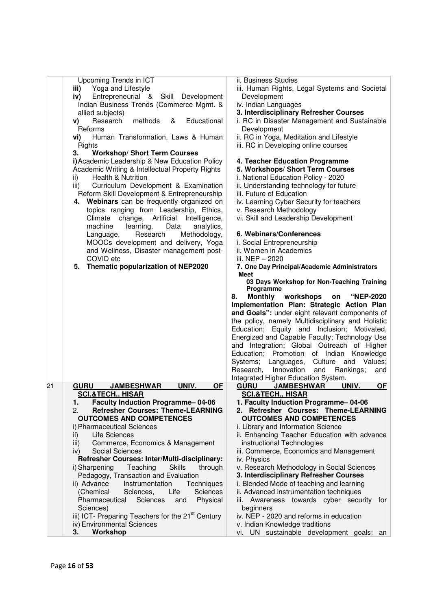| Upcoming Trends in ICT                                                     | ii. Business Studies                                                       |
|----------------------------------------------------------------------------|----------------------------------------------------------------------------|
| Yoga and Lifestyle<br>iii)                                                 | iii. Human Rights, Legal Systems and Societal                              |
| Entrepreneurial &<br>Skill Development<br>iv)                              | Development                                                                |
| Indian Business Trends (Commerce Mgmt. &                                   | iv. Indian Languages                                                       |
|                                                                            | 3. Interdisciplinary Refresher Courses                                     |
| allied subjects)                                                           |                                                                            |
| Research<br>methods<br>Educational<br>&<br>V)                              | i. RC in Disaster Management and Sustainable                               |
| Reforms                                                                    | Development                                                                |
| vi)<br>Human Transformation, Laws & Human                                  | ii. RC in Yoga, Meditation and Lifestyle                                   |
| Rights                                                                     | iii. RC in Developing online courses                                       |
| <b>Workshop/ Short Term Courses</b><br>3.                                  |                                                                            |
| i) Academic Leadership & New Education Policy                              | 4. Teacher Education Programme                                             |
|                                                                            |                                                                            |
| Academic Writing & Intellectual Property Rights                            | 5. Workshops/ Short Term Courses                                           |
| <b>Health &amp; Nutrition</b><br>ii)                                       | i. National Education Policy - 2020                                        |
| iii)<br>Curriculum Development & Examination                               | ii. Understanding technology for future                                    |
| Reform Skill Development & Entrepreneurship                                | iii. Future of Education                                                   |
| Webinars can be frequently organized on<br>4.                              | iv. Learning Cyber Security for teachers                                   |
| topics ranging from Leadership, Ethics,                                    | v. Research Methodology                                                    |
| change, Artificial<br>Intelligence,<br>Climate                             | vi. Skill and Leadership Development                                       |
|                                                                            |                                                                            |
| machine<br>learning,<br>Data<br>analytics,                                 |                                                                            |
| Research<br>Methodology,<br>Language,                                      | 6. Webinars/Conferences                                                    |
| MOOCs development and delivery, Yoga                                       | i. Social Entrepreneurship                                                 |
| and Wellness, Disaster management post-                                    | ii. Women in Academics                                                     |
| COVID etc                                                                  | iii. NEP - 2020                                                            |
| Thematic popularization of NEP2020<br>5.                                   | 7. One Day Principal/Academic Administrators                               |
|                                                                            | <b>Meet</b>                                                                |
|                                                                            | 03 Days Workshop for Non-Teaching Training                                 |
|                                                                            | Programme                                                                  |
|                                                                            | Monthly workshops<br>"NEP-2020<br>8.<br>on                                 |
|                                                                            | Implementation Plan: Strategic Action Plan                                 |
|                                                                            |                                                                            |
|                                                                            | and Goals": under eight relevant components of                             |
|                                                                            | the policy, namely Multidisciplinary and Holistic                          |
|                                                                            | Education; Equity and Inclusion; Motivated,                                |
|                                                                            | Energized and Capable Faculty; Technology Use                              |
|                                                                            | and Integration; Global Outreach of Higher                                 |
|                                                                            | Education; Promotion of Indian Knowledge                                   |
|                                                                            | Systems;<br>Languages,<br>Culture and<br>Values;                           |
|                                                                            | Research,<br>Innovation                                                    |
|                                                                            | and<br>Rankings;<br>and                                                    |
|                                                                            | Integrated Higher Education System.                                        |
| <b>GURU</b><br>UNIV.<br>21<br><b>JAMBESHWAR</b><br><b>OF</b>               | <b>GURU</b><br><b>JAMBESHWAR</b><br>UNIV.<br><b>OF</b>                     |
| <b>SCI.&amp;TECH., HISAR</b>                                               | <b>SCI.&amp;TECH., HISAR</b>                                               |
| 1.<br><b>Faculty Induction Programme-04-06</b>                             | 1. Faculty Induction Programme-04-06                                       |
| 2.<br><b>Refresher Courses: Theme-LEARNING</b>                             | 2. Refresher Courses: Theme-LEARNING                                       |
| <b>OUTCOMES AND COMPETENCES</b>                                            | <b>OUTCOMES AND COMPETENCES</b>                                            |
| i) Pharmaceutical Sciences                                                 | i. Library and Information Science                                         |
| Life Sciences<br>ii)                                                       | ii. Enhancing Teacher Education with advance                               |
|                                                                            |                                                                            |
| Commerce, Economics & Management<br>iii)                                   | instructional Technologies                                                 |
| Social Sciences<br>iv)                                                     | iii. Commerce, Economics and Management                                    |
| Refresher Courses: Inter/Multi-disciplinary:                               | iv. Physics                                                                |
| Teaching<br><b>Skills</b><br>i) Sharpening<br>through                      | v. Research Methodology in Social Sciences                                 |
| Pedagogy, Transaction and Evaluation                                       | 3. Interdisciplinary Refresher Courses                                     |
| Instrumentation<br>Techniques<br>ii) Advance                               | i. Blended Mode of teaching and learning                                   |
| (Chemical<br>Sciences,<br>Life<br><b>Sciences</b>                          | ii. Advanced instrumentation techniques                                    |
| Pharmaceutical<br>Sciences<br>Physical<br>and                              | iii. Awareness towards cyber security<br>tor                               |
|                                                                            |                                                                            |
| Sciences)<br>iii) ICT- Preparing Teachers for the 21 <sup>st</sup> Century | beginners                                                                  |
|                                                                            |                                                                            |
|                                                                            | iv. NEP - 2020 and reforms in education                                    |
| iv) Environmental Sciences<br>Workshop<br>3.                               | v. Indian Knowledge traditions<br>vi. UN sustainable development goals: an |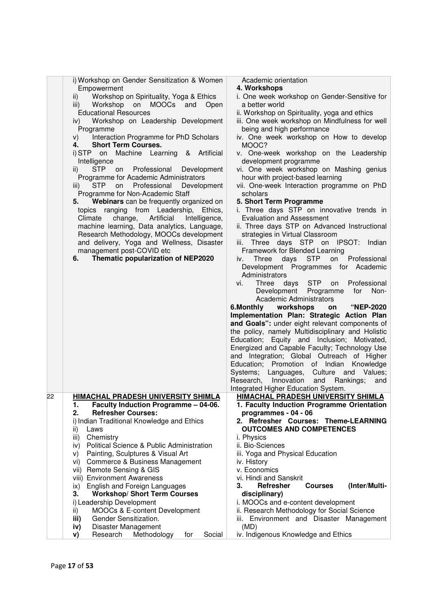|    | i) Workshop on Gender Sensitization & Women                                             | Academic orientation                                                                         |
|----|-----------------------------------------------------------------------------------------|----------------------------------------------------------------------------------------------|
|    | Empowerment                                                                             | 4. Workshops                                                                                 |
|    | Workshop on Spirituality, Yoga & Ethics<br>ii)                                          | i. One week workshop on Gender-Sensitive for                                                 |
|    | Workshop on MOOCs and Open<br>iii)                                                      | a better world                                                                               |
|    | <b>Educational Resources</b>                                                            | ii. Workshop on Spirituality, yoga and ethics                                                |
|    | Workshop on Leadership Development<br>iv)                                               | iii. One week workshop on Mindfulness for well                                               |
|    | Programme<br>Interaction Programme for PhD Scholars                                     | being and high performance<br>iv. One week workshop on How to develop                        |
|    | V)<br><b>Short Term Courses.</b><br>4.                                                  | MOOC?                                                                                        |
|    | i) STP on Machine Learning<br>& Artificial                                              | v. One-week workshop on the Leadership                                                       |
|    | Intelligence                                                                            | development programme                                                                        |
|    | <b>STP</b><br>Professional Development<br>$\mathsf{ii}$<br>on                           | vi. One week workshop on Mashing genius                                                      |
|    | Programme for Academic Administrators                                                   | hour with project-based learning                                                             |
|    | <b>STP</b><br>Professional<br>on<br>Development<br>iii)                                 | vii. One-week Interaction programme on PhD                                                   |
|    | Programme for Non-Academic Staff                                                        | scholars                                                                                     |
|    | Webinars can be frequently organized on<br>5.                                           | 5. Short Term Programme                                                                      |
|    | topics ranging from Leadership, Ethics,                                                 | i. Three days STP on innovative trends in                                                    |
|    | Climate<br>change,<br>Artificial<br>Intelligence,                                       | <b>Evaluation and Assessment</b>                                                             |
|    | machine learning, Data analytics, Language,                                             | ii. Three days STP on Advanced Instructional<br>strategies in Virtual Classroom              |
|    | Research Methodology, MOOCs development<br>and delivery, Yoga and Wellness, Disaster    | iii. Three days STP on IPSOT:<br>Indian                                                      |
|    | management post-COVID etc                                                               | Framework for Blended Learning                                                               |
|    | Thematic popularization of NEP2020<br>6.                                                | <b>STP</b><br>Professional<br>Three<br>days<br>on<br>iv.                                     |
|    |                                                                                         | Development Programmes for Academic                                                          |
|    |                                                                                         | Administrators                                                                               |
|    |                                                                                         | vi.<br>Three<br>days STP on<br>Professional                                                  |
|    |                                                                                         | Development Programme<br>for<br>Non-                                                         |
|    |                                                                                         | <b>Academic Administrators</b>                                                               |
|    |                                                                                         | 6.Monthly workshops<br><b>"NEP-2020</b><br>on                                                |
|    |                                                                                         | Implementation Plan: Strategic Action Plan<br>and Goals": under eight relevant components of |
|    |                                                                                         | the policy, namely Multidisciplinary and Holistic                                            |
|    |                                                                                         | Education; Equity and Inclusion; Motivated,                                                  |
|    |                                                                                         | Energized and Capable Faculty; Technology Use                                                |
|    |                                                                                         | and Integration; Global Outreach of Higher                                                   |
|    |                                                                                         | Education; Promotion of Indian Knowledge                                                     |
|    |                                                                                         | Culture and Values;<br>Systems; Languages,                                                   |
|    |                                                                                         | Research, Innovation<br>and<br>Rankings;<br>and                                              |
|    |                                                                                         | Integrated Higher Education System.                                                          |
| 22 | <b>HIMACHAL PRADESH UNIVERSITY SHIMLA</b><br>Faculty Induction Programme - 04-06.<br>1. | HIMACHAL PRADESH UNIVERSITY SHIMLA<br>1. Faculty Induction Programme Orientation             |
|    | 2.<br><b>Refresher Courses:</b>                                                         | programmes - 04 - 06                                                                         |
|    | i) Indian Traditional Knowledge and Ethics                                              | 2. Refresher Courses: Theme-LEARNING                                                         |
|    | ii)<br>Laws                                                                             | <b>OUTCOMES AND COMPETENCES</b>                                                              |
|    | Chemistry<br>iii)                                                                       | i. Physics                                                                                   |
|    | Political Science & Public Administration<br>iv)                                        | ii. Bio-Sciences                                                                             |
|    | Painting, Sculptures & Visual Art<br>V)                                                 | iii. Yoga and Physical Education                                                             |
|    | Commerce & Business Management<br>Vİ)                                                   | iv. History                                                                                  |
|    | Remote Sensing & GIS<br>vii)                                                            | v. Economics                                                                                 |
|    | viii) Environment Awareness                                                             | vi. Hindi and Sanskrit                                                                       |
|    | English and Foreign Languages<br>ix)<br><b>Workshop/ Short Term Courses</b><br>3.       | (Inter/Multi-<br>3.<br>Refresher<br><b>Courses</b><br>disciplinary)                          |
|    | i) Leadership Development                                                               | i. MOOCs and e-content development                                                           |
|    | MOOCs & E-content Development<br>ii)                                                    | ii. Research Methodology for Social Science                                                  |
|    | Gender Sensitization.<br>iii)                                                           | iii. Environment and Disaster Management                                                     |
|    | Disaster Management<br>iv)                                                              | (MD)                                                                                         |
|    | Research<br>Methodology<br>Social<br>for<br>V)                                          | iv. Indigenous Knowledge and Ethics                                                          |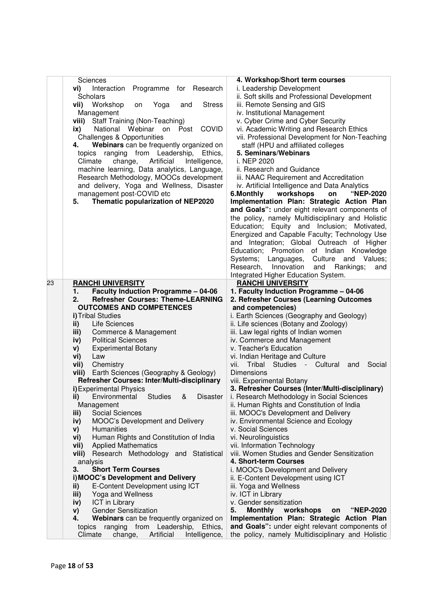|    | Sciences<br>Programme<br>vi)<br>Interaction<br>for<br>Research<br>Scholars<br><b>Stress</b><br>vii) Workshop<br>Yoga<br>and<br>on<br>Management<br>viii) Staff Training (Non-Teaching)<br>National Webinar on Post<br><b>COVID</b><br>ix)<br><b>Challenges &amp; Opportunities</b><br>Webinars can be frequently organized on<br>4.<br>topics ranging from Leadership,<br>Ethics.<br>Climate<br>change,<br>Artificial<br>Intelligence,<br>machine learning, Data analytics, Language,<br>Research Methodology, MOOCs development<br>and delivery, Yoga and Wellness, Disaster<br>management post-COVID etc<br>Thematic popularization of NEP2020<br>5. | 4. Workshop/Short term courses<br>i. Leadership Development<br>ii. Soft skills and Professional Development<br>iii. Remote Sensing and GIS<br>iv. Institutional Management<br>v. Cyber Crime and Cyber Security<br>vi. Academic Writing and Research Ethics<br>vii. Professional Development for Non-Teaching<br>staff (HPU and affiliated colleges<br>5. Seminars/Webinars<br>i. NEP 2020<br>ii. Research and Guidance<br>iii. NAAC Requirement and Accreditation<br>iv. Artificial Intelligence and Data Analytics<br>workshops<br>6.Monthly<br>"NEP-2020<br>on<br>Implementation Plan: Strategic Action Plan<br>and Goals": under eight relevant components of<br>the policy, namely Multidisciplinary and Holistic<br>Education; Equity and Inclusion; Motivated,<br>Energized and Capable Faculty; Technology Use<br>and Integration; Global Outreach of Higher<br>Education; Promotion of Indian Knowledge<br>Systems; Languages,<br>Culture and Values;<br>Innovation<br>Research,<br>and Rankings;<br>and<br>Integrated Higher Education System. |
|----|--------------------------------------------------------------------------------------------------------------------------------------------------------------------------------------------------------------------------------------------------------------------------------------------------------------------------------------------------------------------------------------------------------------------------------------------------------------------------------------------------------------------------------------------------------------------------------------------------------------------------------------------------------|----------------------------------------------------------------------------------------------------------------------------------------------------------------------------------------------------------------------------------------------------------------------------------------------------------------------------------------------------------------------------------------------------------------------------------------------------------------------------------------------------------------------------------------------------------------------------------------------------------------------------------------------------------------------------------------------------------------------------------------------------------------------------------------------------------------------------------------------------------------------------------------------------------------------------------------------------------------------------------------------------------------------------------------------------------|
| 23 | <b>RANCHI UNIVERSITY</b>                                                                                                                                                                                                                                                                                                                                                                                                                                                                                                                                                                                                                               | <b>RANCHI UNIVERSITY</b>                                                                                                                                                                                                                                                                                                                                                                                                                                                                                                                                                                                                                                                                                                                                                                                                                                                                                                                                                                                                                                 |
|    | <b>Faculty Induction Programme - 04-06</b><br>1.                                                                                                                                                                                                                                                                                                                                                                                                                                                                                                                                                                                                       | 1. Faculty Induction Programme - 04-06                                                                                                                                                                                                                                                                                                                                                                                                                                                                                                                                                                                                                                                                                                                                                                                                                                                                                                                                                                                                                   |
|    | <b>Refresher Courses: Theme-LEARNING</b><br>2.                                                                                                                                                                                                                                                                                                                                                                                                                                                                                                                                                                                                         | 2. Refresher Courses (Learning Outcomes                                                                                                                                                                                                                                                                                                                                                                                                                                                                                                                                                                                                                                                                                                                                                                                                                                                                                                                                                                                                                  |
|    | <b>OUTCOMES AND COMPETENCES</b>                                                                                                                                                                                                                                                                                                                                                                                                                                                                                                                                                                                                                        | and competencies)                                                                                                                                                                                                                                                                                                                                                                                                                                                                                                                                                                                                                                                                                                                                                                                                                                                                                                                                                                                                                                        |
|    | i) Tribal Studies                                                                                                                                                                                                                                                                                                                                                                                                                                                                                                                                                                                                                                      | i. Earth Sciences (Geography and Geology)                                                                                                                                                                                                                                                                                                                                                                                                                                                                                                                                                                                                                                                                                                                                                                                                                                                                                                                                                                                                                |
|    | ii)<br>Life Sciences<br>Commerce & Management                                                                                                                                                                                                                                                                                                                                                                                                                                                                                                                                                                                                          | ii. Life sciences (Botany and Zoology)<br>iii. Law legal rights of Indian women                                                                                                                                                                                                                                                                                                                                                                                                                                                                                                                                                                                                                                                                                                                                                                                                                                                                                                                                                                          |
|    | iii)<br><b>Political Sciences</b><br>iv)                                                                                                                                                                                                                                                                                                                                                                                                                                                                                                                                                                                                               | iv. Commerce and Management                                                                                                                                                                                                                                                                                                                                                                                                                                                                                                                                                                                                                                                                                                                                                                                                                                                                                                                                                                                                                              |
|    | <b>Experimental Botany</b><br>V)                                                                                                                                                                                                                                                                                                                                                                                                                                                                                                                                                                                                                       | v. Teacher's Education                                                                                                                                                                                                                                                                                                                                                                                                                                                                                                                                                                                                                                                                                                                                                                                                                                                                                                                                                                                                                                   |
|    | Law<br>vi)                                                                                                                                                                                                                                                                                                                                                                                                                                                                                                                                                                                                                                             | vi. Indian Heritage and Culture                                                                                                                                                                                                                                                                                                                                                                                                                                                                                                                                                                                                                                                                                                                                                                                                                                                                                                                                                                                                                          |
|    | vii)<br>Chemistry                                                                                                                                                                                                                                                                                                                                                                                                                                                                                                                                                                                                                                      | vii. Tribal Studies - Cultural<br>Social<br>and                                                                                                                                                                                                                                                                                                                                                                                                                                                                                                                                                                                                                                                                                                                                                                                                                                                                                                                                                                                                          |
|    | viii) Earth Sciences (Geography & Geology)                                                                                                                                                                                                                                                                                                                                                                                                                                                                                                                                                                                                             | <b>Dimensions</b>                                                                                                                                                                                                                                                                                                                                                                                                                                                                                                                                                                                                                                                                                                                                                                                                                                                                                                                                                                                                                                        |
|    | Refresher Courses: Inter/Multi-disciplinary                                                                                                                                                                                                                                                                                                                                                                                                                                                                                                                                                                                                            | viii. Experimental Botany                                                                                                                                                                                                                                                                                                                                                                                                                                                                                                                                                                                                                                                                                                                                                                                                                                                                                                                                                                                                                                |
|    | i) Experimental Physics                                                                                                                                                                                                                                                                                                                                                                                                                                                                                                                                                                                                                                | 3. Refresher Courses (Inter/Multi-disciplinary)                                                                                                                                                                                                                                                                                                                                                                                                                                                                                                                                                                                                                                                                                                                                                                                                                                                                                                                                                                                                          |
|    | <b>ii)</b> Environmental Studies & Disaster i. Research Methodology in Social Sciences                                                                                                                                                                                                                                                                                                                                                                                                                                                                                                                                                                 |                                                                                                                                                                                                                                                                                                                                                                                                                                                                                                                                                                                                                                                                                                                                                                                                                                                                                                                                                                                                                                                          |
|    | Management                                                                                                                                                                                                                                                                                                                                                                                                                                                                                                                                                                                                                                             | ii. Human Rights and Constitution of India                                                                                                                                                                                                                                                                                                                                                                                                                                                                                                                                                                                                                                                                                                                                                                                                                                                                                                                                                                                                               |
|    | Social Sciences<br>iii)                                                                                                                                                                                                                                                                                                                                                                                                                                                                                                                                                                                                                                | iii. MOOC's Development and Delivery                                                                                                                                                                                                                                                                                                                                                                                                                                                                                                                                                                                                                                                                                                                                                                                                                                                                                                                                                                                                                     |
|    | MOOC's Development and Delivery<br>iv)<br>Humanities<br>V)                                                                                                                                                                                                                                                                                                                                                                                                                                                                                                                                                                                             | iv. Environmental Science and Ecology<br>v. Social Sciences                                                                                                                                                                                                                                                                                                                                                                                                                                                                                                                                                                                                                                                                                                                                                                                                                                                                                                                                                                                              |
|    | Human Rights and Constitution of India<br>vi)                                                                                                                                                                                                                                                                                                                                                                                                                                                                                                                                                                                                          | vi. Neurolinguistics                                                                                                                                                                                                                                                                                                                                                                                                                                                                                                                                                                                                                                                                                                                                                                                                                                                                                                                                                                                                                                     |
|    | <b>Applied Mathematics</b><br>vii)                                                                                                                                                                                                                                                                                                                                                                                                                                                                                                                                                                                                                     | vii. Information Technology                                                                                                                                                                                                                                                                                                                                                                                                                                                                                                                                                                                                                                                                                                                                                                                                                                                                                                                                                                                                                              |
|    | viii) Research Methodology and Statistical                                                                                                                                                                                                                                                                                                                                                                                                                                                                                                                                                                                                             | viii. Women Studies and Gender Sensitization                                                                                                                                                                                                                                                                                                                                                                                                                                                                                                                                                                                                                                                                                                                                                                                                                                                                                                                                                                                                             |
|    | analysis                                                                                                                                                                                                                                                                                                                                                                                                                                                                                                                                                                                                                                               | 4. Short-term Courses                                                                                                                                                                                                                                                                                                                                                                                                                                                                                                                                                                                                                                                                                                                                                                                                                                                                                                                                                                                                                                    |
|    | <b>Short Term Courses</b><br>3.                                                                                                                                                                                                                                                                                                                                                                                                                                                                                                                                                                                                                        | i. MOOC's Development and Delivery                                                                                                                                                                                                                                                                                                                                                                                                                                                                                                                                                                                                                                                                                                                                                                                                                                                                                                                                                                                                                       |
|    | i) MOOC's Development and Delivery                                                                                                                                                                                                                                                                                                                                                                                                                                                                                                                                                                                                                     | ii. E-Content Development using ICT                                                                                                                                                                                                                                                                                                                                                                                                                                                                                                                                                                                                                                                                                                                                                                                                                                                                                                                                                                                                                      |
|    | E-Content Development using ICT<br>ii)                                                                                                                                                                                                                                                                                                                                                                                                                                                                                                                                                                                                                 | iii. Yoga and Wellness                                                                                                                                                                                                                                                                                                                                                                                                                                                                                                                                                                                                                                                                                                                                                                                                                                                                                                                                                                                                                                   |
|    | Yoga and Wellness<br>iii)<br>ICT in Library                                                                                                                                                                                                                                                                                                                                                                                                                                                                                                                                                                                                            | iv. ICT in Library<br>v. Gender sensitization                                                                                                                                                                                                                                                                                                                                                                                                                                                                                                                                                                                                                                                                                                                                                                                                                                                                                                                                                                                                            |
|    | iv)<br><b>Gender Sensitization</b><br>V)                                                                                                                                                                                                                                                                                                                                                                                                                                                                                                                                                                                                               | Monthly workshops<br>5.<br>"NEP-2020<br>on                                                                                                                                                                                                                                                                                                                                                                                                                                                                                                                                                                                                                                                                                                                                                                                                                                                                                                                                                                                                               |
|    | Webinars can be frequently organized on<br>4.                                                                                                                                                                                                                                                                                                                                                                                                                                                                                                                                                                                                          | Implementation Plan: Strategic Action Plan                                                                                                                                                                                                                                                                                                                                                                                                                                                                                                                                                                                                                                                                                                                                                                                                                                                                                                                                                                                                               |
|    | ranging from Leadership,<br>Ethics,<br>topics                                                                                                                                                                                                                                                                                                                                                                                                                                                                                                                                                                                                          | and Goals": under eight relevant components of                                                                                                                                                                                                                                                                                                                                                                                                                                                                                                                                                                                                                                                                                                                                                                                                                                                                                                                                                                                                           |
|    | Climate<br>change,<br>Artificial<br>Intelligence,                                                                                                                                                                                                                                                                                                                                                                                                                                                                                                                                                                                                      | the policy, namely Multidisciplinary and Holistic                                                                                                                                                                                                                                                                                                                                                                                                                                                                                                                                                                                                                                                                                                                                                                                                                                                                                                                                                                                                        |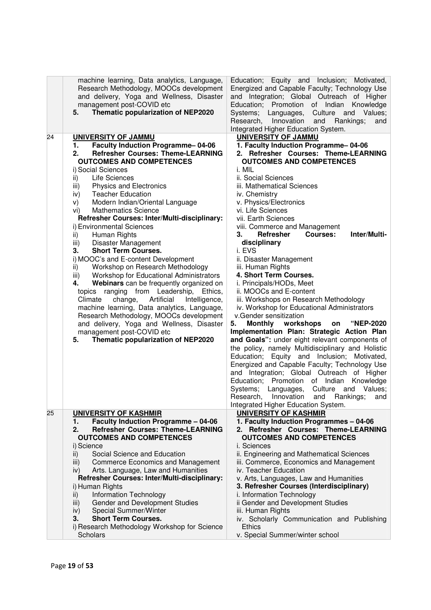|    | machine learning, Data analytics, Language,<br>Research Methodology, MOOCs development<br>and delivery, Yoga and Wellness, Disaster<br>management post-COVID etc<br>Thematic popularization of NEP2020<br>5.                                                                                                                                                                                                                                                                                                                                                                                                                                                                                                                                                                                                                                                                                                                                                                                                                                     | Education; Equity and Inclusion; Motivated,<br>Energized and Capable Faculty; Technology Use<br>and Integration; Global Outreach of Higher<br>Education; Promotion of Indian<br>Knowledge<br>Systems; Languages,<br>Culture and Values;<br>Research, Innovation<br>and<br>Rankings;<br>and<br>Integrated Higher Education System.                                                                                                                                                                                                                                                                                                                                                                                                                                                                                                                                                                                                                                                                                                                                                                                                                                                                           |
|----|--------------------------------------------------------------------------------------------------------------------------------------------------------------------------------------------------------------------------------------------------------------------------------------------------------------------------------------------------------------------------------------------------------------------------------------------------------------------------------------------------------------------------------------------------------------------------------------------------------------------------------------------------------------------------------------------------------------------------------------------------------------------------------------------------------------------------------------------------------------------------------------------------------------------------------------------------------------------------------------------------------------------------------------------------|-------------------------------------------------------------------------------------------------------------------------------------------------------------------------------------------------------------------------------------------------------------------------------------------------------------------------------------------------------------------------------------------------------------------------------------------------------------------------------------------------------------------------------------------------------------------------------------------------------------------------------------------------------------------------------------------------------------------------------------------------------------------------------------------------------------------------------------------------------------------------------------------------------------------------------------------------------------------------------------------------------------------------------------------------------------------------------------------------------------------------------------------------------------------------------------------------------------|
| 24 | UNIVERSITY OF JAMMU<br><b>Faculty Induction Programme-04-06</b><br>1.<br><b>Refresher Courses: Theme-LEARNING</b><br>2.<br><b>OUTCOMES AND COMPETENCES</b><br>i) Social Sciences<br>Life Sciences<br>ii)<br><b>Physics and Electronics</b><br>iii)<br><b>Teacher Education</b><br>iv)<br>Modern Indian/Oriental Language<br>V)<br><b>Mathematics Science</b><br>vi)<br>Refresher Courses: Inter/Multi-disciplinary:<br>i) Environmental Sciences<br>Human Rights<br>ii)<br>Disaster Management<br>iii)<br><b>Short Term Courses.</b><br>3.<br>i) MOOC's and E-content Development<br>Workshop on Research Methodology<br>ii)<br>Workshop for Educational Administrators<br>iii)<br>Webinars can be frequently organized on<br>4.<br>topics ranging from Leadership, Ethics,<br>Climate<br>change,<br>Artificial<br>Intelligence,<br>machine learning, Data analytics, Language,<br>Research Methodology, MOOCs development<br>and delivery, Yoga and Wellness, Disaster<br>management post-COVID etc<br>Thematic popularization of NEP2020<br>5. | UNIVERSITY OF JAMMU<br>1. Faculty Induction Programme-04-06<br>2. Refresher Courses: Theme-LEARNING<br><b>OUTCOMES AND COMPETENCES</b><br>i. MIL<br>ii. Social Sciences<br>iii. Mathematical Sciences<br>iv. Chemistry<br>v. Physics/Electronics<br>vi. Life Sciences<br>vii. Earth Sciences<br>viii. Commerce and Management<br>Inter/Multi-<br><b>Refresher</b><br><b>Courses:</b><br>З.<br>disciplinary<br>i. EVS<br>ii. Disaster Management<br>iii. Human Rights<br>4. Short Term Courses.<br>i. Principals/HODs, Meet<br>ii. MOOCs and E-content<br>iii. Workshops on Research Methodology<br>iv. Workshop for Educational Administrators<br>v.Gender sensitization<br>Monthly workshops<br>5.<br><b>"NEP-2020</b><br>on<br>Implementation Plan: Strategic Action Plan<br>and Goals": under eight relevant components of<br>the policy, namely Multidisciplinary and Holistic<br>Education; Equity and Inclusion; Motivated,<br>Energized and Capable Faculty; Technology Use<br>and Integration; Global Outreach of Higher<br>Education; Promotion of Indian<br>Knowledge<br>Systems; Languages, Culture and Values;<br>Research, Innovation and Rankings; and<br>Integrated Higher Education System. |
|    |                                                                                                                                                                                                                                                                                                                                                                                                                                                                                                                                                                                                                                                                                                                                                                                                                                                                                                                                                                                                                                                  |                                                                                                                                                                                                                                                                                                                                                                                                                                                                                                                                                                                                                                                                                                                                                                                                                                                                                                                                                                                                                                                                                                                                                                                                             |
| 25 | <b>UNIVERSITY OF KASHMIR</b><br><b>Faculty Induction Programme - 04-06</b><br>1.<br><b>Refresher Courses: Theme-LEARNING</b><br>2.<br><b>OUTCOMES AND COMPETENCES</b><br>i) Science<br>Social Science and Education<br>ii)<br><b>Commerce Economics and Management</b><br>iii)<br>Arts. Language, Law and Humanities<br>iv)<br>Refresher Courses: Inter/Multi-disciplinary:<br>i) Human Rights<br><b>Information Technology</b><br>ii)<br>Gender and Development Studies<br>iii)<br>Special Summer/Winter<br>iv)<br><b>Short Term Courses.</b><br>3.<br>i) Research Methodology Workshop for Science<br><b>Scholars</b>                                                                                                                                                                                                                                                                                                                                                                                                                          | <b>UNIVERSITY OF KASHMIR</b><br>1. Faculty Induction Programmes - 04-06<br>2. Refresher Courses: Theme-LEARNING<br><b>OUTCOMES AND COMPETENCES</b><br>i. Sciences<br>ii. Engineering and Mathematical Sciences<br>iii. Commerce, Economics and Management<br>iv. Teacher Education<br>v. Arts, Languages, Law and Humanities<br>3. Refresher Courses (Interdisciplinary)<br>i. Information Technology<br>ii Gender and Development Studies<br>iii. Human Rights<br>iv. Scholarly Communication and Publishing<br><b>Ethics</b><br>v. Special Summer/winter school                                                                                                                                                                                                                                                                                                                                                                                                                                                                                                                                                                                                                                           |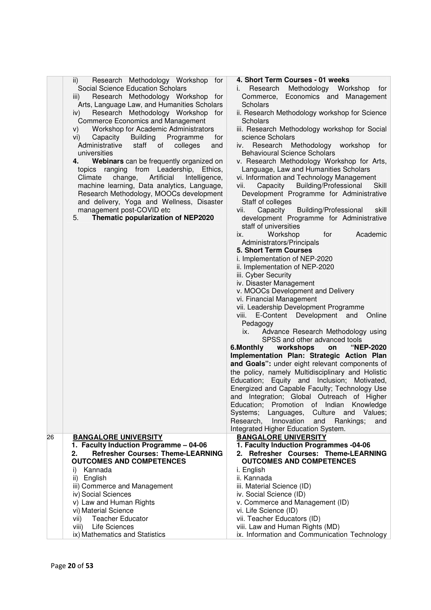| 4. Short Term Courses - 01 weeks<br>Research<br>Methodology Workshop<br>İ.<br>tor<br>Economics and Management<br>Commerce,<br>Scholars<br>ii. Research Methodology workshop for Science<br>Scholars<br>iii. Research Methodology workshop for Social<br>science Scholars<br>Research<br>Methodology<br>workshop<br>for<br>iv.<br><b>Behavioural Science Scholars</b><br>v. Research Methodology Workshop for Arts,<br>Language, Law and Humanities Scholars<br>vi. Information and Technology Management<br>Building/Professional<br>Capacity<br>vii.<br>Skill<br>Development Programme for Administrative<br>Staff of colleges<br>Capacity<br>Building/Professional<br>skill<br>Vİİ.<br>development Programme for Administrative<br>staff of universities<br>Academic<br>Workshop<br>ix.<br>for |
|--------------------------------------------------------------------------------------------------------------------------------------------------------------------------------------------------------------------------------------------------------------------------------------------------------------------------------------------------------------------------------------------------------------------------------------------------------------------------------------------------------------------------------------------------------------------------------------------------------------------------------------------------------------------------------------------------------------------------------------------------------------------------------------------------|
| Administrators/Principals<br>5. Short Term Courses<br>i. Implementation of NEP-2020<br>ii. Implementation of NEP-2020<br>iii. Cyber Security<br>iv. Disaster Management<br>v. MOOCs Development and Delivery<br>vi. Financial Management<br>vii. Leadership Development Programme<br>viii.<br>E-Content Development<br>and<br>Online<br>Pedagogy<br>Advance Research Methodology using<br>ix.<br>SPSS and other advanced tools<br>workshops<br>"NEP-2020<br>6.Monthly<br>on<br>Implementation Plan: Strategic Action Plan<br>and Goals": under eight relevant components of                                                                                                                                                                                                                      |
| the policy, namely Multidisciplinary and Holistic<br>Education; Equity and Inclusion; Motivated,<br>Energized and Capable Faculty; Technology Use<br>and Integration; Global Outreach of Higher<br>Education; Promotion of Indian Knowledge<br>Systems; Languages,<br>Culture and<br>Values;<br>Research, Innovation<br>Rankings;<br>and<br>and<br>Integrated Higher Education System.                                                                                                                                                                                                                                                                                                                                                                                                           |
| <b>BANGALORE UNIVERSITY</b><br>1. Faculty Induction Programmes -04-06<br>2. Refresher Courses: Theme-LEARNING<br><b>OUTCOMES AND COMPETENCES</b><br>i. English<br>ii. Kannada<br>iii. Material Science (ID)<br>iv. Social Science (ID)<br>v. Commerce and Management (ID)<br>vi. Life Science (ID)<br>vii. Teacher Educators (ID)<br>viii. Law and Human Rights (MD)                                                                                                                                                                                                                                                                                                                                                                                                                             |
| Research Methodology Workshop for<br>Research Methodology Workshop for<br>Arts, Language Law, and Humanities Scholars<br>Research Methodology Workshop for<br>for<br>and<br>Webinars can be frequently organized on<br>Ethics,<br>Intelligence,<br>machine learning, Data analytics, Language,<br>Research Methodology, MOOCs development<br>and delivery, Yoga and Wellness, Disaster<br><b>Refresher Courses: Theme-LEARNING</b>                                                                                                                                                                                                                                                                                                                                                               |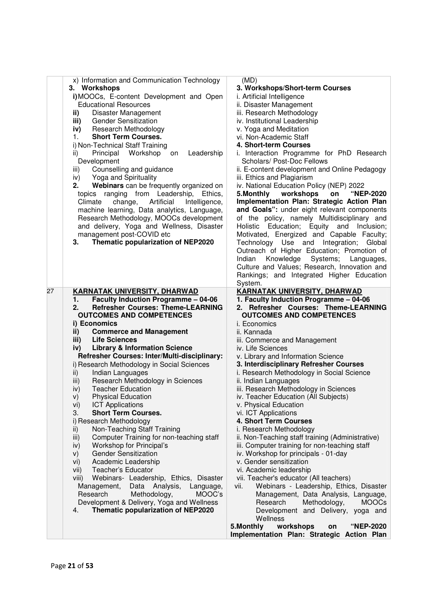| x) Information and Communication Technology<br>3. Workshops<br>i) MOOCs, E-content Development and Open<br><b>Educational Resources</b><br>Disaster Management<br>ii)<br><b>Gender Sensitization</b><br>iii)<br>iv)<br><b>Research Methodology</b><br><b>Short Term Courses.</b><br>1.<br>i) Non-Technical Staff Training<br>Principal<br>Workshop<br>Leadership<br>ii)<br>on<br>Development<br>Counselling and guidance<br>iii)<br>Yoga and Spirituality<br>iv)<br>Webinars can be frequently organized on<br>2.<br>topics ranging from Leadership,<br>Ethics,<br>change, Artificial<br>Climate<br>Intelligence,<br>machine learning, Data analytics, Language,<br>Research Methodology, MOOCs development<br>and delivery, Yoga and Wellness, Disaster<br>management post-COVID etc<br>Thematic popularization of NEP2020<br>З. | (MD)<br>3. Workshops/Short-term Courses<br>i. Artificial Intelligence<br>ii. Disaster Management<br>iii. Research Methodology<br>iv. Institutional Leadership<br>v. Yoga and Meditation<br>vi. Non-Academic Staff<br>4. Short-term Courses<br>i. Interaction Programme for PhD Research<br>Scholars/ Post-Doc Fellows<br>ii. E-content development and Online Pedagogy<br>iii. Ethics and Plagiarism<br>iv. National Education Policy (NEP) 2022<br>5. Monthly<br>workshops<br>"NEP-2020<br>on<br>Implementation Plan: Strategic Action Plan<br>and Goals": under eight relevant components<br>of the policy, namely Multidisciplinary and<br>Holistic Education; Equity and<br>Inclusion;<br>Motivated, Energized and Capable Faculty;<br>Technology Use and Integration;<br>Global<br>Outreach of Higher Education; Promotion of<br>Knowledge Systems;<br>Indian<br>Languages,<br>Culture and Values; Research, Innovation and<br>Rankings; and Integrated Higher Education<br>System. |
|-----------------------------------------------------------------------------------------------------------------------------------------------------------------------------------------------------------------------------------------------------------------------------------------------------------------------------------------------------------------------------------------------------------------------------------------------------------------------------------------------------------------------------------------------------------------------------------------------------------------------------------------------------------------------------------------------------------------------------------------------------------------------------------------------------------------------------------|------------------------------------------------------------------------------------------------------------------------------------------------------------------------------------------------------------------------------------------------------------------------------------------------------------------------------------------------------------------------------------------------------------------------------------------------------------------------------------------------------------------------------------------------------------------------------------------------------------------------------------------------------------------------------------------------------------------------------------------------------------------------------------------------------------------------------------------------------------------------------------------------------------------------------------------------------------------------------------------|
| <b>Refresher Courses: Theme-LEARNING</b><br>2.<br><b>OUTCOMES AND COMPETENCES</b><br>i) Economics<br><b>Commerce and Management</b><br>ii)<br>iii)<br><b>Life Sciences</b><br><b>Library &amp; Information Science</b><br>iv)<br>Refresher Courses: Inter/Multi-disciplinary:<br>i) Research Methodology in Social Sciences<br>Indian Languages<br>ii)<br>Research Methodology in Sciences<br>iii)<br><b>Teacher Education</b><br>iv)<br><b>Physical Education</b><br>V)<br><b>ICT Applications</b><br>vi)<br><b>Short Term Courses.</b><br>3.<br>i) Research Methodology<br>Non-Teaching Staff Training<br>ii)<br>Computer Training for non-teaching staff<br>iii)                                                                                                                                                               | 2. Refresher Courses: Theme-LEARNING<br><b>OUTCOMES AND COMPETENCES</b><br>i. Economics<br>ii. Kannada<br>iii. Commerce and Management<br>iv. Life Sciences<br>v. Library and Information Science<br>3. Interdisciplinary Refresher Courses<br>i. Research Methodology in Social Science<br>ii. Indian Languages<br>iii. Research Methodology in Sciences<br>iv. Teacher Education (All Subjects)<br>v. Physical Education<br>vi. ICT Applications<br>4. Short Term Courses<br>i. Research Methodology<br>ii. Non-Teaching staff training (Administrative)                                                                                                                                                                                                                                                                                                                                                                                                                               |
| Workshop for Principal's<br>iv)<br><b>Gender Sensitization</b><br>V)<br>Academic Leadership<br>vi)<br>Teacher's Educator<br>vii)<br>Webinars- Leadership, Ethics, Disaster<br>viii)<br>Data Analysis,<br>Management,<br>Language,<br>Research<br>Methodology,<br>MOOC's<br>Development & Delivery, Yoga and Wellness<br>Thematic popularization of NEP2020<br>4.                                                                                                                                                                                                                                                                                                                                                                                                                                                                  | iii. Computer training for non-teaching staff<br>iv. Workshop for principals - 01-day<br>v. Gender sensitization<br>vi. Academic leadership<br>vii. Teacher's educator (All teachers)<br>Webinars - Leadership, Ethics, Disaster<br>vii.<br>Management, Data Analysis, Language,<br>Research<br>Methodology,<br><b>MOOCs</b><br>Development and Delivery, yoga and<br>Wellness<br>workshops<br>"NEP-2020<br>5. Monthly<br>on<br>Implementation Plan: Strategic Action Plan                                                                                                                                                                                                                                                                                                                                                                                                                                                                                                               |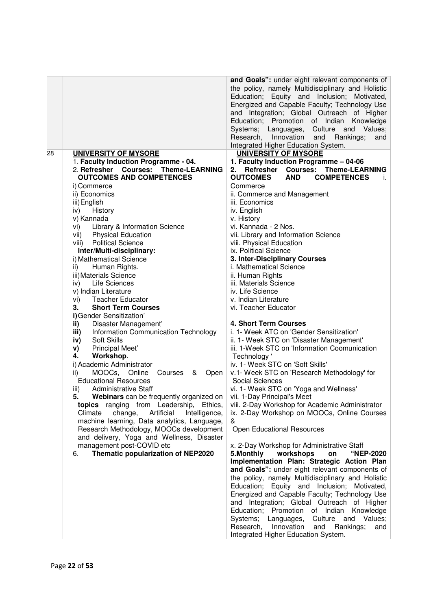|    |                                                                                      | and Goals": under eight relevant components of<br>the policy, namely Multidisciplinary and Holistic<br>Education; Equity and Inclusion; Motivated,                                                                                                                           |
|----|--------------------------------------------------------------------------------------|------------------------------------------------------------------------------------------------------------------------------------------------------------------------------------------------------------------------------------------------------------------------------|
|    |                                                                                      | Energized and Capable Faculty; Technology Use<br>and Integration; Global Outreach of Higher<br>Education; Promotion of Indian Knowledge<br>Systems; Languages,<br>Culture and Values;<br>Research, Innovation<br>and Rankings;<br>and<br>Integrated Higher Education System. |
| 28 | <b>UNIVERSITY OF MYSORE</b>                                                          | <b>UNIVERSITY OF MYSORE</b>                                                                                                                                                                                                                                                  |
|    | 1. Faculty Induction Programme - 04.                                                 | 1. Faculty Induction Programme - 04-06                                                                                                                                                                                                                                       |
|    | 2. Refresher Courses: Theme-LEARNING                                                 | Refresher<br><b>Courses: Theme-LEARNING</b><br>2.                                                                                                                                                                                                                            |
|    | <b>OUTCOMES AND COMPETENCES</b>                                                      | <b>COMPETENCES</b><br><b>OUTCOMES</b><br><b>AND</b><br>İ.                                                                                                                                                                                                                    |
|    | i) Commerce                                                                          | Commerce                                                                                                                                                                                                                                                                     |
|    | ii) Economics                                                                        | ii. Commerce and Management                                                                                                                                                                                                                                                  |
|    | iii) English                                                                         | iii. Economics                                                                                                                                                                                                                                                               |
|    | History<br>iv)<br>v) Kannada                                                         | iv. English<br>v. History                                                                                                                                                                                                                                                    |
|    | vi) Library & Information Science                                                    | vi. Kannada - 2 Nos.                                                                                                                                                                                                                                                         |
|    | vii) Physical Education                                                              | vii. Library and Information Science                                                                                                                                                                                                                                         |
|    | viii) Political Science                                                              | viii. Physical Education                                                                                                                                                                                                                                                     |
|    | Inter/Multi-disciplinary:                                                            | ix. Political Science                                                                                                                                                                                                                                                        |
|    | i) Mathematical Science                                                              | 3. Inter-Disciplinary Courses                                                                                                                                                                                                                                                |
|    | ii)<br>Human Rights.                                                                 | i. Mathematical Science                                                                                                                                                                                                                                                      |
|    | iii) Materials Science                                                               | ii. Human Rights                                                                                                                                                                                                                                                             |
|    | iv) Life Sciences                                                                    | iii. Materials Science                                                                                                                                                                                                                                                       |
|    | v) Indian Literature                                                                 | iv. Life Science                                                                                                                                                                                                                                                             |
|    | <b>Teacher Educator</b><br>vi)<br><b>Short Term Courses</b><br>3.                    | v. Indian Literature<br>vi. Teacher Educator                                                                                                                                                                                                                                 |
|    | i) Gender Sensitization'                                                             |                                                                                                                                                                                                                                                                              |
|    | Disaster Management'<br>ii)                                                          | 4. Short Term Courses                                                                                                                                                                                                                                                        |
|    | Information Communication Technology<br>iii)                                         | i. 1- Week ATC on 'Gender Sensitization'                                                                                                                                                                                                                                     |
|    | Soft Skills<br>iv)                                                                   | ii. 1- Week STC on 'Disaster Management'                                                                                                                                                                                                                                     |
|    | Principal Meet'<br>V)                                                                | iii. 1-Week STC on 'Information Coomunication                                                                                                                                                                                                                                |
|    | Workshop.<br>4.                                                                      | Technology '                                                                                                                                                                                                                                                                 |
|    | i) Academic Administrator                                                            | iv. 1- Week STC on 'Soft Skills'                                                                                                                                                                                                                                             |
|    | MOOCs,<br>Online<br>Courses & Open<br>ii)<br><b>Educational Resources</b>            | v.1- Week STC on 'Research Methodology' for<br>Social Sciences                                                                                                                                                                                                               |
|    | <b>Administrative Staff</b><br>iii)                                                  | vi. 1- Week STC on 'Yoga and Wellness'                                                                                                                                                                                                                                       |
|    | 5.<br>Webinars can be frequently organized on   vii. 1-Day Principal's Meet          |                                                                                                                                                                                                                                                                              |
|    | topics ranging from Leadership, Ethics,                                              | viii. 2-Day Workshop for Academic Administrator                                                                                                                                                                                                                              |
|    | Climate<br>change,<br>Artificial<br>Intelligence,                                    | ix. 2-Day Workshop on MOOCs, Online Courses                                                                                                                                                                                                                                  |
|    | machine learning, Data analytics, Language,                                          | &                                                                                                                                                                                                                                                                            |
|    | Research Methodology, MOOCs development<br>and delivery, Yoga and Wellness, Disaster | <b>Open Educational Resources</b>                                                                                                                                                                                                                                            |
|    | management post-COVID etc                                                            | x. 2-Day Workshop for Administrative Staff                                                                                                                                                                                                                                   |
|    | Thematic popularization of NEP2020<br>6.                                             | 5. Monthly<br>workshops<br>"NEP-2020<br>on                                                                                                                                                                                                                                   |
|    |                                                                                      | Implementation Plan: Strategic Action Plan<br>and Goals": under eight relevant components of                                                                                                                                                                                 |
|    |                                                                                      | the policy, namely Multidisciplinary and Holistic                                                                                                                                                                                                                            |
|    |                                                                                      | Education; Equity and Inclusion; Motivated,                                                                                                                                                                                                                                  |
|    |                                                                                      | Energized and Capable Faculty; Technology Use                                                                                                                                                                                                                                |
|    |                                                                                      | and Integration; Global Outreach of Higher                                                                                                                                                                                                                                   |
|    |                                                                                      | Education; Promotion of Indian Knowledge                                                                                                                                                                                                                                     |
|    |                                                                                      | Systems; Languages,<br>Culture and<br>Values;                                                                                                                                                                                                                                |
|    |                                                                                      | Research,<br>Rankings;<br>Innovation<br>and<br>and                                                                                                                                                                                                                           |
|    |                                                                                      | Integrated Higher Education System.                                                                                                                                                                                                                                          |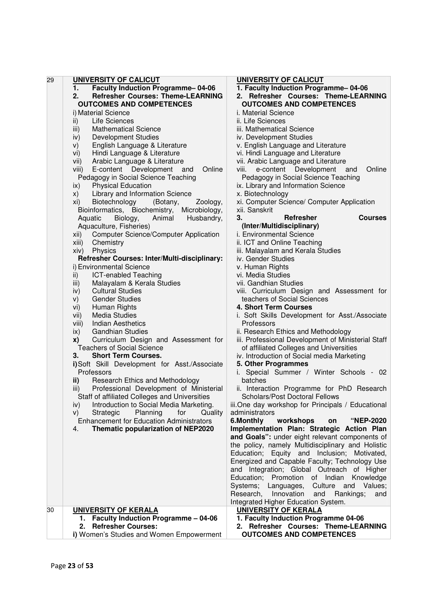| 29 | UNIVERSITY OF CALICUT                                | <b>UNIVERSITY OF CALICUT</b>                       |
|----|------------------------------------------------------|----------------------------------------------------|
|    | Faculty Induction Programme-04-06<br>1.              | 1. Faculty Induction Programme-04-06               |
|    | 2.<br><b>Refresher Courses: Theme-LEARNING</b>       | 2. Refresher Courses: Theme-LEARNING               |
|    | <b>OUTCOMES AND COMPETENCES</b>                      | <b>OUTCOMES AND COMPETENCES</b>                    |
|    | i) Material Science                                  | i. Material Science                                |
|    | Life Sciences<br>ii)                                 | ii. Life Sciences                                  |
|    | <b>Mathematical Science</b><br>iii)                  | iii. Mathematical Science                          |
|    | <b>Development Studies</b><br>iv)                    | iv. Development Studies                            |
|    | English Language & Literature<br>V)                  | v. English Language and Literature                 |
|    | Hindi Language & Literature<br>vi)                   | vi. Hindi Language and Literature                  |
|    | Arabic Language & Literature<br>vii)                 | vii. Arabic Language and Literature                |
|    | E-content Development and<br>Online                  | e-content Development<br>Online<br>viii.           |
|    | viii)                                                | and                                                |
|    | Pedagogy in Social Science Teaching                  | Pedagogy in Social Science Teaching                |
|    | <b>Physical Education</b><br>ix)                     | ix. Library and Information Science                |
|    | Library and Information Science<br>X)                | x. Biotechnology                                   |
|    | Biotechnology<br>(Botany,<br>Zoology,<br>XI)         | xi. Computer Science/ Computer Application         |
|    | Bioinformatics, Biochemistry,<br>Microbiology,       | xii. Sanskrit                                      |
|    | Aquatic<br>Biology,<br>Animal<br>Husbandry,          | 3.<br><b>Refresher</b><br><b>Courses</b>           |
|    | Aquaculture, Fisheries)                              | (Inter/Multidisciplinary)                          |
|    | <b>Computer Science/Computer Application</b><br>xii) | i. Environmental Science                           |
|    | Chemistry<br>xiii)                                   | ii. ICT and Online Teaching                        |
|    | Physics<br>xiv)                                      | iii. Malayalam and Kerala Studies                  |
|    | Refresher Courses: Inter/Multi-disciplinary:         | iv. Gender Studies                                 |
|    | i) Environmental Science                             | v. Human Rights                                    |
|    | $\mathsf{ii}$<br><b>ICT-enabled Teaching</b>         | vi. Media Studies                                  |
|    | Malayalam & Kerala Studies<br>iii)                   | vii. Gandhian Studies                              |
|    | <b>Cultural Studies</b><br>iv)                       | viii. Curriculum Design and Assessment for         |
|    | <b>Gender Studies</b><br>V)                          | teachers of Social Sciences                        |
|    | Human Rights<br>vi)                                  | 4. Short Term Courses                              |
|    | vii)<br>Media Studies                                | i. Soft Skills Development for Asst./Associate     |
|    | <b>Indian Aesthetics</b><br>viii)                    | Professors                                         |
|    | $\mathsf{ix}$<br><b>Gandhian Studies</b>             | ii. Research Ethics and Methodology                |
|    | Curriculum Design and Assessment for<br>x)           | iii. Professional Development of Ministerial Staff |
|    | <b>Teachers of Social Science</b>                    | of affiliated Colleges and Universities            |
|    | 3.<br><b>Short Term Courses.</b>                     | iv. Introduction of Social media Marketing         |
|    |                                                      | 5. Other Programmes                                |
|    | i)Soft Skill Development for Asst./Associate         |                                                    |
|    | Professors                                           | i. Special Summer / Winter Schools - 02            |
|    | Research Ethics and Methodology<br>ii)               | batches                                            |
|    | Professional Development of Ministerial<br>iii)      | ii. Interaction Programme for PhD Research         |
|    | Staff of affiliated Colleges and Universities        | <b>Scholars/Post Doctoral Fellows</b>              |
|    | Introduction to Social Media Marketing.<br>iv)       | iii. One day workshop for Principals / Educational |
|    | Planning<br>for<br>Strategic<br>Quality<br>V)        | administrators                                     |
|    | <b>Enhancement for Education Administrators</b>      | 6.Monthly<br>workshops<br>on<br>"NEP-2020          |
|    | Thematic popularization of NEP2020<br>4.             | Implementation Plan: Strategic Action Plan         |
|    |                                                      | and Goals": under eight relevant components of     |
|    |                                                      | the policy, namely Multidisciplinary and Holistic  |
|    |                                                      | Education; Equity and Inclusion; Motivated,        |
|    |                                                      | Energized and Capable Faculty; Technology Use      |
|    |                                                      | and Integration; Global Outreach of Higher         |
|    |                                                      | Education; Promotion of Indian Knowledge           |
|    |                                                      | Systems; Languages,<br>Culture and Values;         |
|    |                                                      | Research, Innovation<br>and<br>Rankings;<br>and    |
|    |                                                      | Integrated Higher Education System.                |
| 30 | <b>UNIVERSITY OF KERALA</b>                          | <b>UNIVERSITY OF KERALA</b>                        |
|    | 1. Faculty Induction Programme - 04-06               | 1. Faculty Induction Programme 04-06               |
|    | <b>Refresher Courses:</b><br>2.                      | 2. Refresher Courses: Theme-LEARNING               |
|    | i) Women's Studies and Women Empowerment             | <b>OUTCOMES AND COMPETENCES</b>                    |
|    |                                                      |                                                    |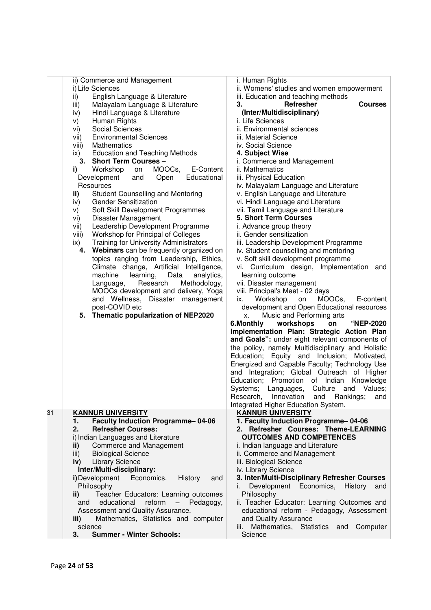|    | ii) Commerce and Management                          | i. Human Rights                                                      |
|----|------------------------------------------------------|----------------------------------------------------------------------|
|    | i) Life Sciences                                     | ii. Womens' studies and women empowerment                            |
|    | English Language & Literature<br>ii)                 | iii. Education and teaching methods                                  |
|    | Malayalam Language & Literature<br>iii)              | 3.<br>Refresher<br><b>Courses</b>                                    |
|    | Hindi Language & Literature<br>iv)                   | (Inter/Multidisciplinary)                                            |
|    | Human Rights<br>V)                                   | i. Life Sciences                                                     |
|    | Social Sciences<br>vi)                               | ii. Environmental sciences                                           |
|    | <b>Environmental Sciences</b><br>vii)                | iii. Material Science                                                |
|    | viii)<br>Mathematics                                 | iv. Social Science                                                   |
|    | <b>Education and Teaching Methods</b><br>ix)         | 4. Subject Wise                                                      |
|    | 3. Short Term Courses -                              | i. Commerce and Management                                           |
|    | Workshop<br>MOOCs,<br>E-Content<br>i)<br>on          | ii. Mathematics                                                      |
|    | Development<br>Open<br>Educational<br>and            | iii. Physical Education                                              |
|    | Resources                                            | iv. Malayalam Language and Literature                                |
|    |                                                      |                                                                      |
|    | <b>Student Counselling and Mentoring</b><br>ii)      | v. English Language and Literature                                   |
|    | <b>Gender Sensitization</b><br>iv)                   | vi. Hindi Language and Literature                                    |
|    | Soft Skill Development Programmes<br>V)              | vii. Tamil Language and Literature                                   |
|    | Disaster Management<br>vi)                           | <b>5. Short Term Courses</b>                                         |
|    | Leadership Development Programme<br>vii)             | i. Advance group theory                                              |
|    | Workshop for Principal of Colleges<br>viii)          | ii. Gender sensitization                                             |
|    | <b>Training for University Administrators</b><br>ix) | iii. Leadership Development Programme                                |
|    | Webinars can be frequently organized on<br>4.        | iv. Student counselling and mentoring                                |
|    | topics ranging from Leadership, Ethics,              | v. Soft skill development programme                                  |
|    | Climate change, Artificial Intelligence,             | vi. Curriculum design, Implementation<br>and                         |
|    | machine<br>learning,<br>Data<br>analytics,           | learning outcome                                                     |
|    | Research<br>Methodology,<br>Language,                | vii. Disaster management                                             |
|    | MOOCs development and delivery, Yoga                 | viii. Principal's Meet - 02 days                                     |
|    | and Wellness, Disaster management                    | Workshop<br>MOOCs,<br>E-content<br>on<br>ix.                         |
|    | post-COVID etc                                       | development and Open Educational resources                           |
|    | 5. Thematic popularization of NEP2020                | Music and Performing arts                                            |
|    |                                                      | X.<br>6.Monthly<br>"NEP-2020                                         |
|    |                                                      | workshops<br>on                                                      |
|    |                                                      | Implementation Plan: Strategic Action Plan                           |
|    |                                                      | and Goals": under eight relevant components of                       |
|    |                                                      | the policy, namely Multidisciplinary and Holistic                    |
|    |                                                      | Education; Equity and Inclusion; Motivated,                          |
|    |                                                      | Energized and Capable Faculty; Technology Use                        |
|    |                                                      | and Integration; Global Outreach of Higher                           |
|    |                                                      | Education; Promotion of Indian Knowledge                             |
|    |                                                      | Systems; Languages, Culture and Values;                              |
|    |                                                      | Research, Innovation and Rankings; and                               |
|    |                                                      | Integrated Higher Education System.                                  |
| 31 | <b>KANNUR UNIVERSITY</b>                             | <b>KANNUR UNIVERSITY</b>                                             |
|    | <b>Faculty Induction Programme-04-06</b><br>1.       | 1. Faculty Induction Programme-04-06                                 |
|    | <b>Refresher Courses:</b><br>2.                      | 2. Refresher Courses: Theme-LEARNING                                 |
|    | i) Indian Languages and Literature                   | <b>OUTCOMES AND COMPETENCES</b>                                      |
|    | Commerce and Management<br>ii)                       | i. Indian language and Literature                                    |
|    | <b>Biological Science</b><br>iii)                    | ii. Commerce and Management                                          |
|    | <b>Library Science</b><br>iv)                        | iii. Biological Science                                              |
|    | Inter/Multi-disciplinary:                            |                                                                      |
|    | i) Development<br>Economics.                         | iv. Library Science<br>3. Inter/Multi-Disciplinary Refresher Courses |
|    | History<br>and                                       |                                                                      |
|    | Philosophy                                           | Development Economics,<br>History<br>and<br>İ.                       |
|    | Teacher Educators: Learning outcomes<br>ii)          | Philosophy                                                           |
|    | educational<br>reform<br>and<br>Pedagogy,<br>-       | ii. Teacher Educator: Learning Outcomes and                          |
|    | Assessment and Quality Assurance.                    | educational reform - Pedagogy, Assessment                            |
|    | Mathematics, Statistics and computer<br>iii)         | and Quality Assurance                                                |
|    | science                                              | Mathematics, Statistics and<br>Computer<br>iii.                      |
|    | <b>Summer - Winter Schools:</b><br>3.                | Science                                                              |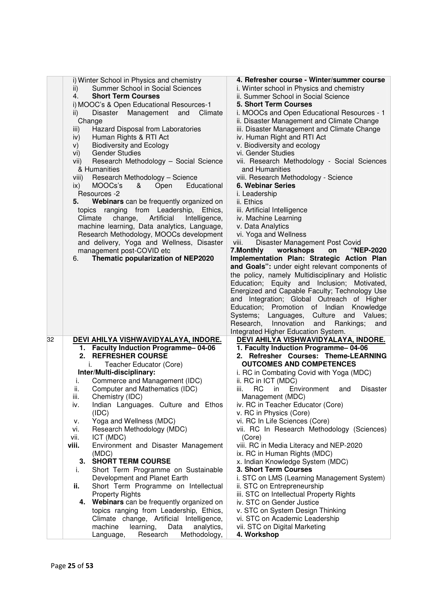|    |               | i) Winter School in Physics and chemistry                                           | 4. Refresher course - Winter/summer course                                                   |
|----|---------------|-------------------------------------------------------------------------------------|----------------------------------------------------------------------------------------------|
|    | ii)           | Summer School in Social Sciences                                                    | i. Winter school in Physics and chemistry                                                    |
|    | 4.            | <b>Short Term Courses</b>                                                           | ii. Summer School in Social Science                                                          |
|    |               | i) MOOC's & Open Educational Resources-1                                            | <b>5. Short Term Courses</b>                                                                 |
|    | ii)           | Disaster<br>Management<br>and<br>Climate                                            | i. MOOCs and Open Educational Resources - 1                                                  |
|    |               | Change                                                                              | ii. Disaster Management and Climate Change                                                   |
|    | iii)          | Hazard Disposal from Laboratories                                                   | iii. Disaster Management and Climate Change                                                  |
|    | iv)           | Human Rights & RTI Act                                                              | iv. Human Right and RTI Act                                                                  |
|    | V)            | <b>Biodiversity and Ecology</b>                                                     | v. Biodiversity and ecology                                                                  |
|    | vi)           | <b>Gender Studies</b>                                                               | vi. Gender Studies                                                                           |
|    | vii)          | Research Methodology - Social Science                                               | vii. Research Methodology - Social Sciences                                                  |
|    |               | & Humanities                                                                        | and Humanities                                                                               |
|    | viii)         | Research Methodology - Science                                                      | viii. Research Methodology - Science                                                         |
|    | ix)           | MOOCs's<br>&<br>Educational<br>Open                                                 | <b>6. Webinar Series</b>                                                                     |
|    |               | Resources -2                                                                        | i. Leadership                                                                                |
|    | 5.            | Webinars can be frequently organized on                                             | ii. Ethics                                                                                   |
|    |               | ranging<br>from Leadership,<br>Ethics.<br>topics                                    | iii. Artificial Intelligence                                                                 |
|    |               | Climate<br>change,<br>Artificial<br>Intelligence,                                   | iv. Machine Learning                                                                         |
|    |               | machine learning, Data analytics, Language,                                         | v. Data Analytics                                                                            |
|    |               | Research Methodology, MOOCs development                                             | vi. Yoga and Wellness                                                                        |
|    |               | and delivery, Yoga and Wellness, Disaster                                           | Disaster Management Post Covid<br>viii.                                                      |
|    |               | management post-COVID etc                                                           | 7. Monthly<br>workshops<br>"NEP-2020<br>on                                                   |
|    | 6.            | Thematic popularization of NEP2020                                                  | Implementation Plan: Strategic Action Plan                                                   |
|    |               |                                                                                     | and Goals": under eight relevant components of                                               |
|    |               |                                                                                     | the policy, namely Multidisciplinary and Holistic                                            |
|    |               |                                                                                     | Education; Equity and Inclusion; Motivated,                                                  |
|    |               |                                                                                     | Energized and Capable Faculty; Technology Use                                                |
|    |               |                                                                                     | and Integration; Global Outreach of Higher                                                   |
|    |               |                                                                                     | Knowledge<br>Education; Promotion of Indian                                                  |
|    |               |                                                                                     |                                                                                              |
|    |               |                                                                                     | Systems;<br>Languages,<br>Culture and Values;<br>Research,<br>Innovation<br>Rankings;<br>and |
|    |               |                                                                                     | and<br>Integrated Higher Education System.                                                   |
| 32 |               | DEVI AHILYA VISHWAVIDYALAYA, INDORE.                                                | <u>DEVI AHILYA VISHWAVIDYALAYA, INDORE.</u>                                                  |
|    |               | 1. Faculty Induction Programme-04-06                                                | 1. Faculty Induction Programme-04-06                                                         |
|    | 2.            | <b>REFRESHER COURSE</b>                                                             | 2. Refresher Courses: Theme-LEARNING                                                         |
|    |               | Teacher Educator (Core)<br>i.                                                       | <b>OUTCOMES AND COMPETENCES</b>                                                              |
|    |               |                                                                                     |                                                                                              |
|    | i.            | Inter/Multi-disciplinary:<br>Commerce and Management (IDC)                          | i. RC in Combating Covid with Yoga (MDC)<br>ii. RC in ICT (MDC)                              |
|    | ii.           | Computer and Mathematics (IDC)                                                      | RC<br>Environment<br>iii.<br>in<br><b>Disaster</b>                                           |
|    | iii.          |                                                                                     | and                                                                                          |
|    | iv.           | Chemistry (IDC)<br>Indian Languages. Culture and Ethos                              | Management (MDC)<br>iv. RC in Teacher Educator (Core)                                        |
|    |               | (IDC)                                                                               | v. RC in Physics (Core)                                                                      |
|    |               | Yoga and Wellness (MDC)                                                             | vi. RC In Life Sciences (Core)                                                               |
|    | ν.            |                                                                                     | vii. RC In Research Methodology (Sciences)                                                   |
|    | vi.           | Research Methodology (MDC)<br>ICT (MDC)                                             |                                                                                              |
|    | vii.<br>viii. | Environment and Disaster Management                                                 | (Core)<br>viii. RC in Media Literacy and NEP-2020                                            |
|    |               |                                                                                     |                                                                                              |
|    | 3.            | (MDC)<br><b>SHORT TERM COURSE</b>                                                   | ix. RC in Human Rights (MDC)<br>x. Indian Knowledge System (MDC)                             |
|    |               |                                                                                     | 3. Short Term Courses                                                                        |
|    | İ.            | Short Term Programme on Sustainable                                                 |                                                                                              |
|    |               | Development and Planet Earth                                                        | i. STC on LMS (Learning Management System)                                                   |
|    | ii.           | Short Term Programme on Intellectual                                                | ii. STC on Entrepreneurship                                                                  |
|    |               | <b>Property Rights</b>                                                              | iii. STC on Intellectual Property Rights                                                     |
|    |               | 4. Webinars can be frequently organized on                                          | iv. STC on Gender Justice                                                                    |
|    |               | topics ranging from Leadership, Ethics,                                             | v. STC on System Design Thinking                                                             |
|    |               |                                                                                     |                                                                                              |
|    |               | Climate change, Artificial Intelligence,                                            | vi. STC on Academic Leadership                                                               |
|    |               | machine<br>learning,<br>Data<br>analytics,<br>Research<br>Methodology,<br>Language, | vii. STC on Digital Marketing<br>4. Workshop                                                 |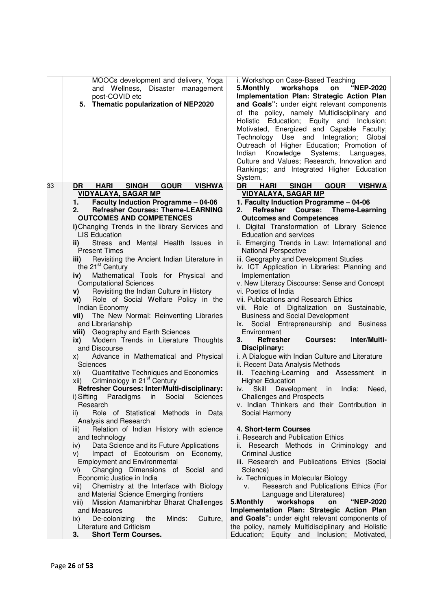| MOOCs development and delivery, Yoga<br>and Wellness, Disaster management<br>post-COVID etc<br>5. Thematic popularization of NEP2020                                                                                                                                                                                                                                                                                                                                                                                                                                                                                                                                                                                                                                                                         | i. Workshop on Case-Based Teaching<br>5.Monthly workshops<br>"NEP-2020<br>on<br>Implementation Plan: Strategic Action Plan<br>and Goals": under eight relevant components<br>of the policy, namely Multidisciplinary and<br>Holistic<br>Education; Equity and Inclusion;<br>Motivated, Energized and Capable Faculty;<br>Technology Use and Integration; Global<br>Outreach of Higher Education; Promotion of<br>Indian<br>Knowledge<br>Systems;<br>Languages,<br>Culture and Values; Research, Innovation and<br>Rankings; and Integrated Higher Education<br>System.                                                                                                                                                                                                                                                  |
|--------------------------------------------------------------------------------------------------------------------------------------------------------------------------------------------------------------------------------------------------------------------------------------------------------------------------------------------------------------------------------------------------------------------------------------------------------------------------------------------------------------------------------------------------------------------------------------------------------------------------------------------------------------------------------------------------------------------------------------------------------------------------------------------------------------|-------------------------------------------------------------------------------------------------------------------------------------------------------------------------------------------------------------------------------------------------------------------------------------------------------------------------------------------------------------------------------------------------------------------------------------------------------------------------------------------------------------------------------------------------------------------------------------------------------------------------------------------------------------------------------------------------------------------------------------------------------------------------------------------------------------------------|
| <b>GOUR</b><br>33<br>DR<br><b>HARI</b><br><b>SINGH</b><br><b>VISHWA</b>                                                                                                                                                                                                                                                                                                                                                                                                                                                                                                                                                                                                                                                                                                                                      | <b>GOUR</b><br>DR<br><b>HARI</b><br><b>SINGH</b><br><b>VISHWA</b>                                                                                                                                                                                                                                                                                                                                                                                                                                                                                                                                                                                                                                                                                                                                                       |
| <b>VIDYALAYA, SAGAR MP</b>                                                                                                                                                                                                                                                                                                                                                                                                                                                                                                                                                                                                                                                                                                                                                                                   | <b>VIDYALAYA, SAGAR MP</b>                                                                                                                                                                                                                                                                                                                                                                                                                                                                                                                                                                                                                                                                                                                                                                                              |
| <b>Faculty Induction Programme - 04-06</b><br>1.<br><b>Refresher Courses: Theme-LEARNING</b><br>2.<br><b>OUTCOMES AND COMPETENCES</b><br>i) Changing Trends in the library Services and<br><b>LIS Education</b><br>Stress and<br>Mental Health Issues in<br>ii)<br><b>Present Times</b><br>Revisiting the Ancient Indian Literature in<br>iii)<br>the 21 <sup>st</sup> Century<br>Mathematical Tools for Physical and<br>iv)<br><b>Computational Sciences</b><br>Revisiting the Indian Culture in History<br>V)<br>Role of Social Welfare Policy in the<br>Vİ) —<br>Indian Economy<br>The New Normal: Reinventing Libraries<br>vii)<br>and Librarianship<br>viii) Geography and Earth Sciences<br>Modern Trends in Literature Thoughts<br>ix)<br>and Discourse<br>Advance in Mathematical and Physical<br>X) | 1. Faculty Induction Programme - 04-06<br>Refresher Course:<br>2.<br><b>Theme-Learning</b><br><b>Outcomes and Competences</b><br>i. Digital Transformation of Library Science<br><b>Education and services</b><br>ii. Emerging Trends in Law: International and<br><b>National Perspective</b><br>iii. Geography and Development Studies<br>iv. ICT Application in Libraries: Planning and<br>Implementation<br>v. New Literacy Discourse: Sense and Concept<br>vi. Poetics of India<br>vii. Publications and Research Ethics<br>viii. Role of Digitalization on Sustainable,<br><b>Business and Social Development</b><br>Social Entrepreneurship and Business<br>ix.<br>Environment<br>Inter/Multi-<br><b>Refresher</b><br><b>Courses:</b><br>З.<br>Disciplinary:<br>i. A Dialogue with Indian Culture and Literature |
| Sciences                                                                                                                                                                                                                                                                                                                                                                                                                                                                                                                                                                                                                                                                                                                                                                                                     | ii. Recent Data Analysis Methods                                                                                                                                                                                                                                                                                                                                                                                                                                                                                                                                                                                                                                                                                                                                                                                        |
| Quantitative Techniques and Economics<br>xi)<br>Criminology in 21 <sup>st</sup> Century<br>xii)                                                                                                                                                                                                                                                                                                                                                                                                                                                                                                                                                                                                                                                                                                              | iii. Teaching-Learning and Assessment in<br><b>Higher Education</b>                                                                                                                                                                                                                                                                                                                                                                                                                                                                                                                                                                                                                                                                                                                                                     |
| Refresher Courses: Inter/Multi-disciplinary:                                                                                                                                                                                                                                                                                                                                                                                                                                                                                                                                                                                                                                                                                                                                                                 | iv.<br>Skill<br>Development<br>in<br>India:<br>Need,                                                                                                                                                                                                                                                                                                                                                                                                                                                                                                                                                                                                                                                                                                                                                                    |
| i) Sifting Paradigms in Social Sciences                                                                                                                                                                                                                                                                                                                                                                                                                                                                                                                                                                                                                                                                                                                                                                      | <b>Challenges and Prospects</b>                                                                                                                                                                                                                                                                                                                                                                                                                                                                                                                                                                                                                                                                                                                                                                                         |
| Research                                                                                                                                                                                                                                                                                                                                                                                                                                                                                                                                                                                                                                                                                                                                                                                                     | v. Indian Thinkers and their Contribution in                                                                                                                                                                                                                                                                                                                                                                                                                                                                                                                                                                                                                                                                                                                                                                            |
| Role of Statistical Methods in Data<br>$\parallel$                                                                                                                                                                                                                                                                                                                                                                                                                                                                                                                                                                                                                                                                                                                                                           | Social Harmony                                                                                                                                                                                                                                                                                                                                                                                                                                                                                                                                                                                                                                                                                                                                                                                                          |
| Analysis and Research                                                                                                                                                                                                                                                                                                                                                                                                                                                                                                                                                                                                                                                                                                                                                                                        |                                                                                                                                                                                                                                                                                                                                                                                                                                                                                                                                                                                                                                                                                                                                                                                                                         |
| Relation of Indian History with science<br>III)                                                                                                                                                                                                                                                                                                                                                                                                                                                                                                                                                                                                                                                                                                                                                              | 4. Short-term Courses<br>i. Research and Publication Ethics                                                                                                                                                                                                                                                                                                                                                                                                                                                                                                                                                                                                                                                                                                                                                             |
| and technology<br>Data Science and its Future Applications<br>iv)                                                                                                                                                                                                                                                                                                                                                                                                                                                                                                                                                                                                                                                                                                                                            | ii. Research Methods in Criminology and                                                                                                                                                                                                                                                                                                                                                                                                                                                                                                                                                                                                                                                                                                                                                                                 |
| Impact of Ecotourism on Economy,<br>V)                                                                                                                                                                                                                                                                                                                                                                                                                                                                                                                                                                                                                                                                                                                                                                       | <b>Criminal Justice</b>                                                                                                                                                                                                                                                                                                                                                                                                                                                                                                                                                                                                                                                                                                                                                                                                 |
| <b>Employment and Environmental</b>                                                                                                                                                                                                                                                                                                                                                                                                                                                                                                                                                                                                                                                                                                                                                                          | iii. Research and Publications Ethics (Social                                                                                                                                                                                                                                                                                                                                                                                                                                                                                                                                                                                                                                                                                                                                                                           |
| Changing Dimensions of Social and<br>vi)                                                                                                                                                                                                                                                                                                                                                                                                                                                                                                                                                                                                                                                                                                                                                                     | Science)                                                                                                                                                                                                                                                                                                                                                                                                                                                                                                                                                                                                                                                                                                                                                                                                                |
| Economic Justice in India                                                                                                                                                                                                                                                                                                                                                                                                                                                                                                                                                                                                                                                                                                                                                                                    | iv. Techniques in Molecular Biology                                                                                                                                                                                                                                                                                                                                                                                                                                                                                                                                                                                                                                                                                                                                                                                     |
| Chemistry at the Interface with Biology<br>VII)                                                                                                                                                                                                                                                                                                                                                                                                                                                                                                                                                                                                                                                                                                                                                              | Research and Publications Ethics (For<br>V.                                                                                                                                                                                                                                                                                                                                                                                                                                                                                                                                                                                                                                                                                                                                                                             |
| and Material Science Emerging frontiers                                                                                                                                                                                                                                                                                                                                                                                                                                                                                                                                                                                                                                                                                                                                                                      | Language and Literatures)                                                                                                                                                                                                                                                                                                                                                                                                                                                                                                                                                                                                                                                                                                                                                                                               |
| Mission Atamanirbhar Bharat Challenges<br>viii)                                                                                                                                                                                                                                                                                                                                                                                                                                                                                                                                                                                                                                                                                                                                                              | workshops<br>"NEP-2020<br>5. Monthly<br>on                                                                                                                                                                                                                                                                                                                                                                                                                                                                                                                                                                                                                                                                                                                                                                              |
| and Measures<br>De-colonizing<br>Minds:<br>Culture,<br>$\mathsf{ix}$<br>the                                                                                                                                                                                                                                                                                                                                                                                                                                                                                                                                                                                                                                                                                                                                  | Implementation Plan: Strategic Action Plan<br>and Goals": under eight relevant components of                                                                                                                                                                                                                                                                                                                                                                                                                                                                                                                                                                                                                                                                                                                            |
| Literature and Criticism                                                                                                                                                                                                                                                                                                                                                                                                                                                                                                                                                                                                                                                                                                                                                                                     | the policy, namely Multidisciplinary and Holistic                                                                                                                                                                                                                                                                                                                                                                                                                                                                                                                                                                                                                                                                                                                                                                       |
| <b>Short Term Courses.</b><br>3.                                                                                                                                                                                                                                                                                                                                                                                                                                                                                                                                                                                                                                                                                                                                                                             | Education; Equity and Inclusion; Motivated,                                                                                                                                                                                                                                                                                                                                                                                                                                                                                                                                                                                                                                                                                                                                                                             |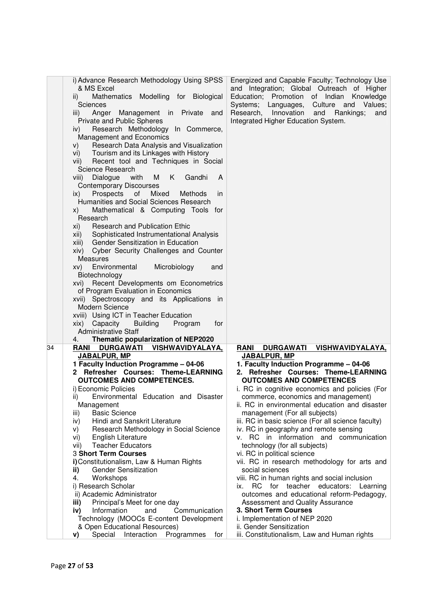|    | i) Advance Research Methodology Using SPSS                 | Energized and Capable Faculty; Technology Use              |
|----|------------------------------------------------------------|------------------------------------------------------------|
|    | & MS Excel                                                 | and Integration; Global Outreach of Higher                 |
|    | Mathematics Modelling for Biological<br>$\vert \vert$      | Education;<br>Promotion of Indian<br>Knowledge             |
|    | Sciences                                                   | Systems; Languages, Culture and Values;                    |
|    | Anger<br>Management in Private<br>iii)<br>and              | Research,<br>Innovation<br>and Rankings;<br>and            |
|    | Private and Public Spheres                                 | Integrated Higher Education System.                        |
|    |                                                            |                                                            |
|    | Research Methodology In Commerce,<br>iv)                   |                                                            |
|    | Management and Economics                                   |                                                            |
|    | Research Data Analysis and Visualization<br>V)             |                                                            |
|    | vi) Tourism and its Linkages with History                  |                                                            |
|    | Recent tool and Techniques in Social<br>VII)               |                                                            |
|    | Science Research                                           |                                                            |
|    | Dialogue<br>with<br>M<br>K<br>Gandhi<br>viii)<br>A         |                                                            |
|    | <b>Contemporary Discourses</b>                             |                                                            |
|    | Prospects<br>of<br>Mixed<br>ix)<br>Methods<br>in           |                                                            |
|    | Humanities and Social Sciences Research                    |                                                            |
|    |                                                            |                                                            |
|    | Mathematical & Computing Tools for<br>X)                   |                                                            |
|    | Research                                                   |                                                            |
|    | <b>Research and Publication Ethic</b><br>XI)               |                                                            |
|    | Sophisticated Instrumentational Analysis<br>XII)           |                                                            |
|    | xiii) Gender Sensitization in Education                    |                                                            |
|    | Cyber Security Challenges and Counter<br>xiv)              |                                                            |
|    | <b>Measures</b>                                            |                                                            |
|    | Environmental<br>Microbiology<br>XV)<br>and                |                                                            |
|    | Biotechnology                                              |                                                            |
|    | Recent Developments om Econometrics<br>XVI)                |                                                            |
|    | of Program Evaluation in Economics                         |                                                            |
|    | xvii) Spectroscopy and its Applications in                 |                                                            |
|    | Modern Science                                             |                                                            |
|    | xviii) Using ICT in Teacher Education                      |                                                            |
|    |                                                            |                                                            |
|    | xix) Capacity<br><b>Building</b><br>Program<br>for         |                                                            |
|    | <b>Administrative Staff</b>                                |                                                            |
|    | Thematic popularization of NEP2020<br>4.                   |                                                            |
| 34 | <b>RANI</b><br><b>DURGAWATI</b><br><u>VISHWAVIDYALAYA,</u> | <b>RANI</b><br><b>DURGAWATI</b><br><u>VISHWAVIDYALAYA,</u> |
|    | JABALPUR, MP                                               | <b>JABALPUR, MP</b>                                        |
|    | 1 Faculty Induction Programme - 04-06                      | 1. Faculty Induction Programme - 04-06                     |
|    | 2 Refresher Courses: Theme-LEARNING                        | 2. Refresher Courses: Theme-LEARNING                       |
|    | <b>OUTCOMES AND COMPETENCES.</b>                           | <b>OUTCOMES AND COMPETENCES</b>                            |
|    | i) Economic Policies                                       | i. RC in cognitive economics and policies (For             |
|    | Environmental Education and Disaster<br>ii)                | commerce, economics and management)                        |
|    | Management                                                 | ii. RC in environmental education and disaster             |
|    | <b>Basic Science</b><br>iii)                               | management (For all subjects)                              |
|    | Hindi and Sanskrit Literature<br>iv)                       | iii. RC in basic science (For all science faculty)         |
|    | Research Methodology in Social Science<br>V)               | iv. RC in geography and remote sensing                     |
|    | <b>English Literature</b><br>vi)                           | v. RC in information and communication                     |
|    | <b>Teacher Educators</b><br>vii)                           | technology (for all subjects)                              |
|    | <b>3 Short Term Courses</b>                                |                                                            |
|    |                                                            | vi. RC in political science                                |
|    | i) Constitutionalism, Law & Human Rights                   | vii. RC in research methodology for arts and               |
|    | <b>Gender Sensitization</b><br>ii)                         | social sciences                                            |
|    | Workshops<br>4.                                            | viii. RC in human rights and social inclusion              |
|    | i) Research Scholar                                        | RC for teacher educators: Learning<br>ix.                  |
|    | ii) Academic Administrator                                 | outcomes and educational reform-Pedagogy,                  |
|    | Principal's Meet for one day<br>iii)                       | Assessment and Quality Assurance                           |
|    | Information<br>Communication<br>iv)<br>and                 | 3. Short Term Courses                                      |
|    | Technology (MOOCs E-content Development                    | i. Implementation of NEP 2020                              |
|    | & Open Educational Resources)                              | ii. Gender Sensitization                                   |
|    | Special Interaction Programmes<br>for<br>V)                | iii. Constitutionalism, Law and Human rights               |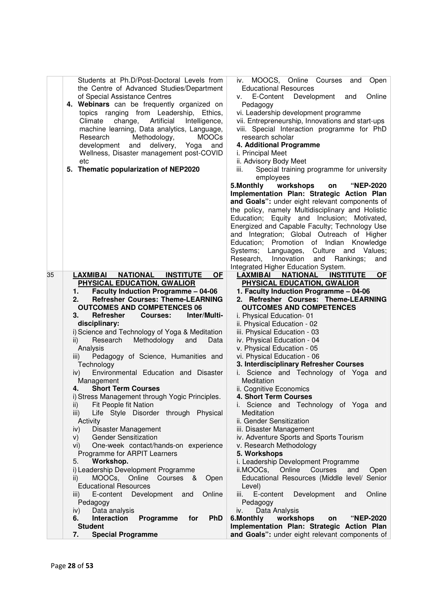|    | Students at Ph.D/Post-Doctoral Levels from                                                   | MOOCS, Online Courses<br>iv.<br>and<br>Open                                    |
|----|----------------------------------------------------------------------------------------------|--------------------------------------------------------------------------------|
|    | the Centre of Advanced Studies/Department                                                    | <b>Educational Resources</b>                                                   |
|    | of Special Assistance Centres                                                                | Online<br>E-Content<br>Development<br>and<br>V.                                |
|    | 4. Webinars can be frequently organized on                                                   | Pedagogy                                                                       |
|    | topics ranging from Leadership, Ethics,                                                      | vi. Leadership development programme                                           |
|    | Climate<br>change,<br>Artificial<br>Intelligence,                                            | vii. Entrepreneurship, Innovations and start-ups                               |
|    | machine learning, Data analytics, Language,                                                  | viii. Special Interaction programme for PhD                                    |
|    | Research<br>Methodology,<br><b>MOOCs</b>                                                     | research scholar                                                               |
|    | development<br>and<br>delivery,<br>Yoga<br>and                                               | 4. Additional Programme                                                        |
|    | Wellness, Disaster management post-COVID                                                     | i. Principal Meet                                                              |
|    | etc<br>5. Thematic popularization of NEP2020                                                 | ii. Advisory Body Meet                                                         |
|    |                                                                                              | Special training programme for university<br>iii.<br>employees                 |
|    |                                                                                              | workshops<br>5. Monthly<br><b>"NEP-2020</b><br>on                              |
|    |                                                                                              | Implementation Plan: Strategic Action Plan                                     |
|    |                                                                                              | and Goals": under eight relevant components of                                 |
|    |                                                                                              | the policy, namely Multidisciplinary and Holistic                              |
|    |                                                                                              | Education; Equity and Inclusion; Motivated,                                    |
|    |                                                                                              | Energized and Capable Faculty; Technology Use                                  |
|    |                                                                                              | and Integration; Global Outreach of Higher                                     |
|    |                                                                                              | Education;<br>Promotion of Indian Knowledge                                    |
|    |                                                                                              | Systems;<br>Culture<br>and<br>Values;<br>Languages,                            |
|    |                                                                                              | Innovation<br>Research,<br>and<br>Rankings;<br>and                             |
|    |                                                                                              | Integrated Higher Education System.                                            |
| 35 | <b>LAXMIBAI</b><br><b>NATIONAL</b><br><b>INSTITUTE</b><br><b>OF</b>                          | <b>INSTITUTE</b><br>LAXMIBAI NATIONAL<br><b>OF</b>                             |
|    | PHYSICAL EDUCATION, GWALIOR                                                                  | PHYSICAL EDUCATION, GWALIOR                                                    |
|    | <b>Faculty Induction Programme - 04-06</b><br><b>Refresher Courses: Theme-LEARNING</b><br>2. | 1. Faculty Induction Programme - 04-06<br>2. Refresher Courses: Theme-LEARNING |
|    | <b>OUTCOMES AND COMPETENCES 06</b>                                                           | <b>OUTCOMES AND COMPETENCES</b>                                                |
|    | <b>Refresher</b><br>Inter/Multi-<br><b>Courses:</b><br>3.                                    | i. Physical Education-01                                                       |
|    | disciplinary:                                                                                | ii. Physical Education - 02                                                    |
|    | i) Science and Technology of Yoga & Meditation                                               | iii. Physical Education - 03                                                   |
|    | Research<br>Methodology<br>ii)<br>and<br>Data                                                | iv. Physical Education - 04                                                    |
|    | Analysis                                                                                     | v. Physical Education - 05                                                     |
|    | Pedagogy of Science, Humanities and<br>iii)                                                  | vi. Physical Education - 06                                                    |
|    | Technology                                                                                   | 3. Interdisciplinary Refresher Courses                                         |
|    | Environmental Education and Disaster<br>$\mathsf{iv}$                                        | i. Science and Technology of Yoga<br>and                                       |
|    | Management                                                                                   | Meditation                                                                     |
|    | <b>Short Term Courses</b><br>4.                                                              | ii. Cognitive Economics<br>4. Short Term Courses                               |
|    | i) Stress Management through Yogic Principles.<br>Fit People fit Nation<br>ii)               | i. Science and Technology of Yoga and                                          |
|    | Life Style Disorder through Physical<br>iii)                                                 | Meditation                                                                     |
|    | Activity                                                                                     | ii. Gender Sensitization                                                       |
|    | iv)<br>Disaster Management                                                                   | iii. Disaster Management                                                       |
|    | <b>Gender Sensitization</b><br>V)                                                            | iv. Adventure Sports and Sports Tourism                                        |
|    | One-week contact/hands-on experience<br>Vİ)                                                  | v. Research Methodology                                                        |
|    | Programme for ARPIT Learners                                                                 | 5. Workshops                                                                   |
|    | Workshop.<br>5.                                                                              | i. Leadership Development Programme                                            |
|    | i) Leadership Development Programme                                                          | ii.MOOCs, Online Courses<br>and<br>Open                                        |
|    | MOOCs, Online<br>Courses &<br>Open<br>ii)                                                    | Educational Resources (Middle level/ Senior                                    |
|    | <b>Educational Resources</b>                                                                 | Level)                                                                         |
|    | Development<br>Online<br>E-content<br>and<br>III)                                            | E-content<br>Development<br>Online<br>and<br>iii.                              |
|    | Pedagogy                                                                                     | Pedagogy                                                                       |
|    | Data analysis<br>iv)<br><b>PhD</b><br>Programme<br>6.<br>Interaction<br>for                  | Data Analysis<br>iv.<br>6.Monthly<br>workshops<br><b>"NEP-2020</b><br>on       |
|    | <b>Student</b>                                                                               | Implementation Plan: Strategic Action Plan                                     |
|    | <b>Special Programme</b><br>7.                                                               | and Goals": under eight relevant components of                                 |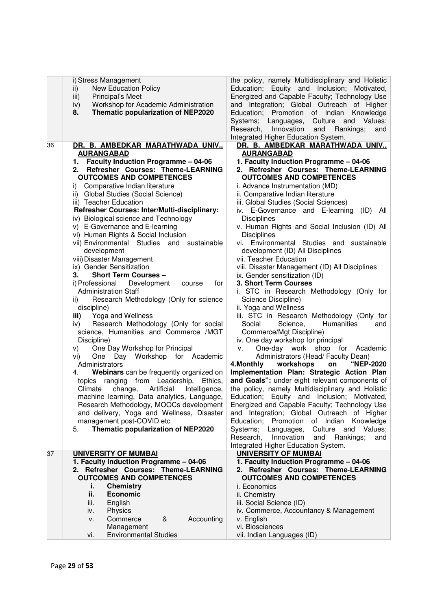| ii)<br>iii)     | i) Stress Management<br><b>New Education Policy</b><br>Principal's Meet     | the policy, namely Multidisciplinary and Holistic<br>Education; Equity and Inclusion; Motivated,<br>Energized and Capable Faculty; Technology Use |
|-----------------|-----------------------------------------------------------------------------|---------------------------------------------------------------------------------------------------------------------------------------------------|
| iv)<br>8.       | Workshop for Academic Administration<br>Thematic popularization of NEP2020  | and Integration; Global Outreach of Higher<br>Education; Promotion of Indian<br>Knowledge                                                         |
|                 |                                                                             | Systems;<br>Languages,<br>Culture and Values;<br>Research,<br>Innovation<br>Rankings;<br>and<br>and                                               |
|                 |                                                                             | Integrated Higher Education System.                                                                                                               |
| 36              | DR. B. AMBEDKAR MARATHWADA UNIV.,                                           | DR. B. AMBEDKAR MARATHWADA UNIV.,                                                                                                                 |
|                 | <b>AURANGABAD</b>                                                           | <b>AURANGABAD</b>                                                                                                                                 |
|                 | 1. Faculty Induction Programme - 04-06<br>Refresher Courses: Theme-LEARNING | 1. Faculty Induction Programme - 04-06<br>2. Refresher Courses: Theme-LEARNING                                                                    |
| 2.              | <b>OUTCOMES AND COMPETENCES</b>                                             | <b>OUTCOMES AND COMPETENCES</b>                                                                                                                   |
| i)              | Comparative Indian literature                                               | i. Advance Instrumentation (MD)                                                                                                                   |
|                 | ii) Global Studies (Social Science)                                         | ii. Comparative Indian literature                                                                                                                 |
|                 | iii) Teacher Education                                                      | iii. Global Studies (Social Sciences)                                                                                                             |
|                 | Refresher Courses: Inter/Multi-disciplinary:                                | iv. E-Governance and E-learning<br>(ID)<br>All                                                                                                    |
|                 | iv) Biological science and Technology                                       | <b>Disciplines</b>                                                                                                                                |
|                 | v) E-Governance and E-learning<br>vi) Human Rights & Social Inclusion       | v. Human Rights and Social Inclusion (ID) All<br><b>Disciplines</b>                                                                               |
|                 | vii) Environmental Studies and sustainable                                  | vi. Environmental Studies and sustainable                                                                                                         |
|                 | development                                                                 | development (ID) All Disciplines                                                                                                                  |
|                 | viii) Disaster Management                                                   | vii. Teacher Education                                                                                                                            |
|                 | ix) Gender Sensitization                                                    | viii. Disaster Management (ID) All Disciplines                                                                                                    |
| З.              | <b>Short Term Courses -</b>                                                 | ix. Gender sensitization (ID)                                                                                                                     |
|                 | i) Professional<br>Development<br>for<br>course                             | 3. Short Term Courses                                                                                                                             |
| $\overline{ii}$ | <b>Administration Staff</b><br>Research Methodology (Only for science       | i. STC in Research Methodology (Only for<br>Science Discipline)                                                                                   |
|                 | discipline)                                                                 | ii. Yoga and Wellness                                                                                                                             |
| iii)            | Yoga and Wellness                                                           | iii. STC in Research Methodology (Only for                                                                                                        |
| iv)             | Research Methodology (Only for social                                       | Humanities<br>Social<br>Science,<br>and                                                                                                           |
|                 | science, Humanities and Commerce /MGT                                       | Commerce/Mgt Discipline)                                                                                                                          |
|                 | Discipline)                                                                 | iv. One day workshop for principal                                                                                                                |
| V)              | One Day Workshop for Principal<br>One Day Workshop for Academic             | One-day work shop for Academic<br>v.<br>Administrators (Head/Faculty Dean)                                                                        |
| vi)             | Administrators                                                              | workshops<br>"NEP-2020<br>4. Monthly<br>on                                                                                                        |
| 4.              | Webinars can be frequently organized on                                     | Implementation Plan: Strategic Action Plan                                                                                                        |
|                 | ranging from Leadership,<br>Ethics.<br>topics                               | and Goals": under eight relevant components of                                                                                                    |
|                 | Climate<br>change,<br>Artificial<br>Intelligence,                           | the policy, namely Multidisciplinary and Holistic                                                                                                 |
|                 | machine learning, Data analytics, Language,                                 | Education;<br>Equity and Inclusion;<br>Motivated,                                                                                                 |
|                 | Research Methodology, MOOCs development                                     | Energized and Capable Faculty; Technology Use                                                                                                     |
|                 | and delivery, Yoga and Wellness, Disaster<br>management post-COVID etc      | and Integration; Global Outreach of Higher<br>Education; Promotion of Indian<br>Knowledge                                                         |
| 5.              | Thematic popularization of NEP2020                                          | Systems;<br>Languages,<br>Culture and<br>Values;                                                                                                  |
|                 |                                                                             | Innovation<br>Research,<br>and<br>Rankings;<br>and                                                                                                |
|                 |                                                                             | Integrated Higher Education System.                                                                                                               |
| 37              | <b>UNIVERSITY OF MUMBAI</b>                                                 | <b>UNIVERSITY OF MUMBAI</b>                                                                                                                       |
|                 | 1. Faculty Induction Programme - 04-06                                      | 1. Faculty Induction Programme - 04-06                                                                                                            |
|                 | 2. Refresher Courses: Theme-LEARNING<br><b>OUTCOMES AND COMPETENCES</b>     | 2. Refresher Courses: Theme-LEARNING<br><b>OUTCOMES AND COMPETENCES</b>                                                                           |
|                 | <b>Chemistry</b><br>i.                                                      | i. Economics                                                                                                                                      |
|                 | ii.<br><b>Economic</b>                                                      | ii. Chemistry                                                                                                                                     |
|                 | iii.<br>English                                                             | iii. Social Science (ID)                                                                                                                          |
|                 | iv.<br>Physics                                                              | iv. Commerce, Accountancy & Management                                                                                                            |
|                 | Commerce<br>&<br>Accounting<br>v.                                           | v. English                                                                                                                                        |
|                 | Management<br><b>Environmental Studies</b><br>vi.                           | vi. Biosciences<br>vii. Indian Languages (ID)                                                                                                     |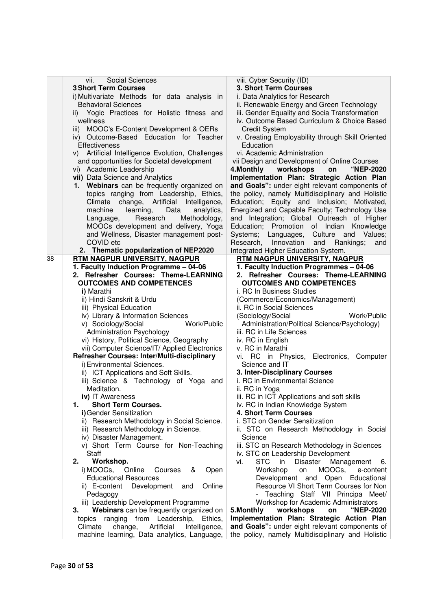| vii.     | Social Sciences                                                     | viii. Cyber Security (ID)                                      |
|----------|---------------------------------------------------------------------|----------------------------------------------------------------|
|          | <b>3 Short Term Courses</b>                                         | 3. Short Term Courses                                          |
|          | i) Multivariate Methods for data analysis in                        | i. Data Analytics for Research                                 |
|          | <b>Behavioral Sciences</b>                                          | ii. Renewable Energy and Green Technology                      |
|          | ii) Yogic Practices for Holistic fitness and                        | iii. Gender Equality and Socia Transformation                  |
| wellness |                                                                     | iv. Outcome Based Curriculum & Choice Based                    |
| iii)     | MOOC's E-Content Development & OERs                                 | <b>Credit System</b>                                           |
|          | iv) Outcome-Based Education for Teacher                             | v. Creating Employability through Skill Oriented               |
|          | Effectiveness                                                       | Education                                                      |
|          | v) Artificial Intelligence Evolution, Challenges                    | vi. Academic Administration                                    |
|          | and opportunities for Societal development                          | vii Design and Development of Online Courses                   |
|          | vi) Academic Leadership                                             | 4. Monthly workshops<br>"NEP-2020<br>on                        |
|          | vii) Data Science and Analytics                                     | Implementation Plan: Strategic Action Plan                     |
|          | 1. Webinars can be frequently organized on                          | and Goals": under eight relevant components of                 |
|          | topics ranging from Leadership, Ethics,                             | the policy, namely Multidisciplinary and Holistic              |
|          | Climate change, Artificial<br>Intelligence,                         | Education; Equity and Inclusion; Motivated,                    |
|          | machine<br>learning,<br>Data<br>analytics,                          | Energized and Capable Faculty; Technology Use                  |
|          | Research<br>Methodology,<br>Language,                               | and Integration; Global Outreach of Higher                     |
|          | MOOCs development and delivery, Yoga                                | Education; Promotion of Indian Knowledge                       |
|          | and Wellness, Disaster management post-                             | Systems; Languages, Culture and Values;                        |
|          | COVID etc                                                           | Research, Innovation<br>and<br>Rankings;<br>and                |
|          | 2. Thematic popularization of NEP2020                               | Integrated Higher Education System.                            |
| 38       | RTM NAGPUR UNIVERSITY, NAGPUR                                       | RTM NAGPUR UNIVERSITY, NAGPUR                                  |
|          | 1. Faculty Induction Programme - 04-06                              | 1. Faculty Induction Programmes - 04-06                        |
|          | 2. Refresher Courses: Theme-LEARNING                                | 2. Refresher Courses: Theme-LEARNING                           |
|          | <b>OUTCOMES AND COMPETENCES</b>                                     | <b>OUTCOMES AND COMPETENCES</b>                                |
|          | i) Marathi                                                          | i. RC In Business Studies                                      |
|          | ii) Hindi Sanskrit & Urdu                                           | (Commerce/Economics/Management)                                |
|          | iii) Physical Education                                             | ii. RC in Social Sciences                                      |
|          | iv) Library & Information Sciences                                  | Work/Public<br>(Sociology/Social                               |
|          | Work/Public<br>v) Sociology/Social                                  | Administration/Political Science/Psychology)                   |
|          | <b>Administration Psychology</b>                                    | iii. RC in Life Sciences                                       |
|          | vi) History, Political Science, Geography                           | iv. RC in English                                              |
|          | vii) Computer Science/IT/ Applied Electronics                       | v. RC in Marathi                                               |
|          | Refresher Courses: Inter/Multi-disciplinary                         | vi. RC in Physics, Electronics, Computer<br>Science and IT     |
|          | i) Environmental Sciences.<br>ii) ICT Applications and Soft Skills. | 3. Inter-Disciplinary Courses                                  |
|          |                                                                     | i. RC in Environmental Science                                 |
|          | iii) Science & Technology of Yoga and<br>Meditation.                | ii. RC in Yoga                                                 |
|          | iv) IT Awareness                                                    | iii. RC in ICT Applications and soft skills                    |
| 1.       | <b>Short Term Courses.</b>                                          | iv. RC in Indian Knowledge System                              |
|          | i) Gender Sensitization                                             | 4. Short Term Courses                                          |
|          | ii) Research Methodology in Social Science.                         | i. STC on Gender Sensitization                                 |
|          | iii) Research Methodology in Science.                               | ii. STC on Research Methodology in Social                      |
|          | iv) Disaster Management.                                            | Science                                                        |
|          | v) Short Term Course for Non-Teaching                               | iii. STC on Research Methodology in Sciences                   |
|          | Staff                                                               | iv. STC on Leadership Development                              |
| 2.       | Workshop.                                                           | <b>STC</b><br>vi.<br><b>Disaster</b><br>Management<br>in<br>6. |
|          | i) MOOCs,<br>Online<br>Courses<br>&<br>Open                         | Workshop<br>MOOCs,<br>on<br>e-content                          |
|          | <b>Educational Resources</b>                                        | Development and Open<br>Educational                            |
|          | Online<br>ii) E-content<br>Development<br>and                       | Resource VI Short Term Courses for Non                         |
|          | Pedagogy                                                            | - Teaching Staff VII Principa Meet/                            |
|          | iii) Leadership Development Programme                               | Workshop for Academic Administrators                           |
| 3.       | Webinars can be frequently organized on                             | 5.Monthly<br>workshops<br>"NEP-2020<br>on                      |
|          | topics ranging<br>from Leadership,<br>Ethics,                       | Implementation Plan: Strategic Action Plan                     |
| Climate  | change,<br>Artificial<br>Intelligence,                              | and Goals": under eight relevant components of                 |
|          | machine learning, Data analytics, Language,                         | the policy, namely Multidisciplinary and Holistic              |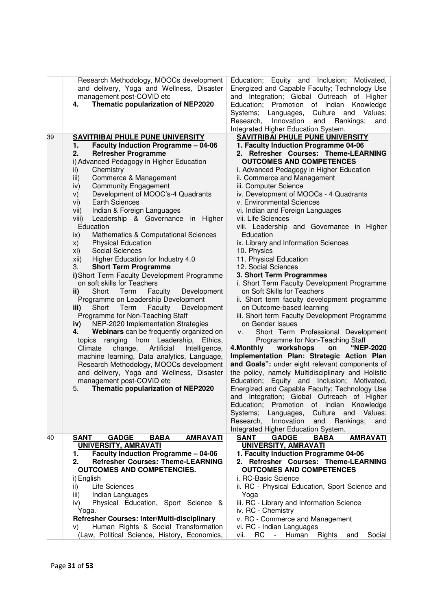|    | Research Methodology, MOOCs development               | Education; Equity and Inclusion;<br>Motivated,                                       |
|----|-------------------------------------------------------|--------------------------------------------------------------------------------------|
|    | and delivery, Yoga and Wellness, Disaster             | Energized and Capable Faculty; Technology Use                                        |
|    | management post-COVID etc                             | and Integration; Global Outreach of Higher                                           |
|    | Thematic popularization of NEP2020<br>4.              | Education; Promotion of Indian Knowledge                                             |
|    |                                                       | Systems; Languages,<br>Culture and<br>Values;                                        |
|    |                                                       | Research, Innovation<br>and<br>Rankings;<br>and                                      |
|    |                                                       | Integrated Higher Education System.                                                  |
| 39 | <b>SAVITRIBAI PHULE PUNE UNIVERSITY</b>               | <b>SAVITRIBAI PHULE PUNE UNIVERSITY</b>                                              |
|    | <b>Faculty Induction Programme - 04-06</b><br>1.      | 1. Faculty Induction Programme 04-06                                                 |
|    | <b>Refresher Programme</b><br>2.                      | 2. Refresher Courses: Theme-LEARNING                                                 |
|    | i) Advanced Pedagogy in Higher Education              | <b>OUTCOMES AND COMPETENCES</b>                                                      |
|    | Chemistry<br>ii)                                      | i. Advanced Pedagogy in Higher Education                                             |
|    | iii)<br>Commerce & Management                         | ii. Commerce and Management                                                          |
|    | <b>Community Engagement</b><br>iv)                    | iii. Computer Science                                                                |
|    | Development of MOOC's-4 Quadrants<br>V)               | iv. Development of MOOCs - 4 Quadrants                                               |
|    | <b>Earth Sciences</b><br>vi)                          | v. Environmental Sciences                                                            |
|    | Indian & Foreign Languages<br>vii)                    | vi. Indian and Foreign Languages                                                     |
|    | Leadership & Governance in Higher<br>viii)            | vii. Life Sciences                                                                   |
|    | Education                                             | viii. Leadership and Governance in Higher                                            |
|    | Mathematics & Computational Sciences<br>$\mathsf{ix}$ | Education                                                                            |
|    | <b>Physical Education</b><br>X)                       | ix. Library and Information Sciences                                                 |
|    | Social Sciences<br>xi)                                | 10. Physics                                                                          |
|    | Higher Education for Industry 4.0<br>xii)             | 11. Physical Education                                                               |
|    | <b>Short Term Programme</b><br>3.                     | 12. Social Sciences                                                                  |
|    | i) Short Term Faculty Development Programme           | 3. Short Term Programmes                                                             |
|    | on soft skills for Teachers                           | i. Short Term Faculty Development Programme                                          |
|    | Short<br>Term<br>Faculty<br>Development<br>ii)        | on Soft Skills for Teachers                                                          |
|    | Programme on Leadership Development                   | ii. Short term faculty development programme                                         |
|    | Short Term<br>Faculty<br>Development<br>iii)          | on Outcome-based learning                                                            |
|    | Programme for Non-Teaching Staff                      | iii. Short term Faculty Development Programme                                        |
|    | NEP-2020 Implementation Strategies<br>iv)             | on Gender Issues                                                                     |
|    | Webinars can be frequently organized on<br>4.         | Short Term Professional Development<br>V.                                            |
|    | topics ranging from Leadership,<br>Ethics,            | Programme for Non-Teaching Staff                                                     |
|    | Intelligence,<br>Climate<br>change,<br>Artificial     | "NEP-2020<br>workshops<br>4. Monthly<br>on                                           |
|    | machine learning, Data analytics, Language,           | Implementation Plan: Strategic Action Plan                                           |
|    | Research Methodology, MOOCs development               | and Goals": under eight relevant components of                                       |
|    | and delivery, Yoga and Wellness, Disaster             | the policy, namely Multidisciplinary and Holistic                                    |
|    | management post-COVID etc                             | Education; Equity and Inclusion; Motivated,                                          |
|    | Thematic popularization of NEP2020<br>5.              | Energized and Capable Faculty; Technology Use                                        |
|    |                                                       | and Integration; Global Outreach of Higher                                           |
|    |                                                       | Promotion of Indian<br>Knowledge<br>Education;                                       |
|    |                                                       | Culture and<br>Systems; Languages,<br>Values;                                        |
|    |                                                       | Research, Innovation<br>and<br>Rankings;<br>and                                      |
| 40 | <b>SANT</b><br><b>GADGE</b><br><b>BABA</b>            | Integrated Higher Education System.<br><b>SANT</b><br><b>BABA</b><br><b>AMRAVATI</b> |
|    | <b>AMRAVATI</b><br>UNIVERSITY, AMRAVATI               | <b>GADGE</b><br>UNIVERSITY, AMRAVATI                                                 |
|    | <b>Faculty Induction Programme - 04-06</b><br>1.      | 1. Faculty Induction Programme 04-06                                                 |
|    | <b>Refresher Courses: Theme-LEARNING</b><br>2.        | 2. Refresher Courses: Theme-LEARNING                                                 |
|    | <b>OUTCOMES AND COMPETENCIES.</b>                     | <b>OUTCOMES AND COMPETENCES</b>                                                      |
|    | i) English                                            | i. RC-Basic Science                                                                  |
|    | Life Sciences<br>ii)                                  | ii. RC - Physical Education, Sport Science and                                       |
|    | Indian Languages<br>iii)                              | Yoga                                                                                 |
|    | Physical Education, Sport Science &<br>iv)            | iii. RC - Library and Information Science                                            |
|    | Yoga.                                                 | iv. RC - Chemistry                                                                   |
|    | Refresher Courses: Inter/Multi-disciplinary           | v. RC - Commerce and Management                                                      |
|    | Human Rights & Social Transformation<br>V)            | vi. RC - Indian Languages                                                            |
|    | (Law, Political Science, History, Economics,          | vii.<br>RC<br>Human<br>Rights<br>Social<br>$\sim$<br>and                             |
|    |                                                       |                                                                                      |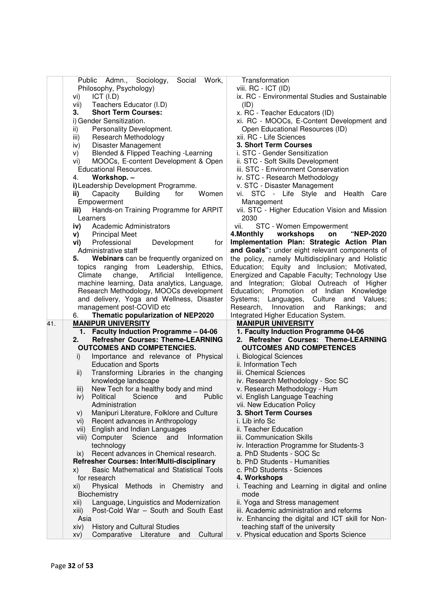|     | Social<br>Work,                                                                                      | Transformation                                                                       |
|-----|------------------------------------------------------------------------------------------------------|--------------------------------------------------------------------------------------|
|     | Public Admn., Sociology,                                                                             |                                                                                      |
|     | Philosophy, Psychology)                                                                              | viii. RC - ICT (ID)                                                                  |
|     | ICT (I.D)<br>vi)                                                                                     | ix. RC - Environmental Studies and Sustainable                                       |
|     | Teachers Educator (I.D)<br>vii)                                                                      | (ID)                                                                                 |
|     | <b>Short Term Courses:</b><br>З.                                                                     | x. RC - Teacher Educators (ID)                                                       |
|     | i) Gender Sensitization.                                                                             | xi. RC - MOOCs, E-Content Development and                                            |
|     | Personality Development.<br>ii)                                                                      | Open Educational Resources (ID)                                                      |
|     | Research Methodology<br>iii)                                                                         | xii. RC - Life Sciences                                                              |
|     | Disaster Management<br>iv)                                                                           | 3. Short Term Courses                                                                |
|     | Blended & Flipped Teaching - Learning<br>V)                                                          | i. STC - Gender Sensitization                                                        |
|     | MOOCs, E-content Development & Open<br>VI)                                                           | ii. STC - Soft Skills Development                                                    |
|     | <b>Educational Resources.</b>                                                                        | iii. STC - Environment Conservation                                                  |
|     | Workshop. -<br>4.                                                                                    | iv. STC - Research Methodology                                                       |
|     | i) Leadership Development Programme.                                                                 | v. STC - Disaster Management                                                         |
|     | Women                                                                                                | vi.                                                                                  |
|     | <b>Building</b><br>Capacity<br>for<br>ii)                                                            | STC - Life Style and<br>Health<br>Care                                               |
|     | Empowerment                                                                                          | Management                                                                           |
|     | Hands-on Training Programme for ARPIT<br>iii)                                                        | vii. STC - Higher Education Vision and Mission                                       |
|     | Learners                                                                                             | 2030                                                                                 |
|     | Academic Administrators<br>iv)                                                                       | vii.<br>STC - Women Empowerment                                                      |
|     | <b>Principal Meet</b><br>V)                                                                          | workshops<br>4. Monthly<br>"NEP-2020<br>on                                           |
|     | Professional<br>Development<br>vi)<br>for                                                            | Implementation Plan: Strategic Action Plan                                           |
|     | Administrative staff                                                                                 | and Goals": under eight relevant components of                                       |
|     | Webinars can be frequently organized on<br>5.                                                        | the policy, namely Multidisciplinary and Holistic                                    |
|     | topics ranging from Leadership, Ethics,                                                              | Education; Equity and Inclusion; Motivated,                                          |
|     | change,<br>Climate<br>Artificial<br>Intelligence,                                                    | Energized and Capable Faculty; Technology Use                                        |
|     | machine learning, Data analytics, Language,                                                          | and Integration; Global Outreach of Higher                                           |
|     | Research Methodology, MOOCs development                                                              | Education; Promotion of Indian Knowledge                                             |
|     | and delivery, Yoga and Wellness, Disaster                                                            | Systems; Languages, Culture and<br>Values;                                           |
|     | management post-COVID etc                                                                            | Research,<br>Innovation<br>and Rankings;<br>and                                      |
|     | Thematic popularization of NEP2020<br>6.                                                             | Integrated Higher Education System.                                                  |
| 41. | <b>MANIPUR UNIVERSITY</b>                                                                            | <b>MANIPUR UNIVERSITY</b>                                                            |
|     | 1. Faculty Induction Programme - 04-06                                                               | 1. Faculty Induction Programme 04-06                                                 |
|     | <b>Refresher Courses: Theme-LEARNING</b><br>2.                                                       | 2. Refresher Courses: Theme-LEARNING                                                 |
|     | <b>OUTCOMES AND COMPETENCIES.</b>                                                                    | <b>OUTCOMES AND COMPETENCES</b>                                                      |
|     | Importance and relevance of Physical<br>i)                                                           | i. Biological Sciences                                                               |
|     | <b>Education and Sports</b>                                                                          | ii. Information Tech                                                                 |
|     | Transforming Libraries in the changing<br>ii)                                                        | iii. Chemical Sciences                                                               |
|     | knowledge landscape                                                                                  | iv. Research Methodology - Soc SC                                                    |
|     | New Tech for a healthy body and mind<br>iii)                                                         | v. Research Methodology - Hum                                                        |
|     | Political Science and<br>iv)<br>Public                                                               | vi. English Language Teaching                                                        |
|     | Administration                                                                                       | vii. New Education Policy                                                            |
|     | Manipuri Literature, Folklore and Culture<br>V)                                                      | 3. Short Term Courses                                                                |
|     | Recent advances in Anthropology<br>Vİ)                                                               | i. Lib info Sc                                                                       |
|     | English and Indian Languages<br>Vii)                                                                 | ii. Teacher Education                                                                |
|     | viii) Computer Science<br>and<br>Information                                                         | iii. Communication Skills                                                            |
|     |                                                                                                      |                                                                                      |
|     | technology                                                                                           |                                                                                      |
|     | Recent advances in Chemical research.<br>IX)                                                         | iv. Interaction Programme for Students-3                                             |
|     |                                                                                                      | a. PhD Students - SOC Sc<br>b. PhD Students - Humanities                             |
|     | Refresher Courses: Inter/Multi-disciplinary<br><b>Basic Mathematical and Statistical Tools</b><br>X) |                                                                                      |
|     |                                                                                                      | c. PhD Students - Sciences                                                           |
|     | for research<br>xi)                                                                                  | 4. Workshops                                                                         |
|     | Physical<br>Methods in Chemistry and                                                                 | i. Teaching and Learning in digital and online                                       |
|     | Biochemistry                                                                                         | mode                                                                                 |
|     | Language, Linguistics and Modernization<br>xii)                                                      | ii. Yoga and Stress management                                                       |
|     | Post-Cold War - South and South East<br>xiii)                                                        | iii. Academic administration and reforms                                             |
|     | Asia<br><b>History and Cultural Studies</b><br>xiv)                                                  | iv. Enhancing the digital and ICT skill for Non-<br>teaching staff of the university |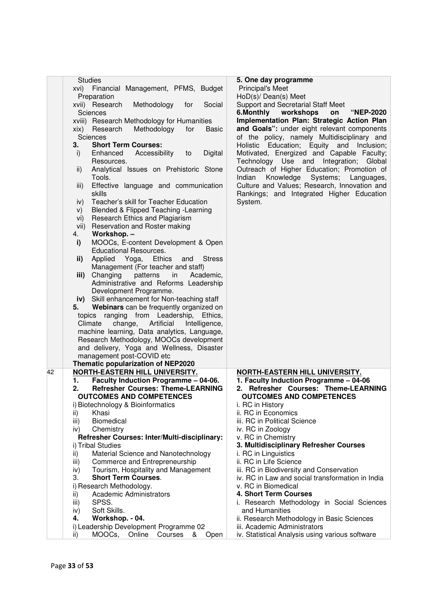| <b>Studies</b>                                                                               | 5. One day programme                             |
|----------------------------------------------------------------------------------------------|--------------------------------------------------|
| Financial Management, PFMS, Budget<br>xvi)                                                   | <b>Principal's Meet</b>                          |
| Preparation                                                                                  | HoD(s)/ Dean(s) Meet                             |
| xvii) Research<br>Methodology<br>for<br>Social                                               | Support and Secretarial Staff Meet               |
| Sciences                                                                                     | 6.Monthly<br>workshops<br>"NEP-2020<br>on        |
| xviii) Research Methodology for Humanities                                                   | Implementation Plan: Strategic Action Plan       |
| Methodology<br>Research<br>for<br><b>Basic</b><br>xix)                                       | and Goals": under eight relevant components      |
| Sciences                                                                                     | of the policy, namely Multidisciplinary and      |
| <b>Short Term Courses:</b><br>3.                                                             | Education; Equity and<br>Holistic<br>Inclusion;  |
| Enhanced<br>Accessibility<br>Digital<br>i)<br>to                                             | Motivated, Energized and Capable Faculty;        |
| Resources.                                                                                   | Technology Use and Integration;<br>Global        |
| Analytical Issues on Prehistoric Stone<br>ii)                                                | Outreach of Higher Education; Promotion of       |
| Tools.                                                                                       | Knowledge<br>Indian<br>Systems;<br>Languages,    |
| Effective language and communication<br>iii)                                                 | Culture and Values; Research, Innovation and     |
| skills                                                                                       | Rankings; and Integrated Higher Education        |
| Teacher's skill for Teacher Education<br>iv)                                                 | System.                                          |
| Blended & Flipped Teaching - Learning<br>V)                                                  |                                                  |
| Research Ethics and Plagiarism<br>vi)                                                        |                                                  |
| Reservation and Roster making<br>vii)                                                        |                                                  |
| Workshop. -<br>4.                                                                            |                                                  |
| MOOCs, E-content Development & Open<br>i)                                                    |                                                  |
| <b>Educational Resources.</b>                                                                |                                                  |
| Applied<br>ii)<br>Yoga,<br><b>Ethics</b><br><b>Stress</b><br>and                             |                                                  |
| Management (For teacher and staff)                                                           |                                                  |
| Changing<br>iii)<br>patterns<br>in<br>Academic,                                              |                                                  |
| Administrative and Reforms Leadership                                                        |                                                  |
| Development Programme.                                                                       |                                                  |
| iv) Skill enhancement for Non-teaching staff                                                 |                                                  |
| Webinars can be frequently organized on<br>5.                                                |                                                  |
|                                                                                              |                                                  |
| topics ranging from Leadership, Ethics,<br>Artificial<br>Climate<br>change,<br>Intelligence, |                                                  |
| machine learning, Data analytics, Language,                                                  |                                                  |
| Research Methodology, MOOCs development                                                      |                                                  |
|                                                                                              |                                                  |
| and delivery, Yoga and Wellness, Disaster                                                    |                                                  |
| management post-COVID etc                                                                    |                                                  |
| Thematic popularization of NEP2020<br>NORTH-EASTERN HILL UNIVERSITY.<br>42                   | NORTH-EASTERN HILL UNIVERSITY.                   |
| 1.                                                                                           | 1. Faculty Induction Programme - 04-06           |
| Faculty Induction Programme - 04-06.<br>2.                                                   | 2. Refresher Courses: Theme-LEARNING             |
| <b>Refresher Courses: Theme-LEARNING</b>                                                     |                                                  |
| <b>OUTCOMES AND COMPETENCES</b>                                                              | <b>OUTCOMES AND COMPETENCES</b>                  |
| i) Biotechnology & Bioinformatics                                                            | i. RC in History<br>ii. RC in Economics          |
| Khasi<br>ii)                                                                                 |                                                  |
| Biomedical<br>iii)                                                                           | iii. RC in Political Science                     |
| Chemistry<br>iv)                                                                             | iv. RC in Zoology                                |
| Refresher Courses: Inter/Multi-disciplinary:                                                 | v. RC in Chemistry                               |
| i) Tribal Studies                                                                            | 3. Multidisciplinary Refresher Courses           |
| Material Science and Nanotechnology<br>ii)                                                   | i. RC in Linguistics                             |
| Commerce and Entrepreneurship<br>iii)                                                        | ii. RC in Life Science                           |
| Tourism, Hospitality and Management<br>iv)                                                   | iii. RC in Biodiversity and Conservation         |
| <b>Short Term Courses.</b><br>3.                                                             | iv. RC in Law and social transformation in India |
| i) Research Methodology.                                                                     | v. RC in Biomedical                              |
| Academic Administrators<br>ii)                                                               | 4. Short Term Courses                            |
| SPSS.<br>iii)                                                                                | i. Research Methodology in Social Sciences       |
| Soft Skills.<br>iv)                                                                          | and Humanities                                   |
| Workshop. - 04.<br>4.                                                                        | ii. Research Methodology in Basic Sciences       |
| i) Leadership Development Programme 02                                                       | iii. Academic Administrators                     |
| MOOCs,<br>Online<br>ii)<br>Courses<br>&<br>Open                                              | iv. Statistical Analysis using various software  |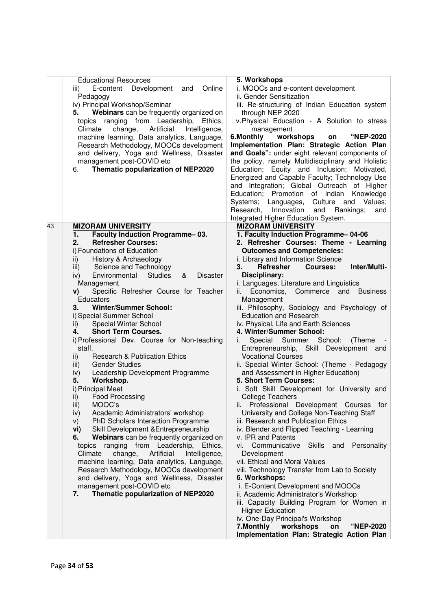|    | <b>Educational Resources</b><br>E-content Development and<br>Online<br>iii)<br>Pedagogy<br>iv) Principal Workshop/Seminar<br>Webinars can be frequently organized on<br>5.<br>topics ranging from Leadership, Ethics,<br>Artificial<br>Climate<br>change,<br>Intelligence,<br>machine learning, Data analytics, Language,<br>Research Methodology, MOOCs development<br>and delivery, Yoga and Wellness, Disaster<br>management post-COVID etc<br>Thematic popularization of NEP2020<br>6. | 5. Workshops<br>i. MOOCs and e-content development<br>ii. Gender Sensitization<br>iii. Re-structuring of Indian Education system<br>through NEP 2020<br>v.Physical Education - A Solution to stress<br>management<br>workshops<br>"NEP-2020<br>6.Monthly<br>on<br>Implementation Plan: Strategic Action Plan<br>and Goals": under eight relevant components of<br>the policy, namely Multidisciplinary and Holistic<br>Education; Equity and Inclusion; Motivated,<br>Energized and Capable Faculty; Technology Use<br>and Integration; Global Outreach of Higher<br>Education; Promotion of Indian<br>Knowledge<br>Systems; Languages,<br>Culture and Values;<br>Research,<br>Innovation<br>Rankings;<br>and<br>and<br>Integrated Higher Education System. |
|----|--------------------------------------------------------------------------------------------------------------------------------------------------------------------------------------------------------------------------------------------------------------------------------------------------------------------------------------------------------------------------------------------------------------------------------------------------------------------------------------------|-------------------------------------------------------------------------------------------------------------------------------------------------------------------------------------------------------------------------------------------------------------------------------------------------------------------------------------------------------------------------------------------------------------------------------------------------------------------------------------------------------------------------------------------------------------------------------------------------------------------------------------------------------------------------------------------------------------------------------------------------------------|
| 43 | <b>MIZORAM UNIVERSITY</b><br>Faculty Induction Programme-03.<br>1.                                                                                                                                                                                                                                                                                                                                                                                                                         | <b>MIZORAM UNIVERSITY</b><br>1. Faculty Induction Programme-04-06                                                                                                                                                                                                                                                                                                                                                                                                                                                                                                                                                                                                                                                                                           |
|    | 2.<br><b>Refresher Courses:</b>                                                                                                                                                                                                                                                                                                                                                                                                                                                            | 2. Refresher Courses: Theme - Learning                                                                                                                                                                                                                                                                                                                                                                                                                                                                                                                                                                                                                                                                                                                      |
|    | i) Foundations of Education                                                                                                                                                                                                                                                                                                                                                                                                                                                                | <b>Outcomes and Competencies:</b>                                                                                                                                                                                                                                                                                                                                                                                                                                                                                                                                                                                                                                                                                                                           |
|    | History & Archaeology<br>ii)<br>Science and Technology<br>iii)                                                                                                                                                                                                                                                                                                                                                                                                                             | i. Library and Information Science<br>Inter/Multi-<br>3.<br><b>Refresher</b><br>Courses:                                                                                                                                                                                                                                                                                                                                                                                                                                                                                                                                                                                                                                                                    |
|    | <b>Disaster</b><br>Environmental<br><b>Studies</b><br>&<br>iv)                                                                                                                                                                                                                                                                                                                                                                                                                             | Disciplinary:                                                                                                                                                                                                                                                                                                                                                                                                                                                                                                                                                                                                                                                                                                                                               |
|    | Management                                                                                                                                                                                                                                                                                                                                                                                                                                                                                 | i. Languages, Literature and Linguistics                                                                                                                                                                                                                                                                                                                                                                                                                                                                                                                                                                                                                                                                                                                    |
|    | Specific Refresher Course for Teacher<br>V)                                                                                                                                                                                                                                                                                                                                                                                                                                                | Economics,<br>Commerce<br>and Business<br>ii. –                                                                                                                                                                                                                                                                                                                                                                                                                                                                                                                                                                                                                                                                                                             |
|    | Educators<br><b>Winter/Summer School:</b><br>3.                                                                                                                                                                                                                                                                                                                                                                                                                                            | Management<br>iii. Philosophy, Sociology and Psychology of                                                                                                                                                                                                                                                                                                                                                                                                                                                                                                                                                                                                                                                                                                  |
|    | i) Special Summer School                                                                                                                                                                                                                                                                                                                                                                                                                                                                   | <b>Education and Research</b>                                                                                                                                                                                                                                                                                                                                                                                                                                                                                                                                                                                                                                                                                                                               |
|    | Special Winter School<br>ii)                                                                                                                                                                                                                                                                                                                                                                                                                                                               | iv. Physical, Life and Earth Sciences                                                                                                                                                                                                                                                                                                                                                                                                                                                                                                                                                                                                                                                                                                                       |
|    | <b>Short Term Courses.</b><br>4.                                                                                                                                                                                                                                                                                                                                                                                                                                                           | 4. Winter/Summer School:                                                                                                                                                                                                                                                                                                                                                                                                                                                                                                                                                                                                                                                                                                                                    |
|    | i) Professional Dev. Course for Non-teaching<br>staff.                                                                                                                                                                                                                                                                                                                                                                                                                                     | Special Summer School:<br>(Theme)<br>Entrepreneurship, Skill Development and                                                                                                                                                                                                                                                                                                                                                                                                                                                                                                                                                                                                                                                                                |
|    | <b>Research &amp; Publication Ethics</b><br>ii)                                                                                                                                                                                                                                                                                                                                                                                                                                            | <b>Vocational Courses</b>                                                                                                                                                                                                                                                                                                                                                                                                                                                                                                                                                                                                                                                                                                                                   |
|    | <b>Gender Studies</b><br>iii)                                                                                                                                                                                                                                                                                                                                                                                                                                                              | ii. Special Winter School: (Theme - Pedagogy                                                                                                                                                                                                                                                                                                                                                                                                                                                                                                                                                                                                                                                                                                                |
|    | Leadership Development Programme<br>iv)<br>Workshop.<br>5.                                                                                                                                                                                                                                                                                                                                                                                                                                 | and Assessment in Higher Education)<br>5. Short Term Courses:                                                                                                                                                                                                                                                                                                                                                                                                                                                                                                                                                                                                                                                                                               |
|    | i) Principal Meet                                                                                                                                                                                                                                                                                                                                                                                                                                                                          | i. Soft Skill Development for University and                                                                                                                                                                                                                                                                                                                                                                                                                                                                                                                                                                                                                                                                                                                |
|    | <b>Food Processing</b><br>ii)                                                                                                                                                                                                                                                                                                                                                                                                                                                              | College Teachers                                                                                                                                                                                                                                                                                                                                                                                                                                                                                                                                                                                                                                                                                                                                            |
|    | MOOC's<br>iii)                                                                                                                                                                                                                                                                                                                                                                                                                                                                             | ii. Professional Development Courses for                                                                                                                                                                                                                                                                                                                                                                                                                                                                                                                                                                                                                                                                                                                    |
|    | Academic Administrators' workshop<br>iv)<br>PhD Scholars Interaction Programme<br>V)                                                                                                                                                                                                                                                                                                                                                                                                       | University and College Non-Teaching Staff<br>iii. Research and Publication Ethics                                                                                                                                                                                                                                                                                                                                                                                                                                                                                                                                                                                                                                                                           |
|    | Skill Development & Entrepreneurship<br>vi)                                                                                                                                                                                                                                                                                                                                                                                                                                                | iv. Blender and Flipped Teaching - Learning                                                                                                                                                                                                                                                                                                                                                                                                                                                                                                                                                                                                                                                                                                                 |
|    | Webinars can be frequently organized on<br>6.                                                                                                                                                                                                                                                                                                                                                                                                                                              | v. IPR and Patents                                                                                                                                                                                                                                                                                                                                                                                                                                                                                                                                                                                                                                                                                                                                          |
|    | ranging from Leadership,<br>Ethics,<br>topics                                                                                                                                                                                                                                                                                                                                                                                                                                              | Communicative Skills<br>and<br>Personality<br>Vİ.                                                                                                                                                                                                                                                                                                                                                                                                                                                                                                                                                                                                                                                                                                           |
|    | Climate<br>change,<br>Artificial<br>Intelligence,<br>machine learning, Data analytics, Language,                                                                                                                                                                                                                                                                                                                                                                                           | Development<br>vii. Ethical and Moral Values                                                                                                                                                                                                                                                                                                                                                                                                                                                                                                                                                                                                                                                                                                                |
|    | Research Methodology, MOOCs development                                                                                                                                                                                                                                                                                                                                                                                                                                                    | viii. Technology Transfer from Lab to Society                                                                                                                                                                                                                                                                                                                                                                                                                                                                                                                                                                                                                                                                                                               |
|    | and delivery, Yoga and Wellness, Disaster                                                                                                                                                                                                                                                                                                                                                                                                                                                  | 6. Workshops:                                                                                                                                                                                                                                                                                                                                                                                                                                                                                                                                                                                                                                                                                                                                               |
|    | management post-COVID etc                                                                                                                                                                                                                                                                                                                                                                                                                                                                  | i. E-Content Development and MOOCs                                                                                                                                                                                                                                                                                                                                                                                                                                                                                                                                                                                                                                                                                                                          |
|    | Thematic popularization of NEP2020<br>7.                                                                                                                                                                                                                                                                                                                                                                                                                                                   | ii. Academic Administrator's Workshop<br>iii. Capacity Building Program for Women in                                                                                                                                                                                                                                                                                                                                                                                                                                                                                                                                                                                                                                                                        |
|    |                                                                                                                                                                                                                                                                                                                                                                                                                                                                                            | <b>Higher Education</b>                                                                                                                                                                                                                                                                                                                                                                                                                                                                                                                                                                                                                                                                                                                                     |
|    |                                                                                                                                                                                                                                                                                                                                                                                                                                                                                            | iv. One-Day Principal's Workshop                                                                                                                                                                                                                                                                                                                                                                                                                                                                                                                                                                                                                                                                                                                            |
|    |                                                                                                                                                                                                                                                                                                                                                                                                                                                                                            | 7.Monthly<br>workshops<br><b>"NEP-2020</b><br>on<br>Implementation Plan: Strategic Action Plan                                                                                                                                                                                                                                                                                                                                                                                                                                                                                                                                                                                                                                                              |
|    |                                                                                                                                                                                                                                                                                                                                                                                                                                                                                            |                                                                                                                                                                                                                                                                                                                                                                                                                                                                                                                                                                                                                                                                                                                                                             |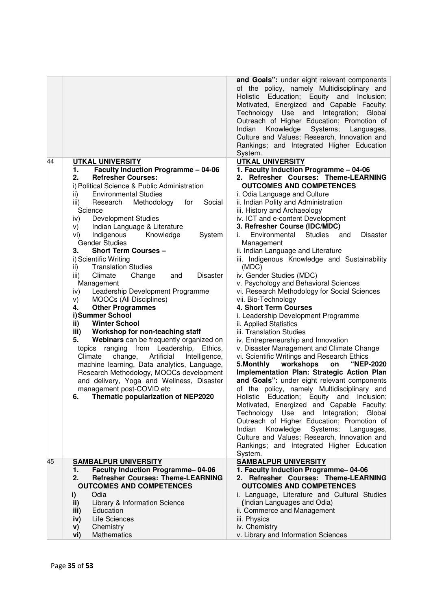|                                                                                                                                                                                                                                                                                                                                                                                                                                                                                                                                                                                                                                                                                                                                                                                                                                                                                                                                                                                                                                                                                                                                                                            | and Goals": under eight relevant components<br>of the policy, namely Multidisciplinary and<br>Holistic Education; Equity and Inclusion;<br>Motivated, Energized and Capable Faculty;<br>Technology Use and Integration; Global<br>Outreach of Higher Education; Promotion of<br>Systems;<br>Indian<br>Knowledge<br>Languages,<br>Culture and Values; Research, Innovation and<br>Rankings; and Integrated Higher Education<br>System.                                                                                                                                                                                                                                                                                                                                                                                                                                                                                                                                                                                                                                                                                                                                                                                                                                                                                                                                                                                              |
|----------------------------------------------------------------------------------------------------------------------------------------------------------------------------------------------------------------------------------------------------------------------------------------------------------------------------------------------------------------------------------------------------------------------------------------------------------------------------------------------------------------------------------------------------------------------------------------------------------------------------------------------------------------------------------------------------------------------------------------------------------------------------------------------------------------------------------------------------------------------------------------------------------------------------------------------------------------------------------------------------------------------------------------------------------------------------------------------------------------------------------------------------------------------------|------------------------------------------------------------------------------------------------------------------------------------------------------------------------------------------------------------------------------------------------------------------------------------------------------------------------------------------------------------------------------------------------------------------------------------------------------------------------------------------------------------------------------------------------------------------------------------------------------------------------------------------------------------------------------------------------------------------------------------------------------------------------------------------------------------------------------------------------------------------------------------------------------------------------------------------------------------------------------------------------------------------------------------------------------------------------------------------------------------------------------------------------------------------------------------------------------------------------------------------------------------------------------------------------------------------------------------------------------------------------------------------------------------------------------------|
| 44<br><b>UTKAL UNIVERSITY</b><br><b>Faculty Induction Programme - 04-06</b><br>1.<br><b>Refresher Courses:</b><br>2.<br>i) Political Science & Public Administration<br><b>Environmental Studies</b><br>ii)<br>Methodology<br>Social<br>iii)<br>Research<br>for<br>Science<br><b>Development Studies</b><br>iv)<br>Indian Language & Literature<br>V)<br>Indigenous<br>Knowledge<br>System<br>Vİ)<br><b>Gender Studies</b><br><b>Short Term Courses -</b><br>З.<br>i) Scientific Writing<br><b>Translation Studies</b><br>ii)<br>Climate<br>Change<br><b>Disaster</b><br>iii)<br>and<br>Management<br>Leadership Development Programme<br>iv)<br>MOOCs (All Disciplines)<br>V)<br><b>Other Programmes</b><br>4.<br>i)Summer School<br><b>Winter School</b><br>ii)<br>Workshop for non-teaching staff<br>iii)<br>Webinars can be frequently organized on<br>5.<br>topics ranging from Leadership, Ethics,<br>Climate<br>change,<br>Artificial<br>Intelligence,<br>machine learning, Data analytics, Language,<br>Research Methodology, MOOCs development<br>and delivery, Yoga and Wellness, Disaster<br>management post-COVID etc<br>6. Thematic popularization of NEP2020 | <b>UTKAL UNIVERSITY</b><br>1. Faculty Induction Programme - 04-06<br>2. Refresher Courses: Theme-LEARNING<br><b>OUTCOMES AND COMPETENCES</b><br>i. Odia Language and Culture<br>ii. Indian Polity and Administration<br>iii. History and Archaeology<br>iv. ICT and e-content Development<br>3. Refresher Course (IDC/MDC)<br>Environmental Studies<br><b>Disaster</b><br>and<br>İ.<br>Management<br>ii. Indian Language and Literature<br>iii. Indigenous Knowledge and Sustainability<br>(MDC)<br>iv. Gender Studies (MDC)<br>v. Psychology and Behavioral Sciences<br>vi. Research Methodology for Social Sciences<br>vii. Bio-Technology<br>4. Short Term Courses<br>i. Leadership Development Programme<br>ii. Applied Statistics<br>iii. Translation Studies<br>iv. Entrepreneurship and Innovation<br>v. Disaster Management and Climate Change<br>vi. Scientific Writings and Research Ethics<br>5. Monthly<br>workshops<br>"NEP-2020<br>on<br>Implementation Plan: Strategic Action Plan<br>and Goals": under eight relevant components<br>of the policy, namely Multidisciplinary and<br>Holistic Education; Equity and Inclusion;<br>Motivated, Energized and Capable Faculty;<br>Technology Use and<br>Integration; Global<br>Outreach of Higher Education; Promotion of<br>Knowledge<br>Systems;<br>Indian<br>Languages,<br>Culture and Values; Research, Innovation and<br>Rankings; and Integrated Higher Education |
| 45<br><b>SAMBALPUR UNIVERSITY</b><br><b>Faculty Induction Programme-04-06</b><br>1.<br><b>Refresher Courses: Theme-LEARNING</b><br>2.<br><b>OUTCOMES AND COMPETENCES</b><br>Odia<br>i)<br>Library & Information Science<br>ii)<br>Education<br>iii)<br>Life Sciences<br>iv)<br>Chemistry<br>V)<br>Mathematics<br>vi)                                                                                                                                                                                                                                                                                                                                                                                                                                                                                                                                                                                                                                                                                                                                                                                                                                                       | System.<br><b>SAMBALPUR UNIVERSITY</b><br>1. Faculty Induction Programme-04-06<br>2. Refresher Courses: Theme-LEARNING<br><b>OUTCOMES AND COMPETENCES</b><br>i. Language, Literature and Cultural Studies<br>(Indian Languages and Odia)<br>ii. Commerce and Management<br>iii. Physics<br>iv. Chemistry<br>v. Library and Information Sciences                                                                                                                                                                                                                                                                                                                                                                                                                                                                                                                                                                                                                                                                                                                                                                                                                                                                                                                                                                                                                                                                                    |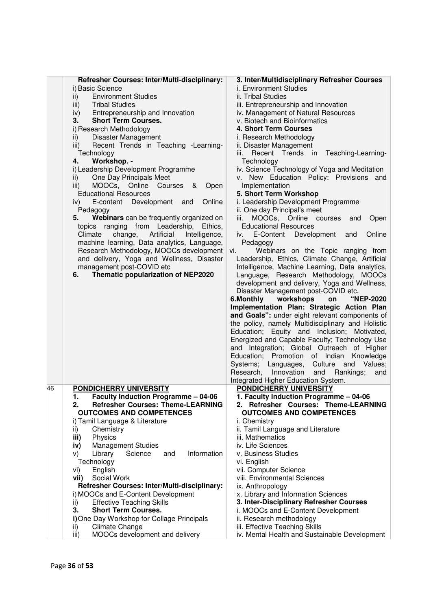|    | Refresher Courses: Inter/Multi-disciplinary:<br>i) Basic Science<br><b>Environment Studies</b><br>ii)<br><b>Tribal Studies</b><br>iii)<br>Entrepreneurship and Innovation<br>iv)<br><b>Short Term Courses.</b><br>3.<br>i) Research Methodology<br>Disaster Management<br>ii)<br>Recent Trends in Teaching -Learning-<br>iii)<br>Technology<br>Workshop. -<br>4.<br>i) Leadership Development Programme<br>One Day Principals Meet<br>ii)<br>MOOCs, Online<br>Courses<br>iii)<br>&<br>Open<br><b>Educational Resources</b><br>Development<br>Online<br>E-content<br>iv)<br>and<br>Pedagogy<br>Webinars can be frequently organized on<br>5.<br>ranging from Leadership,<br>Ethics,<br>topics<br>change,<br>Artificial<br>Climate<br>Intelligence,<br>machine learning, Data analytics, Language,<br>Research Methodology, MOOCs development<br>and delivery, Yoga and Wellness, Disaster<br>management post-COVID etc<br>Thematic popularization of NEP2020<br>6. | 3. Inter/Multidisciplinary Refresher Courses<br>i. Environment Studies<br>ii. Tribal Studies<br>iii. Entrepreneurship and Innovation<br>iv. Management of Natural Resources<br>v. Biotech and Bioinformatics<br>4. Short Term Courses<br>i. Research Methodology<br>ii. Disaster Management<br>Teaching-Learning-<br>Recent Trends<br>in<br>iii.<br>Technology<br>iv. Science Technology of Yoga and Meditation<br>v. New Education Policy: Provisions and<br>Implementation<br>5. Short Term Workshop<br>i. Leadership Development Programme<br>ii. One day Principal's meet<br>MOOCs, Online courses<br>iii.<br>Open<br>and<br><b>Educational Resources</b><br>Online<br>E-Content<br>Development<br>and<br>iv.<br>Pedagogy<br>Webinars on the Topic ranging from<br>vi.<br>Leadership, Ethics, Climate Change, Artificial<br>Intelligence, Machine Learning, Data analytics,<br>Language, Research Methodology, MOOCs<br>development and delivery, Yoga and Wellness,<br>Disaster Management post-COVID etc.<br>6.Monthly<br>workshops<br><b>"NEP-2020</b><br>on<br>Implementation Plan: Strategic Action Plan<br>and Goals": under eight relevant components of<br>the policy, namely Multidisciplinary and Holistic<br>Education; Equity and Inclusion; Motivated,<br>Energized and Capable Faculty; Technology Use<br>and Integration; Global Outreach of Higher<br>Education; Promotion of Indian<br>Knowledge |
|----|-------------------------------------------------------------------------------------------------------------------------------------------------------------------------------------------------------------------------------------------------------------------------------------------------------------------------------------------------------------------------------------------------------------------------------------------------------------------------------------------------------------------------------------------------------------------------------------------------------------------------------------------------------------------------------------------------------------------------------------------------------------------------------------------------------------------------------------------------------------------------------------------------------------------------------------------------------------------|-----------------------------------------------------------------------------------------------------------------------------------------------------------------------------------------------------------------------------------------------------------------------------------------------------------------------------------------------------------------------------------------------------------------------------------------------------------------------------------------------------------------------------------------------------------------------------------------------------------------------------------------------------------------------------------------------------------------------------------------------------------------------------------------------------------------------------------------------------------------------------------------------------------------------------------------------------------------------------------------------------------------------------------------------------------------------------------------------------------------------------------------------------------------------------------------------------------------------------------------------------------------------------------------------------------------------------------------------------------------------------------------------------------------------|
|    |                                                                                                                                                                                                                                                                                                                                                                                                                                                                                                                                                                                                                                                                                                                                                                                                                                                                                                                                                                   | Values;<br>Systems;<br>Culture and<br>Languages,<br>Research, Innovation<br>Rankings;<br>and<br>and                                                                                                                                                                                                                                                                                                                                                                                                                                                                                                                                                                                                                                                                                                                                                                                                                                                                                                                                                                                                                                                                                                                                                                                                                                                                                                                   |
|    |                                                                                                                                                                                                                                                                                                                                                                                                                                                                                                                                                                                                                                                                                                                                                                                                                                                                                                                                                                   |                                                                                                                                                                                                                                                                                                                                                                                                                                                                                                                                                                                                                                                                                                                                                                                                                                                                                                                                                                                                                                                                                                                                                                                                                                                                                                                                                                                                                       |
|    |                                                                                                                                                                                                                                                                                                                                                                                                                                                                                                                                                                                                                                                                                                                                                                                                                                                                                                                                                                   | Integrated Higher Education System.                                                                                                                                                                                                                                                                                                                                                                                                                                                                                                                                                                                                                                                                                                                                                                                                                                                                                                                                                                                                                                                                                                                                                                                                                                                                                                                                                                                   |
| 46 | PONDICHERRY UNIVERSITY                                                                                                                                                                                                                                                                                                                                                                                                                                                                                                                                                                                                                                                                                                                                                                                                                                                                                                                                            | <b>PONDICHERRY UNIVERSITY</b>                                                                                                                                                                                                                                                                                                                                                                                                                                                                                                                                                                                                                                                                                                                                                                                                                                                                                                                                                                                                                                                                                                                                                                                                                                                                                                                                                                                         |
|    | <b>Faculty Induction Programme - 04-06</b><br>1.<br><b>Refresher Courses: Theme-LEARNING</b><br>2.                                                                                                                                                                                                                                                                                                                                                                                                                                                                                                                                                                                                                                                                                                                                                                                                                                                                | 1. Faculty Induction Programme - 04-06<br>2. Refresher Courses: Theme-LEARNING                                                                                                                                                                                                                                                                                                                                                                                                                                                                                                                                                                                                                                                                                                                                                                                                                                                                                                                                                                                                                                                                                                                                                                                                                                                                                                                                        |
|    | <b>OUTCOMES AND COMPETENCES</b>                                                                                                                                                                                                                                                                                                                                                                                                                                                                                                                                                                                                                                                                                                                                                                                                                                                                                                                                   | <b>OUTCOMES AND COMPETENCES</b>                                                                                                                                                                                                                                                                                                                                                                                                                                                                                                                                                                                                                                                                                                                                                                                                                                                                                                                                                                                                                                                                                                                                                                                                                                                                                                                                                                                       |
|    | i) Tamil Language & Literature<br>Chemistry<br>ii)                                                                                                                                                                                                                                                                                                                                                                                                                                                                                                                                                                                                                                                                                                                                                                                                                                                                                                                | i. Chemistry<br>ii. Tamil Language and Literature                                                                                                                                                                                                                                                                                                                                                                                                                                                                                                                                                                                                                                                                                                                                                                                                                                                                                                                                                                                                                                                                                                                                                                                                                                                                                                                                                                     |
|    | Physics<br>iii)                                                                                                                                                                                                                                                                                                                                                                                                                                                                                                                                                                                                                                                                                                                                                                                                                                                                                                                                                   | iii. Mathematics                                                                                                                                                                                                                                                                                                                                                                                                                                                                                                                                                                                                                                                                                                                                                                                                                                                                                                                                                                                                                                                                                                                                                                                                                                                                                                                                                                                                      |
|    | <b>Management Studies</b><br>iv)                                                                                                                                                                                                                                                                                                                                                                                                                                                                                                                                                                                                                                                                                                                                                                                                                                                                                                                                  | iv. Life Sciences                                                                                                                                                                                                                                                                                                                                                                                                                                                                                                                                                                                                                                                                                                                                                                                                                                                                                                                                                                                                                                                                                                                                                                                                                                                                                                                                                                                                     |
|    | Information<br>Science<br>Library<br>and<br>V)                                                                                                                                                                                                                                                                                                                                                                                                                                                                                                                                                                                                                                                                                                                                                                                                                                                                                                                    | v. Business Studies                                                                                                                                                                                                                                                                                                                                                                                                                                                                                                                                                                                                                                                                                                                                                                                                                                                                                                                                                                                                                                                                                                                                                                                                                                                                                                                                                                                                   |
|    | Technology                                                                                                                                                                                                                                                                                                                                                                                                                                                                                                                                                                                                                                                                                                                                                                                                                                                                                                                                                        | vi. English                                                                                                                                                                                                                                                                                                                                                                                                                                                                                                                                                                                                                                                                                                                                                                                                                                                                                                                                                                                                                                                                                                                                                                                                                                                                                                                                                                                                           |
|    | English<br>vi)                                                                                                                                                                                                                                                                                                                                                                                                                                                                                                                                                                                                                                                                                                                                                                                                                                                                                                                                                    | vii. Computer Science                                                                                                                                                                                                                                                                                                                                                                                                                                                                                                                                                                                                                                                                                                                                                                                                                                                                                                                                                                                                                                                                                                                                                                                                                                                                                                                                                                                                 |
|    | Social Work<br>vii)                                                                                                                                                                                                                                                                                                                                                                                                                                                                                                                                                                                                                                                                                                                                                                                                                                                                                                                                               | viii. Environmental Sciences                                                                                                                                                                                                                                                                                                                                                                                                                                                                                                                                                                                                                                                                                                                                                                                                                                                                                                                                                                                                                                                                                                                                                                                                                                                                                                                                                                                          |
|    | Refresher Courses: Inter/Multi-disciplinary:                                                                                                                                                                                                                                                                                                                                                                                                                                                                                                                                                                                                                                                                                                                                                                                                                                                                                                                      | ix. Anthropology                                                                                                                                                                                                                                                                                                                                                                                                                                                                                                                                                                                                                                                                                                                                                                                                                                                                                                                                                                                                                                                                                                                                                                                                                                                                                                                                                                                                      |
|    | i) MOOCs and E-Content Development<br><b>Effective Teaching Skills</b><br>ii)                                                                                                                                                                                                                                                                                                                                                                                                                                                                                                                                                                                                                                                                                                                                                                                                                                                                                     | x. Library and Information Sciences<br>3. Inter-Disciplinary Refresher Courses                                                                                                                                                                                                                                                                                                                                                                                                                                                                                                                                                                                                                                                                                                                                                                                                                                                                                                                                                                                                                                                                                                                                                                                                                                                                                                                                        |
|    | 3.<br><b>Short Term Courses.</b>                                                                                                                                                                                                                                                                                                                                                                                                                                                                                                                                                                                                                                                                                                                                                                                                                                                                                                                                  | i. MOOCs and E-Content Development                                                                                                                                                                                                                                                                                                                                                                                                                                                                                                                                                                                                                                                                                                                                                                                                                                                                                                                                                                                                                                                                                                                                                                                                                                                                                                                                                                                    |
|    | i) One Day Workshop for Collage Principals                                                                                                                                                                                                                                                                                                                                                                                                                                                                                                                                                                                                                                                                                                                                                                                                                                                                                                                        | ii. Research methodology                                                                                                                                                                                                                                                                                                                                                                                                                                                                                                                                                                                                                                                                                                                                                                                                                                                                                                                                                                                                                                                                                                                                                                                                                                                                                                                                                                                              |
|    | <b>Climate Change</b><br>ii)<br>MOOCs development and delivery<br>iii)                                                                                                                                                                                                                                                                                                                                                                                                                                                                                                                                                                                                                                                                                                                                                                                                                                                                                            | iii. Effective Teaching Skills<br>iv. Mental Health and Sustainable Development                                                                                                                                                                                                                                                                                                                                                                                                                                                                                                                                                                                                                                                                                                                                                                                                                                                                                                                                                                                                                                                                                                                                                                                                                                                                                                                                       |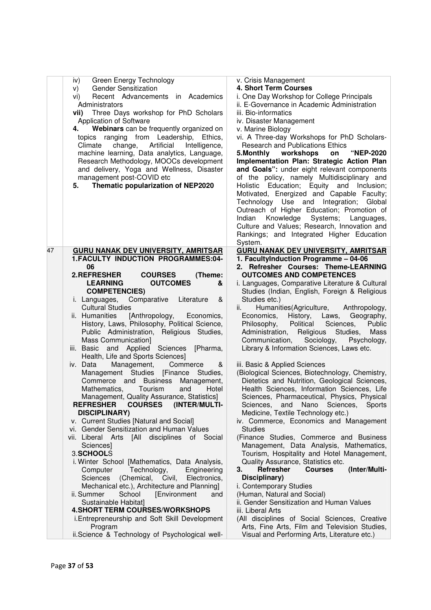| Green Energy Technology<br>iv)<br><b>Gender Sensitization</b><br>V)<br>Recent Advancements in Academics<br>Vİ)<br>Administrators<br>Three Days workshop for PhD Scholars<br>vii)<br>Application of Software<br>Webinars can be frequently organized on<br>4.<br>topics ranging from Leadership, Ethics,<br>Artificial<br>Climate<br>change,<br>Intelligence,<br>machine learning, Data analytics, Language,<br>Research Methodology, MOOCs development<br>and delivery, Yoga and Wellness, Disaster<br>management post-COVID etc<br>Thematic popularization of NEP2020<br>5. | v. Crisis Management<br>4. Short Term Courses<br>i. One Day Workshop for College Principals<br>ii. E-Governance in Academic Administration<br>iii. Bio-informatics<br>iv. Disaster Management<br>v. Marine Biology<br>vi. A Three-day Workshops for PhD Scholars-<br><b>Research and Publications Ethics</b><br>workshops<br>"NEP-2020<br>5. Monthly<br>on<br>Implementation Plan: Strategic Action Plan<br>and Goals": under eight relevant components<br>of the policy, namely Multidisciplinary and<br>Holistic Education; Equity and Inclusion;<br>Motivated, Energized and Capable Faculty;<br>Technology Use and Integration; Global<br>Outreach of Higher Education; Promotion of<br>Indian<br>Knowledge Systems;<br>Languages,<br>Culture and Values; Research, Innovation and<br>Rankings; and Integrated Higher Education<br>System. |
|------------------------------------------------------------------------------------------------------------------------------------------------------------------------------------------------------------------------------------------------------------------------------------------------------------------------------------------------------------------------------------------------------------------------------------------------------------------------------------------------------------------------------------------------------------------------------|------------------------------------------------------------------------------------------------------------------------------------------------------------------------------------------------------------------------------------------------------------------------------------------------------------------------------------------------------------------------------------------------------------------------------------------------------------------------------------------------------------------------------------------------------------------------------------------------------------------------------------------------------------------------------------------------------------------------------------------------------------------------------------------------------------------------------------------------|
| 47<br><b>GURU NANAK DEV UNIVERSITY, AMRITSAR</b>                                                                                                                                                                                                                                                                                                                                                                                                                                                                                                                             | <b>GURU NANAK DEV UNIVERSITY, AMRITSAR</b>                                                                                                                                                                                                                                                                                                                                                                                                                                                                                                                                                                                                                                                                                                                                                                                                     |
| 1.FACULTY INDUCTION PROGRAMMES:04-                                                                                                                                                                                                                                                                                                                                                                                                                                                                                                                                           | 1. FacultyInduction Programme - 04-06                                                                                                                                                                                                                                                                                                                                                                                                                                                                                                                                                                                                                                                                                                                                                                                                          |
| 06<br>2.REFRESHER<br><b>COURSES</b><br>(Theme:                                                                                                                                                                                                                                                                                                                                                                                                                                                                                                                               | 2. Refresher Courses: Theme-LEARNING<br><b>OUTCOMES AND COMPETENCES</b>                                                                                                                                                                                                                                                                                                                                                                                                                                                                                                                                                                                                                                                                                                                                                                        |
| <b>LEARNING</b><br><b>OUTCOMES</b><br>&                                                                                                                                                                                                                                                                                                                                                                                                                                                                                                                                      | i. Languages, Comparative Literature & Cultural                                                                                                                                                                                                                                                                                                                                                                                                                                                                                                                                                                                                                                                                                                                                                                                                |
| <b>COMPETENCIES)</b>                                                                                                                                                                                                                                                                                                                                                                                                                                                                                                                                                         | Studies (Indian, English, Foreign & Religious                                                                                                                                                                                                                                                                                                                                                                                                                                                                                                                                                                                                                                                                                                                                                                                                  |
| Comparative<br>Literature<br>i. Languages,<br>&                                                                                                                                                                                                                                                                                                                                                                                                                                                                                                                              | Studies etc.)                                                                                                                                                                                                                                                                                                                                                                                                                                                                                                                                                                                                                                                                                                                                                                                                                                  |
| <b>Cultural Studies</b><br>ii. Humanities<br>[Anthropology,                                                                                                                                                                                                                                                                                                                                                                                                                                                                                                                  | ii. -<br>Humanities (Agriculture, Anthropology,<br>Economics, History, Laws,<br>Geography,                                                                                                                                                                                                                                                                                                                                                                                                                                                                                                                                                                                                                                                                                                                                                     |
| Economics,<br>History, Laws, Philosophy, Political Science,                                                                                                                                                                                                                                                                                                                                                                                                                                                                                                                  | Political<br>Philosophy,<br>Sciences,<br>Public                                                                                                                                                                                                                                                                                                                                                                                                                                                                                                                                                                                                                                                                                                                                                                                                |
| Public Administration, Religious Studies,                                                                                                                                                                                                                                                                                                                                                                                                                                                                                                                                    | Administration,<br>Religious<br>Studies,<br>Mass                                                                                                                                                                                                                                                                                                                                                                                                                                                                                                                                                                                                                                                                                                                                                                                               |
| Mass Communication]                                                                                                                                                                                                                                                                                                                                                                                                                                                                                                                                                          | Sociology,<br>Communication,<br>Psychology,                                                                                                                                                                                                                                                                                                                                                                                                                                                                                                                                                                                                                                                                                                                                                                                                    |
| iii. Basic<br>and Applied Sciences<br>[Pharma,<br>Health, Life and Sports Sciences]                                                                                                                                                                                                                                                                                                                                                                                                                                                                                          | Library & Information Sciences, Laws etc.                                                                                                                                                                                                                                                                                                                                                                                                                                                                                                                                                                                                                                                                                                                                                                                                      |
| iv. Data<br>Management,<br>Commerce<br>&                                                                                                                                                                                                                                                                                                                                                                                                                                                                                                                                     | iii. Basic & Applied Sciences                                                                                                                                                                                                                                                                                                                                                                                                                                                                                                                                                                                                                                                                                                                                                                                                                  |
| Management Studies [Finance Studies,                                                                                                                                                                                                                                                                                                                                                                                                                                                                                                                                         | (Biological Sciences, Biotechnology, Chemistry,                                                                                                                                                                                                                                                                                                                                                                                                                                                                                                                                                                                                                                                                                                                                                                                                |
| Commerce and Business<br>Management,                                                                                                                                                                                                                                                                                                                                                                                                                                                                                                                                         | Dietetics and Nutrition, Geological Sciences,                                                                                                                                                                                                                                                                                                                                                                                                                                                                                                                                                                                                                                                                                                                                                                                                  |
| Tourism<br>Mathematics,<br>and<br>Hotel                                                                                                                                                                                                                                                                                                                                                                                                                                                                                                                                      | Health Sciences, Information Sciences, Life                                                                                                                                                                                                                                                                                                                                                                                                                                                                                                                                                                                                                                                                                                                                                                                                    |
| Management, Quality Assurance, Statistics]<br>REFRESHER COURSES<br>(INTER/MULTI-                                                                                                                                                                                                                                                                                                                                                                                                                                                                                             | Sciences, Pharmaceutical, Physics, Physical<br>Sciences, and Nano Sciences,<br>Sports                                                                                                                                                                                                                                                                                                                                                                                                                                                                                                                                                                                                                                                                                                                                                          |
| <b>DISCIPLINARY)</b>                                                                                                                                                                                                                                                                                                                                                                                                                                                                                                                                                         | Medicine, Textile Technology etc.)                                                                                                                                                                                                                                                                                                                                                                                                                                                                                                                                                                                                                                                                                                                                                                                                             |
| v. Current Studies [Natural and Social]                                                                                                                                                                                                                                                                                                                                                                                                                                                                                                                                      | iv. Commerce, Economics and Management                                                                                                                                                                                                                                                                                                                                                                                                                                                                                                                                                                                                                                                                                                                                                                                                         |
| vi. Gender Sensitization and Human Values                                                                                                                                                                                                                                                                                                                                                                                                                                                                                                                                    | <b>Studies</b>                                                                                                                                                                                                                                                                                                                                                                                                                                                                                                                                                                                                                                                                                                                                                                                                                                 |
| vii. Liberal Arts<br>[All disciplines of Social<br>Sciences                                                                                                                                                                                                                                                                                                                                                                                                                                                                                                                  | (Finance Studies, Commerce and Business<br>Management, Data Analysis, Mathematics,                                                                                                                                                                                                                                                                                                                                                                                                                                                                                                                                                                                                                                                                                                                                                             |
| 3.SCHOOLS                                                                                                                                                                                                                                                                                                                                                                                                                                                                                                                                                                    | Tourism, Hospitality and Hotel Management,                                                                                                                                                                                                                                                                                                                                                                                                                                                                                                                                                                                                                                                                                                                                                                                                     |
| i. Winter School [Mathematics, Data Analysis,                                                                                                                                                                                                                                                                                                                                                                                                                                                                                                                                | Quality Assurance, Statistics etc.                                                                                                                                                                                                                                                                                                                                                                                                                                                                                                                                                                                                                                                                                                                                                                                                             |
| Technology,<br>Computer<br>Engineering                                                                                                                                                                                                                                                                                                                                                                                                                                                                                                                                       | (Inter/Multi-<br>Refresher<br>3.<br><b>Courses</b>                                                                                                                                                                                                                                                                                                                                                                                                                                                                                                                                                                                                                                                                                                                                                                                             |
| (Chemical, Civil,<br>Sciences<br>Electronics,<br>Mechanical etc.), Architecture and Planning]                                                                                                                                                                                                                                                                                                                                                                                                                                                                                | Disciplinary)<br>i. Contemporary Studies                                                                                                                                                                                                                                                                                                                                                                                                                                                                                                                                                                                                                                                                                                                                                                                                       |
| School<br>[Environment<br>ii. Summer<br>and                                                                                                                                                                                                                                                                                                                                                                                                                                                                                                                                  | (Human, Natural and Social)                                                                                                                                                                                                                                                                                                                                                                                                                                                                                                                                                                                                                                                                                                                                                                                                                    |
| Sustainable Habitat]                                                                                                                                                                                                                                                                                                                                                                                                                                                                                                                                                         | ii. Gender Sensitization and Human Values                                                                                                                                                                                                                                                                                                                                                                                                                                                                                                                                                                                                                                                                                                                                                                                                      |
| <b>4. SHORT TERM COURSES/WORKSHOPS</b>                                                                                                                                                                                                                                                                                                                                                                                                                                                                                                                                       | iii. Liberal Arts                                                                                                                                                                                                                                                                                                                                                                                                                                                                                                                                                                                                                                                                                                                                                                                                                              |
| i. Entrepreneurship and Soft Skill Development<br>Program                                                                                                                                                                                                                                                                                                                                                                                                                                                                                                                    | (All disciplines of Social Sciences, Creative<br>Arts, Fine Arts, Film and Television Studies,                                                                                                                                                                                                                                                                                                                                                                                                                                                                                                                                                                                                                                                                                                                                                 |
| ii.Science & Technology of Psychological well-                                                                                                                                                                                                                                                                                                                                                                                                                                                                                                                               | Visual and Performing Arts, Literature etc.)                                                                                                                                                                                                                                                                                                                                                                                                                                                                                                                                                                                                                                                                                                                                                                                                   |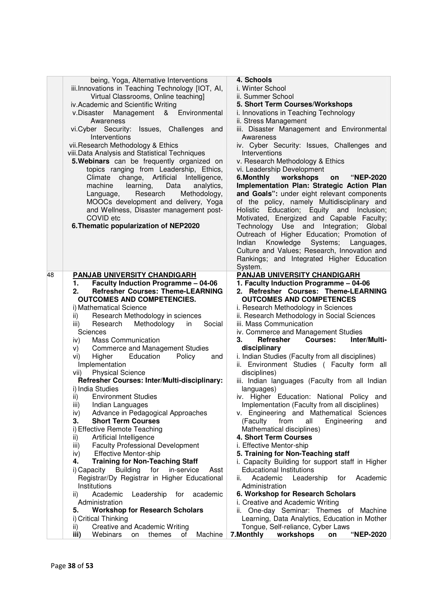|    | being, Yoga, Alternative Interventions<br>iii.Innovations in Teaching Technology [IOT, AI,<br>Virtual Classrooms, Online teaching]<br>iv. Academic and Scientific Writing<br>v.Disaster Management<br>& Environmental<br>Awareness<br>vi.Cyber Security: Issues, Challenges and<br>Interventions<br>vii. Research Methodology & Ethics<br>viii. Data Analysis and Statistical Techniques<br>5. Webinars can be frequently organized on<br>topics ranging from Leadership, Ethics,<br>change, Artificial<br>Climate<br>Intelligence,<br>Data<br>machine<br>learning,<br>analytics,<br>Research<br>Methodology,<br>Language,<br>MOOCs development and delivery, Yoga<br>and Wellness, Disaster management post-<br>COVID etc<br>6. Thematic popularization of NEP2020 | 4. Schools<br>i. Winter School<br>ii. Summer School<br>5. Short Term Courses/Workshops<br>i. Innovations in Teaching Technology<br>ii. Stress Management<br>iii. Disaster Management and Environmental<br>Awareness<br>iv. Cyber Security: Issues, Challenges and<br>Interventions<br>v. Research Methodology & Ethics<br>vi. Leadership Development<br>6.Monthly workshops<br><b>"NEP-2020</b><br>on<br>Implementation Plan: Strategic Action Plan<br>and Goals": under eight relevant components<br>of the policy, namely Multidisciplinary and<br>Holistic Education; Equity and Inclusion;<br>Motivated, Energized and Capable Faculty;<br>Technology Use and Integration; Global<br>Outreach of Higher Education; Promotion of<br>Indian Knowledge Systems;<br>Languages,<br>Culture and Values; Research, Innovation and<br>Rankings; and Integrated Higher Education |
|----|---------------------------------------------------------------------------------------------------------------------------------------------------------------------------------------------------------------------------------------------------------------------------------------------------------------------------------------------------------------------------------------------------------------------------------------------------------------------------------------------------------------------------------------------------------------------------------------------------------------------------------------------------------------------------------------------------------------------------------------------------------------------|-----------------------------------------------------------------------------------------------------------------------------------------------------------------------------------------------------------------------------------------------------------------------------------------------------------------------------------------------------------------------------------------------------------------------------------------------------------------------------------------------------------------------------------------------------------------------------------------------------------------------------------------------------------------------------------------------------------------------------------------------------------------------------------------------------------------------------------------------------------------------------|
| 48 | PANJAB UNIVERSITY CHANDIGARH                                                                                                                                                                                                                                                                                                                                                                                                                                                                                                                                                                                                                                                                                                                                        | System.<br><b>PANJAB UNIVERSITY CHANDIGARH</b>                                                                                                                                                                                                                                                                                                                                                                                                                                                                                                                                                                                                                                                                                                                                                                                                                              |
|    | <b>Faculty Induction Programme - 04-06</b><br>1.<br><b>Refresher Courses: Theme-LEARNING</b><br>2.<br><b>OUTCOMES AND COMPETENCIES.</b><br>i) Mathematical Science                                                                                                                                                                                                                                                                                                                                                                                                                                                                                                                                                                                                  | 1. Faculty Induction Programme - 04-06<br>2. Refresher Courses: Theme-LEARNING<br><b>OUTCOMES AND COMPETENCES</b><br>i. Research Methodology in Sciences                                                                                                                                                                                                                                                                                                                                                                                                                                                                                                                                                                                                                                                                                                                    |
|    | Research Methodology in sciences<br>ii)<br>Research Methodology<br>Social<br>iii)<br>in                                                                                                                                                                                                                                                                                                                                                                                                                                                                                                                                                                                                                                                                             | ii. Research Methodology in Social Sciences<br>iii. Mass Communication                                                                                                                                                                                                                                                                                                                                                                                                                                                                                                                                                                                                                                                                                                                                                                                                      |
|    | Sciences                                                                                                                                                                                                                                                                                                                                                                                                                                                                                                                                                                                                                                                                                                                                                            | iv. Commerce and Management Studies                                                                                                                                                                                                                                                                                                                                                                                                                                                                                                                                                                                                                                                                                                                                                                                                                                         |
|    | <b>Mass Communication</b><br>iv)                                                                                                                                                                                                                                                                                                                                                                                                                                                                                                                                                                                                                                                                                                                                    | Inter/Multi-<br><b>Refresher</b><br><b>Courses:</b><br>З.                                                                                                                                                                                                                                                                                                                                                                                                                                                                                                                                                                                                                                                                                                                                                                                                                   |
|    | <b>Commerce and Management Studies</b><br>V)                                                                                                                                                                                                                                                                                                                                                                                                                                                                                                                                                                                                                                                                                                                        | disciplinary                                                                                                                                                                                                                                                                                                                                                                                                                                                                                                                                                                                                                                                                                                                                                                                                                                                                |
|    | Higher<br>Education<br>Policy<br>and<br>Vİ)                                                                                                                                                                                                                                                                                                                                                                                                                                                                                                                                                                                                                                                                                                                         | i. Indian Studies (Faculty from all disciplines)                                                                                                                                                                                                                                                                                                                                                                                                                                                                                                                                                                                                                                                                                                                                                                                                                            |
|    | Implementation                                                                                                                                                                                                                                                                                                                                                                                                                                                                                                                                                                                                                                                                                                                                                      | ii. Environment Studies (Faculty form all                                                                                                                                                                                                                                                                                                                                                                                                                                                                                                                                                                                                                                                                                                                                                                                                                                   |
|    | <b>Physical Science</b><br>vii)                                                                                                                                                                                                                                                                                                                                                                                                                                                                                                                                                                                                                                                                                                                                     | disciplines)                                                                                                                                                                                                                                                                                                                                                                                                                                                                                                                                                                                                                                                                                                                                                                                                                                                                |
|    | Refresher Courses: Inter/Multi-disciplinary:                                                                                                                                                                                                                                                                                                                                                                                                                                                                                                                                                                                                                                                                                                                        | iii. Indian languages (Faculty from all Indian                                                                                                                                                                                                                                                                                                                                                                                                                                                                                                                                                                                                                                                                                                                                                                                                                              |
|    | i) India Studies                                                                                                                                                                                                                                                                                                                                                                                                                                                                                                                                                                                                                                                                                                                                                    | languages)                                                                                                                                                                                                                                                                                                                                                                                                                                                                                                                                                                                                                                                                                                                                                                                                                                                                  |
|    | ii) Environment Studies                                                                                                                                                                                                                                                                                                                                                                                                                                                                                                                                                                                                                                                                                                                                             | iv. Higher Education: National Policy and                                                                                                                                                                                                                                                                                                                                                                                                                                                                                                                                                                                                                                                                                                                                                                                                                                   |
|    | Indian Languages<br>iii)                                                                                                                                                                                                                                                                                                                                                                                                                                                                                                                                                                                                                                                                                                                                            | Implementation (Faculty from all disciplines)                                                                                                                                                                                                                                                                                                                                                                                                                                                                                                                                                                                                                                                                                                                                                                                                                               |
|    | Advance in Pedagogical Approaches<br>iv)                                                                                                                                                                                                                                                                                                                                                                                                                                                                                                                                                                                                                                                                                                                            | v. Engineering and Mathematical Sciences                                                                                                                                                                                                                                                                                                                                                                                                                                                                                                                                                                                                                                                                                                                                                                                                                                    |
|    | <b>Short Term Courses</b><br>З.                                                                                                                                                                                                                                                                                                                                                                                                                                                                                                                                                                                                                                                                                                                                     | (Faculty<br>from<br>Engineering<br>all<br>and                                                                                                                                                                                                                                                                                                                                                                                                                                                                                                                                                                                                                                                                                                                                                                                                                               |
|    | i) Effective Remote Teaching                                                                                                                                                                                                                                                                                                                                                                                                                                                                                                                                                                                                                                                                                                                                        | Mathematical disciplines)                                                                                                                                                                                                                                                                                                                                                                                                                                                                                                                                                                                                                                                                                                                                                                                                                                                   |
|    | Artificial Intelligence<br>ii)                                                                                                                                                                                                                                                                                                                                                                                                                                                                                                                                                                                                                                                                                                                                      | 4. Short Term Courses                                                                                                                                                                                                                                                                                                                                                                                                                                                                                                                                                                                                                                                                                                                                                                                                                                                       |
|    | <b>Faculty Professional Development</b><br>iii)                                                                                                                                                                                                                                                                                                                                                                                                                                                                                                                                                                                                                                                                                                                     | i. Effective Mentor-ship                                                                                                                                                                                                                                                                                                                                                                                                                                                                                                                                                                                                                                                                                                                                                                                                                                                    |
|    | <b>Effective Mentor-ship</b><br>iv)                                                                                                                                                                                                                                                                                                                                                                                                                                                                                                                                                                                                                                                                                                                                 | 5. Training for Non-Teaching staff                                                                                                                                                                                                                                                                                                                                                                                                                                                                                                                                                                                                                                                                                                                                                                                                                                          |
|    | <b>Training for Non-Teaching Staff</b><br>4.                                                                                                                                                                                                                                                                                                                                                                                                                                                                                                                                                                                                                                                                                                                        | i. Capacity Building for support staff in Higher                                                                                                                                                                                                                                                                                                                                                                                                                                                                                                                                                                                                                                                                                                                                                                                                                            |
|    | i) Capacity<br><b>Building</b><br>for<br>in-service<br>Asst                                                                                                                                                                                                                                                                                                                                                                                                                                                                                                                                                                                                                                                                                                         | <b>Educational Institutions</b><br>Academic                                                                                                                                                                                                                                                                                                                                                                                                                                                                                                                                                                                                                                                                                                                                                                                                                                 |
|    | Registrar/Dy Registrar in Higher Educational<br>Institutions                                                                                                                                                                                                                                                                                                                                                                                                                                                                                                                                                                                                                                                                                                        | Leadership<br>Academic<br>for<br>ii.<br>Administration                                                                                                                                                                                                                                                                                                                                                                                                                                                                                                                                                                                                                                                                                                                                                                                                                      |
|    | Academic<br>ii)<br>Leadership<br>for<br>academic                                                                                                                                                                                                                                                                                                                                                                                                                                                                                                                                                                                                                                                                                                                    | 6. Workshop for Research Scholars                                                                                                                                                                                                                                                                                                                                                                                                                                                                                                                                                                                                                                                                                                                                                                                                                                           |
|    | Administration                                                                                                                                                                                                                                                                                                                                                                                                                                                                                                                                                                                                                                                                                                                                                      | i. Creative and Academic Writing                                                                                                                                                                                                                                                                                                                                                                                                                                                                                                                                                                                                                                                                                                                                                                                                                                            |
|    | <b>Workshop for Research Scholars</b><br>5.                                                                                                                                                                                                                                                                                                                                                                                                                                                                                                                                                                                                                                                                                                                         | ii. One-day Seminar: Themes of Machine                                                                                                                                                                                                                                                                                                                                                                                                                                                                                                                                                                                                                                                                                                                                                                                                                                      |
|    | i) Critical Thinking                                                                                                                                                                                                                                                                                                                                                                                                                                                                                                                                                                                                                                                                                                                                                | Learning, Data Analytics, Education in Mother                                                                                                                                                                                                                                                                                                                                                                                                                                                                                                                                                                                                                                                                                                                                                                                                                               |
|    | Creative and Academic Writing<br>ii)                                                                                                                                                                                                                                                                                                                                                                                                                                                                                                                                                                                                                                                                                                                                | Tongue, Self-reliance, Cyber Laws                                                                                                                                                                                                                                                                                                                                                                                                                                                                                                                                                                                                                                                                                                                                                                                                                                           |
|    | Webinars<br>themes<br>Machine<br>iii)<br>on<br>of                                                                                                                                                                                                                                                                                                                                                                                                                                                                                                                                                                                                                                                                                                                   | 7. Monthly<br>workshops<br><b>"NEP-2020</b><br>on                                                                                                                                                                                                                                                                                                                                                                                                                                                                                                                                                                                                                                                                                                                                                                                                                           |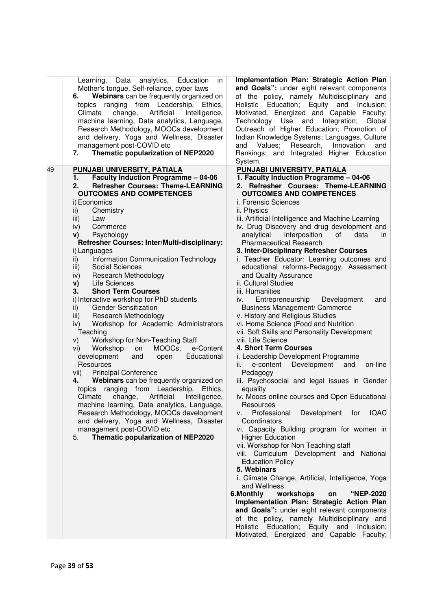| Learning, Data analytics, Education<br>Mother's tongue, Self-reliance, cyber laws<br>Webinars can be frequently organized on<br>6.<br>ranging from Leadership, Ethics,<br>topics<br>Artificial<br>Climate<br>change,<br>Intelligence,<br>machine learning, Data analytics, Language,<br>Research Methodology, MOOCs development<br>and delivery, Yoga and Wellness, Disaster<br>management post-COVID etc<br>Thematic popularization of NEP2020<br>7.                                                                                                                                                                                                                                                                                                                                                                                                                                                                                                                                                                                                                                                                                                         | Implementation Plan: Strategic Action Plan<br>in<br>and Goals": under eight relevant components<br>of the policy, namely Multidisciplinary and<br>Holistic Education; Equity and Inclusion;<br>Motivated, Energized and Capable Faculty;<br>Technology Use and Integration;<br>Global<br>Outreach of Higher Education; Promotion of<br>Indian Knowledge Systems; Languages, Culture<br>Research,<br>Innovation<br>Values;<br>and<br>and<br>Rankings; and Integrated Higher Education<br>System.                                                                                                                                                                                                                                                                                                                                                                                                                                                                                                                                                                                                                                                                                                                                                                          |
|---------------------------------------------------------------------------------------------------------------------------------------------------------------------------------------------------------------------------------------------------------------------------------------------------------------------------------------------------------------------------------------------------------------------------------------------------------------------------------------------------------------------------------------------------------------------------------------------------------------------------------------------------------------------------------------------------------------------------------------------------------------------------------------------------------------------------------------------------------------------------------------------------------------------------------------------------------------------------------------------------------------------------------------------------------------------------------------------------------------------------------------------------------------|--------------------------------------------------------------------------------------------------------------------------------------------------------------------------------------------------------------------------------------------------------------------------------------------------------------------------------------------------------------------------------------------------------------------------------------------------------------------------------------------------------------------------------------------------------------------------------------------------------------------------------------------------------------------------------------------------------------------------------------------------------------------------------------------------------------------------------------------------------------------------------------------------------------------------------------------------------------------------------------------------------------------------------------------------------------------------------------------------------------------------------------------------------------------------------------------------------------------------------------------------------------------------|
| PUNJABI UNIVERSITY, PATIALA<br>49<br><b>Faculty Induction Programme - 04-06</b><br>$\mathbf 1$ .                                                                                                                                                                                                                                                                                                                                                                                                                                                                                                                                                                                                                                                                                                                                                                                                                                                                                                                                                                                                                                                              | PUNJABI UNIVERSITY, PATIALA<br>1. Faculty Induction Programme - 04-06                                                                                                                                                                                                                                                                                                                                                                                                                                                                                                                                                                                                                                                                                                                                                                                                                                                                                                                                                                                                                                                                                                                                                                                                    |
| <b>Refresher Courses: Theme-LEARNING</b><br>2.<br><b>OUTCOMES AND COMPETENCES</b><br>i) Economics<br>Chemistry<br>ii)<br>Law<br>iii)<br>iv)<br>Commerce<br>V)<br>Psychology<br>Refresher Courses: Inter/Multi-disciplinary:<br>i) Languages<br>Information Communication Technology<br>ii)<br>Social Sciences<br>iii)<br>Research Methodology<br>iv)<br>Life Sciences<br>V)<br><b>Short Term Courses</b><br>3.<br>i) Interactive workshop for PhD students<br><b>Gender Sensitization</b><br>$\mathsf{ii}$<br>Research Methodology<br>iii)<br>Workshop for Academic Administrators<br>iv)<br>Teaching<br>Workshop for Non-Teaching Staff<br>V)<br>e-Content<br>Workshop<br>on<br>MOOCs,<br>vi)<br>development<br>and<br>Educational<br>open<br>Resources<br><b>Principal Conference</b><br>vii)<br>Webinars can be frequently organized on<br>4.<br>topics ranging from Leadership, Ethics,<br>change, Artificial<br>Climate<br>Intelligence,<br>machine learning, Data analytics, Language,<br>Research Methodology, MOOCs development<br>and delivery, Yoga and Wellness, Disaster<br>management post-COVID etc<br>Thematic popularization of NEP2020<br>5. | 2. Refresher Courses: Theme-LEARNING<br><b>OUTCOMES AND COMPETENCES</b><br>i. Forensic Sciences<br>ii. Physics<br>iii. Artificial Intelligence and Machine Learning<br>iv. Drug Discovery and drug development and<br>analytical<br>interposition<br>of<br>data<br>in.<br><b>Pharmaceutical Research</b><br>3. Inter-Disciplinary Refresher Courses<br>i. Teacher Educator: Learning outcomes and<br>educational reforms-Pedagogy, Assessment<br>and Quality Assurance<br>ii. Cultural Studies<br>iii. Humanities<br>Entrepreneurship Development<br>iv.<br>and<br><b>Business Management/ Commerce</b><br>v. History and Religious Studies<br>vi. Home Science (Food and Nutrition<br>vii. Soft Skills and Personality Development<br>viii. Life Science<br>4. Short Term Courses<br>i. Leadership Development Programme<br>e-content Development<br>and<br>on-line<br>ii.<br>Pedagogy<br>iii. Psychosocial and legal issues in Gender<br>equality<br>iv. Moocs online courses and Open Educational<br>Resources<br>Professional<br>Development for IQAC<br>v.<br>Coordinators<br>vi. Capacity Building program for women in<br><b>Higher Education</b><br>vii. Workshop for Non Teaching staff<br>viii. Curriculum Development and National<br><b>Education Policy</b> |
|                                                                                                                                                                                                                                                                                                                                                                                                                                                                                                                                                                                                                                                                                                                                                                                                                                                                                                                                                                                                                                                                                                                                                               | 5. Webinars<br>i. Climate Change, Artificial, Intelligence, Yoga<br>and Wellness<br>6.Monthly<br>workshops<br>"NEP-2020<br>on<br>Implementation Plan: Strategic Action Plan<br>and Goals": under eight relevant components<br>of the policy, namely Multidisciplinary and<br>Education; Equity and Inclusion;<br>Holistic<br>Motivated, Energized and Capable Faculty;                                                                                                                                                                                                                                                                                                                                                                                                                                                                                                                                                                                                                                                                                                                                                                                                                                                                                                   |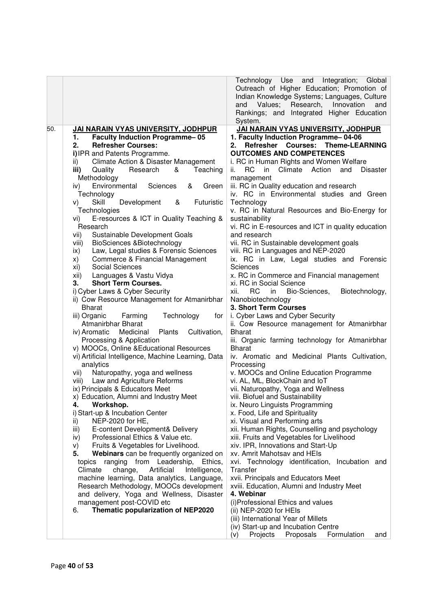|     |                                                                                                                                                                                                                                                                                                                                                                                                                                                                                                                                                                                                                                                                                                                                                                                                                                                                                                                                                                                                                                                                                                                                                                                                                                                                                                                                                                                                                                                                                                                                                                                                                                                                                                                                                                                                                                                                                  | Technology Use and<br>Integration; Global<br>Outreach of Higher Education; Promotion of<br>Indian Knowledge Systems; Languages, Culture<br>Values;<br>Research,<br>Innovation<br>and<br>and<br>Rankings; and Integrated Higher Education<br>System.                                                                                                                                                                                                                                                                                                                                                                                                                                                                                                                                                                                                                                                                                                                                                                                                                                                                                                                                                                                                                                                                                                                                                                                                                                                                                                                                                                                                                                                                                                                                                                                        |
|-----|----------------------------------------------------------------------------------------------------------------------------------------------------------------------------------------------------------------------------------------------------------------------------------------------------------------------------------------------------------------------------------------------------------------------------------------------------------------------------------------------------------------------------------------------------------------------------------------------------------------------------------------------------------------------------------------------------------------------------------------------------------------------------------------------------------------------------------------------------------------------------------------------------------------------------------------------------------------------------------------------------------------------------------------------------------------------------------------------------------------------------------------------------------------------------------------------------------------------------------------------------------------------------------------------------------------------------------------------------------------------------------------------------------------------------------------------------------------------------------------------------------------------------------------------------------------------------------------------------------------------------------------------------------------------------------------------------------------------------------------------------------------------------------------------------------------------------------------------------------------------------------|--------------------------------------------------------------------------------------------------------------------------------------------------------------------------------------------------------------------------------------------------------------------------------------------------------------------------------------------------------------------------------------------------------------------------------------------------------------------------------------------------------------------------------------------------------------------------------------------------------------------------------------------------------------------------------------------------------------------------------------------------------------------------------------------------------------------------------------------------------------------------------------------------------------------------------------------------------------------------------------------------------------------------------------------------------------------------------------------------------------------------------------------------------------------------------------------------------------------------------------------------------------------------------------------------------------------------------------------------------------------------------------------------------------------------------------------------------------------------------------------------------------------------------------------------------------------------------------------------------------------------------------------------------------------------------------------------------------------------------------------------------------------------------------------------------------------------------------------|
| 50. | JAI NARAIN VYAS UNIVERSITY, JODHPUR<br><b>Faculty Induction Programme-05</b><br>1.<br><b>Refresher Courses:</b><br>2.<br>i) IPR and Patents Programme.<br>Climate Action & Disaster Management<br>ii)<br>Quality<br>Research<br>Teaching<br>&<br>iii)<br>Methodology<br>Environmental<br>Sciences<br>Green<br>iv)<br>&<br>Technology<br>Skill<br>Development<br>Futuristic<br>&<br>V)<br>Technologies<br>E-resources & ICT in Quality Teaching &<br>Vİ)<br>Research<br>vii)<br>Sustainable Development Goals<br>BioSciences &Biotechnology<br>viii)<br>Law, Legal studies & Forensic Sciences<br>ix)<br>Commerce & Financial Management<br>X)<br>Social Sciences<br>xi)<br>Languages & Vastu Vidya<br>xii)<br><b>Short Term Courses.</b><br>3.<br>i) Cyber Laws & Cyber Security<br>ii) Cow Resource Management for Atmanirbhar<br><b>Bharat</b><br>iii) Organic<br>Farming<br>Technology<br>tor<br>Atmanirbhar Bharat<br>Medicinal<br>iv) Aromatic<br>Plants<br>Cultivation,<br>Processing & Application<br>v) MOOCs, Online & Educational Resources<br>vi) Artificial Intelligence, Machine Learning, Data<br>analytics<br>Naturopathy, yoga and wellness<br>vii)<br>viii) Law and Agriculture Reforms<br>ix) Principals & Educators Meet<br>x) Education, Alumni and Industry Meet<br>Workshop.<br>4.<br>i) Start-up & Incubation Center<br>NEP-2020 for HE,<br>ii)<br>E-content Development& Delivery<br>iii)<br>Professional Ethics & Value etc.<br>iv)<br>Fruits & Vegetables for Livelihood.<br>V)<br>Webinars can be frequently organized on<br>5.<br>ranging from Leadership,<br>Ethics,<br>topics<br>Climate<br>change,<br>Artificial<br>Intelligence,<br>machine learning, Data analytics, Language,<br>Research Methodology, MOOCs development<br>and delivery, Yoga and Wellness, Disaster<br>management post-COVID etc<br>Thematic popularization of NEP2020<br>6. | JAI NARAIN VYAS UNIVERSITY, JODHPUR<br>1. Faculty Induction Programme-04-06<br><b>Courses: Theme-LEARNING</b><br>Refresher<br>2.<br><b>OUTCOMES AND COMPETENCES</b><br>i. RC in Human Rights and Women Welfare<br><b>RC</b><br>Climate<br>Action<br>ii.<br>in<br>and<br><b>Disaster</b><br>management<br>iii. RC in Quality education and research<br>iv. RC in Environmental studies and Green<br>Technology<br>v. RC in Natural Resources and Bio-Energy for<br>sustainability<br>vi. RC in E-resources and ICT in quality education<br>and research<br>vii. RC in Sustainable development goals<br>viii. RC in Languages and NEP-2020<br>ix. RC in Law, Legal studies and Forensic<br>Sciences<br>x. RC in Commerce and Financial management<br>xi. RC in Social Science<br><b>RC</b><br>xii.<br>in<br>Bio-Sciences,<br>Biotechnology,<br>Nanobiotechnology<br>3. Short Term Courses<br>i. Cyber Laws and Cyber Security<br>ii. Cow Resource management for Atmanirbhar<br><b>Bharat</b><br>iii. Organic farming technology for Atmanirbhar<br><b>Bharat</b><br>iv. Aromatic and Medicinal Plants Cultivation,<br>Processing<br>v. MOOCs and Online Education Programme<br>vi. AL, ML, BlockChain and IoT<br>vii. Naturopathy, Yoga and Wellness<br>viii. Biofuel and Sustainability<br>ix. Neuro Linguists Programming<br>x. Food, Life and Spirituality<br>xi. Visual and Performing arts<br>xii. Human Rights, Counselling and psychology<br>xiii. Fruits and Vegetables for Livelihood<br>xiv. IPR, Innovations and Start-Up<br>xv. Amrit Mahotsav and HEIs<br>xvi. Technology identification, Incubation and<br>Transfer<br>xvii. Principals and Educators Meet<br>xviii. Education, Alumni and Industry Meet<br>4. Webinar<br>(i) Professional Ethics and values<br>(ii) NEP-2020 for HEIs<br>(iii) International Year of Millets |
|     |                                                                                                                                                                                                                                                                                                                                                                                                                                                                                                                                                                                                                                                                                                                                                                                                                                                                                                                                                                                                                                                                                                                                                                                                                                                                                                                                                                                                                                                                                                                                                                                                                                                                                                                                                                                                                                                                                  | (iv) Start-up and Incubation Centre<br>Proposals<br>Projects<br>Formulation<br>(v)<br>and                                                                                                                                                                                                                                                                                                                                                                                                                                                                                                                                                                                                                                                                                                                                                                                                                                                                                                                                                                                                                                                                                                                                                                                                                                                                                                                                                                                                                                                                                                                                                                                                                                                                                                                                                  |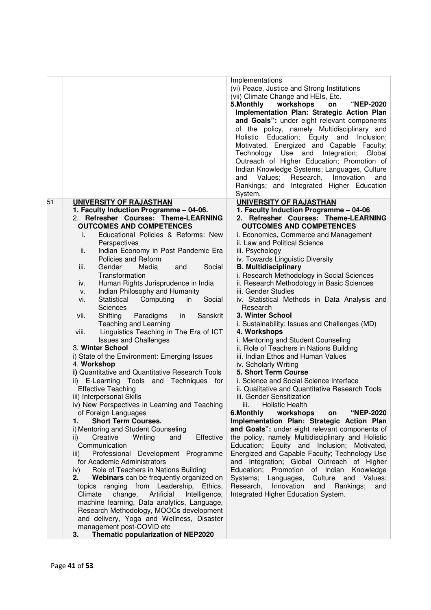|    |                                                                                      | Implementations                                                                                  |
|----|--------------------------------------------------------------------------------------|--------------------------------------------------------------------------------------------------|
|    |                                                                                      | (vi) Peace, Justice and Strong Institutions<br>(vii) Climate Change and HEIs, Etc.               |
|    |                                                                                      | 5. Monthly<br>workshops<br>"NEP-2020<br>on                                                       |
|    |                                                                                      |                                                                                                  |
|    |                                                                                      | Implementation Plan: Strategic Action Plan                                                       |
|    |                                                                                      | and Goals": under eight relevant components                                                      |
|    |                                                                                      | of the policy, namely Multidisciplinary and                                                      |
|    |                                                                                      | Holistic Education; Equity and<br>Inclusion;                                                     |
|    |                                                                                      | Motivated, Energized and Capable Faculty;                                                        |
|    |                                                                                      | Technology Use and Integration;<br>Global                                                        |
|    |                                                                                      | Outreach of Higher Education; Promotion of                                                       |
|    |                                                                                      | Indian Knowledge Systems; Languages, Culture<br>Research,<br>Innovation<br>and<br>Values;<br>and |
|    |                                                                                      | Rankings; and Integrated Higher Education                                                        |
|    |                                                                                      | System.                                                                                          |
| 51 | UNIVERSITY OF RAJASTHAN                                                              | UNIVERSITY OF RAJASTHAN                                                                          |
|    | 1. Faculty Induction Programme - 04-06.                                              | 1. Faculty Induction Programme - 04-06                                                           |
|    | 2. Refresher Courses: Theme-LEARNING                                                 | 2. Refresher Courses: Theme-LEARNING                                                             |
|    | <b>OUTCOMES AND COMPETENCES</b>                                                      | <b>OUTCOMES AND COMPETENCES</b>                                                                  |
|    | Educational Policies & Reforms: New<br>i.                                            | i. Economics, Commerce and Management                                                            |
|    | Perspectives                                                                         | ii. Law and Political Science                                                                    |
|    | Indian Economy in Post Pandemic Era<br>ii.                                           | iii. Psychology                                                                                  |
|    | Policies and Reform                                                                  | iv. Towards Linguistic Diversity                                                                 |
|    | Gender<br>Social<br>iii.<br>Media<br>and                                             | <b>B. Multidisciplinary</b>                                                                      |
|    | Transformation                                                                       | i. Research Methodology in Social Sciences                                                       |
|    | Human Rights Jurisprudence in India<br>iv.                                           | ii. Research Methodology in Basic Sciences                                                       |
|    | Indian Philosophy and Humanity<br>v.                                                 | iii. Gender Studies                                                                              |
|    | Statistical<br>Computing<br>Social<br>vi.<br>in                                      | iv. Statistical Methods in Data Analysis and                                                     |
|    | <b>Sciences</b>                                                                      | Research                                                                                         |
|    | Shifting<br>Paradigms<br>Sanskrit<br>vii.<br>in                                      | 3. Winter School                                                                                 |
|    | Teaching and Learning                                                                | i. Sustainability: Issues and Challenges (MD)                                                    |
|    | viii.<br>Linguistics Teaching in The Era of ICT                                      | 4. Workshops                                                                                     |
|    | <b>Issues and Challenges</b>                                                         | i. Mentoring and Student Counseling                                                              |
|    | 3. Winter School                                                                     | ii. Role of Teachers in Nations Building                                                         |
|    | i) State of the Environment: Emerging Issues<br>4. Workshop                          | iii. Indian Ethos and Human Values<br>iv. Scholarly Writing                                      |
|    | i) Quantitative and Quantitative Research Tools                                      | 5. Short Term Course                                                                             |
|    | E-Learning Tools<br>and Techniques for<br>ii)                                        | i. Science and Social Science Interface                                                          |
|    | <b>Effective Teaching</b>                                                            | ii. Qualitative and Quantitative Research Tools                                                  |
|    | iii) Interpersonal Skills                                                            | iii. Gender Sensitization                                                                        |
|    | iv) New Perspectives in Learning and Teaching                                        | <b>Holistic Health</b><br>iii.                                                                   |
|    | of Foreign Languages                                                                 | 6.Monthly<br>"NEP-2020<br>workshops<br>on                                                        |
|    | <b>Short Term Courses.</b><br>1.                                                     | Implementation Plan: Strategic Action Plan                                                       |
|    | i) Mentoring and Student Counseling                                                  | and Goals": under eight relevant components of                                                   |
|    | Creative<br>Writing<br>and<br>Effective<br>ii)                                       | the policy, namely Multidisciplinary and Holistic                                                |
|    | Communication                                                                        | Education; Equity and Inclusion; Motivated,                                                      |
|    | Professional Development Programme<br>iii)                                           | Energized and Capable Faculty; Technology Use                                                    |
|    | for Academic Administrators                                                          | and Integration; Global Outreach of Higher                                                       |
|    | Role of Teachers in Nations Building<br>iv)                                          | Education; Promotion of Indian Knowledge                                                         |
|    | 2.<br>Webinars can be frequently organized on                                        | Systems;<br>Languages,<br>Culture and<br>Values;                                                 |
|    | ranging from Leadership, Ethics,<br>topics                                           | Innovation<br>Research,<br>and<br>Rankings;<br>and                                               |
|    | Artificial<br>Climate<br>change,<br>Intelligence,                                    | Integrated Higher Education System.                                                              |
|    | machine learning, Data analytics, Language,                                          |                                                                                                  |
|    | Research Methodology, MOOCs development<br>and delivery, Yoga and Wellness, Disaster |                                                                                                  |
|    | management post-COVID etc                                                            |                                                                                                  |
|    | Thematic popularization of NEP2020<br>3.                                             |                                                                                                  |
|    |                                                                                      |                                                                                                  |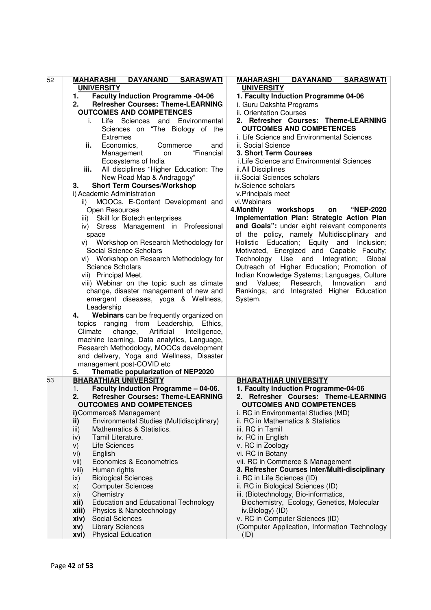| 52 | <b>DAYANAND</b><br><b>MAHARASHI</b><br><b>SARASWATI</b> | <b>DAYANAND</b><br><b>MAHARASHI</b><br><b>SARASWATI</b> |
|----|---------------------------------------------------------|---------------------------------------------------------|
|    | <b>UNIVERSITY</b>                                       | <b>UNIVERSITY</b>                                       |
|    | <b>Faculty Induction Programme -04-06</b><br>1.         | 1. Faculty Induction Programme 04-06                    |
|    | <b>Refresher Courses: Theme-LEARNING</b><br>2.          | i. Guru Dakshta Programs                                |
|    | <b>OUTCOMES AND COMPETENCES</b>                         | ii. Orientation Courses                                 |
|    | Life<br>Sciences and<br>Environmental<br>İ.             | 2. Refresher Courses: Theme-LEARNING                    |
|    | Sciences on "The Biology of the                         | <b>OUTCOMES AND COMPETENCES</b>                         |
|    | <b>Extremes</b>                                         | i. Life Science and Environmental Sciences              |
|    | ii.<br>Economics,<br>Commerce<br>and                    | ii. Social Science                                      |
|    | "Financial                                              | 3. Short Term Courses                                   |
|    | Management<br>on                                        |                                                         |
|    | Ecosystems of India                                     | i.Life Science and Environmental Sciences               |
|    | All disciplines "Higher Education: The<br>iii.          | ii.All Disciplines                                      |
|    | New Road Map & Andragogy"                               | iii.Social Sciences scholars                            |
|    | <b>Short Term Courses/Workshop</b><br>З.                | iv.Science scholars                                     |
|    | i) Academic Administration                              | v.Principals meet                                       |
|    | MOOCs, E-Content Development and<br>ii)                 | vi.Webinars                                             |
|    | Open Resources                                          | 4. Monthly<br>workshops<br><b>"NEP-2020</b><br>on       |
|    | Skill for Biotech enterprises<br>iii)                   | Implementation Plan: Strategic Action Plan              |
|    | Stress Management in Professional<br>iv)                | and Goals": under eight relevant components             |
|    | space                                                   | of the policy, namely Multidisciplinary and             |
|    | Workshop on Research Methodology for<br>V)              | Education; Equity and<br>Holistic<br>Inclusion;         |
|    | Social Science Scholars                                 | Motivated, Energized and Capable Faculty;               |
|    | vi) Workshop on Research Methodology for                | Technology Use and Integration;<br>Global               |
|    | Science Scholars                                        | Outreach of Higher Education; Promotion of              |
|    | vii) Principal Meet.                                    | Indian Knowledge Systems; Languages, Culture            |
|    | viii) Webinar on the topic such as climate              | Research,<br>Values;<br>Innovation<br>and<br>and        |
|    | change, disaster management of new and                  | Rankings; and Integrated Higher Education               |
|    | emergent diseases, yoga & Wellness,                     | System.                                                 |
|    | Leadership                                              |                                                         |
|    | Webinars can be frequently organized on<br>4.           |                                                         |
|    | topics ranging from Leadership, Ethics,                 |                                                         |
|    | change, Artificial<br>Climate<br>Intelligence,          |                                                         |
|    | machine learning, Data analytics, Language,             |                                                         |
|    | Research Methodology, MOOCs development                 |                                                         |
|    | and delivery, Yoga and Wellness, Disaster               |                                                         |
|    | management post-COVID etc                               |                                                         |
|    | Thematic popularization of NEP2020<br>5.                |                                                         |
| 53 | <b>BHARATHIAR UNIVERSITY</b>                            | <b>BHARATHIAR UNIVERSITY</b>                            |
|    | Faculty Induction Programme - 04-06.<br>1.              | 1. Faculty Induction Programme-04-06                    |
|    | <b>Refresher Courses: Theme-LEARNING</b><br>2.          | 2. Refresher Courses: Theme-LEARNING                    |
|    | <b>OUTCOMES AND COMPETENCES</b>                         | <b>OUTCOMES AND COMPETENCES</b>                         |
|    | i) Commerce& Management                                 | i. RC in Environmental Studies (MD)                     |
|    | Environmental Studies (Multidisciplinary)<br>ii)        | ii. RC in Mathematics & Statistics                      |
|    | Mathematics & Statistics.<br>iii)                       | iii. RC in Tamil                                        |
|    | Tamil Literature.<br>iv)                                | iv. RC in English                                       |
|    | Life Sciences<br>V)                                     | v. RC in Zoology                                        |
|    | English<br>vi)                                          | vi. RC in Botany                                        |
|    | Economics & Econometrics                                | vii. RC in Commerce & Management                        |
|    | vii)                                                    | 3. Refresher Courses Inter/Multi-disciplinary           |
|    | viii)<br>Human rights                                   |                                                         |
|    | <b>Biological Sciences</b><br>ix)                       | i. RC in Life Sciences (ID)                             |
|    | <b>Computer Sciences</b><br>X)                          | ii. RC in Biological Sciences (ID)                      |
|    | Chemistry<br>xi)                                        | iii. (Biotechnology, Bio-informatics,                   |
|    | <b>Education and Educational Technology</b><br>xii)     | Biochemistry, Ecology, Genetics, Molecular              |
|    | Physics & Nanotechnology<br>xiii)                       | iv.Biology) (ID)                                        |
|    | Social Sciences<br>xiv)                                 | v. RC in Computer Sciences (ID)                         |
|    | <b>Library Sciences</b><br>XV)                          | (Computer Application, Information Technology           |
|    | <b>Physical Education</b><br>xvi)                       | (ID)                                                    |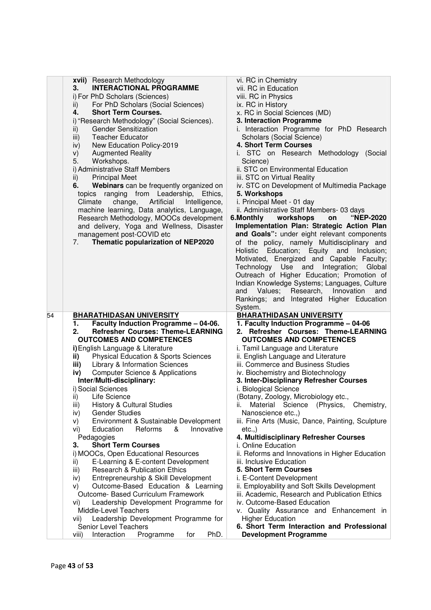|    | xvii) Research Methodology                                                                   | vi. RC in Chemistry                                                                        |
|----|----------------------------------------------------------------------------------------------|--------------------------------------------------------------------------------------------|
|    | <b>INTERACTIONAL PROGRAMME</b><br>3.                                                         | vii. RC in Education                                                                       |
|    | i) For PhD Scholars (Sciences)                                                               | viii. RC in Physics                                                                        |
|    | For PhD Scholars (Social Sciences)<br>ii)                                                    | ix. RC in History                                                                          |
|    | <b>Short Term Courses.</b><br>4.                                                             | x. RC in Social Sciences (MD)                                                              |
|    | i) "Research Methodology" (Social Sciences).                                                 | 3. Interaction Programme                                                                   |
|    | <b>Gender Sensitization</b><br>ii)                                                           | i. Interaction Programme for PhD Research                                                  |
|    | <b>Teacher Educator</b><br>iii)                                                              | Scholars (Social Science)                                                                  |
|    | New Education Policy-2019<br>iv)                                                             | 4. Short Term Courses                                                                      |
|    | <b>Augmented Reality</b><br>V)                                                               | i. STC on Research Methodology (Social                                                     |
|    | Workshops.<br>5.                                                                             | Science)                                                                                   |
|    | i) Administrative Staff Members                                                              | ii. STC on Environmental Education                                                         |
|    | <b>Principal Meet</b><br>ii)                                                                 | iii. STC on Virtual Reality                                                                |
|    | Webinars can be frequently organized on<br>6.                                                | iv. STC on Development of Multimedia Package                                               |
|    | topics ranging from Leadership, Ethics,                                                      | 5. Workshops                                                                               |
|    | Artificial<br>Intelligence,<br>Climate<br>change,                                            | i. Principal Meet - 01 day                                                                 |
|    | machine learning, Data analytics, Language,                                                  | ii. Administrative Staff Members- 03 days                                                  |
|    | Research Methodology, MOOCs development                                                      | workshops<br>"NEP-2020<br>6.Monthly<br>on                                                  |
|    | and delivery, Yoga and Wellness, Disaster                                                    | Implementation Plan: Strategic Action Plan                                                 |
|    | management post-COVID etc                                                                    | and Goals": under eight relevant components                                                |
|    | Thematic popularization of NEP2020<br>7.                                                     | of the policy, namely Multidisciplinary and                                                |
|    |                                                                                              | Holistic Education; Equity and Inclusion;                                                  |
|    |                                                                                              | Motivated, Energized and Capable Faculty;                                                  |
|    |                                                                                              | Technology Use and Integration;<br>Global                                                  |
|    |                                                                                              | Outreach of Higher Education; Promotion of<br>Indian Knowledge Systems; Languages, Culture |
|    |                                                                                              | Values; Research,<br>Innovation                                                            |
|    |                                                                                              | and<br>and<br>Rankings; and Integrated Higher Education                                    |
|    |                                                                                              |                                                                                            |
|    |                                                                                              |                                                                                            |
|    |                                                                                              | System.                                                                                    |
| 54 | <b>BHARATHIDASAN UNIVERSITY</b>                                                              | <b>BHARATHIDASAN UNIVERSITY</b>                                                            |
|    | Faculty Induction Programme - 04-06.<br>1.<br><b>Refresher Courses: Theme-LEARNING</b><br>2. | 1. Faculty Induction Programme - 04-06<br>2. Refresher Courses: Theme-LEARNING             |
|    | <b>OUTCOMES AND COMPETENCES</b>                                                              | <b>OUTCOMES AND COMPETENCES</b>                                                            |
|    | i) English Language & Literature                                                             | i. Tamil Language and Literature                                                           |
|    | <b>Physical Education &amp; Sports Sciences</b><br>ii)                                       | ii. English Language and Literature                                                        |
|    | <b>Library &amp; Information Sciences</b><br>iii)                                            | iii. Commerce and Business Studies                                                         |
|    | <b>Computer Science &amp; Applications</b><br>iv)                                            | iv. Biochemistry and Biotechnology                                                         |
|    | Inter/Multi-disciplinary:                                                                    | 3. Inter-Disciplinary Refresher Courses                                                    |
|    | i) Social Sciences                                                                           | i. Biological Science                                                                      |
|    | ii) Life Science                                                                             | (Botany, Zoology, Microbiology etc.,                                                       |
|    | <b>History &amp; Cultural Studies</b><br>iii)                                                | Material Science (Physics, Chemistry,                                                      |
|    | <b>Gender Studies</b><br>iv)                                                                 | Nanoscience etc.,)                                                                         |
|    | Environment & Sustainable Development<br>V)                                                  | iii. Fine Arts (Music, Dance, Painting, Sculpture                                          |
|    | Education<br>Reforms<br>&<br>Innovative<br>VI)                                               | etc.,                                                                                      |
|    | Pedagogies                                                                                   | 4. Multidisciplinary Refresher Courses                                                     |
|    | 3.<br><b>Short Term Courses</b>                                                              | i. Online Education                                                                        |
|    | i) MOOCs, Open Educational Resources                                                         | ii. Reforms and Innovations in Higher Education                                            |
|    | E-Learning & E-content Development<br>ii)                                                    | iii. Inclusive Education                                                                   |
|    | <b>Research &amp; Publication Ethics</b><br>iii)                                             | <b>5. Short Term Courses</b>                                                               |
|    | Entrepreneurship & Skill Development<br>iv)                                                  | i. E-Content Development                                                                   |
|    | Outcome-Based Education & Learning<br>V)                                                     | ii. Employability and Soft Skills Development                                              |
|    | Outcome- Based Curriculum Framework                                                          | iii. Academic, Research and Publication Ethics                                             |
|    | Leadership Development Programme for<br>vi)                                                  | iv. Outcome-Based Education                                                                |
|    | Middle-Level Teachers                                                                        | v. Quality Assurance and Enhancement in                                                    |
|    | Leadership Development Programme for<br>vii)                                                 | <b>Higher Education</b>                                                                    |
|    | Senior Level Teachers<br>Interaction<br>Programme<br>PhD.<br>viii)<br>for                    | 6. Short Term Interaction and Professional<br><b>Development Programme</b>                 |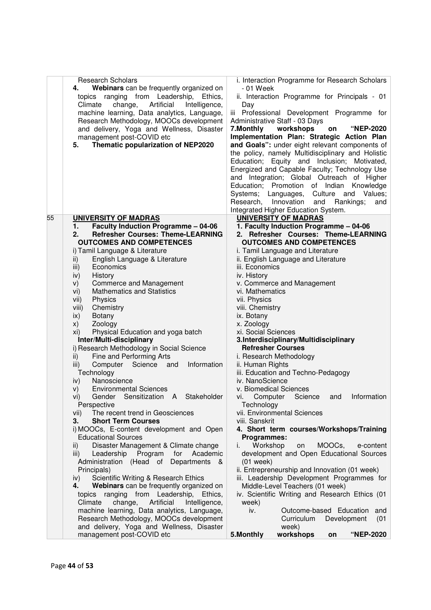|    | <b>Research Scholars</b>                                                                       | i. Interaction Programme for Research Scholars                                              |
|----|------------------------------------------------------------------------------------------------|---------------------------------------------------------------------------------------------|
|    | Webinars can be frequently organized on<br>4.<br>ranging from Leadership,<br>Ethics,<br>topics | - 01 Week<br>ii. Interaction Programme for Principals - 01                                  |
|    | Climate<br>change,<br>Artificial<br>Intelligence,                                              | Day                                                                                         |
|    | machine learning, Data analytics, Language,                                                    | iii Professional Development Programme for                                                  |
|    | Research Methodology, MOOCs development                                                        | Administrative Staff - 03 Days                                                              |
|    | and delivery, Yoga and Wellness, Disaster                                                      | 7. Monthly<br>workshops<br><b>"NEP-2020</b><br>on                                           |
|    | management post-COVID etc                                                                      | Implementation Plan: Strategic Action Plan                                                  |
|    | Thematic popularization of NEP2020<br>5.                                                       | and Goals": under eight relevant components of                                              |
|    |                                                                                                | the policy, namely Multidisciplinary and Holistic                                           |
|    |                                                                                                | Education; Equity and Inclusion; Motivated,                                                 |
|    |                                                                                                | Energized and Capable Faculty; Technology Use<br>and Integration; Global Outreach of Higher |
|    |                                                                                                | Education; Promotion of Indian Knowledge                                                    |
|    |                                                                                                | Values;<br>Systems; Languages,<br>Culture and                                               |
|    |                                                                                                | Research, Innovation<br>Rankings;<br>and<br>and                                             |
|    |                                                                                                | Integrated Higher Education System.                                                         |
| 55 | <b>UNIVERSITY OF MADRAS</b>                                                                    | <b>UNIVERSITY OF MADRAS</b>                                                                 |
|    | <b>Faculty Induction Programme - 04-06</b><br>1.                                               | 1. Faculty Induction Programme - 04-06                                                      |
|    | <b>Refresher Courses: Theme-LEARNING</b><br>2.                                                 | 2. Refresher Courses: Theme-LEARNING<br><b>OUTCOMES AND COMPETENCES</b>                     |
|    | <b>OUTCOMES AND COMPETENCES</b><br>i) Tamil Language & Literature                              | i. Tamil Language and Literature                                                            |
|    | English Language & Literature<br>ii)                                                           | ii. English Language and Literature                                                         |
|    | Economics<br>iii)                                                                              | iii. Economics                                                                              |
|    | History<br>iv)                                                                                 | iv. History                                                                                 |
|    | Commerce and Management<br>V)                                                                  | v. Commerce and Management                                                                  |
|    | <b>Mathematics and Statistics</b><br>vi)                                                       | vi. Mathematics                                                                             |
|    | Physics<br>vii)                                                                                | vii. Physics                                                                                |
|    | Chemistry<br>viii)<br>Botany<br>ix)                                                            | viii. Chemistry<br>ix. Botany                                                               |
|    | Zoology<br>X)                                                                                  | x. Zoology                                                                                  |
|    | Physical Education and yoga batch<br>xi)                                                       | xi. Social Sciences                                                                         |
|    | Inter/Multi-disciplinary                                                                       | 3.Interdisciplinary/Multidisciplinary                                                       |
|    | i) Research Methodology in Social Science                                                      | <b>Refresher Courses</b>                                                                    |
|    | Fine and Performing Arts<br>ii)                                                                | i. Research Methodology                                                                     |
|    | Computer<br>Information<br>Science<br>and<br>iii)                                              | ii. Human Rights                                                                            |
|    | Technology<br>Nanoscience<br>iv)                                                               | iii. Education and Techno-Pedagogy<br>iv. NanoScience                                       |
|    | <b>Environmental Sciences</b><br>V)                                                            | v. Biomedical Sciences                                                                      |
|    | Stakeholder<br>vi)<br>Gender Sensitization A                                                   | vi. Computer Science and Information                                                        |
|    | Perspective                                                                                    | Technology                                                                                  |
|    | The recent trend in Geosciences<br>vii)                                                        | vii. Environmental Sciences                                                                 |
|    | <b>Short Term Courses</b><br>3.                                                                | viii. Sanskrit                                                                              |
|    | i) MOOCs, E-content development and Open                                                       | 4. Short term courses/Workshops/Training                                                    |
|    | <b>Educational Sources</b><br>Disaster Management & Climate change<br>ii)                      | <b>Programmes:</b><br>i. Workshop<br>MOOCs,<br>on<br>e-content                              |
|    | Leadership Program<br>for<br>Academic<br>iii)                                                  | development and Open Educational Sources                                                    |
|    | Administration (Head of Departments &                                                          | $(01$ week)                                                                                 |
|    | Principals)                                                                                    | ii. Entrepreneurship and Innovation (01 week)                                               |
|    | Scientific Writing & Research Ethics<br>iv)                                                    | iii. Leadership Development Programmes for                                                  |
|    | Webinars can be frequently organized on<br>4.                                                  | Middle-Level Teachers (01 week)                                                             |
|    | topics ranging from Leadership,<br>Ethics,                                                     | iv. Scientific Writing and Research Ethics (01                                              |
|    | change, Artificial<br>Intelligence,<br>Climate                                                 | week)                                                                                       |
|    | machine learning, Data analytics, Language,<br>Research Methodology, MOOCs development         | iv.<br>Outcome-based Education<br>and<br>Curriculum<br>Development<br>(01)                  |
|    | and delivery, Yoga and Wellness, Disaster                                                      | week)                                                                                       |
|    | management post-COVID etc                                                                      | workshops<br>5. Monthly<br><b>"NEP-2020</b><br>on                                           |
|    |                                                                                                |                                                                                             |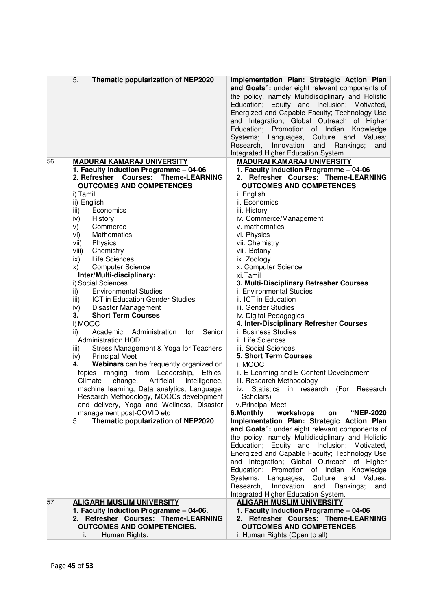|    | 5.<br>Thematic popularization of NEP2020                                      | Implementation Plan: Strategic Action Plan<br>and Goals": under eight relevant components of<br>the policy, namely Multidisciplinary and Holistic<br>Education; Equity and Inclusion; Motivated,<br>Energized and Capable Faculty; Technology Use<br>and Integration; Global Outreach of Higher<br>Education; Promotion of Indian<br>Knowledge<br>Systems; Languages,<br>Culture and Values;<br>Research,<br>Innovation<br>and<br>Rankings;<br>and<br>Integrated Higher Education System. |
|----|-------------------------------------------------------------------------------|-------------------------------------------------------------------------------------------------------------------------------------------------------------------------------------------------------------------------------------------------------------------------------------------------------------------------------------------------------------------------------------------------------------------------------------------------------------------------------------------|
| 56 | <b>MADURAI KAMARAJ UNIVERSITY</b>                                             | <b>MADURAI KAMARAJ UNIVERSITY</b>                                                                                                                                                                                                                                                                                                                                                                                                                                                         |
|    | 1. Faculty Induction Programme - 04-06                                        | 1. Faculty Induction Programme - 04-06                                                                                                                                                                                                                                                                                                                                                                                                                                                    |
|    | 2. Refresher Courses: Theme-LEARNING                                          | 2. Refresher Courses: Theme-LEARNING                                                                                                                                                                                                                                                                                                                                                                                                                                                      |
|    | <b>OUTCOMES AND COMPETENCES</b>                                               | <b>OUTCOMES AND COMPETENCES</b>                                                                                                                                                                                                                                                                                                                                                                                                                                                           |
|    | i) Tamil                                                                      | i. English                                                                                                                                                                                                                                                                                                                                                                                                                                                                                |
|    | ii) English                                                                   | ii. Economics                                                                                                                                                                                                                                                                                                                                                                                                                                                                             |
|    | Economics<br>iii)                                                             | iii. History                                                                                                                                                                                                                                                                                                                                                                                                                                                                              |
|    | History<br>iv)<br>Commerce<br>V)                                              | iv. Commerce/Management<br>v. mathematics                                                                                                                                                                                                                                                                                                                                                                                                                                                 |
|    | <b>Mathematics</b><br>vi)                                                     | vi. Physics                                                                                                                                                                                                                                                                                                                                                                                                                                                                               |
|    | Physics<br>vii)                                                               | vii. Chemistry                                                                                                                                                                                                                                                                                                                                                                                                                                                                            |
|    | Chemistry<br>viii)                                                            | viii. Botany                                                                                                                                                                                                                                                                                                                                                                                                                                                                              |
|    | Life Sciences<br>ix)                                                          | ix. Zoology                                                                                                                                                                                                                                                                                                                                                                                                                                                                               |
|    | <b>Computer Science</b><br>X)                                                 | x. Computer Science                                                                                                                                                                                                                                                                                                                                                                                                                                                                       |
|    | Inter/Multi-disciplinary:                                                     | xi.Tamil                                                                                                                                                                                                                                                                                                                                                                                                                                                                                  |
|    | i) Social Sciences                                                            | 3. Multi-Disciplinary Refresher Courses                                                                                                                                                                                                                                                                                                                                                                                                                                                   |
|    | <b>Environmental Studies</b><br>ii)                                           | i. Environmental Studies                                                                                                                                                                                                                                                                                                                                                                                                                                                                  |
|    | ICT in Education Gender Studies<br>iii)                                       | ii. ICT in Education                                                                                                                                                                                                                                                                                                                                                                                                                                                                      |
|    | Disaster Management<br>iv)                                                    | iii. Gender Studies                                                                                                                                                                                                                                                                                                                                                                                                                                                                       |
|    | 3.<br><b>Short Term Courses</b>                                               | iv. Digital Pedagogies                                                                                                                                                                                                                                                                                                                                                                                                                                                                    |
|    | i) MOOC                                                                       | 4. Inter-Disciplinary Refresher Courses                                                                                                                                                                                                                                                                                                                                                                                                                                                   |
|    | Academic<br>Senior<br>Administration<br>for<br>ii)                            | i. Business Studies                                                                                                                                                                                                                                                                                                                                                                                                                                                                       |
|    | <b>Administration HOD</b>                                                     | ii. Life Sciences<br>iii. Social Sciences                                                                                                                                                                                                                                                                                                                                                                                                                                                 |
|    | Stress Management & Yoga for Teachers<br>iii)<br><b>Principal Meet</b><br>iv) | 5. Short Term Courses                                                                                                                                                                                                                                                                                                                                                                                                                                                                     |
|    | Webinars can be frequently organized on<br>4.                                 | i. MOOC                                                                                                                                                                                                                                                                                                                                                                                                                                                                                   |
|    | topics ranging from Leadership, Ethics,                                       | ii. E-Learning and E-Content Development                                                                                                                                                                                                                                                                                                                                                                                                                                                  |
|    | Climate<br>change,<br>Artificial<br>Intelligence,                             | iii. Research Methodology                                                                                                                                                                                                                                                                                                                                                                                                                                                                 |
|    | machine learning, Data analytics, Language,                                   | <b>Statistics</b><br>Research<br>iv.<br>in research<br>(For                                                                                                                                                                                                                                                                                                                                                                                                                               |
|    | Research Methodology, MOOCs development                                       | Scholars)                                                                                                                                                                                                                                                                                                                                                                                                                                                                                 |
|    | and delivery, Yoga and Wellness, Disaster                                     | v.Principal Meet                                                                                                                                                                                                                                                                                                                                                                                                                                                                          |
|    | management post-COVID etc                                                     | 6.Monthly<br>workshops<br><b>"NEP-2020</b><br>on                                                                                                                                                                                                                                                                                                                                                                                                                                          |
|    | Thematic popularization of NEP2020<br>5.                                      | Implementation Plan: Strategic Action Plan                                                                                                                                                                                                                                                                                                                                                                                                                                                |
|    |                                                                               | and Goals": under eight relevant components of                                                                                                                                                                                                                                                                                                                                                                                                                                            |
|    |                                                                               | the policy, namely Multidisciplinary and Holistic                                                                                                                                                                                                                                                                                                                                                                                                                                         |
|    |                                                                               | Education; Equity and Inclusion; Motivated,                                                                                                                                                                                                                                                                                                                                                                                                                                               |
|    |                                                                               | Energized and Capable Faculty; Technology Use                                                                                                                                                                                                                                                                                                                                                                                                                                             |
|    |                                                                               | and Integration; Global Outreach of Higher                                                                                                                                                                                                                                                                                                                                                                                                                                                |
|    |                                                                               | Education; Promotion of Indian Knowledge<br>Culture and Values;                                                                                                                                                                                                                                                                                                                                                                                                                           |
|    |                                                                               | Systems; Languages,<br>Innovation<br>Research,<br>and Rankings;<br>and                                                                                                                                                                                                                                                                                                                                                                                                                    |
|    |                                                                               | Integrated Higher Education System.                                                                                                                                                                                                                                                                                                                                                                                                                                                       |
| 57 | <b>ALIGARH MUSLIM UNIVERSITY</b>                                              | <b>ALIGARH MUSLIM UNIVERSITY</b>                                                                                                                                                                                                                                                                                                                                                                                                                                                          |
|    | 1. Faculty Induction Programme - 04-06.                                       | 1. Faculty Induction Programme - 04-06                                                                                                                                                                                                                                                                                                                                                                                                                                                    |
|    | 2. Refresher Courses: Theme-LEARNING                                          | 2. Refresher Courses: Theme-LEARNING                                                                                                                                                                                                                                                                                                                                                                                                                                                      |
|    | <b>OUTCOMES AND COMPETENCIES.</b>                                             | <b>OUTCOMES AND COMPETENCES</b>                                                                                                                                                                                                                                                                                                                                                                                                                                                           |
|    | Human Rights.<br>i.                                                           | i. Human Rights (Open to all)                                                                                                                                                                                                                                                                                                                                                                                                                                                             |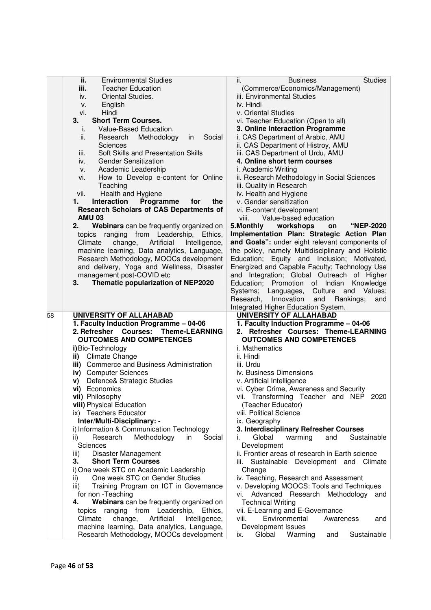|    | ii.<br><b>Environmental Studies</b>                                                    | <b>Studies</b><br>ii.<br><b>Business</b>                             |
|----|----------------------------------------------------------------------------------------|----------------------------------------------------------------------|
|    | iii.<br><b>Teacher Education</b>                                                       | (Commerce/Economics/Management)                                      |
|    | Oriental Studies.<br>iv.                                                               | iii. Environmental Studies                                           |
|    | English<br>ν.                                                                          | iv. Hindi                                                            |
|    | Hindi<br>vi.                                                                           | v. Oriental Studies                                                  |
|    | 3.<br><b>Short Term Courses.</b>                                                       | vi. Teacher Education (Open to all)                                  |
|    | Value-Based Education.<br>İ.                                                           | 3. Online Interaction Programme                                      |
|    | ii.<br>Research<br>Methodology<br>Social<br>in                                         | i. CAS Department of Arabic, AMU                                     |
|    | <b>Sciences</b>                                                                        | ii. CAS Department of Histroy, AMU                                   |
|    | Soft Skills and Presentation Skills<br>iii.                                            | iii. CAS Department of Urdu, AMU                                     |
|    | <b>Gender Sensitization</b><br>iv.                                                     | 4. Online short term courses                                         |
|    | Academic Leadership<br>v.                                                              | i. Academic Writing                                                  |
|    | How to Develop e-content for Online<br>vi.                                             | ii. Research Methodology in Social Sciences                          |
|    | Teaching                                                                               | iii. Quality in Research                                             |
|    | Health and Hygiene<br>vii.                                                             | iv. Health and Hygiene                                               |
|    | Programme<br>1.<br>Interaction<br>the<br>for                                           | v. Gender sensitization                                              |
|    | <b>Research Scholars of CAS Departments of</b>                                         | vi. E-content development                                            |
|    | <b>AMU 03</b>                                                                          | Value-based education<br>viii.                                       |
|    | 2.<br>Webinars can be frequently organized on                                          | 5.Monthly workshops<br>"NEP-2020<br>on                               |
|    | topics ranging from Leadership, Ethics,                                                | Implementation Plan: Strategic Action Plan                           |
|    | Artificial<br>Climate<br>change,<br>Intelligence,                                      | and Goals": under eight relevant components of                       |
|    | machine learning, Data analytics, Language,                                            | the policy, namely Multidisciplinary and Holistic                    |
|    | Research Methodology, MOOCs development                                                | Education; Equity and Inclusion; Motivated,                          |
|    | and delivery, Yoga and Wellness, Disaster                                              | Energized and Capable Faculty; Technology Use                        |
|    | management post-COVID etc                                                              | and Integration; Global Outreach of Higher                           |
|    | 3.<br>Thematic popularization of NEP2020                                               | Education; Promotion of Indian<br>Knowledge                          |
|    |                                                                                        | Culture and<br>Systems; Languages,<br>Values;                        |
|    |                                                                                        | Rankings;<br>Research,<br>Innovation<br>and<br>and                   |
|    |                                                                                        |                                                                      |
|    |                                                                                        |                                                                      |
| 58 | UNIVERSITY OF ALLAHABAD                                                                | Integrated Higher Education System.<br>UNIVERSITY OF ALLAHABAD       |
|    | 1. Faculty Induction Programme - 04-06                                                 | 1. Faculty Induction Programme - 04-06                               |
|    | 2. Refresher Courses: Theme-LEARNING                                                   | 2. Refresher Courses: Theme-LEARNING                                 |
|    | <b>OUTCOMES AND COMPETENCES</b>                                                        | <b>OUTCOMES AND COMPETENCES</b>                                      |
|    | i) Bio-Technology                                                                      | <i>i</i> . Mathematics                                               |
|    | ii) Climate Change                                                                     | ii. Hindi                                                            |
|    | iii) Commerce and Business Administration                                              | iii. Urdu                                                            |
|    | iv) Computer Sciences                                                                  | iv. Business Dimensions                                              |
|    | Defence& Strategic Studies<br>V)                                                       | v. Artificial Intelligence                                           |
|    | vi) Economics                                                                          | vi. Cyber Crime, Awareness and Security                              |
|    | vii) Philosophy                                                                        | vii. Transforming Teacher and NEP 2020                               |
|    | viii) Physical Education                                                               | (Teacher Educator)                                                   |
|    | ix) Teachers Educator                                                                  | viii. Political Science                                              |
|    | Inter/Multi-Disciplinary: -                                                            | ix. Geography                                                        |
|    | i) Information & Communication Technology                                              | 3. Interdisciplinary Refresher Courses                               |
|    | Methodology<br>Social<br>ii)<br>Research<br>in                                         | Global<br>warming<br>and<br>Sustainable<br>Ĺ.                        |
|    | Sciences                                                                               | Development                                                          |
|    | Disaster Management<br>iii)                                                            | ii. Frontier areas of research in Earth science                      |
|    | 3.<br><b>Short Term Courses</b>                                                        | Sustainable Development and Climate<br>iii.                          |
|    | i) One week STC on Academic Leadership                                                 | Change                                                               |
|    | One week STC on Gender Studies<br>ii)                                                  | iv. Teaching, Research and Assessment                                |
|    | Training Program on ICT in Governance<br>iii)                                          | v. Developing MOOCS: Tools and Techniques                            |
|    | for non - Teaching                                                                     | Advanced Research Methodology<br>vi.<br>and                          |
|    | Webinars can be frequently organized on<br>4.                                          | <b>Technical Writing</b>                                             |
|    | ranging<br>from Leadership, Ethics,<br>topics                                          | vii. E-Learning and E-Governance                                     |
|    | Climate<br>change,<br>Artificial<br>Intelligence,                                      | Environmental<br>viii.<br>Awareness<br>and                           |
|    | machine learning, Data analytics, Language,<br>Research Methodology, MOOCs development | Development Issues<br>Global<br>Warming<br>Sustainable<br>ix.<br>and |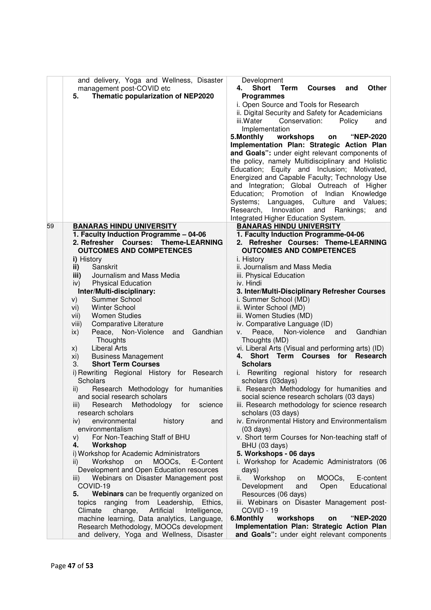| and delivery, Yoga and Wellness, Disaster<br>management post-COVID etc<br>Thematic popularization of NEP2020<br>5. | Development<br><b>Short</b><br><b>Term</b><br><b>Courses</b><br><b>Other</b><br>and<br>4.<br><b>Programmes</b><br>i. Open Source and Tools for Research<br>ii. Digital Security and Safety for Academicians<br>iii.Water<br>Conservation:<br>Policy<br>and<br>Implementation<br>5. Monthly<br>workshops<br><b>"NEP-2020</b><br>on<br>Implementation Plan: Strategic Action Plan<br>and Goals": under eight relevant components of<br>the policy, namely Multidisciplinary and Holistic<br>Education; Equity and Inclusion; Motivated,<br>Energized and Capable Faculty; Technology Use<br>and Integration; Global Outreach of Higher<br>Education; Promotion of Indian Knowledge<br>Systems; Languages,<br>Culture and Values;<br>Research,<br>Innovation<br>Rankings;<br>and<br>and<br>Integrated Higher Education System. |
|--------------------------------------------------------------------------------------------------------------------|-----------------------------------------------------------------------------------------------------------------------------------------------------------------------------------------------------------------------------------------------------------------------------------------------------------------------------------------------------------------------------------------------------------------------------------------------------------------------------------------------------------------------------------------------------------------------------------------------------------------------------------------------------------------------------------------------------------------------------------------------------------------------------------------------------------------------------|
| 59<br><b>BANARAS HINDU UNIVERSITY</b>                                                                              | <b>BANARAS HINDU UNIVERSITY</b>                                                                                                                                                                                                                                                                                                                                                                                                                                                                                                                                                                                                                                                                                                                                                                                             |
| 1. Faculty Induction Programme - 04-06<br>2. Refresher Courses: Theme-LEARNING                                     | 1. Faculty Induction Programme-04-06<br>2. Refresher Courses: Theme-LEARNING                                                                                                                                                                                                                                                                                                                                                                                                                                                                                                                                                                                                                                                                                                                                                |
| <b>OUTCOMES AND COMPETENCES</b>                                                                                    | <b>OUTCOMES AND COMPETENCES</b>                                                                                                                                                                                                                                                                                                                                                                                                                                                                                                                                                                                                                                                                                                                                                                                             |
| i) History                                                                                                         | i. History                                                                                                                                                                                                                                                                                                                                                                                                                                                                                                                                                                                                                                                                                                                                                                                                                  |
| Sanskrit<br>ii)                                                                                                    | ii. Journalism and Mass Media                                                                                                                                                                                                                                                                                                                                                                                                                                                                                                                                                                                                                                                                                                                                                                                               |
| Journalism and Mass Media<br>iii)                                                                                  | iii. Physical Education                                                                                                                                                                                                                                                                                                                                                                                                                                                                                                                                                                                                                                                                                                                                                                                                     |
| <b>Physical Education</b><br>iv)                                                                                   | iv. Hindi                                                                                                                                                                                                                                                                                                                                                                                                                                                                                                                                                                                                                                                                                                                                                                                                                   |
| Inter/Multi-disciplinary:                                                                                          | 3. Inter/Multi-Disciplinary Refresher Courses                                                                                                                                                                                                                                                                                                                                                                                                                                                                                                                                                                                                                                                                                                                                                                               |
| Summer School<br>V)                                                                                                | i. Summer School (MD)                                                                                                                                                                                                                                                                                                                                                                                                                                                                                                                                                                                                                                                                                                                                                                                                       |
| <b>Winter School</b><br>vi)                                                                                        | ii. Winter School (MD)                                                                                                                                                                                                                                                                                                                                                                                                                                                                                                                                                                                                                                                                                                                                                                                                      |
| <b>Women Studies</b><br>vii)<br>Comparative Literature                                                             | iii. Women Studies (MD)<br>iv. Comparative Language (ID)                                                                                                                                                                                                                                                                                                                                                                                                                                                                                                                                                                                                                                                                                                                                                                    |
| viii)<br>Peace, Non-Violence<br>Gandhian<br>$\mathsf{ix}$<br>and                                                   | Non-violence and<br>Peace,<br>Gandhian<br>V.                                                                                                                                                                                                                                                                                                                                                                                                                                                                                                                                                                                                                                                                                                                                                                                |
| Thoughts                                                                                                           | Thoughts (MD)                                                                                                                                                                                                                                                                                                                                                                                                                                                                                                                                                                                                                                                                                                                                                                                                               |
| <b>Liberal Arts</b><br>X)                                                                                          | vi. Liberal Arts (Visual and performing arts) (ID)                                                                                                                                                                                                                                                                                                                                                                                                                                                                                                                                                                                                                                                                                                                                                                          |
| <b>Business Management</b><br>xi)                                                                                  | 4. Short Term Courses for Research                                                                                                                                                                                                                                                                                                                                                                                                                                                                                                                                                                                                                                                                                                                                                                                          |
| <b>Short Term Courses</b><br>3.                                                                                    | <b>Scholars</b>                                                                                                                                                                                                                                                                                                                                                                                                                                                                                                                                                                                                                                                                                                                                                                                                             |
| i) Rewriting Regional History for Research<br><b>Scholars</b>                                                      | i. Rewriting regional history for research<br>scholars (03days)                                                                                                                                                                                                                                                                                                                                                                                                                                                                                                                                                                                                                                                                                                                                                             |
| Research Methodology for humanities<br>$\overline{ii}$                                                             | ii. Research Methodology for humanities and                                                                                                                                                                                                                                                                                                                                                                                                                                                                                                                                                                                                                                                                                                                                                                                 |
| and social research scholars                                                                                       | social science research scholars (03 days)                                                                                                                                                                                                                                                                                                                                                                                                                                                                                                                                                                                                                                                                                                                                                                                  |
| Research<br>Methodology<br>for<br>science<br>iii)                                                                  | iii. Research methodology for science research                                                                                                                                                                                                                                                                                                                                                                                                                                                                                                                                                                                                                                                                                                                                                                              |
| research scholars<br>environmental                                                                                 | scholars (03 days)<br>iv. Environmental History and Environmentalism                                                                                                                                                                                                                                                                                                                                                                                                                                                                                                                                                                                                                                                                                                                                                        |
| history<br>iv)<br>and<br>environmentalism                                                                          | $(03 \text{ days})$                                                                                                                                                                                                                                                                                                                                                                                                                                                                                                                                                                                                                                                                                                                                                                                                         |
| For Non-Teaching Staff of BHU<br>V)                                                                                | v. Short term Courses for Non-teaching staff of                                                                                                                                                                                                                                                                                                                                                                                                                                                                                                                                                                                                                                                                                                                                                                             |
| Workshop<br>4.                                                                                                     | BHU (03 days)                                                                                                                                                                                                                                                                                                                                                                                                                                                                                                                                                                                                                                                                                                                                                                                                               |
| i) Workshop for Academic Administrators                                                                            | 5. Workshops - 06 days                                                                                                                                                                                                                                                                                                                                                                                                                                                                                                                                                                                                                                                                                                                                                                                                      |
| Workshop<br>on<br>MOOCs,<br>E-Content<br>ii)                                                                       | i. Workshop for Academic Administrators (06                                                                                                                                                                                                                                                                                                                                                                                                                                                                                                                                                                                                                                                                                                                                                                                 |
| Development and Open Education resources                                                                           | days)                                                                                                                                                                                                                                                                                                                                                                                                                                                                                                                                                                                                                                                                                                                                                                                                                       |
| Webinars on Disaster Management post<br>iii)                                                                       | Workshop<br>ii.<br>MOOCs,<br>E-content<br>on                                                                                                                                                                                                                                                                                                                                                                                                                                                                                                                                                                                                                                                                                                                                                                                |
| COVID-19                                                                                                           | Development<br>Educational<br>and<br>Open                                                                                                                                                                                                                                                                                                                                                                                                                                                                                                                                                                                                                                                                                                                                                                                   |
| Webinars can be frequently organized on<br>5.                                                                      | Resources (06 days)                                                                                                                                                                                                                                                                                                                                                                                                                                                                                                                                                                                                                                                                                                                                                                                                         |
| topics ranging from Leadership,<br>Ethics,                                                                         | iii. Webinars on Disaster Management post-                                                                                                                                                                                                                                                                                                                                                                                                                                                                                                                                                                                                                                                                                                                                                                                  |
| Climate<br>change, Artificial<br>Intelligence,                                                                     | COVID - 19<br>6.Monthly<br>workshops<br>"NEP-2020<br>on                                                                                                                                                                                                                                                                                                                                                                                                                                                                                                                                                                                                                                                                                                                                                                     |
| machine learning, Data analytics, Language,<br>Research Methodology, MOOCs development                             | Implementation Plan: Strategic Action Plan                                                                                                                                                                                                                                                                                                                                                                                                                                                                                                                                                                                                                                                                                                                                                                                  |
| and delivery, Yoga and Wellness, Disaster                                                                          | and Goals": under eight relevant components                                                                                                                                                                                                                                                                                                                                                                                                                                                                                                                                                                                                                                                                                                                                                                                 |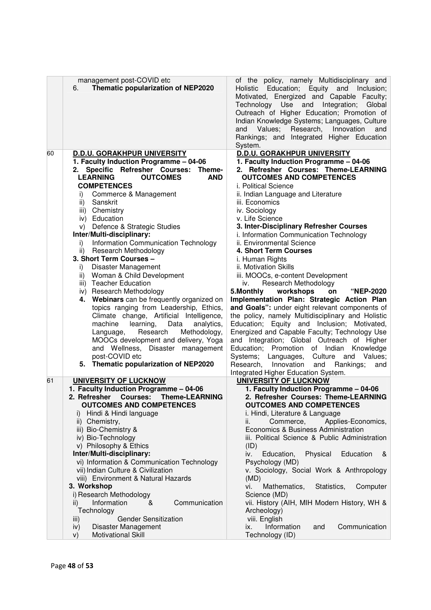|    | management post-COVID etc<br>Thematic popularization of NEP2020<br>6.                                                                                                                                                                                                                                           | of the policy, namely Multidisciplinary and<br>Holistic Education; Equity and Inclusion;<br>Motivated, Energized and Capable Faculty;<br>Technology Use and Integration;<br>Global<br>Outreach of Higher Education; Promotion of<br>Indian Knowledge Systems; Languages, Culture<br>Values; Research, Innovation<br>and<br>and<br>Rankings; and Integrated Higher Education<br>System.                                                   |
|----|-----------------------------------------------------------------------------------------------------------------------------------------------------------------------------------------------------------------------------------------------------------------------------------------------------------------|------------------------------------------------------------------------------------------------------------------------------------------------------------------------------------------------------------------------------------------------------------------------------------------------------------------------------------------------------------------------------------------------------------------------------------------|
| 60 | <b>D.D.U. GORAKHPUR UNIVERSITY</b>                                                                                                                                                                                                                                                                              | <b>D.D.U. GORAKHPUR UNIVERSITY</b>                                                                                                                                                                                                                                                                                                                                                                                                       |
|    | 1. Faculty Induction Programme - 04-06                                                                                                                                                                                                                                                                          | 1. Faculty Induction Programme - 04-06                                                                                                                                                                                                                                                                                                                                                                                                   |
|    | Specific Refresher Courses:<br>Theme-<br>2.                                                                                                                                                                                                                                                                     | 2. Refresher Courses: Theme-LEARNING                                                                                                                                                                                                                                                                                                                                                                                                     |
|    | <b>LEARNING</b><br><b>OUTCOMES</b><br><b>AND</b><br><b>COMPETENCES</b>                                                                                                                                                                                                                                          | <b>OUTCOMES AND COMPETENCES</b>                                                                                                                                                                                                                                                                                                                                                                                                          |
|    | Commerce & Management<br>i)                                                                                                                                                                                                                                                                                     | i. Political Science<br>ii. Indian Language and Literature                                                                                                                                                                                                                                                                                                                                                                               |
|    | ii)<br>Sanskrit                                                                                                                                                                                                                                                                                                 | iii. Economics                                                                                                                                                                                                                                                                                                                                                                                                                           |
|    | iii) Chemistry                                                                                                                                                                                                                                                                                                  | iv. Sociology                                                                                                                                                                                                                                                                                                                                                                                                                            |
|    | iv) Education                                                                                                                                                                                                                                                                                                   | v. Life Science                                                                                                                                                                                                                                                                                                                                                                                                                          |
|    | Defence & Strategic Studies<br>V)                                                                                                                                                                                                                                                                               | 3. Inter-Disciplinary Refresher Courses                                                                                                                                                                                                                                                                                                                                                                                                  |
|    | Inter/Multi-disciplinary:                                                                                                                                                                                                                                                                                       | i. Information Communication Technology                                                                                                                                                                                                                                                                                                                                                                                                  |
|    | Information Communication Technology<br>i)                                                                                                                                                                                                                                                                      | ii. Environmental Science                                                                                                                                                                                                                                                                                                                                                                                                                |
|    | ii) Research Methodology                                                                                                                                                                                                                                                                                        | 4. Short Term Courses                                                                                                                                                                                                                                                                                                                                                                                                                    |
|    | 3. Short Term Courses -                                                                                                                                                                                                                                                                                         | i. Human Rights                                                                                                                                                                                                                                                                                                                                                                                                                          |
|    | Disaster Management<br>İ).                                                                                                                                                                                                                                                                                      | ii. Motivation Skills                                                                                                                                                                                                                                                                                                                                                                                                                    |
|    | Woman & Child Development<br>ii)<br>iii) Teacher Education                                                                                                                                                                                                                                                      | iii. MOOCs, e-content Development<br><b>Research Methodology</b><br>iv.                                                                                                                                                                                                                                                                                                                                                                  |
|    | iv) Research Methodology                                                                                                                                                                                                                                                                                        | workshops<br>"NEP-2020<br>5. Monthly<br>on                                                                                                                                                                                                                                                                                                                                                                                               |
|    | 4. Webinars can be frequently organized on                                                                                                                                                                                                                                                                      | Implementation Plan: Strategic Action Plan                                                                                                                                                                                                                                                                                                                                                                                               |
|    | topics ranging from Leadership, Ethics,<br>Climate change, Artificial Intelligence,<br>learning, Data<br>machine<br>analytics,<br>Research<br>Methodology,<br>Language,<br>MOOCs development and delivery, Yoga<br>and Wellness, Disaster management<br>post-COVID etc<br>5. Thematic popularization of NEP2020 | and Goals": under eight relevant components of<br>the policy, namely Multidisciplinary and Holistic<br>Education; Equity and Inclusion; Motivated,<br>Energized and Capable Faculty; Technology Use<br>and Integration; Global Outreach of Higher<br>Education; Promotion of Indian Knowledge<br>Values;<br>Systems; Languages,<br>Culture and<br>Research, Innovation<br>Rankings;<br>and<br>and<br>Integrated Higher Education System. |
| 61 | <b>UNIVERSITY OF LUCKNOW</b>                                                                                                                                                                                                                                                                                    | <b>UNIVERSITY OF LUCKNOW</b>                                                                                                                                                                                                                                                                                                                                                                                                             |
|    | 1. Faculty Induction Programme - 04-06                                                                                                                                                                                                                                                                          | 1. Faculty Induction Programme - 04-06                                                                                                                                                                                                                                                                                                                                                                                                   |
|    | 2. Refresher Courses: Theme-LEARNING<br><b>OUTCOMES AND COMPETENCES</b>                                                                                                                                                                                                                                         | 2. Refresher Courses: Theme-LEARNING<br><b>OUTCOMES AND COMPETENCES</b>                                                                                                                                                                                                                                                                                                                                                                  |
|    | Hindi & Hindi language                                                                                                                                                                                                                                                                                          | i. Hindi, Literature & Language                                                                                                                                                                                                                                                                                                                                                                                                          |
|    | ii) Chemistry,                                                                                                                                                                                                                                                                                                  | Commerce,<br>Applies-Economics,<br>ii.                                                                                                                                                                                                                                                                                                                                                                                                   |
|    | iii) Bio-Chemistry &                                                                                                                                                                                                                                                                                            | Economics & Business Administration                                                                                                                                                                                                                                                                                                                                                                                                      |
|    | iv) Bio-Technology                                                                                                                                                                                                                                                                                              | iii. Political Science & Public Administration                                                                                                                                                                                                                                                                                                                                                                                           |
|    | v) Philosophy & Ethics                                                                                                                                                                                                                                                                                          | (ID)                                                                                                                                                                                                                                                                                                                                                                                                                                     |
|    | Inter/Multi-disciplinary:                                                                                                                                                                                                                                                                                       | Education,<br>Physical<br>Education<br>iv.<br>&                                                                                                                                                                                                                                                                                                                                                                                          |
|    | vi) Information & Communication Technology                                                                                                                                                                                                                                                                      | Psychology (MD)                                                                                                                                                                                                                                                                                                                                                                                                                          |
|    | vii) Indian Culture & Civilization                                                                                                                                                                                                                                                                              | v. Sociology, Social Work & Anthropology                                                                                                                                                                                                                                                                                                                                                                                                 |
|    | viii) Environment & Natural Hazards                                                                                                                                                                                                                                                                             | (MD)<br>Mathematics,                                                                                                                                                                                                                                                                                                                                                                                                                     |
|    | 3. Workshop<br>i) Research Methodology                                                                                                                                                                                                                                                                          | Statistics,<br>Computer<br>vi.<br>Science (MD)                                                                                                                                                                                                                                                                                                                                                                                           |
|    | Information<br>&<br>Communication<br>ii)                                                                                                                                                                                                                                                                        | vii. History (AIH, MIH Modern History, WH &                                                                                                                                                                                                                                                                                                                                                                                              |
|    | Technology                                                                                                                                                                                                                                                                                                      | Archeology)                                                                                                                                                                                                                                                                                                                                                                                                                              |
|    | <b>Gender Sensitization</b><br>iii)                                                                                                                                                                                                                                                                             | viii. English                                                                                                                                                                                                                                                                                                                                                                                                                            |
|    | Disaster Management<br>iv)                                                                                                                                                                                                                                                                                      | Information<br>Communication<br>and<br>ix.                                                                                                                                                                                                                                                                                                                                                                                               |
|    | <b>Motivational Skill</b><br>V)                                                                                                                                                                                                                                                                                 | Technology (ID)                                                                                                                                                                                                                                                                                                                                                                                                                          |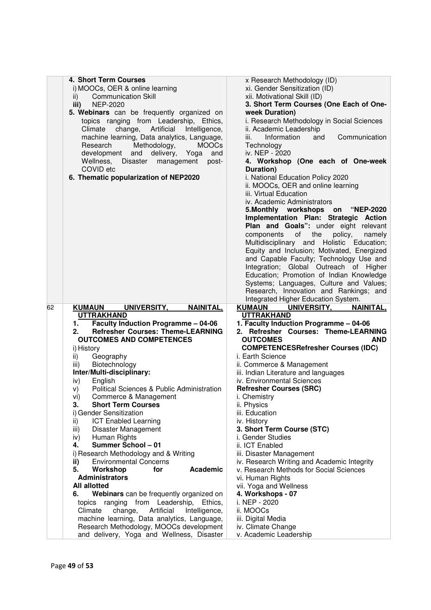|    | 4. Short Term Courses                                                                | x Research Methodology (ID)                   |
|----|--------------------------------------------------------------------------------------|-----------------------------------------------|
|    | i) MOOCs, OER & online learning                                                      | xi. Gender Sensitization (ID)                 |
|    | <b>Communication Skill</b><br>ii)                                                    | xii. Motivational Skill (ID)                  |
|    |                                                                                      |                                               |
|    | iii)<br><b>NEP-2020</b>                                                              | 3. Short Term Courses (One Each of One-       |
|    | 5. Webinars can be frequently organized on                                           | week Duration)                                |
|    | topics ranging from Leadership, Ethics,                                              | i. Research Methodology in Social Sciences    |
|    | Climate<br>change,<br>Artificial<br>Intelligence,                                    | ii. Academic Leadership                       |
|    | machine learning, Data analytics, Language,                                          | iii.<br>Information<br>Communication<br>and   |
|    | Methodology,<br>Research<br><b>MOOCs</b>                                             | Technology                                    |
|    | development<br>and<br>delivery,<br>Yoga<br>and                                       | iv. NEP - 2020                                |
|    |                                                                                      |                                               |
|    | Wellness,<br>Disaster<br>management<br>post-                                         | 4. Workshop (One each of One-week             |
|    | COVID etc                                                                            | Duration)                                     |
|    | 6. Thematic popularization of NEP2020                                                | i. National Education Policy 2020             |
|    |                                                                                      | ii. MOOCs, OER and online learning            |
|    |                                                                                      | iii. Virtual Education                        |
|    |                                                                                      | iv. Academic Administrators                   |
|    |                                                                                      | 5.Monthly workshops<br>on<br><b>"NEP-2020</b> |
|    |                                                                                      | Implementation Plan: Strategic Action         |
|    |                                                                                      | Plan and Goals": under eight relevant         |
|    |                                                                                      |                                               |
|    |                                                                                      | of<br>the<br>components<br>policy,<br>namely  |
|    |                                                                                      | Multidisciplinary and Holistic Education;     |
|    |                                                                                      | Equity and Inclusion; Motivated, Energized    |
|    |                                                                                      | and Capable Faculty; Technology Use and       |
|    |                                                                                      | Integration; Global Outreach of Higher        |
|    |                                                                                      | Education; Promotion of Indian Knowledge      |
|    |                                                                                      | Systems; Languages, Culture and Values;       |
|    |                                                                                      | Research, Innovation and Rankings; and        |
|    |                                                                                      | Integrated Higher Education System.           |
|    |                                                                                      |                                               |
|    |                                                                                      |                                               |
| 62 | <b>KUMAUN</b><br>UNIVERSITY,<br>NAINITAL,                                            | <b>KUMAUN</b><br>UNIVERSITY,<br>NAINITAL,     |
|    | <b>UTTRAKHAND</b>                                                                    | <b>UTTRAKHAND</b>                             |
|    | <b>Faculty Induction Programme - 04-06</b><br>1.                                     | 1. Faculty Induction Programme - 04-06        |
|    | <b>Refresher Courses: Theme-LEARNING</b><br>2.                                       | 2. Refresher Courses: Theme-LEARNING          |
|    | <b>OUTCOMES AND COMPETENCES</b>                                                      | <b>OUTCOMES</b><br><b>AND</b>                 |
|    | i) History                                                                           | <b>COMPETENCESRefresher Courses (IDC)</b>     |
|    | Geography<br>ii)                                                                     | i. Earth Science                              |
|    | Biotechnology<br>iii)                                                                | ii. Commerce & Management                     |
|    | Inter/Multi-disciplinary:                                                            | iii. Indian Literature and languages          |
|    |                                                                                      | iv. Environmental Sciences                    |
|    | English<br>iv)                                                                       |                                               |
|    | Political Sciences & Public Administration<br>V)                                     | <b>Refresher Courses (SRC)</b>                |
|    | Commerce & Management<br>vi)                                                         | i. Chemistry                                  |
|    | 3.<br><b>Short Term Courses</b>                                                      | ii. Physics                                   |
|    | i) Gender Sensitization                                                              | iii. Education                                |
|    | <b>ICT Enabled Learning</b><br>ii)                                                   | iv. History                                   |
|    | Disaster Management<br>iii)                                                          | 3. Short Term Course (STC)                    |
|    | Human Rights<br>iv)                                                                  | i. Gender Studies                             |
|    | Summer School - 01<br>4.                                                             | ii. ICT Enabled                               |
|    | i) Research Methodology and & Writing                                                | iii. Disaster Management                      |
|    | <b>Environmental Concerns</b><br>ii)                                                 | iv. Research Writing and Academic Integrity   |
|    | <b>Academic</b><br>Workshop<br>5.<br>for                                             | v. Research Methods for Social Sciences       |
|    | <b>Administrators</b>                                                                | vi. Human Rights                              |
|    | <b>All allotted</b>                                                                  | vii. Yoga and Wellness                        |
|    | 6.                                                                                   |                                               |
|    | Webinars can be frequently organized on                                              | 4. Workshops - 07                             |
|    | ranging from Leadership,<br>topics<br>Ethics.                                        | i. NEP - 2020                                 |
|    | Artificial<br>Intelligence,<br>Climate<br>change,                                    | ii. MOOCs                                     |
|    | machine learning, Data analytics, Language,                                          | iii. Digital Media                            |
|    | Research Methodology, MOOCs development<br>and delivery, Yoga and Wellness, Disaster | iv. Climate Change<br>v. Academic Leadership  |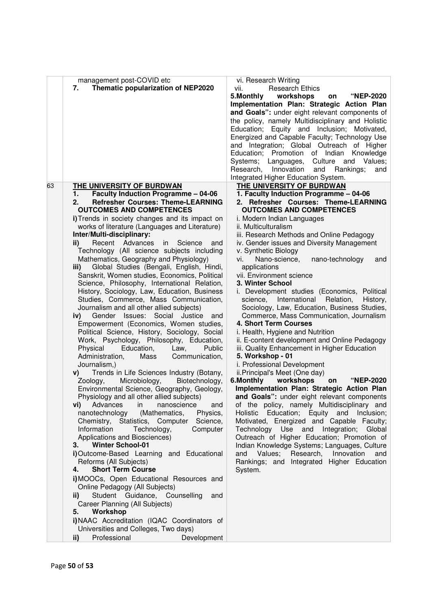| management post-COVID etc<br>Thematic popularization of NEP2020<br>7.                                                                                                                                                                                                                                                                                                                                                                                                                                                                                                                                                                                                                                                                                                                                                                                                                                                                                                                                                                                                                                                                                                                                                                                                                                                                                                                                                                                                                                                                                                                                                                                                                                                                                                                                                                                                                                                 | vi. Research Writing<br><b>Research Ethics</b><br>vii.<br>5. Monthly<br>"NEP-2020<br>workshops<br>on<br>Implementation Plan: Strategic Action Plan<br>and Goals": under eight relevant components of<br>the policy, namely Multidisciplinary and Holistic<br>Education; Equity and Inclusion; Motivated,<br>Energized and Capable Faculty; Technology Use<br>and Integration; Global Outreach of Higher<br>Education; Promotion of Indian Knowledge<br>Values;<br>Systems; Languages,<br>Culture and<br>Research, Innovation<br>and<br>Rankings;<br>and<br>Integrated Higher Education System.                                                                                                                                                                                                                                                                                                                                                                                                                                                                                                                                                                                                                                                                                                                                                                                                                                      |
|-----------------------------------------------------------------------------------------------------------------------------------------------------------------------------------------------------------------------------------------------------------------------------------------------------------------------------------------------------------------------------------------------------------------------------------------------------------------------------------------------------------------------------------------------------------------------------------------------------------------------------------------------------------------------------------------------------------------------------------------------------------------------------------------------------------------------------------------------------------------------------------------------------------------------------------------------------------------------------------------------------------------------------------------------------------------------------------------------------------------------------------------------------------------------------------------------------------------------------------------------------------------------------------------------------------------------------------------------------------------------------------------------------------------------------------------------------------------------------------------------------------------------------------------------------------------------------------------------------------------------------------------------------------------------------------------------------------------------------------------------------------------------------------------------------------------------------------------------------------------------------------------------------------------------|-------------------------------------------------------------------------------------------------------------------------------------------------------------------------------------------------------------------------------------------------------------------------------------------------------------------------------------------------------------------------------------------------------------------------------------------------------------------------------------------------------------------------------------------------------------------------------------------------------------------------------------------------------------------------------------------------------------------------------------------------------------------------------------------------------------------------------------------------------------------------------------------------------------------------------------------------------------------------------------------------------------------------------------------------------------------------------------------------------------------------------------------------------------------------------------------------------------------------------------------------------------------------------------------------------------------------------------------------------------------------------------------------------------------------------------|
| 63<br>THE UNIVERSITY OF BURDWAN<br><b>Faculty Induction Programme - 04-06</b><br>1.<br><b>Refresher Courses: Theme-LEARNING</b><br>2.<br><b>OUTCOMES AND COMPETENCES</b><br>i) Trends in society changes and its impact on<br>works of literature (Languages and Literature)<br>Inter/Multi-disciplinary:<br>Recent Advances<br>ii)<br>in<br>Science<br>and<br>Technology (All science subjects including<br>Mathematics, Geography and Physiology)<br>Global Studies (Bengali, English, Hindi,<br>iii)<br>Sanskrit, Women studies, Economics, Political<br>Science, Philosophy, International Relation,<br>History, Sociology, Law, Education, Business<br>Studies, Commerce, Mass Communication,<br>Journalism and all other allied subjects)<br>Gender Issues: Social Justice<br>iv)<br>and<br>Empowerment (Economics, Women studies,<br>Political Science, History, Sociology, Social<br>Work, Psychology, Philosophy, Education,<br>Physical<br>Education,<br>Public<br>Law,<br>Administration,<br>Mass<br>Communication,<br>Journalism,)<br>Trends in Life Sciences Industry (Botany,<br>V)<br>Microbiology,<br>Biotechnology,<br>Zoology,<br>Environmental Science, Geography, Geology,<br>Physiology and all other allied subjects)<br><b>vi)</b> Advances in<br>nanoscience<br>and<br>nanotechnology (Mathematics,<br>Physics,<br>Chemistry, Statistics, Computer Science,<br>Information<br>Technology,<br>Computer<br>Applications and Biosciences)<br><b>Winter School-01</b><br>3.<br>i) Outcome-Based Learning and Educational<br>Reforms (All Subjects)<br><b>Short Term Course</b><br>4.<br>i) MOOCs, Open Educational Resources and<br>Online Pedagogy (All Subjects)<br>ii)<br>Student Guidance, Counselling<br>and<br>Career Planning (All Subjects)<br>Workshop<br>5.<br>i)NAAC Accreditation (IQAC Coordinators of<br>Universities and Colleges, Two days)<br>Professional<br>Development<br>ii) | THE UNIVERSITY OF BURDWAN<br>1. Faculty Induction Programme - 04-06<br>2. Refresher Courses: Theme-LEARNING<br><b>OUTCOMES AND COMPETENCES</b><br>i. Modern Indian Languages<br>ii. Multiculturalism<br>iii. Research Methods and Online Pedagogy<br>iv. Gender issues and Diversity Management<br>v. Synthetic Biology<br>Nano-science,<br>vi. I<br>nano-technology<br>and<br>applications<br>vii. Environment science<br>3. Winter School<br>i. Development studies (Economics, Political<br>International<br>Relation,<br>History,<br>science,<br>Sociology, Law, Education, Business Studies,<br>Commerce, Mass Communication, Journalism<br>4. Short Term Courses<br>i. Health, Hygiene and Nutrition<br>ii. E-content development and Online Pedagogy<br>iii. Quality Enhancement in Higher Education<br>5. Workshop - 01<br>i. Professional Development<br>ii.Principal's Meet (One day)<br>workshops<br>"NEP-2020<br>6.Monthly<br>on<br>Implementation Plan: Strategic Action Plan<br>and Goals": under eight relevant components<br>of the policy, namely Multidisciplinary and<br>Holistic Education; Equity and Inclusion;<br>Motivated, Energized and Capable Faculty;<br>Technology Use and Integration; Global<br>Outreach of Higher Education; Promotion of<br>Indian Knowledge Systems; Languages, Culture<br>Values; Research,<br>Innovation<br>and<br>and<br>Rankings; and Integrated Higher Education<br>System. |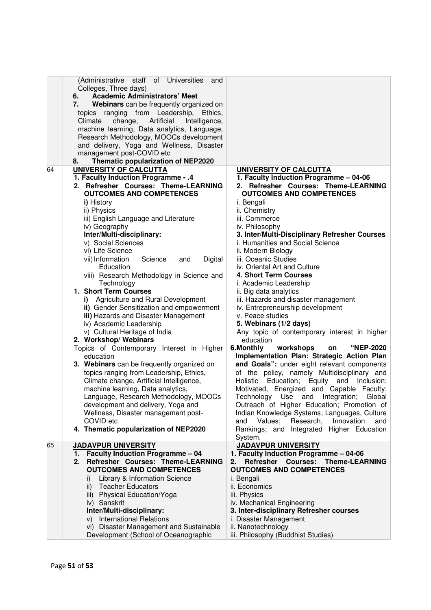|    | (Administrative staff of Universities<br>and<br>Colleges, Three days)<br><b>Academic Administrators' Meet</b><br>6.<br>Webinars can be frequently organized on<br>7.<br>topics ranging from Leadership,<br>Ethics.<br>Climate<br>change,<br>Artificial<br>Intelligence,<br>machine learning, Data analytics, Language,<br>Research Methodology, MOOCs development<br>and delivery, Yoga and Wellness, Disaster |                                                                    |
|----|----------------------------------------------------------------------------------------------------------------------------------------------------------------------------------------------------------------------------------------------------------------------------------------------------------------------------------------------------------------------------------------------------------------|--------------------------------------------------------------------|
|    | management post-COVID etc                                                                                                                                                                                                                                                                                                                                                                                      |                                                                    |
|    | Thematic popularization of NEP2020<br>8.                                                                                                                                                                                                                                                                                                                                                                       |                                                                    |
| 64 | UNIVERSITY OF CALCUTTA                                                                                                                                                                                                                                                                                                                                                                                         | UNIVERSITY OF CALCUTTA                                             |
|    | 1. Faculty Induction Programme - .4                                                                                                                                                                                                                                                                                                                                                                            | 1. Faculty Induction Programme - 04-06                             |
|    | 2. Refresher Courses: Theme-LEARNING                                                                                                                                                                                                                                                                                                                                                                           | 2. Refresher Courses: Theme-LEARNING                               |
|    | <b>OUTCOMES AND COMPETENCES</b>                                                                                                                                                                                                                                                                                                                                                                                | <b>OUTCOMES AND COMPETENCES</b>                                    |
|    | i) History                                                                                                                                                                                                                                                                                                                                                                                                     | i. Bengali                                                         |
|    | ii) Physics                                                                                                                                                                                                                                                                                                                                                                                                    | ii. Chemistry                                                      |
|    | iii) English Language and Literature                                                                                                                                                                                                                                                                                                                                                                           | iii. Commerce                                                      |
|    | iv) Geography                                                                                                                                                                                                                                                                                                                                                                                                  | iv. Philosophy                                                     |
|    | Inter/Multi-disciplinary:                                                                                                                                                                                                                                                                                                                                                                                      | 3. Inter/Multi-Disciplinary Refresher Courses                      |
|    | v) Social Sciences                                                                                                                                                                                                                                                                                                                                                                                             | i. Humanities and Social Science                                   |
|    | vi) Life Science                                                                                                                                                                                                                                                                                                                                                                                               | ii. Modern Biology                                                 |
|    | vii) Information<br>Science<br>Digital<br>and                                                                                                                                                                                                                                                                                                                                                                  | iii. Oceanic Studies                                               |
|    | Education                                                                                                                                                                                                                                                                                                                                                                                                      | iv. Oriental Art and Culture                                       |
|    | viii) Research Methodology in Science and                                                                                                                                                                                                                                                                                                                                                                      | 4. Short Term Courses                                              |
|    | Technology                                                                                                                                                                                                                                                                                                                                                                                                     | i. Academic Leadership                                             |
|    | 1. Short Term Courses                                                                                                                                                                                                                                                                                                                                                                                          | ii. Big data analytics                                             |
|    | Agriculture and Rural Development<br>i)                                                                                                                                                                                                                                                                                                                                                                        | iii. Hazards and disaster management                               |
|    | ii) Gender Sensitization and empowerment                                                                                                                                                                                                                                                                                                                                                                       | iv. Entrepreneurship development                                   |
|    | iii) Hazards and Disaster Management                                                                                                                                                                                                                                                                                                                                                                           | v. Peace studies                                                   |
|    | iv) Academic Leadership                                                                                                                                                                                                                                                                                                                                                                                        | 5. Webinars (1/2 days)                                             |
|    | v) Cultural Heritage of India<br>2. Workshop/Webinars                                                                                                                                                                                                                                                                                                                                                          | Any topic of contemporary interest in higher<br>education          |
|    | Topics of Contemporary Interest in Higher                                                                                                                                                                                                                                                                                                                                                                      | 6.Monthly<br>workshops<br><b>"NEP-2020</b><br>on                   |
|    | education                                                                                                                                                                                                                                                                                                                                                                                                      | Implementation Plan: Strategic Action Plan                         |
|    | 3. Webinars can be frequently organized on                                                                                                                                                                                                                                                                                                                                                                     | and Goals": under eight relevant components                        |
|    | topics ranging from Leadership, Ethics,                                                                                                                                                                                                                                                                                                                                                                        | of the policy, namely Multidisciplinary and                        |
|    | Climate change, Artificial Intelligence,                                                                                                                                                                                                                                                                                                                                                                       | Education; Equity and<br>Holistic<br>Inclusion;                    |
|    | machine learning, Data analytics,                                                                                                                                                                                                                                                                                                                                                                              | Motivated, Energized and Capable Faculty;                          |
|    | Language, Research Methodology, MOOCs                                                                                                                                                                                                                                                                                                                                                                          | Technology Use and<br>Integration;<br>Global                       |
|    | development and delivery, Yoga and                                                                                                                                                                                                                                                                                                                                                                             | Outreach of Higher Education; Promotion of                         |
|    | Wellness, Disaster management post-                                                                                                                                                                                                                                                                                                                                                                            | Indian Knowledge Systems; Languages, Culture                       |
|    | COVID etc                                                                                                                                                                                                                                                                                                                                                                                                      | Research,<br>Innovation<br>Values:<br>and<br>and                   |
|    | 4. Thematic popularization of NEP2020                                                                                                                                                                                                                                                                                                                                                                          | Rankings; and Integrated Higher Education                          |
|    |                                                                                                                                                                                                                                                                                                                                                                                                                | System.                                                            |
| 65 | <b>JADAVPUR UNIVERSITY</b>                                                                                                                                                                                                                                                                                                                                                                                     | <b>JADAVPUR UNIVERSITY</b>                                         |
|    | <b>Faculty Induction Programme - 04</b><br>1.                                                                                                                                                                                                                                                                                                                                                                  | 1. Faculty Induction Programme - 04-06                             |
|    | Refresher Courses: Theme-LEARNING<br>2.                                                                                                                                                                                                                                                                                                                                                                        | <b>Courses:</b><br><b>Refresher</b><br><b>Theme-LEARNING</b><br>2. |
|    | <b>OUTCOMES AND COMPETENCES</b>                                                                                                                                                                                                                                                                                                                                                                                | <b>OUTCOMES AND COMPETENCES</b>                                    |
|    | Library & Information Science<br>i)                                                                                                                                                                                                                                                                                                                                                                            | i. Bengali                                                         |
|    | <b>Teacher Educators</b><br>ii)                                                                                                                                                                                                                                                                                                                                                                                | ii. Economics                                                      |
|    | iii) Physical Education/Yoga                                                                                                                                                                                                                                                                                                                                                                                   | iii. Physics                                                       |
|    | iv) Sanskrit                                                                                                                                                                                                                                                                                                                                                                                                   | iv. Mechanical Engineering                                         |
|    | Inter/Multi-disciplinary:                                                                                                                                                                                                                                                                                                                                                                                      | 3. Inter-disciplinary Refresher courses                            |
|    | v) International Relations                                                                                                                                                                                                                                                                                                                                                                                     | i. Disaster Management                                             |
|    | vi) Disaster Management and Sustainable                                                                                                                                                                                                                                                                                                                                                                        | ii. Nanotechnology                                                 |
|    | Development (School of Oceanographic                                                                                                                                                                                                                                                                                                                                                                           | iii. Philosophy (Buddhist Studies)                                 |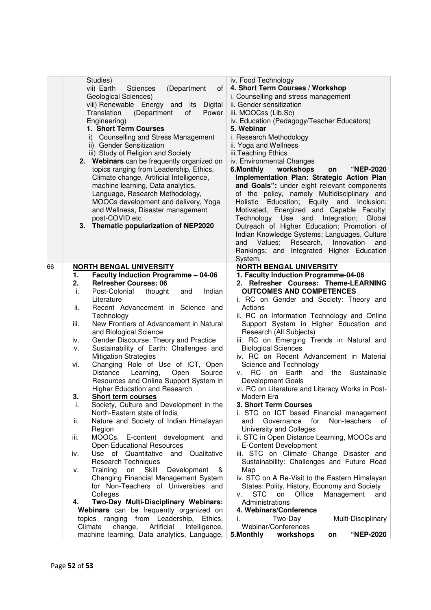| Studies)<br>iv. Food Technology<br>vii) Earth<br>4. Short Term Courses / Workshop<br>(Department<br>of<br>Sciences<br>Geological Sciences)<br>i. Counselling and stress management<br>viii) Renewable Energy and its<br>ii. Gender sensitization<br>Digital<br>Power<br>Translation<br>(Department<br>of<br>iii. MOOCss (Lib.Sc)<br>iv. Education (Pedagogy/Teacher Educators)<br>Engineering)<br>1. Short Term Courses<br>5. Webinar<br>i) Counselling and Stress Management<br>i. Research Methodology<br>ii) Gender Sensitization<br>ii. Yoga and Wellness<br>iii. Teaching Ethics<br>iii) Study of Religion and Society<br>2. Webinars can be frequently organized on<br>iv. Environmental Changes<br>6.Monthly<br>workshops<br>topics ranging from Leadership, Ethics,<br>"NEP-2020<br>on<br>Implementation Plan: Strategic Action Plan<br>Climate change, Artificial Intelligence,<br>and Goals": under eight relevant components<br>machine learning, Data analytics,<br>Language, Research Methodology,<br>of the policy, namely Multidisciplinary and<br>MOOCs development and delivery, Yoga<br>Education; Equity and<br>Inclusion;<br>Holistic<br>and Wellness, Disaster management<br>Motivated, Energized and Capable Faculty;<br>post-COVID etc<br>Technology Use and Integration;<br>Global<br>3. Thematic popularization of NEP2020<br>Outreach of Higher Education; Promotion of<br>Indian Knowledge Systems; Languages, Culture<br>Values;<br>Research,<br>Innovation<br>and<br>and<br>Rankings; and Integrated Higher Education<br>System.<br><b>NORTH BENGAL UNIVERSITY</b><br>66<br><b>NORTH BENGAL UNIVERSITY</b><br><b>Faculty Induction Programme - 04-06</b><br>1. Faculty Induction Programme-04-06<br>1.<br>2. Refresher Courses: Theme-LEARNING<br><b>Refresher Courses: 06</b><br>2.<br><b>OUTCOMES AND COMPETENCES</b><br>Indian<br>Post-Colonial<br>thought<br>i.<br>and<br>i. RC on Gender and Society: Theory and<br>Literature<br>ii.<br>Recent Advancement in Science and<br>Actions<br>ii. RC on Information Technology and Online<br>Technology<br>New Frontiers of Advancement in Natural<br>Support System in Higher Education and<br>iii.<br>Research (All Subjects)<br>and Biological Science<br>iii. RC on Emerging Trends in Natural and<br>Gender Discourse; Theory and Practice<br>iv.<br>Sustainability of Earth: Challenges and<br><b>Biological Sciences</b><br>۷.<br><b>Mitigation Strategies</b><br>iv. RC on Recent Advancement in Material<br>Changing Role of Use of ICT, Open<br>Science and Technology<br>vi.<br>Distance<br>Learning,<br>Open<br>Source<br>RC.<br>on<br>Earth<br>and the Sustainable<br>V.<br>Resources and Online Support System in<br>Development Goals<br>Higher Education and Research<br>vi. RC on Literature and Literacy Works in Post-<br>3.<br>Short term courses<br>Modern Era<br>3. Short Term Courses<br>Society, Culture and Development in the<br>i.<br>North-Eastern state of India<br>i. STC on ICT based Financial management<br>Nature and Society of Indian Himalayan<br>Non-teachers<br>Governance<br>for<br>0f<br>ii.<br>and<br>University and Colleges<br>Region<br>MOOCs, E-content development and<br>ii. STC in Open Distance Learning, MOOCs and<br>iii.<br>Open Educational Resources<br>E-Content Development<br>iii. STC on Climate Change Disaster and<br>Use of Quantitative<br>Qualitative<br>and<br>iv.<br><b>Research Techniques</b><br>Sustainability: Challenges and Future Road<br>Skill<br>Training<br>Map<br>on<br>Development<br>ν.<br>ଝ<br>Changing Financial Management System<br>iv. STC on A Re-Visit to the Eastern Himalayan<br>for Non-Teachers of Universities and<br>States: Polity, History, Economy and Society<br>Colleges<br>STC<br>Management<br>on<br>Office<br>and<br>V.<br>Two-Day Multi-Disciplinary Webinars:<br>Administrations<br>4.<br>Webinars can be frequently organized on<br>4. Webinars/Conference<br>topics ranging from Leadership, Ethics,<br>Two-Day<br>i.<br>Multi-Disciplinary<br>Artificial<br>Webinar/Conferences<br>Climate |                          |  |
|----------------------------------------------------------------------------------------------------------------------------------------------------------------------------------------------------------------------------------------------------------------------------------------------------------------------------------------------------------------------------------------------------------------------------------------------------------------------------------------------------------------------------------------------------------------------------------------------------------------------------------------------------------------------------------------------------------------------------------------------------------------------------------------------------------------------------------------------------------------------------------------------------------------------------------------------------------------------------------------------------------------------------------------------------------------------------------------------------------------------------------------------------------------------------------------------------------------------------------------------------------------------------------------------------------------------------------------------------------------------------------------------------------------------------------------------------------------------------------------------------------------------------------------------------------------------------------------------------------------------------------------------------------------------------------------------------------------------------------------------------------------------------------------------------------------------------------------------------------------------------------------------------------------------------------------------------------------------------------------------------------------------------------------------------------------------------------------------------------------------------------------------------------------------------------------------------------------------------------------------------------------------------------------------------------------------------------------------------------------------------------------------------------------------------------------------------------------------------------------------------------------------------------------------------------------------------------------------------------------------------------------------------------------------------------------------------------------------------------------------------------------------------------------------------------------------------------------------------------------------------------------------------------------------------------------------------------------------------------------------------------------------------------------------------------------------------------------------------------------------------------------------------------------------------------------------------------------------------------------------------------------------------------------------------------------------------------------------------------------------------------------------------------------------------------------------------------------------------------------------------------------------------------------------------------------------------------------------------------------------------------------------------------------------------------------------------------------------------------------------------------------------------------------------------------------------------------------------------------------------------------------------------------------------------------------------------------------------------------------------------------------------------------------------------------------------------------|--------------------------|--|
|                                                                                                                                                                                                                                                                                                                                                                                                                                                                                                                                                                                                                                                                                                                                                                                                                                                                                                                                                                                                                                                                                                                                                                                                                                                                                                                                                                                                                                                                                                                                                                                                                                                                                                                                                                                                                                                                                                                                                                                                                                                                                                                                                                                                                                                                                                                                                                                                                                                                                                                                                                                                                                                                                                                                                                                                                                                                                                                                                                                                                                                                                                                                                                                                                                                                                                                                                                                                                                                                                                                                                                                                                                                                                                                                                                                                                                                                                                                                                                                                                                                                                  |                          |  |
|                                                                                                                                                                                                                                                                                                                                                                                                                                                                                                                                                                                                                                                                                                                                                                                                                                                                                                                                                                                                                                                                                                                                                                                                                                                                                                                                                                                                                                                                                                                                                                                                                                                                                                                                                                                                                                                                                                                                                                                                                                                                                                                                                                                                                                                                                                                                                                                                                                                                                                                                                                                                                                                                                                                                                                                                                                                                                                                                                                                                                                                                                                                                                                                                                                                                                                                                                                                                                                                                                                                                                                                                                                                                                                                                                                                                                                                                                                                                                                                                                                                                                  |                          |  |
|                                                                                                                                                                                                                                                                                                                                                                                                                                                                                                                                                                                                                                                                                                                                                                                                                                                                                                                                                                                                                                                                                                                                                                                                                                                                                                                                                                                                                                                                                                                                                                                                                                                                                                                                                                                                                                                                                                                                                                                                                                                                                                                                                                                                                                                                                                                                                                                                                                                                                                                                                                                                                                                                                                                                                                                                                                                                                                                                                                                                                                                                                                                                                                                                                                                                                                                                                                                                                                                                                                                                                                                                                                                                                                                                                                                                                                                                                                                                                                                                                                                                                  |                          |  |
|                                                                                                                                                                                                                                                                                                                                                                                                                                                                                                                                                                                                                                                                                                                                                                                                                                                                                                                                                                                                                                                                                                                                                                                                                                                                                                                                                                                                                                                                                                                                                                                                                                                                                                                                                                                                                                                                                                                                                                                                                                                                                                                                                                                                                                                                                                                                                                                                                                                                                                                                                                                                                                                                                                                                                                                                                                                                                                                                                                                                                                                                                                                                                                                                                                                                                                                                                                                                                                                                                                                                                                                                                                                                                                                                                                                                                                                                                                                                                                                                                                                                                  |                          |  |
|                                                                                                                                                                                                                                                                                                                                                                                                                                                                                                                                                                                                                                                                                                                                                                                                                                                                                                                                                                                                                                                                                                                                                                                                                                                                                                                                                                                                                                                                                                                                                                                                                                                                                                                                                                                                                                                                                                                                                                                                                                                                                                                                                                                                                                                                                                                                                                                                                                                                                                                                                                                                                                                                                                                                                                                                                                                                                                                                                                                                                                                                                                                                                                                                                                                                                                                                                                                                                                                                                                                                                                                                                                                                                                                                                                                                                                                                                                                                                                                                                                                                                  |                          |  |
|                                                                                                                                                                                                                                                                                                                                                                                                                                                                                                                                                                                                                                                                                                                                                                                                                                                                                                                                                                                                                                                                                                                                                                                                                                                                                                                                                                                                                                                                                                                                                                                                                                                                                                                                                                                                                                                                                                                                                                                                                                                                                                                                                                                                                                                                                                                                                                                                                                                                                                                                                                                                                                                                                                                                                                                                                                                                                                                                                                                                                                                                                                                                                                                                                                                                                                                                                                                                                                                                                                                                                                                                                                                                                                                                                                                                                                                                                                                                                                                                                                                                                  |                          |  |
|                                                                                                                                                                                                                                                                                                                                                                                                                                                                                                                                                                                                                                                                                                                                                                                                                                                                                                                                                                                                                                                                                                                                                                                                                                                                                                                                                                                                                                                                                                                                                                                                                                                                                                                                                                                                                                                                                                                                                                                                                                                                                                                                                                                                                                                                                                                                                                                                                                                                                                                                                                                                                                                                                                                                                                                                                                                                                                                                                                                                                                                                                                                                                                                                                                                                                                                                                                                                                                                                                                                                                                                                                                                                                                                                                                                                                                                                                                                                                                                                                                                                                  |                          |  |
|                                                                                                                                                                                                                                                                                                                                                                                                                                                                                                                                                                                                                                                                                                                                                                                                                                                                                                                                                                                                                                                                                                                                                                                                                                                                                                                                                                                                                                                                                                                                                                                                                                                                                                                                                                                                                                                                                                                                                                                                                                                                                                                                                                                                                                                                                                                                                                                                                                                                                                                                                                                                                                                                                                                                                                                                                                                                                                                                                                                                                                                                                                                                                                                                                                                                                                                                                                                                                                                                                                                                                                                                                                                                                                                                                                                                                                                                                                                                                                                                                                                                                  |                          |  |
|                                                                                                                                                                                                                                                                                                                                                                                                                                                                                                                                                                                                                                                                                                                                                                                                                                                                                                                                                                                                                                                                                                                                                                                                                                                                                                                                                                                                                                                                                                                                                                                                                                                                                                                                                                                                                                                                                                                                                                                                                                                                                                                                                                                                                                                                                                                                                                                                                                                                                                                                                                                                                                                                                                                                                                                                                                                                                                                                                                                                                                                                                                                                                                                                                                                                                                                                                                                                                                                                                                                                                                                                                                                                                                                                                                                                                                                                                                                                                                                                                                                                                  |                          |  |
|                                                                                                                                                                                                                                                                                                                                                                                                                                                                                                                                                                                                                                                                                                                                                                                                                                                                                                                                                                                                                                                                                                                                                                                                                                                                                                                                                                                                                                                                                                                                                                                                                                                                                                                                                                                                                                                                                                                                                                                                                                                                                                                                                                                                                                                                                                                                                                                                                                                                                                                                                                                                                                                                                                                                                                                                                                                                                                                                                                                                                                                                                                                                                                                                                                                                                                                                                                                                                                                                                                                                                                                                                                                                                                                                                                                                                                                                                                                                                                                                                                                                                  |                          |  |
|                                                                                                                                                                                                                                                                                                                                                                                                                                                                                                                                                                                                                                                                                                                                                                                                                                                                                                                                                                                                                                                                                                                                                                                                                                                                                                                                                                                                                                                                                                                                                                                                                                                                                                                                                                                                                                                                                                                                                                                                                                                                                                                                                                                                                                                                                                                                                                                                                                                                                                                                                                                                                                                                                                                                                                                                                                                                                                                                                                                                                                                                                                                                                                                                                                                                                                                                                                                                                                                                                                                                                                                                                                                                                                                                                                                                                                                                                                                                                                                                                                                                                  |                          |  |
|                                                                                                                                                                                                                                                                                                                                                                                                                                                                                                                                                                                                                                                                                                                                                                                                                                                                                                                                                                                                                                                                                                                                                                                                                                                                                                                                                                                                                                                                                                                                                                                                                                                                                                                                                                                                                                                                                                                                                                                                                                                                                                                                                                                                                                                                                                                                                                                                                                                                                                                                                                                                                                                                                                                                                                                                                                                                                                                                                                                                                                                                                                                                                                                                                                                                                                                                                                                                                                                                                                                                                                                                                                                                                                                                                                                                                                                                                                                                                                                                                                                                                  |                          |  |
|                                                                                                                                                                                                                                                                                                                                                                                                                                                                                                                                                                                                                                                                                                                                                                                                                                                                                                                                                                                                                                                                                                                                                                                                                                                                                                                                                                                                                                                                                                                                                                                                                                                                                                                                                                                                                                                                                                                                                                                                                                                                                                                                                                                                                                                                                                                                                                                                                                                                                                                                                                                                                                                                                                                                                                                                                                                                                                                                                                                                                                                                                                                                                                                                                                                                                                                                                                                                                                                                                                                                                                                                                                                                                                                                                                                                                                                                                                                                                                                                                                                                                  |                          |  |
|                                                                                                                                                                                                                                                                                                                                                                                                                                                                                                                                                                                                                                                                                                                                                                                                                                                                                                                                                                                                                                                                                                                                                                                                                                                                                                                                                                                                                                                                                                                                                                                                                                                                                                                                                                                                                                                                                                                                                                                                                                                                                                                                                                                                                                                                                                                                                                                                                                                                                                                                                                                                                                                                                                                                                                                                                                                                                                                                                                                                                                                                                                                                                                                                                                                                                                                                                                                                                                                                                                                                                                                                                                                                                                                                                                                                                                                                                                                                                                                                                                                                                  |                          |  |
|                                                                                                                                                                                                                                                                                                                                                                                                                                                                                                                                                                                                                                                                                                                                                                                                                                                                                                                                                                                                                                                                                                                                                                                                                                                                                                                                                                                                                                                                                                                                                                                                                                                                                                                                                                                                                                                                                                                                                                                                                                                                                                                                                                                                                                                                                                                                                                                                                                                                                                                                                                                                                                                                                                                                                                                                                                                                                                                                                                                                                                                                                                                                                                                                                                                                                                                                                                                                                                                                                                                                                                                                                                                                                                                                                                                                                                                                                                                                                                                                                                                                                  |                          |  |
|                                                                                                                                                                                                                                                                                                                                                                                                                                                                                                                                                                                                                                                                                                                                                                                                                                                                                                                                                                                                                                                                                                                                                                                                                                                                                                                                                                                                                                                                                                                                                                                                                                                                                                                                                                                                                                                                                                                                                                                                                                                                                                                                                                                                                                                                                                                                                                                                                                                                                                                                                                                                                                                                                                                                                                                                                                                                                                                                                                                                                                                                                                                                                                                                                                                                                                                                                                                                                                                                                                                                                                                                                                                                                                                                                                                                                                                                                                                                                                                                                                                                                  |                          |  |
|                                                                                                                                                                                                                                                                                                                                                                                                                                                                                                                                                                                                                                                                                                                                                                                                                                                                                                                                                                                                                                                                                                                                                                                                                                                                                                                                                                                                                                                                                                                                                                                                                                                                                                                                                                                                                                                                                                                                                                                                                                                                                                                                                                                                                                                                                                                                                                                                                                                                                                                                                                                                                                                                                                                                                                                                                                                                                                                                                                                                                                                                                                                                                                                                                                                                                                                                                                                                                                                                                                                                                                                                                                                                                                                                                                                                                                                                                                                                                                                                                                                                                  |                          |  |
|                                                                                                                                                                                                                                                                                                                                                                                                                                                                                                                                                                                                                                                                                                                                                                                                                                                                                                                                                                                                                                                                                                                                                                                                                                                                                                                                                                                                                                                                                                                                                                                                                                                                                                                                                                                                                                                                                                                                                                                                                                                                                                                                                                                                                                                                                                                                                                                                                                                                                                                                                                                                                                                                                                                                                                                                                                                                                                                                                                                                                                                                                                                                                                                                                                                                                                                                                                                                                                                                                                                                                                                                                                                                                                                                                                                                                                                                                                                                                                                                                                                                                  |                          |  |
|                                                                                                                                                                                                                                                                                                                                                                                                                                                                                                                                                                                                                                                                                                                                                                                                                                                                                                                                                                                                                                                                                                                                                                                                                                                                                                                                                                                                                                                                                                                                                                                                                                                                                                                                                                                                                                                                                                                                                                                                                                                                                                                                                                                                                                                                                                                                                                                                                                                                                                                                                                                                                                                                                                                                                                                                                                                                                                                                                                                                                                                                                                                                                                                                                                                                                                                                                                                                                                                                                                                                                                                                                                                                                                                                                                                                                                                                                                                                                                                                                                                                                  |                          |  |
|                                                                                                                                                                                                                                                                                                                                                                                                                                                                                                                                                                                                                                                                                                                                                                                                                                                                                                                                                                                                                                                                                                                                                                                                                                                                                                                                                                                                                                                                                                                                                                                                                                                                                                                                                                                                                                                                                                                                                                                                                                                                                                                                                                                                                                                                                                                                                                                                                                                                                                                                                                                                                                                                                                                                                                                                                                                                                                                                                                                                                                                                                                                                                                                                                                                                                                                                                                                                                                                                                                                                                                                                                                                                                                                                                                                                                                                                                                                                                                                                                                                                                  |                          |  |
|                                                                                                                                                                                                                                                                                                                                                                                                                                                                                                                                                                                                                                                                                                                                                                                                                                                                                                                                                                                                                                                                                                                                                                                                                                                                                                                                                                                                                                                                                                                                                                                                                                                                                                                                                                                                                                                                                                                                                                                                                                                                                                                                                                                                                                                                                                                                                                                                                                                                                                                                                                                                                                                                                                                                                                                                                                                                                                                                                                                                                                                                                                                                                                                                                                                                                                                                                                                                                                                                                                                                                                                                                                                                                                                                                                                                                                                                                                                                                                                                                                                                                  |                          |  |
|                                                                                                                                                                                                                                                                                                                                                                                                                                                                                                                                                                                                                                                                                                                                                                                                                                                                                                                                                                                                                                                                                                                                                                                                                                                                                                                                                                                                                                                                                                                                                                                                                                                                                                                                                                                                                                                                                                                                                                                                                                                                                                                                                                                                                                                                                                                                                                                                                                                                                                                                                                                                                                                                                                                                                                                                                                                                                                                                                                                                                                                                                                                                                                                                                                                                                                                                                                                                                                                                                                                                                                                                                                                                                                                                                                                                                                                                                                                                                                                                                                                                                  |                          |  |
|                                                                                                                                                                                                                                                                                                                                                                                                                                                                                                                                                                                                                                                                                                                                                                                                                                                                                                                                                                                                                                                                                                                                                                                                                                                                                                                                                                                                                                                                                                                                                                                                                                                                                                                                                                                                                                                                                                                                                                                                                                                                                                                                                                                                                                                                                                                                                                                                                                                                                                                                                                                                                                                                                                                                                                                                                                                                                                                                                                                                                                                                                                                                                                                                                                                                                                                                                                                                                                                                                                                                                                                                                                                                                                                                                                                                                                                                                                                                                                                                                                                                                  |                          |  |
|                                                                                                                                                                                                                                                                                                                                                                                                                                                                                                                                                                                                                                                                                                                                                                                                                                                                                                                                                                                                                                                                                                                                                                                                                                                                                                                                                                                                                                                                                                                                                                                                                                                                                                                                                                                                                                                                                                                                                                                                                                                                                                                                                                                                                                                                                                                                                                                                                                                                                                                                                                                                                                                                                                                                                                                                                                                                                                                                                                                                                                                                                                                                                                                                                                                                                                                                                                                                                                                                                                                                                                                                                                                                                                                                                                                                                                                                                                                                                                                                                                                                                  |                          |  |
|                                                                                                                                                                                                                                                                                                                                                                                                                                                                                                                                                                                                                                                                                                                                                                                                                                                                                                                                                                                                                                                                                                                                                                                                                                                                                                                                                                                                                                                                                                                                                                                                                                                                                                                                                                                                                                                                                                                                                                                                                                                                                                                                                                                                                                                                                                                                                                                                                                                                                                                                                                                                                                                                                                                                                                                                                                                                                                                                                                                                                                                                                                                                                                                                                                                                                                                                                                                                                                                                                                                                                                                                                                                                                                                                                                                                                                                                                                                                                                                                                                                                                  |                          |  |
|                                                                                                                                                                                                                                                                                                                                                                                                                                                                                                                                                                                                                                                                                                                                                                                                                                                                                                                                                                                                                                                                                                                                                                                                                                                                                                                                                                                                                                                                                                                                                                                                                                                                                                                                                                                                                                                                                                                                                                                                                                                                                                                                                                                                                                                                                                                                                                                                                                                                                                                                                                                                                                                                                                                                                                                                                                                                                                                                                                                                                                                                                                                                                                                                                                                                                                                                                                                                                                                                                                                                                                                                                                                                                                                                                                                                                                                                                                                                                                                                                                                                                  |                          |  |
|                                                                                                                                                                                                                                                                                                                                                                                                                                                                                                                                                                                                                                                                                                                                                                                                                                                                                                                                                                                                                                                                                                                                                                                                                                                                                                                                                                                                                                                                                                                                                                                                                                                                                                                                                                                                                                                                                                                                                                                                                                                                                                                                                                                                                                                                                                                                                                                                                                                                                                                                                                                                                                                                                                                                                                                                                                                                                                                                                                                                                                                                                                                                                                                                                                                                                                                                                                                                                                                                                                                                                                                                                                                                                                                                                                                                                                                                                                                                                                                                                                                                                  |                          |  |
|                                                                                                                                                                                                                                                                                                                                                                                                                                                                                                                                                                                                                                                                                                                                                                                                                                                                                                                                                                                                                                                                                                                                                                                                                                                                                                                                                                                                                                                                                                                                                                                                                                                                                                                                                                                                                                                                                                                                                                                                                                                                                                                                                                                                                                                                                                                                                                                                                                                                                                                                                                                                                                                                                                                                                                                                                                                                                                                                                                                                                                                                                                                                                                                                                                                                                                                                                                                                                                                                                                                                                                                                                                                                                                                                                                                                                                                                                                                                                                                                                                                                                  |                          |  |
|                                                                                                                                                                                                                                                                                                                                                                                                                                                                                                                                                                                                                                                                                                                                                                                                                                                                                                                                                                                                                                                                                                                                                                                                                                                                                                                                                                                                                                                                                                                                                                                                                                                                                                                                                                                                                                                                                                                                                                                                                                                                                                                                                                                                                                                                                                                                                                                                                                                                                                                                                                                                                                                                                                                                                                                                                                                                                                                                                                                                                                                                                                                                                                                                                                                                                                                                                                                                                                                                                                                                                                                                                                                                                                                                                                                                                                                                                                                                                                                                                                                                                  |                          |  |
|                                                                                                                                                                                                                                                                                                                                                                                                                                                                                                                                                                                                                                                                                                                                                                                                                                                                                                                                                                                                                                                                                                                                                                                                                                                                                                                                                                                                                                                                                                                                                                                                                                                                                                                                                                                                                                                                                                                                                                                                                                                                                                                                                                                                                                                                                                                                                                                                                                                                                                                                                                                                                                                                                                                                                                                                                                                                                                                                                                                                                                                                                                                                                                                                                                                                                                                                                                                                                                                                                                                                                                                                                                                                                                                                                                                                                                                                                                                                                                                                                                                                                  |                          |  |
|                                                                                                                                                                                                                                                                                                                                                                                                                                                                                                                                                                                                                                                                                                                                                                                                                                                                                                                                                                                                                                                                                                                                                                                                                                                                                                                                                                                                                                                                                                                                                                                                                                                                                                                                                                                                                                                                                                                                                                                                                                                                                                                                                                                                                                                                                                                                                                                                                                                                                                                                                                                                                                                                                                                                                                                                                                                                                                                                                                                                                                                                                                                                                                                                                                                                                                                                                                                                                                                                                                                                                                                                                                                                                                                                                                                                                                                                                                                                                                                                                                                                                  |                          |  |
|                                                                                                                                                                                                                                                                                                                                                                                                                                                                                                                                                                                                                                                                                                                                                                                                                                                                                                                                                                                                                                                                                                                                                                                                                                                                                                                                                                                                                                                                                                                                                                                                                                                                                                                                                                                                                                                                                                                                                                                                                                                                                                                                                                                                                                                                                                                                                                                                                                                                                                                                                                                                                                                                                                                                                                                                                                                                                                                                                                                                                                                                                                                                                                                                                                                                                                                                                                                                                                                                                                                                                                                                                                                                                                                                                                                                                                                                                                                                                                                                                                                                                  |                          |  |
|                                                                                                                                                                                                                                                                                                                                                                                                                                                                                                                                                                                                                                                                                                                                                                                                                                                                                                                                                                                                                                                                                                                                                                                                                                                                                                                                                                                                                                                                                                                                                                                                                                                                                                                                                                                                                                                                                                                                                                                                                                                                                                                                                                                                                                                                                                                                                                                                                                                                                                                                                                                                                                                                                                                                                                                                                                                                                                                                                                                                                                                                                                                                                                                                                                                                                                                                                                                                                                                                                                                                                                                                                                                                                                                                                                                                                                                                                                                                                                                                                                                                                  |                          |  |
|                                                                                                                                                                                                                                                                                                                                                                                                                                                                                                                                                                                                                                                                                                                                                                                                                                                                                                                                                                                                                                                                                                                                                                                                                                                                                                                                                                                                                                                                                                                                                                                                                                                                                                                                                                                                                                                                                                                                                                                                                                                                                                                                                                                                                                                                                                                                                                                                                                                                                                                                                                                                                                                                                                                                                                                                                                                                                                                                                                                                                                                                                                                                                                                                                                                                                                                                                                                                                                                                                                                                                                                                                                                                                                                                                                                                                                                                                                                                                                                                                                                                                  |                          |  |
|                                                                                                                                                                                                                                                                                                                                                                                                                                                                                                                                                                                                                                                                                                                                                                                                                                                                                                                                                                                                                                                                                                                                                                                                                                                                                                                                                                                                                                                                                                                                                                                                                                                                                                                                                                                                                                                                                                                                                                                                                                                                                                                                                                                                                                                                                                                                                                                                                                                                                                                                                                                                                                                                                                                                                                                                                                                                                                                                                                                                                                                                                                                                                                                                                                                                                                                                                                                                                                                                                                                                                                                                                                                                                                                                                                                                                                                                                                                                                                                                                                                                                  |                          |  |
|                                                                                                                                                                                                                                                                                                                                                                                                                                                                                                                                                                                                                                                                                                                                                                                                                                                                                                                                                                                                                                                                                                                                                                                                                                                                                                                                                                                                                                                                                                                                                                                                                                                                                                                                                                                                                                                                                                                                                                                                                                                                                                                                                                                                                                                                                                                                                                                                                                                                                                                                                                                                                                                                                                                                                                                                                                                                                                                                                                                                                                                                                                                                                                                                                                                                                                                                                                                                                                                                                                                                                                                                                                                                                                                                                                                                                                                                                                                                                                                                                                                                                  |                          |  |
|                                                                                                                                                                                                                                                                                                                                                                                                                                                                                                                                                                                                                                                                                                                                                                                                                                                                                                                                                                                                                                                                                                                                                                                                                                                                                                                                                                                                                                                                                                                                                                                                                                                                                                                                                                                                                                                                                                                                                                                                                                                                                                                                                                                                                                                                                                                                                                                                                                                                                                                                                                                                                                                                                                                                                                                                                                                                                                                                                                                                                                                                                                                                                                                                                                                                                                                                                                                                                                                                                                                                                                                                                                                                                                                                                                                                                                                                                                                                                                                                                                                                                  |                          |  |
|                                                                                                                                                                                                                                                                                                                                                                                                                                                                                                                                                                                                                                                                                                                                                                                                                                                                                                                                                                                                                                                                                                                                                                                                                                                                                                                                                                                                                                                                                                                                                                                                                                                                                                                                                                                                                                                                                                                                                                                                                                                                                                                                                                                                                                                                                                                                                                                                                                                                                                                                                                                                                                                                                                                                                                                                                                                                                                                                                                                                                                                                                                                                                                                                                                                                                                                                                                                                                                                                                                                                                                                                                                                                                                                                                                                                                                                                                                                                                                                                                                                                                  | change,<br>Intelligence, |  |
| 5. Monthly<br>workshops<br>"NEP-2020<br>machine learning, Data analytics, Language,<br>on                                                                                                                                                                                                                                                                                                                                                                                                                                                                                                                                                                                                                                                                                                                                                                                                                                                                                                                                                                                                                                                                                                                                                                                                                                                                                                                                                                                                                                                                                                                                                                                                                                                                                                                                                                                                                                                                                                                                                                                                                                                                                                                                                                                                                                                                                                                                                                                                                                                                                                                                                                                                                                                                                                                                                                                                                                                                                                                                                                                                                                                                                                                                                                                                                                                                                                                                                                                                                                                                                                                                                                                                                                                                                                                                                                                                                                                                                                                                                                                        |                          |  |